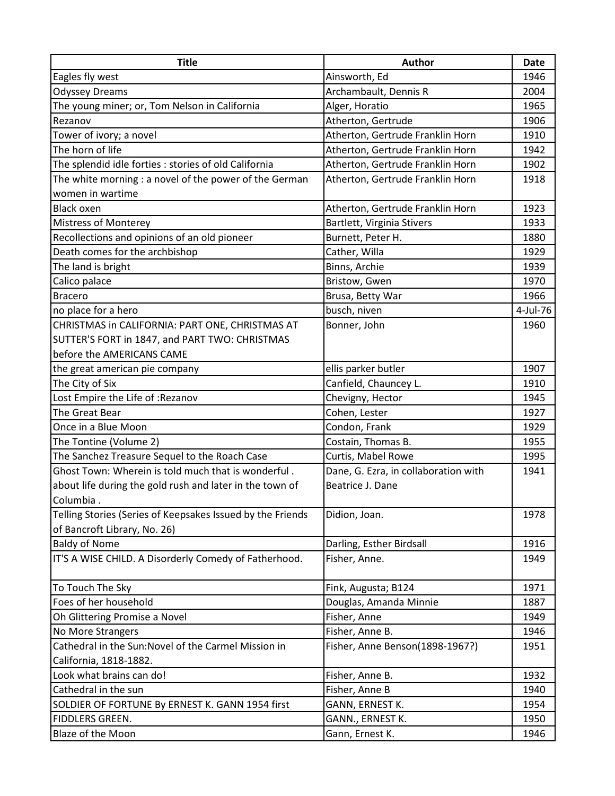| <b>Title</b>                                               | <b>Author</b>                        | <b>Date</b> |
|------------------------------------------------------------|--------------------------------------|-------------|
| Eagles fly west                                            | Ainsworth, Ed                        | 1946        |
| <b>Odyssey Dreams</b>                                      | Archambault, Dennis R                | 2004        |
| The young miner; or, Tom Nelson in California              | Alger, Horatio                       | 1965        |
| Rezanov                                                    | Atherton, Gertrude                   | 1906        |
| Tower of ivory; a novel                                    | Atherton, Gertrude Franklin Horn     | 1910        |
| The horn of life                                           | Atherton, Gertrude Franklin Horn     | 1942        |
| The splendid idle forties : stories of old California      | Atherton, Gertrude Franklin Horn     | 1902        |
| The white morning : a novel of the power of the German     | Atherton, Gertrude Franklin Horn     | 1918        |
| women in wartime                                           |                                      |             |
| <b>Black oxen</b>                                          | Atherton, Gertrude Franklin Horn     | 1923        |
| Mistress of Monterey                                       | Bartlett, Virginia Stivers           | 1933        |
| Recollections and opinions of an old pioneer               | Burnett, Peter H.                    | 1880        |
| Death comes for the archbishop                             | Cather, Willa                        | 1929        |
| The land is bright                                         | Binns, Archie                        | 1939        |
| Calico palace                                              | Bristow, Gwen                        | 1970        |
| <b>Bracero</b>                                             | Brusa, Betty War                     | 1966        |
| no place for a hero                                        | busch, niven                         | 4-Jul-76    |
| CHRISTMAS in CALIFORNIA: PART ONE, CHRISTMAS AT            | Bonner, John                         | 1960        |
| SUTTER'S FORT in 1847, and PART TWO: CHRISTMAS             |                                      |             |
| before the AMERICANS CAME                                  |                                      |             |
| the great american pie company                             | ellis parker butler                  | 1907        |
| The City of Six                                            | Canfield, Chauncey L.                | 1910        |
| Lost Empire the Life of : Rezanov                          | Chevigny, Hector                     | 1945        |
| The Great Bear                                             | Cohen, Lester                        | 1927        |
| Once in a Blue Moon                                        | Condon, Frank                        | 1929        |
| The Tontine (Volume 2)                                     | Costain, Thomas B.                   | 1955        |
| The Sanchez Treasure Sequel to the Roach Case              | Curtis, Mabel Rowe                   | 1995        |
| Ghost Town: Wherein is told much that is wonderful.        | Dane, G. Ezra, in collaboration with | 1941        |
| about life during the gold rush and later in the town of   | Beatrice J. Dane                     |             |
| Columbia.                                                  |                                      |             |
| Telling Stories (Series of Keepsakes Issued by the Friends | Didion, Joan.                        | 1978        |
| of Bancroft Library, No. 26)                               |                                      |             |
| <b>Baldy of Nome</b>                                       | Darling, Esther Birdsall             | 1916        |
| IT'S A WISE CHILD. A Disorderly Comedy of Fatherhood.      | Fisher, Anne.                        | 1949        |
| To Touch The Sky                                           | Fink, Augusta; B124                  | 1971        |
| Foes of her household                                      | Douglas, Amanda Minnie               | 1887        |
| Oh Glittering Promise a Novel                              | Fisher, Anne                         | 1949        |
| No More Strangers                                          | Fisher, Anne B.                      | 1946        |
| Cathedral in the Sun:Novel of the Carmel Mission in        | Fisher, Anne Benson(1898-1967?)      | 1951        |
| California, 1818-1882.                                     |                                      |             |
| Look what brains can do!                                   | Fisher, Anne B.                      | 1932        |
| Cathedral in the sun                                       | Fisher, Anne B                       | 1940        |
| SOLDIER OF FORTUNE By ERNEST K. GANN 1954 first            | GANN, ERNEST K.                      | 1954        |
| <b>FIDDLERS GREEN.</b>                                     | GANN., ERNEST K.                     | 1950        |
| Blaze of the Moon                                          | Gann, Ernest K.                      | 1946        |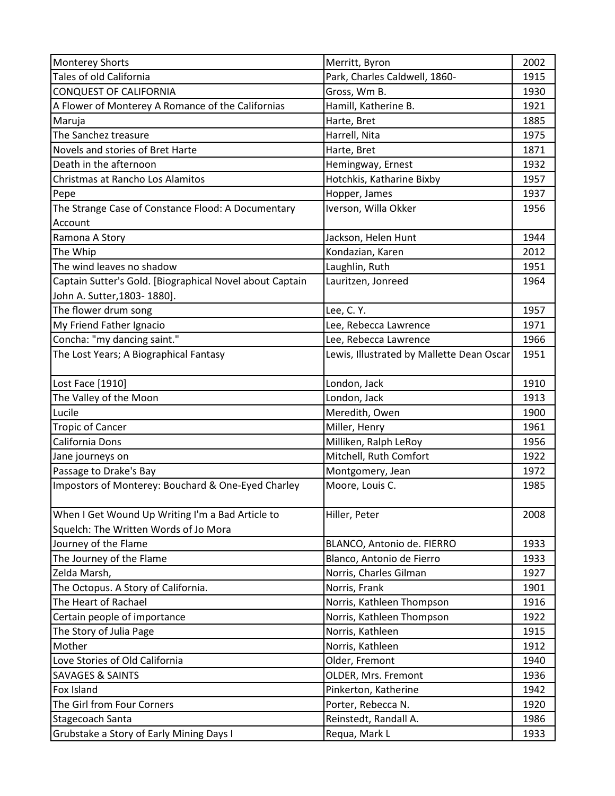| <b>Monterey Shorts</b>                                   | Merritt, Byron                            | 2002 |
|----------------------------------------------------------|-------------------------------------------|------|
| Tales of old California                                  | Park, Charles Caldwell, 1860-             | 1915 |
| <b>CONQUEST OF CALIFORNIA</b>                            | Gross, Wm B.                              | 1930 |
| A Flower of Monterey A Romance of the Californias        | Hamill, Katherine B.                      | 1921 |
| Maruja                                                   | Harte, Bret                               | 1885 |
| The Sanchez treasure                                     | Harrell, Nita                             | 1975 |
| Novels and stories of Bret Harte                         | Harte, Bret                               | 1871 |
| Death in the afternoon                                   | Hemingway, Ernest                         | 1932 |
| Christmas at Rancho Los Alamitos                         | Hotchkis, Katharine Bixby                 | 1957 |
| Pepe                                                     | Hopper, James                             | 1937 |
| The Strange Case of Constance Flood: A Documentary       | Iverson, Willa Okker                      | 1956 |
| Account                                                  |                                           |      |
| Ramona A Story                                           | Jackson, Helen Hunt                       | 1944 |
| The Whip                                                 | Kondazian, Karen                          | 2012 |
| The wind leaves no shadow                                | Laughlin, Ruth                            | 1951 |
| Captain Sutter's Gold. [Biographical Novel about Captain | Lauritzen, Jonreed                        | 1964 |
| John A. Sutter, 1803- 1880].                             |                                           |      |
| The flower drum song                                     | Lee, C.Y.                                 | 1957 |
| My Friend Father Ignacio                                 | Lee, Rebecca Lawrence                     | 1971 |
| Concha: "my dancing saint."                              | Lee, Rebecca Lawrence                     | 1966 |
| The Lost Years; A Biographical Fantasy                   | Lewis, Illustrated by Mallette Dean Oscar | 1951 |
| Lost Face [1910]                                         | London, Jack                              | 1910 |
| The Valley of the Moon                                   | London, Jack                              | 1913 |
| Lucile                                                   | Meredith, Owen                            | 1900 |
| <b>Tropic of Cancer</b>                                  | Miller, Henry                             | 1961 |
| California Dons                                          | Milliken, Ralph LeRoy                     | 1956 |
| Jane journeys on                                         | Mitchell, Ruth Comfort                    | 1922 |
| Passage to Drake's Bay                                   | Montgomery, Jean                          | 1972 |
| Impostors of Monterey: Bouchard & One-Eyed Charley       | Moore, Louis C.                           | 1985 |
|                                                          |                                           |      |
| When I Get Wound Up Writing I'm a Bad Article to         | Hiller, Peter                             | 2008 |
| Squelch: The Written Words of Jo Mora                    |                                           |      |
| Journey of the Flame                                     | BLANCO, Antonio de. FIERRO                | 1933 |
| The Journey of the Flame                                 | Blanco, Antonio de Fierro                 | 1933 |
| Zelda Marsh,                                             | Norris, Charles Gilman                    | 1927 |
| The Octopus. A Story of California.                      | Norris, Frank                             | 1901 |
| The Heart of Rachael                                     | Norris, Kathleen Thompson                 | 1916 |
| Certain people of importance                             | Norris, Kathleen Thompson                 | 1922 |
| The Story of Julia Page                                  | Norris, Kathleen                          | 1915 |
| Mother                                                   | Norris, Kathleen                          | 1912 |
| Love Stories of Old California                           | Older, Fremont                            | 1940 |
| <b>SAVAGES &amp; SAINTS</b>                              | OLDER, Mrs. Fremont                       | 1936 |
| Fox Island                                               | Pinkerton, Katherine                      | 1942 |
| The Girl from Four Corners                               | Porter, Rebecca N.                        | 1920 |
| Stagecoach Santa                                         | Reinstedt, Randall A.                     | 1986 |
| Grubstake a Story of Early Mining Days I                 | Requa, Mark L                             | 1933 |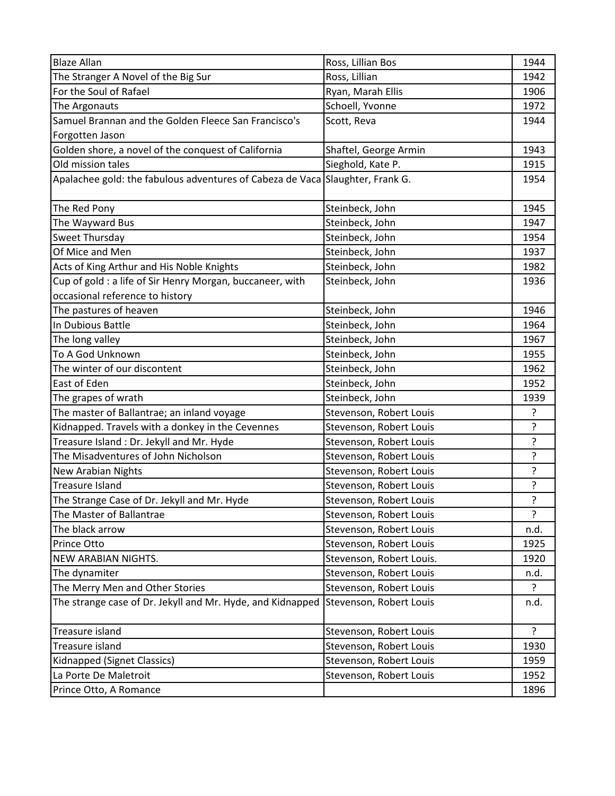| <b>Blaze Allan</b>                                                            | Ross, Lillian Bos        | 1944           |
|-------------------------------------------------------------------------------|--------------------------|----------------|
| The Stranger A Novel of the Big Sur                                           | Ross, Lillian            | 1942           |
| For the Soul of Rafael                                                        | Ryan, Marah Ellis        | 1906           |
| The Argonauts                                                                 | Schoell, Yvonne          | 1972           |
| Samuel Brannan and the Golden Fleece San Francisco's                          | Scott, Reva              | 1944           |
| Forgotten Jason                                                               |                          |                |
| Golden shore, a novel of the conquest of California                           | Shaftel, George Armin    | 1943           |
| Old mission tales                                                             | Sieghold, Kate P.        | 1915           |
| Apalachee gold: the fabulous adventures of Cabeza de Vaca Slaughter, Frank G. |                          | 1954           |
|                                                                               |                          |                |
| The Red Pony                                                                  | Steinbeck, John          | 1945           |
| The Wayward Bus                                                               | Steinbeck, John          | 1947           |
| Sweet Thursday                                                                | Steinbeck, John          | 1954           |
| Of Mice and Men                                                               | Steinbeck, John          | 1937           |
| Acts of King Arthur and His Noble Knights                                     | Steinbeck, John          | 1982           |
| Cup of gold : a life of Sir Henry Morgan, buccaneer, with                     | Steinbeck, John          | 1936           |
| occasional reference to history                                               |                          |                |
| The pastures of heaven                                                        | Steinbeck, John          | 1946           |
| In Dubious Battle                                                             | Steinbeck, John          | 1964           |
| The long valley                                                               | Steinbeck, John          | 1967           |
| To A God Unknown                                                              | Steinbeck, John          | 1955           |
| The winter of our discontent                                                  | Steinbeck, John          | 1962           |
| East of Eden                                                                  | Steinbeck, John          | 1952           |
| The grapes of wrath                                                           | Steinbeck, John          | 1939           |
| The master of Ballantrae; an inland voyage                                    | Stevenson, Robert Louis  | $\tilde{?}$    |
| Kidnapped. Travels with a donkey in the Cevennes                              | Stevenson, Robert Louis  | $\mathbf{S}$   |
| Treasure Island: Dr. Jekyll and Mr. Hyde                                      | Stevenson, Robert Louis  | $\tilde{.}$    |
| The Misadventures of John Nicholson                                           | Stevenson, Robert Louis  | ?              |
| New Arabian Nights                                                            | Stevenson, Robert Louis  | ?              |
| <b>Treasure Island</b>                                                        | Stevenson, Robert Louis  | ŗ              |
| The Strange Case of Dr. Jekyll and Mr. Hyde                                   | Stevenson, Robert Louis  | $\overline{?}$ |
| The Master of Ballantrae                                                      | Stevenson, Robert Louis  | ?              |
| The black arrow                                                               | Stevenson, Robert Louis  | n.d.           |
| Prince Otto                                                                   | Stevenson, Robert Louis  | 1925           |
| NEW ARABIAN NIGHTS.                                                           | Stevenson, Robert Louis. | 1920           |
| The dynamiter                                                                 | Stevenson, Robert Louis  | n.d.           |
| The Merry Men and Other Stories                                               | Stevenson, Robert Louis  | ?              |
| The strange case of Dr. Jekyll and Mr. Hyde, and Kidnapped                    | Stevenson, Robert Louis  | n.d.           |
| Treasure island                                                               | Stevenson, Robert Louis  | ?              |
| Treasure island                                                               | Stevenson, Robert Louis  | 1930           |
| Kidnapped (Signet Classics)                                                   | Stevenson, Robert Louis  | 1959           |
| La Porte De Maletroit                                                         | Stevenson, Robert Louis  | 1952           |
| Prince Otto, A Romance                                                        |                          | 1896           |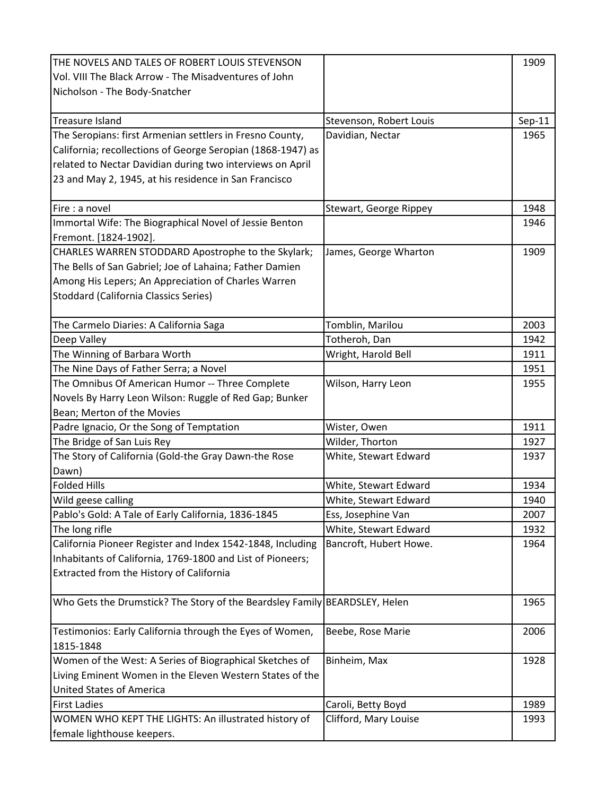| THE NOVELS AND TALES OF ROBERT LOUIS STEVENSON                             |                         | 1909     |
|----------------------------------------------------------------------------|-------------------------|----------|
| Vol. VIII The Black Arrow - The Misadventures of John                      |                         |          |
| Nicholson - The Body-Snatcher                                              |                         |          |
|                                                                            |                         |          |
| <b>Treasure Island</b>                                                     | Stevenson, Robert Louis | $Sep-11$ |
| The Seropians: first Armenian settlers in Fresno County,                   | Davidian, Nectar        | 1965     |
| California; recollections of George Seropian (1868-1947) as                |                         |          |
| related to Nectar Davidian during two interviews on April                  |                         |          |
| 23 and May 2, 1945, at his residence in San Francisco                      |                         |          |
|                                                                            |                         |          |
| Fire : a novel                                                             | Stewart, George Rippey  | 1948     |
| Immortal Wife: The Biographical Novel of Jessie Benton                     |                         | 1946     |
| Fremont. [1824-1902].                                                      |                         |          |
| CHARLES WARREN STODDARD Apostrophe to the Skylark;                         | James, George Wharton   | 1909     |
| The Bells of San Gabriel; Joe of Lahaina; Father Damien                    |                         |          |
| Among His Lepers; An Appreciation of Charles Warren                        |                         |          |
| <b>Stoddard (California Classics Series)</b>                               |                         |          |
|                                                                            |                         |          |
| The Carmelo Diaries: A California Saga                                     | Tomblin, Marilou        | 2003     |
| Deep Valley                                                                | Totheroh, Dan           | 1942     |
| The Winning of Barbara Worth                                               | Wright, Harold Bell     | 1911     |
| The Nine Days of Father Serra; a Novel                                     |                         | 1951     |
| The Omnibus Of American Humor -- Three Complete                            | Wilson, Harry Leon      | 1955     |
| Novels By Harry Leon Wilson: Ruggle of Red Gap; Bunker                     |                         |          |
| Bean; Merton of the Movies                                                 |                         |          |
| Padre Ignacio, Or the Song of Temptation                                   | Wister, Owen            | 1911     |
| The Bridge of San Luis Rey                                                 | Wilder, Thorton         | 1927     |
| The Story of California (Gold-the Gray Dawn-the Rose                       | White, Stewart Edward   | 1937     |
| Dawn)                                                                      |                         |          |
| <b>Folded Hills</b>                                                        | White, Stewart Edward   | 1934     |
| Wild geese calling                                                         | White, Stewart Edward   | 1940     |
| Pablo's Gold: A Tale of Early California, 1836-1845                        | Ess, Josephine Van      | 2007     |
| The long rifle                                                             | White, Stewart Edward   | 1932     |
| California Pioneer Register and Index 1542-1848, Including                 | Bancroft, Hubert Howe.  | 1964     |
| Inhabitants of California, 1769-1800 and List of Pioneers;                 |                         |          |
| Extracted from the History of California                                   |                         |          |
|                                                                            |                         |          |
| Who Gets the Drumstick? The Story of the Beardsley Family BEARDSLEY, Helen |                         | 1965     |
|                                                                            |                         |          |
| Testimonios: Early California through the Eyes of Women,                   | Beebe, Rose Marie       | 2006     |
| 1815-1848                                                                  |                         |          |
| Women of the West: A Series of Biographical Sketches of                    | Binheim, Max            | 1928     |
| Living Eminent Women in the Eleven Western States of the                   |                         |          |
| <b>United States of America</b>                                            |                         |          |
| <b>First Ladies</b>                                                        | Caroli, Betty Boyd      | 1989     |
| WOMEN WHO KEPT THE LIGHTS: An illustrated history of                       | Clifford, Mary Louise   | 1993     |
| female lighthouse keepers.                                                 |                         |          |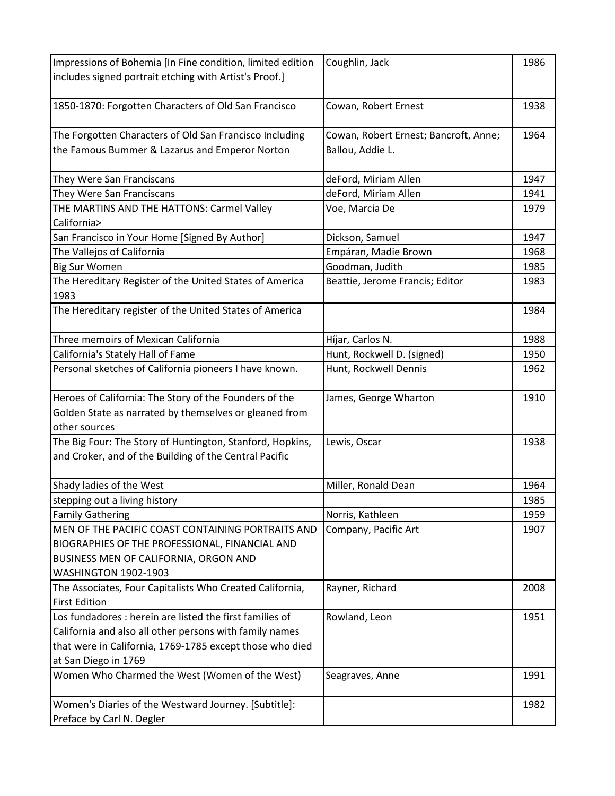| Impressions of Bohemia [In Fine condition, limited edition | Coughlin, Jack                        | 1986 |
|------------------------------------------------------------|---------------------------------------|------|
| includes signed portrait etching with Artist's Proof.]     |                                       |      |
|                                                            |                                       |      |
| 1850-1870: Forgotten Characters of Old San Francisco       | Cowan, Robert Ernest                  | 1938 |
|                                                            |                                       |      |
| The Forgotten Characters of Old San Francisco Including    | Cowan, Robert Ernest; Bancroft, Anne; | 1964 |
| the Famous Bummer & Lazarus and Emperor Norton             | Ballou, Addie L.                      |      |
|                                                            |                                       |      |
| They Were San Franciscans                                  | deFord, Miriam Allen                  | 1947 |
| They Were San Franciscans                                  | deFord, Miriam Allen                  | 1941 |
| THE MARTINS AND THE HATTONS: Carmel Valley                 | Voe, Marcia De                        | 1979 |
| California>                                                |                                       |      |
| San Francisco in Your Home [Signed By Author]              | Dickson, Samuel                       | 1947 |
| The Vallejos of California                                 | Empáran, Madie Brown                  | 1968 |
| <b>Big Sur Women</b>                                       | Goodman, Judith                       | 1985 |
| The Hereditary Register of the United States of America    | Beattie, Jerome Francis; Editor       | 1983 |
| 1983                                                       |                                       |      |
| The Hereditary register of the United States of America    |                                       | 1984 |
|                                                            |                                       |      |
| Three memoirs of Mexican California                        | Híjar, Carlos N.                      | 1988 |
| California's Stately Hall of Fame                          | Hunt, Rockwell D. (signed)            | 1950 |
| Personal sketches of California pioneers I have known.     | Hunt, Rockwell Dennis                 | 1962 |
|                                                            |                                       |      |
| Heroes of California: The Story of the Founders of the     | James, George Wharton                 | 1910 |
| Golden State as narrated by themselves or gleaned from     |                                       |      |
| other sources                                              |                                       |      |
| The Big Four: The Story of Huntington, Stanford, Hopkins,  | Lewis, Oscar                          | 1938 |
| and Croker, and of the Building of the Central Pacific     |                                       |      |
|                                                            |                                       |      |
| Shady ladies of the West                                   | Miller, Ronald Dean                   | 1964 |
| stepping out a living history                              |                                       | 1985 |
| <b>Family Gathering</b>                                    | Norris, Kathleen                      | 1959 |
| MEN OF THE PACIFIC COAST CONTAINING PORTRAITS AND          | Company, Pacific Art                  | 1907 |
| BIOGRAPHIES OF THE PROFESSIONAL, FINANCIAL AND             |                                       |      |
| BUSINESS MEN OF CALIFORNIA, ORGON AND                      |                                       |      |
| <b>WASHINGTON 1902-1903</b>                                |                                       |      |
| The Associates, Four Capitalists Who Created California,   | Rayner, Richard                       | 2008 |
| <b>First Edition</b>                                       |                                       |      |
| Los fundadores : herein are listed the first families of   | Rowland, Leon                         | 1951 |
| California and also all other persons with family names    |                                       |      |
| that were in California, 1769-1785 except those who died   |                                       |      |
| at San Diego in 1769                                       |                                       |      |
| Women Who Charmed the West (Women of the West)             | Seagraves, Anne                       | 1991 |
|                                                            |                                       |      |
| Women's Diaries of the Westward Journey. [Subtitle]:       |                                       | 1982 |
| Preface by Carl N. Degler                                  |                                       |      |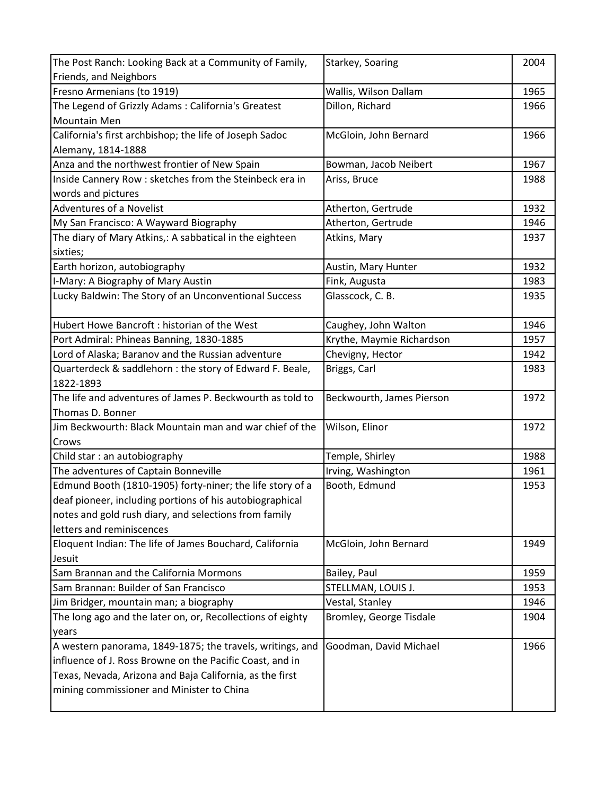| The Post Ranch: Looking Back at a Community of Family,     | Starkey, Soaring          | 2004 |
|------------------------------------------------------------|---------------------------|------|
| Friends, and Neighbors                                     |                           |      |
| Fresno Armenians (to 1919)                                 | Wallis, Wilson Dallam     | 1965 |
| The Legend of Grizzly Adams: California's Greatest         | Dillon, Richard           | 1966 |
| <b>Mountain Men</b>                                        |                           |      |
| California's first archbishop; the life of Joseph Sadoc    | McGloin, John Bernard     | 1966 |
| Alemany, 1814-1888                                         |                           |      |
| Anza and the northwest frontier of New Spain               | Bowman, Jacob Neibert     | 1967 |
| Inside Cannery Row : sketches from the Steinbeck era in    | Ariss, Bruce              | 1988 |
| words and pictures                                         |                           |      |
| Adventures of a Novelist                                   | Atherton, Gertrude        | 1932 |
| My San Francisco: A Wayward Biography                      | Atherton, Gertrude        | 1946 |
| The diary of Mary Atkins,: A sabbatical in the eighteen    | Atkins, Mary              | 1937 |
| sixties;                                                   |                           |      |
| Earth horizon, autobiography                               | Austin, Mary Hunter       | 1932 |
| I-Mary: A Biography of Mary Austin                         | Fink, Augusta             | 1983 |
| Lucky Baldwin: The Story of an Unconventional Success      | Glasscock, C. B.          | 1935 |
|                                                            |                           |      |
| Hubert Howe Bancroft: historian of the West                | Caughey, John Walton      | 1946 |
| Port Admiral: Phineas Banning, 1830-1885                   | Krythe, Maymie Richardson | 1957 |
| Lord of Alaska; Baranov and the Russian adventure          | Chevigny, Hector          | 1942 |
| Quarterdeck & saddlehorn : the story of Edward F. Beale,   | Briggs, Carl              | 1983 |
| 1822-1893                                                  |                           |      |
| The life and adventures of James P. Beckwourth as told to  | Beckwourth, James Pierson | 1972 |
| Thomas D. Bonner                                           |                           |      |
| Jim Beckwourth: Black Mountain man and war chief of the    | Wilson, Elinor            | 1972 |
| Crows                                                      |                           |      |
| Child star: an autobiography                               | Temple, Shirley           | 1988 |
| The adventures of Captain Bonneville                       | Irving, Washington        | 1961 |
| Edmund Booth (1810-1905) forty-niner; the life story of a  | Booth, Edmund             | 1953 |
| deaf pioneer, including portions of his autobiographical   |                           |      |
| notes and gold rush diary, and selections from family      |                           |      |
| letters and reminiscences                                  |                           |      |
| Eloquent Indian: The life of James Bouchard, California    | McGloin, John Bernard     | 1949 |
| Jesuit                                                     |                           |      |
| Sam Brannan and the California Mormons                     | Bailey, Paul              | 1959 |
| Sam Brannan: Builder of San Francisco                      | STELLMAN, LOUIS J.        | 1953 |
| Jim Bridger, mountain man; a biography                     | Vestal, Stanley           | 1946 |
| The long ago and the later on, or, Recollections of eighty | Bromley, George Tisdale   | 1904 |
| years                                                      |                           |      |
| A western panorama, 1849-1875; the travels, writings, and  | Goodman, David Michael    | 1966 |
| influence of J. Ross Browne on the Pacific Coast, and in   |                           |      |
| Texas, Nevada, Arizona and Baja California, as the first   |                           |      |
| mining commissioner and Minister to China                  |                           |      |
|                                                            |                           |      |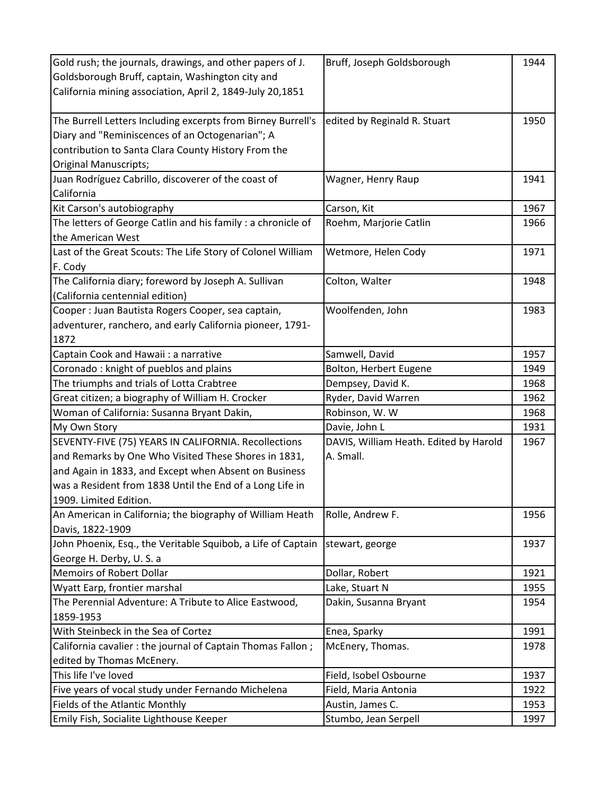| Gold rush; the journals, drawings, and other papers of J.    | Bruff, Joseph Goldsborough             | 1944 |
|--------------------------------------------------------------|----------------------------------------|------|
| Goldsborough Bruff, captain, Washington city and             |                                        |      |
| California mining association, April 2, 1849-July 20,1851    |                                        |      |
|                                                              |                                        |      |
| The Burrell Letters Including excerpts from Birney Burrell's | edited by Reginald R. Stuart           | 1950 |
| Diary and "Reminiscences of an Octogenarian"; A              |                                        |      |
| contribution to Santa Clara County History From the          |                                        |      |
| <b>Original Manuscripts;</b>                                 |                                        |      |
| Juan Rodríguez Cabrillo, discoverer of the coast of          | Wagner, Henry Raup                     | 1941 |
| California                                                   |                                        |      |
| Kit Carson's autobiography                                   | Carson, Kit                            | 1967 |
| The letters of George Catlin and his family : a chronicle of | Roehm, Marjorie Catlin                 | 1966 |
| the American West                                            |                                        |      |
| Last of the Great Scouts: The Life Story of Colonel William  | Wetmore, Helen Cody                    | 1971 |
| F. Cody                                                      |                                        |      |
| The California diary; foreword by Joseph A. Sullivan         | Colton, Walter                         | 1948 |
| (California centennial edition)                              |                                        |      |
| Cooper : Juan Bautista Rogers Cooper, sea captain,           | Woolfenden, John                       | 1983 |
| adventurer, ranchero, and early California pioneer, 1791-    |                                        |      |
| 1872                                                         |                                        |      |
| Captain Cook and Hawaii : a narrative                        | Samwell, David                         | 1957 |
| Coronado: knight of pueblos and plains                       | Bolton, Herbert Eugene                 | 1949 |
| The triumphs and trials of Lotta Crabtree                    | Dempsey, David K.                      | 1968 |
| Great citizen; a biography of William H. Crocker             | Ryder, David Warren                    | 1962 |
| Woman of California: Susanna Bryant Dakin,                   | Robinson, W.W                          | 1968 |
| My Own Story                                                 | Davie, John L                          | 1931 |
| SEVENTY-FIVE (75) YEARS IN CALIFORNIA. Recollections         | DAVIS, William Heath. Edited by Harold | 1967 |
| and Remarks by One Who Visited These Shores in 1831,         | A. Small.                              |      |
| and Again in 1833, and Except when Absent on Business        |                                        |      |
| was a Resident from 1838 Until the End of a Long Life in     |                                        |      |
| 1909. Limited Edition.                                       |                                        |      |
| An American in California; the biography of William Heath    | Rolle, Andrew F.                       | 1956 |
| Davis, 1822-1909                                             |                                        |      |
| John Phoenix, Esq., the Veritable Squibob, a Life of Captain | stewart, george                        | 1937 |
| George H. Derby, U.S. a                                      |                                        |      |
| <b>Memoirs of Robert Dollar</b>                              | Dollar, Robert                         | 1921 |
| Wyatt Earp, frontier marshal                                 | Lake, Stuart N                         | 1955 |
| The Perennial Adventure: A Tribute to Alice Eastwood,        | Dakin, Susanna Bryant                  | 1954 |
| 1859-1953                                                    |                                        |      |
| With Steinbeck in the Sea of Cortez                          | Enea, Sparky                           | 1991 |
| California cavalier : the journal of Captain Thomas Fallon;  | McEnery, Thomas.                       | 1978 |
| edited by Thomas McEnery.                                    |                                        |      |
| This life I've loved                                         | Field, Isobel Osbourne                 | 1937 |
| Five years of vocal study under Fernando Michelena           | Field, Maria Antonia                   | 1922 |
| Fields of the Atlantic Monthly                               | Austin, James C.                       | 1953 |
| Emily Fish, Socialite Lighthouse Keeper                      | Stumbo, Jean Serpell                   | 1997 |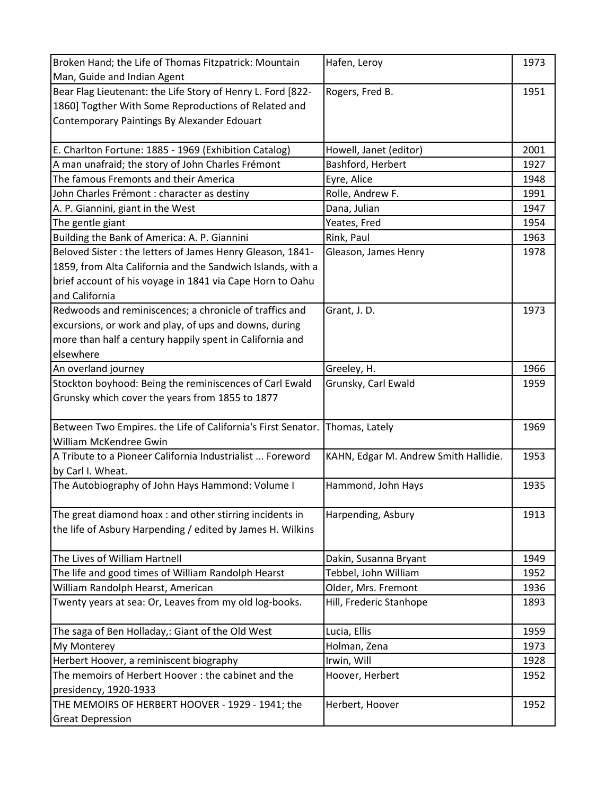| Broken Hand; the Life of Thomas Fitzpatrick: Mountain        | Hafen, Leroy                          | 1973 |
|--------------------------------------------------------------|---------------------------------------|------|
| Man, Guide and Indian Agent                                  |                                       |      |
| Bear Flag Lieutenant: the Life Story of Henry L. Ford [822-  | Rogers, Fred B.                       | 1951 |
| 1860] Togther With Some Reproductions of Related and         |                                       |      |
| Contemporary Paintings By Alexander Edouart                  |                                       |      |
|                                                              |                                       |      |
| E. Charlton Fortune: 1885 - 1969 (Exhibition Catalog)        | Howell, Janet (editor)                | 2001 |
| A man unafraid; the story of John Charles Frémont            | Bashford, Herbert                     | 1927 |
| The famous Fremonts and their America                        | Eyre, Alice                           | 1948 |
| John Charles Frémont : character as destiny                  | Rolle, Andrew F.                      | 1991 |
| A. P. Giannini, giant in the West                            | Dana, Julian                          | 1947 |
| The gentle giant                                             | Yeates, Fred                          | 1954 |
| Building the Bank of America: A. P. Giannini                 | Rink, Paul                            | 1963 |
| Beloved Sister : the letters of James Henry Gleason, 1841-   | Gleason, James Henry                  | 1978 |
| 1859, from Alta California and the Sandwich Islands, with a  |                                       |      |
| brief account of his voyage in 1841 via Cape Horn to Oahu    |                                       |      |
| and California                                               |                                       |      |
| Redwoods and reminiscences; a chronicle of traffics and      | Grant, J.D.                           | 1973 |
| excursions, or work and play, of ups and downs, during       |                                       |      |
| more than half a century happily spent in California and     |                                       |      |
| elsewhere                                                    |                                       |      |
| An overland journey                                          | Greeley, H.                           | 1966 |
| Stockton boyhood: Being the reminiscences of Carl Ewald      | Grunsky, Carl Ewald                   | 1959 |
| Grunsky which cover the years from 1855 to 1877              |                                       |      |
|                                                              |                                       |      |
| Between Two Empires. the Life of California's First Senator. | Thomas, Lately                        | 1969 |
| William McKendree Gwin                                       |                                       |      |
| A Tribute to a Pioneer California Industrialist  Foreword    | KAHN, Edgar M. Andrew Smith Hallidie. | 1953 |
| by Carl I. Wheat.                                            |                                       |      |
| The Autobiography of John Hays Hammond: Volume I             | Hammond, John Hays                    | 1935 |
|                                                              |                                       |      |
| The great diamond hoax : and other stirring incidents in     | Harpending, Asbury                    | 1913 |
| the life of Asbury Harpending / edited by James H. Wilkins   |                                       |      |
|                                                              |                                       |      |
| The Lives of William Hartnell                                | Dakin, Susanna Bryant                 | 1949 |
| The life and good times of William Randolph Hearst           | Tebbel, John William                  | 1952 |
| William Randolph Hearst, American                            | Older, Mrs. Fremont                   | 1936 |
| Twenty years at sea: Or, Leaves from my old log-books.       | Hill, Frederic Stanhope               | 1893 |
|                                                              |                                       |      |
| The saga of Ben Holladay,: Giant of the Old West             | Lucia, Ellis                          | 1959 |
| <b>My Monterey</b>                                           | Holman, Zena                          | 1973 |
| Herbert Hoover, a reminiscent biography                      | Irwin, Will                           | 1928 |
| The memoirs of Herbert Hoover: the cabinet and the           | Hoover, Herbert                       | 1952 |
| presidency, 1920-1933                                        |                                       |      |
| THE MEMOIRS OF HERBERT HOOVER - 1929 - 1941; the             | Herbert, Hoover                       | 1952 |
| <b>Great Depression</b>                                      |                                       |      |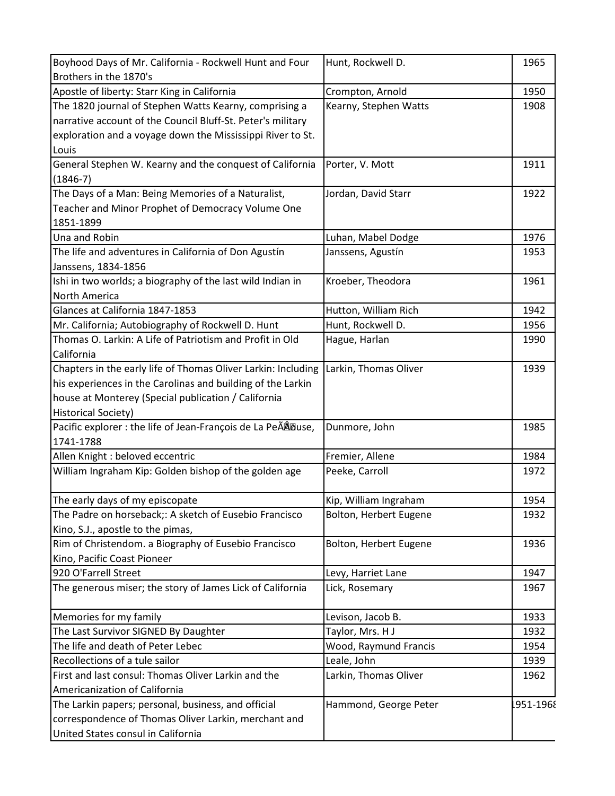| Boyhood Days of Mr. California - Rockwell Hunt and Four       | Hunt, Rockwell D.      | 1965      |
|---------------------------------------------------------------|------------------------|-----------|
| Brothers in the 1870's                                        |                        |           |
| Apostle of liberty: Starr King in California                  | Crompton, Arnold       | 1950      |
| The 1820 journal of Stephen Watts Kearny, comprising a        | Kearny, Stephen Watts  | 1908      |
| narrative account of the Council Bluff-St. Peter's military   |                        |           |
| exploration and a voyage down the Mississippi River to St.    |                        |           |
| Louis                                                         |                        |           |
| General Stephen W. Kearny and the conquest of California      | Porter, V. Mott        | 1911      |
| $(1846-7)$                                                    |                        |           |
| The Days of a Man: Being Memories of a Naturalist,            | Jordan, David Starr    | 1922      |
| Teacher and Minor Prophet of Democracy Volume One             |                        |           |
| 1851-1899                                                     |                        |           |
| Una and Robin                                                 | Luhan, Mabel Dodge     | 1976      |
| The life and adventures in California of Don Agustín          | Janssens, Agustín      | 1953      |
| Janssens, 1834-1856                                           |                        |           |
| Ishi in two worlds; a biography of the last wild Indian in    | Kroeber, Theodora      | 1961      |
| North America                                                 |                        |           |
| Glances at California 1847-1853                               | Hutton, William Rich   | 1942      |
| Mr. California; Autobiography of Rockwell D. Hunt             | Hunt, Rockwell D.      | 1956      |
| Thomas O. Larkin: A Life of Patriotism and Profit in Old      | Hague, Harlan          | 1990      |
| California                                                    |                        |           |
| Chapters in the early life of Thomas Oliver Larkin: Including | Larkin, Thomas Oliver  | 1939      |
| his experiences in the Carolinas and building of the Larkin   |                        |           |
| house at Monterey (Special publication / California           |                        |           |
| <b>Historical Society)</b>                                    |                        |           |
| Pacific explorer : the life of Jean-François de La PeÃÂDuse,  | Dunmore, John          | 1985      |
| 1741-1788                                                     |                        |           |
| Allen Knight : beloved eccentric                              | Fremier, Allene        | 1984      |
| William Ingraham Kip: Golden bishop of the golden age         | Peeke, Carroll         | 1972      |
| The early days of my episcopate                               | Kip, William Ingraham  | 1954      |
| The Padre on horseback;: A sketch of Eusebio Francisco        | Bolton, Herbert Eugene | 1932      |
| Kino, S.J., apostle to the pimas,                             |                        |           |
| Rim of Christendom. a Biography of Eusebio Francisco          | Bolton, Herbert Eugene | 1936      |
| Kino, Pacific Coast Pioneer                                   |                        |           |
| 920 O'Farrell Street                                          | Levy, Harriet Lane     | 1947      |
| The generous miser; the story of James Lick of California     | Lick, Rosemary         | 1967      |
| Memories for my family                                        | Levison, Jacob B.      | 1933      |
| The Last Survivor SIGNED By Daughter                          | Taylor, Mrs. H J       | 1932      |
| The life and death of Peter Lebec                             | Wood, Raymund Francis  | 1954      |
| Recollections of a tule sailor                                | Leale, John            | 1939      |
| First and last consul: Thomas Oliver Larkin and the           | Larkin, Thomas Oliver  | 1962      |
| Americanization of California                                 |                        |           |
| The Larkin papers; personal, business, and official           | Hammond, George Peter  | 1951-1968 |
| correspondence of Thomas Oliver Larkin, merchant and          |                        |           |
| United States consul in California                            |                        |           |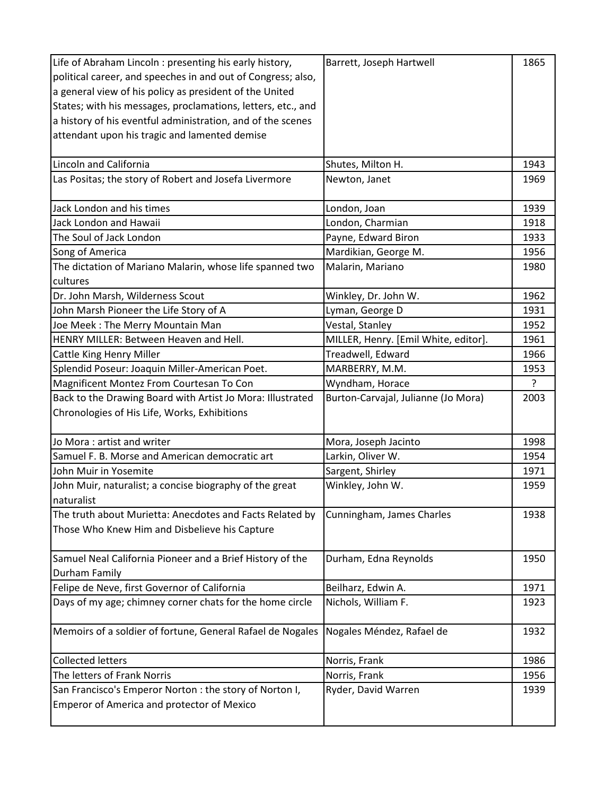| Life of Abraham Lincoln : presenting his early history,      | Barrett, Joseph Hartwell             | 1865           |
|--------------------------------------------------------------|--------------------------------------|----------------|
| political career, and speeches in and out of Congress; also, |                                      |                |
| a general view of his policy as president of the United      |                                      |                |
| States; with his messages, proclamations, letters, etc., and |                                      |                |
| a history of his eventful administration, and of the scenes  |                                      |                |
| attendant upon his tragic and lamented demise                |                                      |                |
|                                                              |                                      |                |
| Lincoln and California                                       | Shutes, Milton H.                    | 1943           |
| Las Positas; the story of Robert and Josefa Livermore        | Newton, Janet                        | 1969           |
|                                                              |                                      |                |
| Jack London and his times                                    | London, Joan                         | 1939           |
| Jack London and Hawaii                                       | London, Charmian                     | 1918           |
| The Soul of Jack London                                      | Payne, Edward Biron                  | 1933           |
| Song of America                                              | Mardikian, George M.                 | 1956           |
| The dictation of Mariano Malarin, whose life spanned two     | Malarin, Mariano                     | 1980           |
| cultures                                                     |                                      |                |
| Dr. John Marsh, Wilderness Scout                             | Winkley, Dr. John W.                 | 1962           |
| John Marsh Pioneer the Life Story of A                       | Lyman, George D                      | 1931           |
| Joe Meek: The Merry Mountain Man                             | Vestal, Stanley                      | 1952           |
| HENRY MILLER: Between Heaven and Hell.                       | MILLER, Henry. [Emil White, editor]. | 1961           |
| Cattle King Henry Miller                                     | Treadwell, Edward                    | 1966           |
| Splendid Poseur: Joaquin Miller-American Poet.               | MARBERRY, M.M.                       | 1953           |
| Magnificent Montez From Courtesan To Con                     | Wyndham, Horace                      | $\overline{?}$ |
| Back to the Drawing Board with Artist Jo Mora: Illustrated   | Burton-Carvajal, Julianne (Jo Mora)  | 2003           |
| Chronologies of His Life, Works, Exhibitions                 |                                      |                |
|                                                              |                                      |                |
| Jo Mora: artist and writer                                   | Mora, Joseph Jacinto                 | 1998           |
| Samuel F. B. Morse and American democratic art               | Larkin, Oliver W.                    | 1954           |
| John Muir in Yosemite                                        | Sargent, Shirley                     | 1971           |
| John Muir, naturalist; a concise biography of the great      | Winkley, John W.                     | 1959           |
| naturalist                                                   |                                      |                |
| The truth about Murietta: Anecdotes and Facts Related by     | Cunningham, James Charles            | 1938           |
| Those Who Knew Him and Disbelieve his Capture                |                                      |                |
|                                                              |                                      |                |
| Samuel Neal California Pioneer and a Brief History of the    | Durham, Edna Reynolds                | 1950           |
| Durham Family                                                |                                      |                |
| Felipe de Neve, first Governor of California                 | Beilharz, Edwin A.                   | 1971           |
| Days of my age; chimney corner chats for the home circle     | Nichols, William F.                  | 1923           |
|                                                              |                                      |                |
| Memoirs of a soldier of fortune, General Rafael de Nogales   | Nogales Méndez, Rafael de            | 1932           |
|                                                              |                                      |                |
| <b>Collected letters</b>                                     | Norris, Frank                        | 1986           |
| The letters of Frank Norris                                  | Norris, Frank                        | 1956           |
| San Francisco's Emperor Norton : the story of Norton I,      | Ryder, David Warren                  | 1939           |
| <b>Emperor of America and protector of Mexico</b>            |                                      |                |
|                                                              |                                      |                |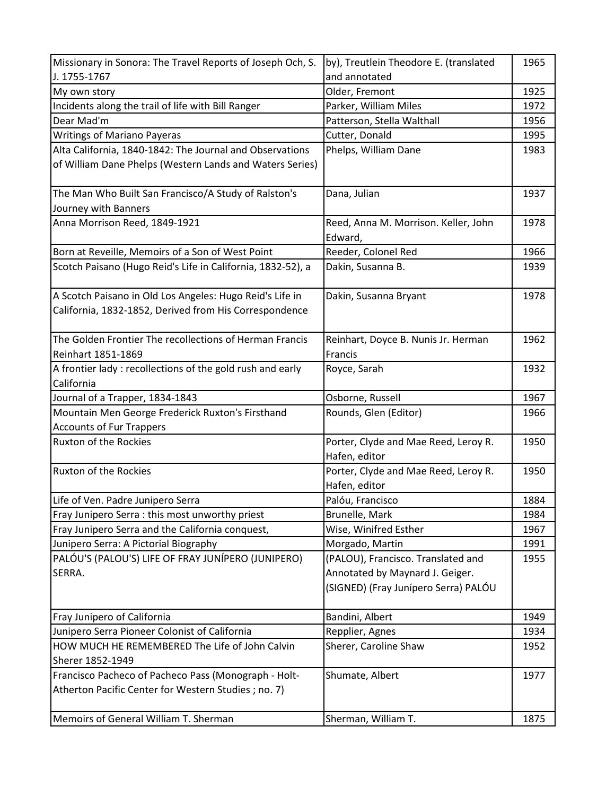| Missionary in Sonora: The Travel Reports of Joseph Och, S.                                                         | by), Treutlein Theodore E. (translated                | 1965 |
|--------------------------------------------------------------------------------------------------------------------|-------------------------------------------------------|------|
| J. 1755-1767                                                                                                       | and annotated                                         |      |
| My own story                                                                                                       | Older, Fremont                                        | 1925 |
| Incidents along the trail of life with Bill Ranger                                                                 | Parker, William Miles                                 | 1972 |
| Dear Mad'm                                                                                                         | Patterson, Stella Walthall                            | 1956 |
| <b>Writings of Mariano Payeras</b>                                                                                 | Cutter, Donald                                        | 1995 |
| Alta California, 1840-1842: The Journal and Observations                                                           | Phelps, William Dane                                  | 1983 |
| of William Dane Phelps (Western Lands and Waters Series)                                                           |                                                       |      |
| The Man Who Built San Francisco/A Study of Ralston's                                                               | Dana, Julian                                          | 1937 |
| Journey with Banners                                                                                               |                                                       |      |
| Anna Morrison Reed, 1849-1921                                                                                      | Reed, Anna M. Morrison. Keller, John<br>Edward,       | 1978 |
| Born at Reveille, Memoirs of a Son of West Point                                                                   | Reeder, Colonel Red                                   | 1966 |
| Scotch Paisano (Hugo Reid's Life in California, 1832-52), a                                                        | Dakin, Susanna B.                                     | 1939 |
| A Scotch Paisano in Old Los Angeles: Hugo Reid's Life in<br>California, 1832-1852, Derived from His Correspondence | Dakin, Susanna Bryant                                 | 1978 |
| The Golden Frontier The recollections of Herman Francis                                                            | Reinhart, Doyce B. Nunis Jr. Herman                   | 1962 |
| Reinhart 1851-1869                                                                                                 | Francis                                               |      |
| A frontier lady: recollections of the gold rush and early                                                          | Royce, Sarah                                          | 1932 |
| California                                                                                                         |                                                       |      |
| Journal of a Trapper, 1834-1843                                                                                    | Osborne, Russell                                      | 1967 |
| Mountain Men George Frederick Ruxton's Firsthand                                                                   | Rounds, Glen (Editor)                                 | 1966 |
| <b>Accounts of Fur Trappers</b>                                                                                    |                                                       |      |
| <b>Ruxton of the Rockies</b>                                                                                       | Porter, Clyde and Mae Reed, Leroy R.<br>Hafen, editor | 1950 |
| <b>Ruxton of the Rockies</b>                                                                                       | Porter, Clyde and Mae Reed, Leroy R.<br>Hafen, editor | 1950 |
| Life of Ven. Padre Junipero Serra                                                                                  | Palóu, Francisco                                      | 1884 |
| Fray Junipero Serra: this most unworthy priest                                                                     | Brunelle, Mark                                        | 1984 |
| Fray Junipero Serra and the California conquest,                                                                   | Wise, Winifred Esther                                 | 1967 |
| Junipero Serra: A Pictorial Biography                                                                              | Morgado, Martin                                       | 1991 |
| PALÓU'S (PALOU'S) LIFE OF FRAY JUNÍPERO (JUNIPERO)                                                                 | (PALOU), Francisco. Translated and                    | 1955 |
| SERRA.                                                                                                             | Annotated by Maynard J. Geiger.                       |      |
|                                                                                                                    | (SIGNED) (Fray Junípero Serra) PALÓU                  |      |
| Fray Junipero of California                                                                                        | Bandini, Albert                                       | 1949 |
| Junipero Serra Pioneer Colonist of California                                                                      | Repplier, Agnes                                       | 1934 |
| HOW MUCH HE REMEMBERED The Life of John Calvin                                                                     | Sherer, Caroline Shaw                                 | 1952 |
| Sherer 1852-1949                                                                                                   |                                                       |      |
| Francisco Pacheco of Pacheco Pass (Monograph - Holt-<br>Atherton Pacific Center for Western Studies; no. 7)        | Shumate, Albert                                       | 1977 |
| Memoirs of General William T. Sherman                                                                              | Sherman, William T.                                   | 1875 |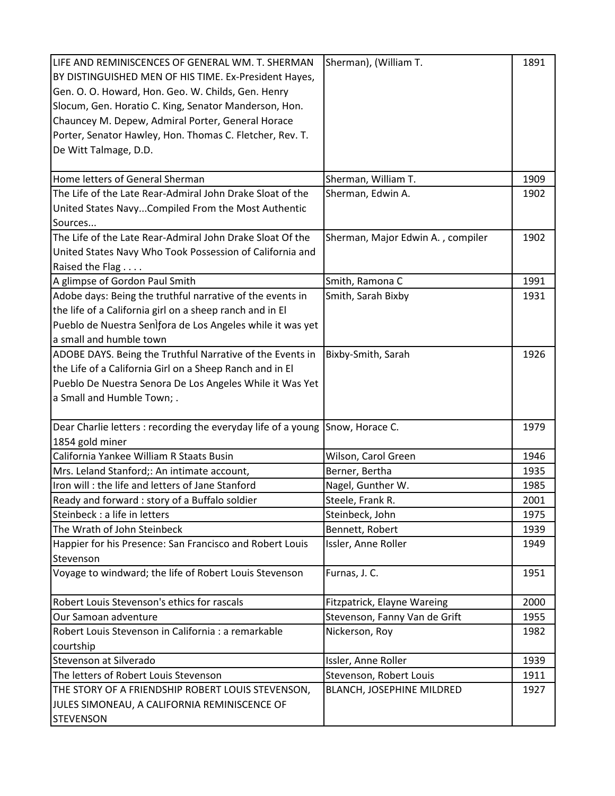| BY DISTINGUISHED MEN OF HIS TIME. Ex-President Hayes,<br>Gen. O. O. Howard, Hon. Geo. W. Childs, Gen. Henry<br>Slocum, Gen. Horatio C. King, Senator Manderson, Hon.<br>Chauncey M. Depew, Admiral Porter, General Horace<br>Porter, Senator Hawley, Hon. Thomas C. Fletcher, Rev. T.<br>De Witt Talmage, D.D. |                                           |
|----------------------------------------------------------------------------------------------------------------------------------------------------------------------------------------------------------------------------------------------------------------------------------------------------------------|-------------------------------------------|
|                                                                                                                                                                                                                                                                                                                |                                           |
|                                                                                                                                                                                                                                                                                                                |                                           |
|                                                                                                                                                                                                                                                                                                                |                                           |
|                                                                                                                                                                                                                                                                                                                |                                           |
|                                                                                                                                                                                                                                                                                                                |                                           |
|                                                                                                                                                                                                                                                                                                                |                                           |
|                                                                                                                                                                                                                                                                                                                |                                           |
| Home letters of General Sherman<br>Sherman, William T.                                                                                                                                                                                                                                                         | 1909                                      |
| The Life of the Late Rear-Admiral John Drake Sloat of the<br>Sherman, Edwin A.                                                                                                                                                                                                                                 | 1902                                      |
| United States NavyCompiled From the Most Authentic                                                                                                                                                                                                                                                             |                                           |
| Sources                                                                                                                                                                                                                                                                                                        |                                           |
| The Life of the Late Rear-Admiral John Drake Sloat Of the                                                                                                                                                                                                                                                      | Sherman, Major Edwin A., compiler<br>1902 |
| United States Navy Who Took Possession of California and                                                                                                                                                                                                                                                       |                                           |
| Raised the Flag                                                                                                                                                                                                                                                                                                |                                           |
| Smith, Ramona C<br>A glimpse of Gordon Paul Smith                                                                                                                                                                                                                                                              | 1991                                      |
| Adobe days: Being the truthful narrative of the events in<br>Smith, Sarah Bixby                                                                                                                                                                                                                                | 1931                                      |
| the life of a California girl on a sheep ranch and in El                                                                                                                                                                                                                                                       |                                           |
| Pueblo de Nuestra Senìfora de Los Angeles while it was yet                                                                                                                                                                                                                                                     |                                           |
| a small and humble town                                                                                                                                                                                                                                                                                        |                                           |
| ADOBE DAYS. Being the Truthful Narrative of the Events in<br>Bixby-Smith, Sarah                                                                                                                                                                                                                                | 1926                                      |
| the Life of a California Girl on a Sheep Ranch and in El                                                                                                                                                                                                                                                       |                                           |
| Pueblo De Nuestra Senora De Los Angeles While it Was Yet                                                                                                                                                                                                                                                       |                                           |
| a Small and Humble Town; .                                                                                                                                                                                                                                                                                     |                                           |
|                                                                                                                                                                                                                                                                                                                |                                           |
| Dear Charlie letters : recording the everyday life of a young<br>Snow, Horace C.                                                                                                                                                                                                                               | 1979                                      |
| 1854 gold miner                                                                                                                                                                                                                                                                                                |                                           |
| California Yankee William R Staats Busin<br>Wilson, Carol Green                                                                                                                                                                                                                                                | 1946                                      |
| Mrs. Leland Stanford;: An intimate account,<br>Berner, Bertha                                                                                                                                                                                                                                                  | 1935                                      |
| Iron will: the life and letters of Jane Stanford<br>Nagel, Gunther W.                                                                                                                                                                                                                                          | 1985                                      |
| Ready and forward : story of a Buffalo soldier<br>Steele, Frank R.                                                                                                                                                                                                                                             | 2001                                      |
| Steinbeck : a life in letters<br>Steinbeck, John                                                                                                                                                                                                                                                               | 1975                                      |
| The Wrath of John Steinbeck<br>Bennett, Robert                                                                                                                                                                                                                                                                 | 1939                                      |
| Happier for his Presence: San Francisco and Robert Louis<br>Issler, Anne Roller                                                                                                                                                                                                                                | 1949                                      |
| Stevenson                                                                                                                                                                                                                                                                                                      |                                           |
| Voyage to windward; the life of Robert Louis Stevenson<br>Furnas, J. C.                                                                                                                                                                                                                                        | 1951                                      |
| Robert Louis Stevenson's ethics for rascals<br>Fitzpatrick, Elayne Wareing                                                                                                                                                                                                                                     | 2000                                      |
| Our Samoan adventure<br>Stevenson, Fanny Van de Grift                                                                                                                                                                                                                                                          | 1955                                      |
| Robert Louis Stevenson in California : a remarkable<br>Nickerson, Roy                                                                                                                                                                                                                                          | 1982                                      |
| courtship                                                                                                                                                                                                                                                                                                      |                                           |
| Stevenson at Silverado<br>Issler, Anne Roller                                                                                                                                                                                                                                                                  | 1939                                      |
| The letters of Robert Louis Stevenson<br>Stevenson, Robert Louis                                                                                                                                                                                                                                               | 1911                                      |
| THE STORY OF A FRIENDSHIP ROBERT LOUIS STEVENSON,<br>BLANCH, JOSEPHINE MILDRED                                                                                                                                                                                                                                 | 1927                                      |
| JULES SIMONEAU, A CALIFORNIA REMINISCENCE OF                                                                                                                                                                                                                                                                   |                                           |
| <b>STEVENSON</b>                                                                                                                                                                                                                                                                                               |                                           |
|                                                                                                                                                                                                                                                                                                                |                                           |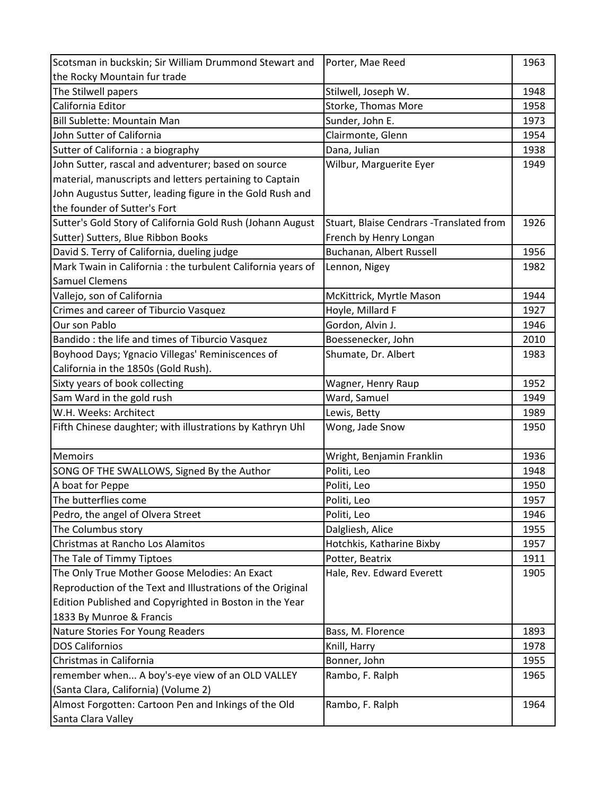| Scotsman in buckskin; Sir William Drummond Stewart and       | Porter, Mae Reed                         | 1963 |
|--------------------------------------------------------------|------------------------------------------|------|
| the Rocky Mountain fur trade                                 |                                          |      |
| The Stilwell papers                                          | Stilwell, Joseph W.                      | 1948 |
| California Editor                                            | Storke, Thomas More                      | 1958 |
| Bill Sublette: Mountain Man                                  | Sunder, John E.                          | 1973 |
| John Sutter of California                                    | Clairmonte, Glenn                        | 1954 |
| Sutter of California : a biography                           | Dana, Julian                             | 1938 |
| John Sutter, rascal and adventurer; based on source          | Wilbur, Marguerite Eyer                  | 1949 |
| material, manuscripts and letters pertaining to Captain      |                                          |      |
| John Augustus Sutter, leading figure in the Gold Rush and    |                                          |      |
| the founder of Sutter's Fort                                 |                                          |      |
| Sutter's Gold Story of California Gold Rush (Johann August   | Stuart, Blaise Cendrars -Translated from | 1926 |
| Sutter) Sutters, Blue Ribbon Books                           | French by Henry Longan                   |      |
| David S. Terry of California, dueling judge                  | Buchanan, Albert Russell                 | 1956 |
| Mark Twain in California : the turbulent California years of | Lennon, Nigey                            | 1982 |
| <b>Samuel Clemens</b>                                        |                                          |      |
| Vallejo, son of California                                   | McKittrick, Myrtle Mason                 | 1944 |
| Crimes and career of Tiburcio Vasquez                        | Hoyle, Millard F                         | 1927 |
| Our son Pablo                                                | Gordon, Alvin J.                         | 1946 |
| Bandido: the life and times of Tiburcio Vasquez              | Boessenecker, John                       | 2010 |
| Boyhood Days; Ygnacio Villegas' Reminiscences of             | Shumate, Dr. Albert                      | 1983 |
| California in the 1850s (Gold Rush).                         |                                          |      |
| Sixty years of book collecting                               | Wagner, Henry Raup                       | 1952 |
| Sam Ward in the gold rush                                    | Ward, Samuel                             | 1949 |
| W.H. Weeks: Architect                                        | Lewis, Betty                             | 1989 |
| Fifth Chinese daughter; with illustrations by Kathryn Uhl    | Wong, Jade Snow                          | 1950 |
| <b>Memoirs</b>                                               | Wright, Benjamin Franklin                | 1936 |
| SONG OF THE SWALLOWS, Signed By the Author                   | Politi, Leo                              | 1948 |
| A boat for Peppe                                             | Politi, Leo                              | 1950 |
| The butterflies come                                         | Politi, Leo                              | 1957 |
| Pedro, the angel of Olvera Street                            | Politi, Leo                              | 1946 |
| The Columbus story                                           | Dalgliesh, Alice                         | 1955 |
| Christmas at Rancho Los Alamitos                             | Hotchkis, Katharine Bixby                | 1957 |
| The Tale of Timmy Tiptoes                                    | Potter, Beatrix                          | 1911 |
| The Only True Mother Goose Melodies: An Exact                | Hale, Rev. Edward Everett                | 1905 |
| Reproduction of the Text and Illustrations of the Original   |                                          |      |
| Edition Published and Copyrighted in Boston in the Year      |                                          |      |
| 1833 By Munroe & Francis                                     |                                          |      |
| Nature Stories For Young Readers                             | Bass, M. Florence                        | 1893 |
| <b>DOS Californios</b>                                       | Knill, Harry                             | 1978 |
| Christmas in California                                      | Bonner, John                             | 1955 |
| remember when A boy's-eye view of an OLD VALLEY              | Rambo, F. Ralph                          | 1965 |
| (Santa Clara, California) (Volume 2)                         |                                          |      |
| Almost Forgotten: Cartoon Pen and Inkings of the Old         | Rambo, F. Ralph                          | 1964 |
| Santa Clara Valley                                           |                                          |      |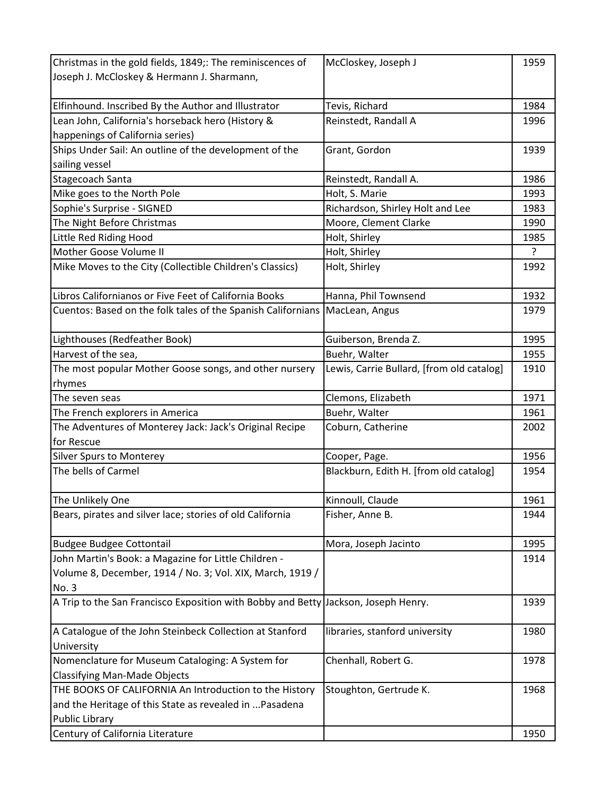| Christmas in the gold fields, 1849;: The reminiscences of                          | McCloskey, Joseph J                       | 1959 |
|------------------------------------------------------------------------------------|-------------------------------------------|------|
| Joseph J. McCloskey & Hermann J. Sharmann,                                         |                                           |      |
|                                                                                    |                                           |      |
| Elfinhound. Inscribed By the Author and Illustrator                                | Tevis, Richard                            | 1984 |
| Lean John, California's horseback hero (History &                                  | Reinstedt, Randall A                      | 1996 |
| happenings of California series)                                                   |                                           |      |
| Ships Under Sail: An outline of the development of the                             | Grant, Gordon                             | 1939 |
| sailing vessel                                                                     |                                           |      |
| Stagecoach Santa                                                                   | Reinstedt, Randall A.                     | 1986 |
| Mike goes to the North Pole                                                        | Holt, S. Marie                            | 1993 |
| Sophie's Surprise - SIGNED                                                         | Richardson, Shirley Holt and Lee          | 1983 |
| The Night Before Christmas                                                         | Moore, Clement Clarke                     | 1990 |
| Little Red Riding Hood                                                             | Holt, Shirley                             | 1985 |
| Mother Goose Volume II                                                             | Holt, Shirley                             | ?    |
| Mike Moves to the City (Collectible Children's Classics)                           | Holt, Shirley                             | 1992 |
|                                                                                    |                                           |      |
| Libros Californianos or Five Feet of California Books                              | Hanna, Phil Townsend                      | 1932 |
| Cuentos: Based on the folk tales of the Spanish Californians   MacLean, Angus      |                                           | 1979 |
|                                                                                    |                                           |      |
| Lighthouses (Redfeather Book)                                                      | Guiberson, Brenda Z.                      | 1995 |
| Harvest of the sea,                                                                | Buehr, Walter                             | 1955 |
| The most popular Mother Goose songs, and other nursery                             | Lewis, Carrie Bullard, [from old catalog] | 1910 |
| rhymes                                                                             |                                           |      |
| The seven seas                                                                     | Clemons, Elizabeth                        | 1971 |
| The French explorers in America                                                    | Buehr, Walter                             | 1961 |
| The Adventures of Monterey Jack: Jack's Original Recipe                            | Coburn, Catherine                         | 2002 |
| for Rescue                                                                         |                                           |      |
| <b>Silver Spurs to Monterey</b>                                                    | Cooper, Page.                             | 1956 |
| The bells of Carmel                                                                | Blackburn, Edith H. [from old catalog]    | 1954 |
|                                                                                    |                                           |      |
| The Unlikely One                                                                   | Kinnoull, Claude                          | 1961 |
| Bears, pirates and silver lace; stories of old California                          | Fisher, Anne B.                           | 1944 |
|                                                                                    |                                           |      |
| <b>Budgee Budgee Cottontail</b>                                                    | Mora, Joseph Jacinto                      | 1995 |
| John Martin's Book: a Magazine for Little Children -                               |                                           | 1914 |
| Volume 8, December, 1914 / No. 3; Vol. XIX, March, 1919 /                          |                                           |      |
| No. 3                                                                              |                                           |      |
| A Trip to the San Francisco Exposition with Bobby and Betty Jackson, Joseph Henry. |                                           | 1939 |
|                                                                                    |                                           |      |
| A Catalogue of the John Steinbeck Collection at Stanford                           | libraries, stanford university            | 1980 |
| University                                                                         |                                           |      |
| Nomenclature for Museum Cataloging: A System for                                   | Chenhall, Robert G.                       | 1978 |
| <b>Classifying Man-Made Objects</b>                                                |                                           |      |
| THE BOOKS OF CALIFORNIA An Introduction to the History                             | Stoughton, Gertrude K.                    | 1968 |
| and the Heritage of this State as revealed in  Pasadena                            |                                           |      |
| <b>Public Library</b>                                                              |                                           |      |
| Century of California Literature                                                   |                                           | 1950 |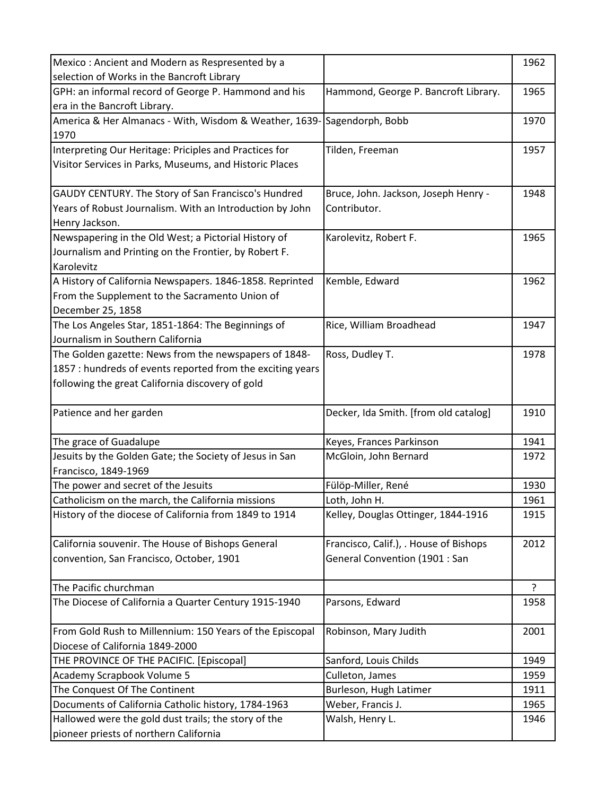| Mexico: Ancient and Modern as Respresented by a            |                                        | 1962 |
|------------------------------------------------------------|----------------------------------------|------|
| selection of Works in the Bancroft Library                 |                                        |      |
| GPH: an informal record of George P. Hammond and his       | Hammond, George P. Bancroft Library.   | 1965 |
| era in the Bancroft Library.                               |                                        |      |
| America & Her Almanacs - With, Wisdom & Weather, 1639-     | Sagendorph, Bobb                       | 1970 |
| 1970                                                       |                                        |      |
| Interpreting Our Heritage: Priciples and Practices for     | Tilden, Freeman                        | 1957 |
| Visitor Services in Parks, Museums, and Historic Places    |                                        |      |
|                                                            |                                        |      |
| GAUDY CENTURY. The Story of San Francisco's Hundred        | Bruce, John. Jackson, Joseph Henry -   | 1948 |
| Years of Robust Journalism. With an Introduction by John   | Contributor.                           |      |
| Henry Jackson.                                             |                                        |      |
| Newspapering in the Old West; a Pictorial History of       | Karolevitz, Robert F.                  | 1965 |
| Journalism and Printing on the Frontier, by Robert F.      |                                        |      |
| Karolevitz                                                 |                                        |      |
| A History of California Newspapers. 1846-1858. Reprinted   | Kemble, Edward                         | 1962 |
| From the Supplement to the Sacramento Union of             |                                        |      |
| December 25, 1858                                          |                                        |      |
| The Los Angeles Star, 1851-1864: The Beginnings of         | Rice, William Broadhead                | 1947 |
| Journalism in Southern California                          |                                        |      |
| The Golden gazette: News from the newspapers of 1848-      | Ross, Dudley T.                        | 1978 |
| 1857 : hundreds of events reported from the exciting years |                                        |      |
| following the great California discovery of gold           |                                        |      |
|                                                            |                                        |      |
| Patience and her garden                                    | Decker, Ida Smith. [from old catalog]  | 1910 |
|                                                            |                                        |      |
| The grace of Guadalupe                                     | Keyes, Frances Parkinson               | 1941 |
| Jesuits by the Golden Gate; the Society of Jesus in San    | McGloin, John Bernard                  | 1972 |
| Francisco, 1849-1969                                       |                                        |      |
| The power and secret of the Jesuits                        | Fülöp-Miller, René                     | 1930 |
| Catholicism on the march, the California missions          | Loth, John H.                          | 1961 |
| History of the diocese of California from 1849 to 1914     | Kelley, Douglas Ottinger, 1844-1916    | 1915 |
|                                                            |                                        |      |
| California souvenir. The House of Bishops General          | Francisco, Calif.), . House of Bishops | 2012 |
| convention, San Francisco, October, 1901                   | General Convention (1901 : San         |      |
| The Pacific churchman                                      |                                        | ?    |
| The Diocese of California a Quarter Century 1915-1940      | Parsons, Edward                        | 1958 |
|                                                            |                                        |      |
| From Gold Rush to Millennium: 150 Years of the Episcopal   | Robinson, Mary Judith                  | 2001 |
| Diocese of California 1849-2000                            |                                        |      |
| THE PROVINCE OF THE PACIFIC. [Episcopal]                   | Sanford, Louis Childs                  | 1949 |
| Academy Scrapbook Volume 5                                 | Culleton, James                        | 1959 |
| The Conquest Of The Continent                              | Burleson, Hugh Latimer                 | 1911 |
| Documents of California Catholic history, 1784-1963        | Weber, Francis J.                      | 1965 |
| Hallowed were the gold dust trails; the story of the       |                                        |      |
|                                                            | Walsh, Henry L.                        | 1946 |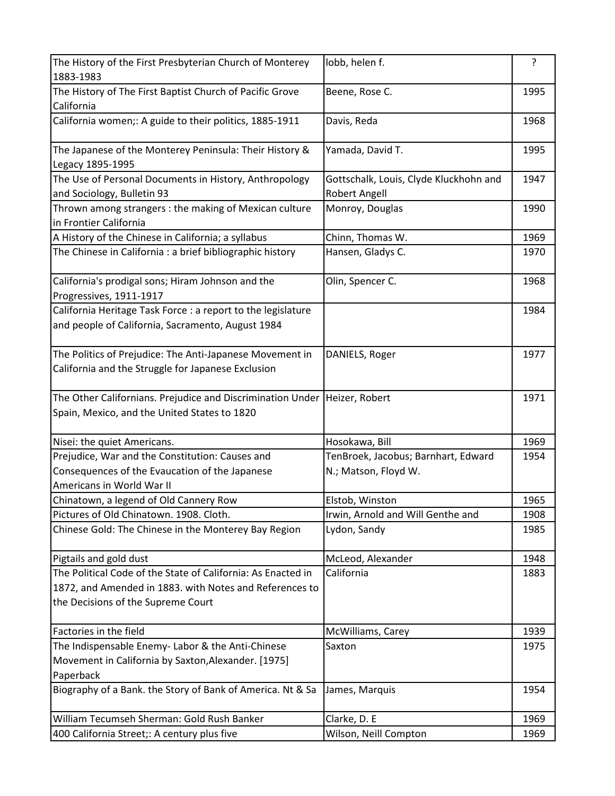| The History of the First Presbyterian Church of Monterey<br>1883-1983                                                                                         | lobb, helen f.                         | ?    |
|---------------------------------------------------------------------------------------------------------------------------------------------------------------|----------------------------------------|------|
| The History of The First Baptist Church of Pacific Grove<br>California                                                                                        | Beene, Rose C.                         | 1995 |
| California women;: A guide to their politics, 1885-1911                                                                                                       | Davis, Reda                            | 1968 |
| The Japanese of the Monterey Peninsula: Their History &<br>Legacy 1895-1995                                                                                   | Yamada, David T.                       | 1995 |
| The Use of Personal Documents in History, Anthropology                                                                                                        | Gottschalk, Louis, Clyde Kluckhohn and | 1947 |
| and Sociology, Bulletin 93                                                                                                                                    | <b>Robert Angell</b>                   |      |
| Thrown among strangers: the making of Mexican culture<br>in Frontier California                                                                               | Monroy, Douglas                        | 1990 |
| A History of the Chinese in California; a syllabus                                                                                                            | Chinn, Thomas W.                       | 1969 |
| The Chinese in California : a brief bibliographic history                                                                                                     | Hansen, Gladys C.                      | 1970 |
| California's prodigal sons; Hiram Johnson and the<br>Progressives, 1911-1917                                                                                  | Olin, Spencer C.                       | 1968 |
| California Heritage Task Force : a report to the legislature<br>and people of California, Sacramento, August 1984                                             |                                        | 1984 |
| The Politics of Prejudice: The Anti-Japanese Movement in<br>California and the Struggle for Japanese Exclusion                                                | DANIELS, Roger                         | 1977 |
| The Other Californians. Prejudice and Discrimination Under<br>Spain, Mexico, and the United States to 1820                                                    | Heizer, Robert                         | 1971 |
| Nisei: the quiet Americans.                                                                                                                                   | Hosokawa, Bill                         | 1969 |
| Prejudice, War and the Constitution: Causes and                                                                                                               | TenBroek, Jacobus; Barnhart, Edward    | 1954 |
| Consequences of the Evaucation of the Japanese<br>Americans in World War II                                                                                   | N.; Matson, Floyd W.                   |      |
| Chinatown, a legend of Old Cannery Row                                                                                                                        | Elstob, Winston                        | 1965 |
| Pictures of Old Chinatown. 1908. Cloth.                                                                                                                       | Irwin, Arnold and Will Genthe and      | 1908 |
| Chinese Gold: The Chinese in the Monterey Bay Region                                                                                                          | Lydon, Sandy                           | 1985 |
| Pigtails and gold dust                                                                                                                                        | McLeod, Alexander                      | 1948 |
| The Political Code of the State of California: As Enacted in<br>1872, and Amended in 1883. with Notes and References to<br>the Decisions of the Supreme Court | California                             | 1883 |
| Factories in the field                                                                                                                                        | McWilliams, Carey                      | 1939 |
| The Indispensable Enemy- Labor & the Anti-Chinese<br>Movement in California by Saxton, Alexander. [1975]<br>Paperback                                         | Saxton                                 | 1975 |
| Biography of a Bank. the Story of Bank of America. Nt & Sa                                                                                                    | James, Marquis                         | 1954 |
| William Tecumseh Sherman: Gold Rush Banker                                                                                                                    | Clarke, D. E                           | 1969 |
| 400 California Street;: A century plus five                                                                                                                   | Wilson, Neill Compton                  | 1969 |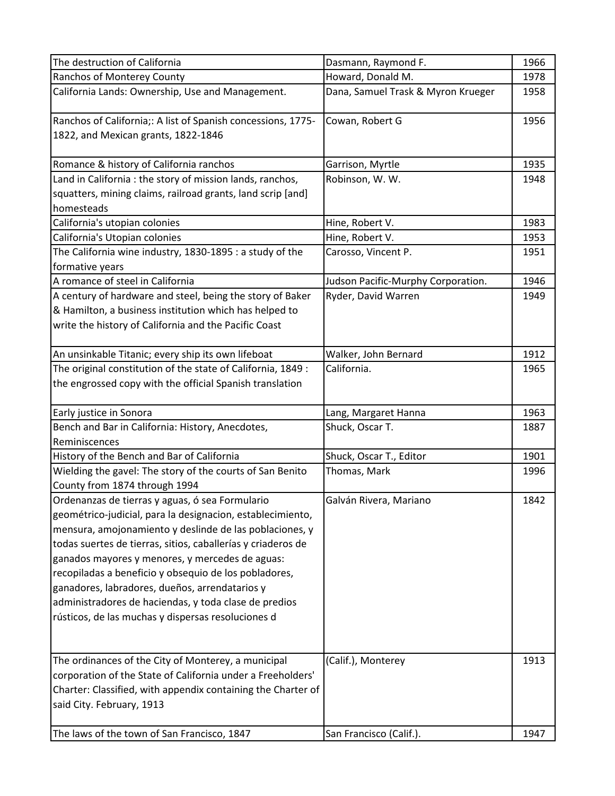| The destruction of California                                                                                                                                                                                                                                                               | Dasmann, Raymond F.                | 1966 |
|---------------------------------------------------------------------------------------------------------------------------------------------------------------------------------------------------------------------------------------------------------------------------------------------|------------------------------------|------|
| Ranchos of Monterey County                                                                                                                                                                                                                                                                  | Howard, Donald M.                  | 1978 |
| California Lands: Ownership, Use and Management.                                                                                                                                                                                                                                            | Dana, Samuel Trask & Myron Krueger | 1958 |
| Ranchos of California;: A list of Spanish concessions, 1775-<br>1822, and Mexican grants, 1822-1846                                                                                                                                                                                         | Cowan, Robert G                    | 1956 |
| Romance & history of California ranchos                                                                                                                                                                                                                                                     | Garrison, Myrtle                   | 1935 |
| Land in California : the story of mission lands, ranchos,                                                                                                                                                                                                                                   | Robinson, W. W.                    | 1948 |
| squatters, mining claims, railroad grants, land scrip [and]                                                                                                                                                                                                                                 |                                    |      |
| homesteads                                                                                                                                                                                                                                                                                  |                                    |      |
| California's utopian colonies                                                                                                                                                                                                                                                               | Hine, Robert V.                    | 1983 |
| California's Utopian colonies                                                                                                                                                                                                                                                               | Hine, Robert V.                    | 1953 |
| The California wine industry, 1830-1895 : a study of the                                                                                                                                                                                                                                    | Carosso, Vincent P.                | 1951 |
| formative years                                                                                                                                                                                                                                                                             |                                    |      |
| A romance of steel in California                                                                                                                                                                                                                                                            | Judson Pacific-Murphy Corporation. | 1946 |
| A century of hardware and steel, being the story of Baker                                                                                                                                                                                                                                   | Ryder, David Warren                | 1949 |
| & Hamilton, a business institution which has helped to                                                                                                                                                                                                                                      |                                    |      |
| write the history of California and the Pacific Coast                                                                                                                                                                                                                                       |                                    |      |
| An unsinkable Titanic; every ship its own lifeboat                                                                                                                                                                                                                                          | Walker, John Bernard               | 1912 |
| The original constitution of the state of California, 1849 :                                                                                                                                                                                                                                | California.                        | 1965 |
| the engrossed copy with the official Spanish translation                                                                                                                                                                                                                                    |                                    |      |
| Early justice in Sonora                                                                                                                                                                                                                                                                     | Lang, Margaret Hanna               | 1963 |
| Bench and Bar in California: History, Anecdotes,                                                                                                                                                                                                                                            | Shuck, Oscar T.                    | 1887 |
| Reminiscences                                                                                                                                                                                                                                                                               |                                    |      |
| History of the Bench and Bar of California                                                                                                                                                                                                                                                  | Shuck, Oscar T., Editor            | 1901 |
| Wielding the gavel: The story of the courts of San Benito                                                                                                                                                                                                                                   | Thomas, Mark                       | 1996 |
| County from 1874 through 1994                                                                                                                                                                                                                                                               |                                    |      |
| Ordenanzas de tierras y aguas, ó sea Formulario<br>geométrico-judicial, para la designacion, establecimiento,<br>mensura, amojonamiento y deslinde de las poblaciones, y<br>todas suertes de tierras, sitios, caballerías y criaderos de<br>ganados mayores y menores, y mercedes de aguas: | Galván Rivera, Mariano             | 1842 |
| recopiladas a beneficio y obsequio de los pobladores,                                                                                                                                                                                                                                       |                                    |      |
| ganadores, labradores, dueños, arrendatarios y                                                                                                                                                                                                                                              |                                    |      |
| administradores de haciendas, y toda clase de predios                                                                                                                                                                                                                                       |                                    |      |
| rústicos, de las muchas y dispersas resoluciones d                                                                                                                                                                                                                                          |                                    |      |
| The ordinances of the City of Monterey, a municipal                                                                                                                                                                                                                                         | (Calif.), Monterey                 | 1913 |
| corporation of the State of California under a Freeholders'                                                                                                                                                                                                                                 |                                    |      |
| Charter: Classified, with appendix containing the Charter of                                                                                                                                                                                                                                |                                    |      |
| said City. February, 1913                                                                                                                                                                                                                                                                   |                                    |      |
| The laws of the town of San Francisco, 1847                                                                                                                                                                                                                                                 | San Francisco (Calif.).            | 1947 |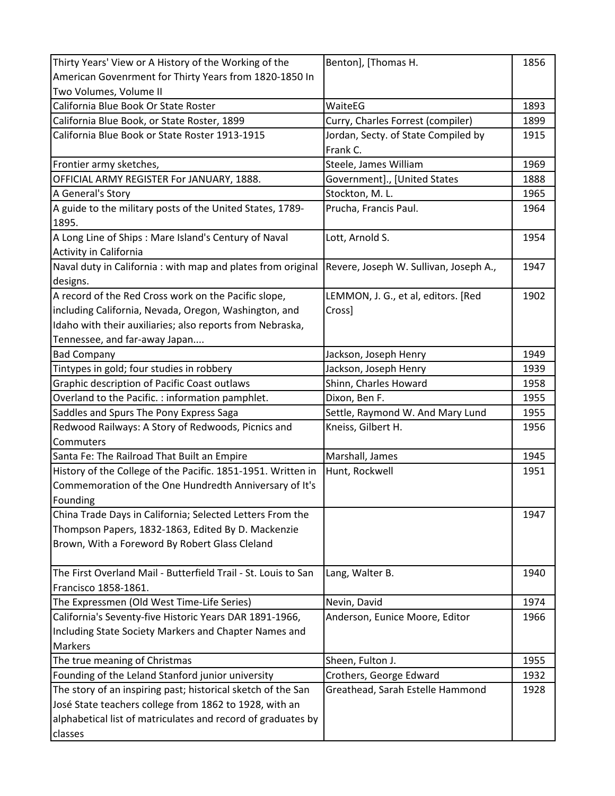| Thirty Years' View or A History of the Working of the          | Benton], [Thomas H.                    | 1856 |
|----------------------------------------------------------------|----------------------------------------|------|
| American Govenrment for Thirty Years from 1820-1850 In         |                                        |      |
| Two Volumes, Volume II                                         |                                        |      |
| California Blue Book Or State Roster                           | WaiteEG                                | 1893 |
| California Blue Book, or State Roster, 1899                    | Curry, Charles Forrest (compiler)      | 1899 |
| California Blue Book or State Roster 1913-1915                 | Jordan, Secty. of State Compiled by    | 1915 |
|                                                                | Frank C.                               |      |
| Frontier army sketches,                                        | Steele, James William                  | 1969 |
| OFFICIAL ARMY REGISTER For JANUARY, 1888.                      | Government]., [United States           | 1888 |
| A General's Story                                              | Stockton, M.L.                         | 1965 |
| A guide to the military posts of the United States, 1789-      | Prucha, Francis Paul.                  | 1964 |
| 1895.                                                          |                                        |      |
| A Long Line of Ships: Mare Island's Century of Naval           | Lott, Arnold S.                        | 1954 |
| Activity in California                                         |                                        |      |
| Naval duty in California: with map and plates from original    | Revere, Joseph W. Sullivan, Joseph A., | 1947 |
| designs.                                                       |                                        |      |
| A record of the Red Cross work on the Pacific slope,           | LEMMON, J. G., et al, editors. [Red    | 1902 |
| including California, Nevada, Oregon, Washington, and          | Cross]                                 |      |
| Idaho with their auxiliaries; also reports from Nebraska,      |                                        |      |
| Tennessee, and far-away Japan                                  |                                        |      |
| <b>Bad Company</b>                                             | Jackson, Joseph Henry                  | 1949 |
| Tintypes in gold; four studies in robbery                      | Jackson, Joseph Henry                  | 1939 |
| Graphic description of Pacific Coast outlaws                   | Shinn, Charles Howard                  | 1958 |
| Overland to the Pacific.: information pamphlet.                | Dixon, Ben F.                          | 1955 |
| Saddles and Spurs The Pony Express Saga                        | Settle, Raymond W. And Mary Lund       | 1955 |
| Redwood Railways: A Story of Redwoods, Picnics and             | Kneiss, Gilbert H.                     | 1956 |
| Commuters                                                      |                                        |      |
| Santa Fe: The Railroad That Built an Empire                    | Marshall, James                        | 1945 |
| History of the College of the Pacific. 1851-1951. Written in   | Hunt, Rockwell                         | 1951 |
| Commemoration of the One Hundredth Anniversary of It's         |                                        |      |
| Founding                                                       |                                        |      |
| China Trade Days in California; Selected Letters From the      |                                        | 1947 |
| Thompson Papers, 1832-1863, Edited By D. Mackenzie             |                                        |      |
| Brown, With a Foreword By Robert Glass Cleland                 |                                        |      |
|                                                                |                                        |      |
| The First Overland Mail - Butterfield Trail - St. Louis to San | Lang, Walter B.                        | 1940 |
| Francisco 1858-1861.                                           |                                        |      |
| The Expressmen (Old West Time-Life Series)                     | Nevin, David                           | 1974 |
| California's Seventy-five Historic Years DAR 1891-1966,        | Anderson, Eunice Moore, Editor         | 1966 |
| Including State Society Markers and Chapter Names and          |                                        |      |
| <b>Markers</b>                                                 |                                        |      |
| The true meaning of Christmas                                  | Sheen, Fulton J.                       | 1955 |
| Founding of the Leland Stanford junior university              | Crothers, George Edward                | 1932 |
| The story of an inspiring past; historical sketch of the San   | Greathead, Sarah Estelle Hammond       | 1928 |
| José State teachers college from 1862 to 1928, with an         |                                        |      |
| alphabetical list of matriculates and record of graduates by   |                                        |      |
| classes                                                        |                                        |      |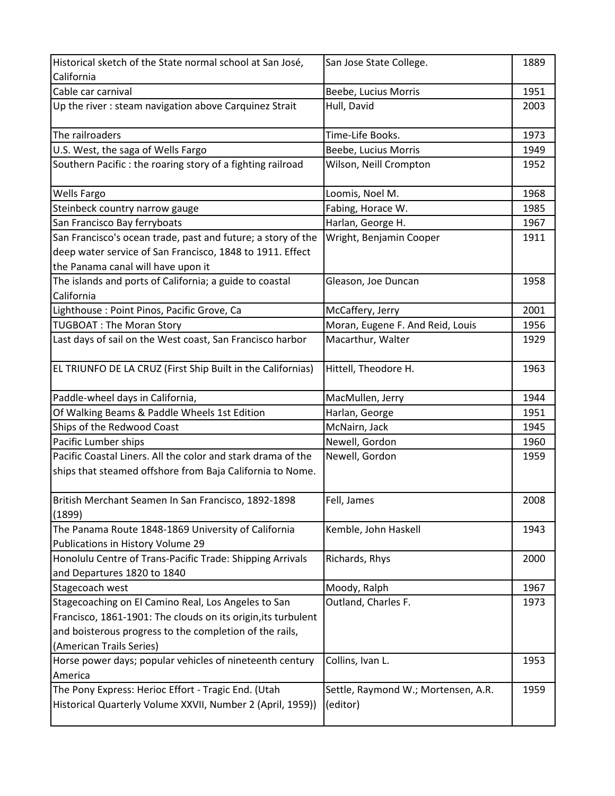| Historical sketch of the State normal school at San José,     | San Jose State College.             | 1889 |
|---------------------------------------------------------------|-------------------------------------|------|
| California                                                    |                                     |      |
| Cable car carnival                                            | Beebe, Lucius Morris                | 1951 |
| Up the river : steam navigation above Carquinez Strait        | Hull, David                         | 2003 |
|                                                               |                                     |      |
| The railroaders                                               | Time-Life Books.                    | 1973 |
| U.S. West, the saga of Wells Fargo                            | Beebe, Lucius Morris                | 1949 |
| Southern Pacific: the roaring story of a fighting railroad    | Wilson, Neill Crompton              | 1952 |
| <b>Wells Fargo</b>                                            | Loomis, Noel M.                     | 1968 |
| Steinbeck country narrow gauge                                | Fabing, Horace W.                   | 1985 |
| San Francisco Bay ferryboats                                  | Harlan, George H.                   | 1967 |
| San Francisco's ocean trade, past and future; a story of the  | Wright, Benjamin Cooper             | 1911 |
| deep water service of San Francisco, 1848 to 1911. Effect     |                                     |      |
| the Panama canal will have upon it                            |                                     |      |
| The islands and ports of California; a guide to coastal       | Gleason, Joe Duncan                 | 1958 |
| California                                                    |                                     |      |
| Lighthouse : Point Pinos, Pacific Grove, Ca                   | McCaffery, Jerry                    | 2001 |
| <b>TUGBOAT: The Moran Story</b>                               | Moran, Eugene F. And Reid, Louis    | 1956 |
| Last days of sail on the West coast, San Francisco harbor     | Macarthur, Walter                   | 1929 |
|                                                               |                                     |      |
| EL TRIUNFO DE LA CRUZ (First Ship Built in the Californias)   | Hittell, Theodore H.                | 1963 |
| Paddle-wheel days in California,                              | MacMullen, Jerry                    | 1944 |
| Of Walking Beams & Paddle Wheels 1st Edition                  | Harlan, George                      | 1951 |
| Ships of the Redwood Coast                                    | McNairn, Jack                       | 1945 |
| Pacific Lumber ships                                          | Newell, Gordon                      | 1960 |
| Pacific Coastal Liners. All the color and stark drama of the  | Newell, Gordon                      | 1959 |
| ships that steamed offshore from Baja California to Nome.     |                                     |      |
| British Merchant Seamen In San Francisco, 1892-1898           | Fell, James                         | 2008 |
| (1899)                                                        |                                     |      |
| The Panama Route 1848-1869 University of California           | Kemble, John Haskell                | 1943 |
| Publications in History Volume 29                             |                                     |      |
| Honolulu Centre of Trans-Pacific Trade: Shipping Arrivals     | Richards, Rhys                      | 2000 |
| and Departures 1820 to 1840                                   |                                     |      |
| Stagecoach west                                               | Moody, Ralph                        | 1967 |
| Stagecoaching on El Camino Real, Los Angeles to San           | Outland, Charles F.                 | 1973 |
| Francisco, 1861-1901: The clouds on its origin, its turbulent |                                     |      |
| and boisterous progress to the completion of the rails,       |                                     |      |
| (American Trails Series)                                      |                                     |      |
| Horse power days; popular vehicles of nineteenth century      | Collins, Ivan L.                    | 1953 |
| America                                                       |                                     |      |
| The Pony Express: Herioc Effort - Tragic End. (Utah           | Settle, Raymond W.; Mortensen, A.R. | 1959 |
| Historical Quarterly Volume XXVII, Number 2 (April, 1959))    | (editor)                            |      |
|                                                               |                                     |      |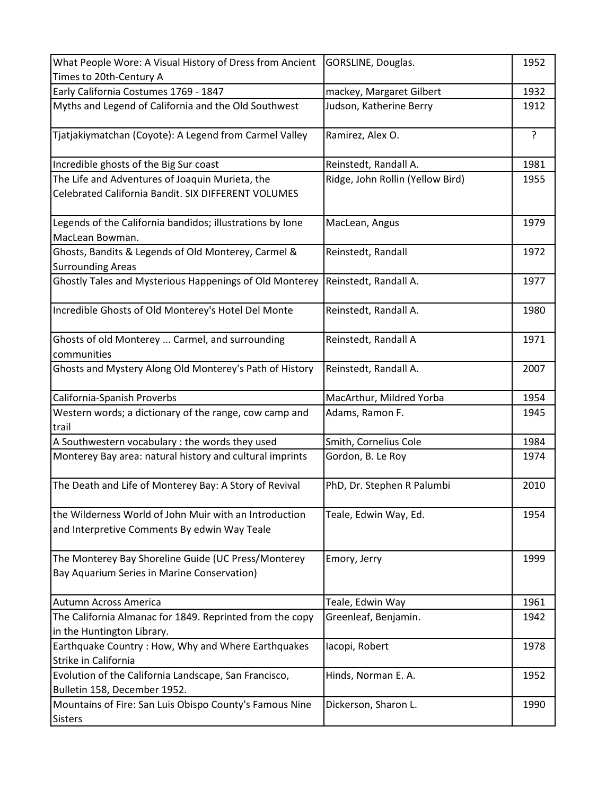| What People Wore: A Visual History of Dress from Ancient                                               | GORSLINE, Douglas.               | 1952           |
|--------------------------------------------------------------------------------------------------------|----------------------------------|----------------|
| Times to 20th-Century A                                                                                |                                  |                |
| Early California Costumes 1769 - 1847                                                                  | mackey, Margaret Gilbert         | 1932           |
| Myths and Legend of California and the Old Southwest                                                   | Judson, Katherine Berry          | 1912           |
| Tjatjakiymatchan (Coyote): A Legend from Carmel Valley                                                 | Ramirez, Alex O.                 | $\overline{?}$ |
| Incredible ghosts of the Big Sur coast                                                                 | Reinstedt, Randall A.            | 1981           |
| The Life and Adventures of Joaquin Murieta, the                                                        | Ridge, John Rollin (Yellow Bird) | 1955           |
| Celebrated California Bandit. SIX DIFFERENT VOLUMES                                                    |                                  |                |
| Legends of the California bandidos; illustrations by Ione<br>MacLean Bowman.                           | MacLean, Angus                   | 1979           |
| Ghosts, Bandits & Legends of Old Monterey, Carmel &<br><b>Surrounding Areas</b>                        | Reinstedt, Randall               | 1972           |
| Ghostly Tales and Mysterious Happenings of Old Monterey                                                | Reinstedt, Randall A.            | 1977           |
| Incredible Ghosts of Old Monterey's Hotel Del Monte                                                    | Reinstedt, Randall A.            | 1980           |
| Ghosts of old Monterey  Carmel, and surrounding<br>communities                                         | Reinstedt, Randall A             | 1971           |
| Ghosts and Mystery Along Old Monterey's Path of History                                                | Reinstedt, Randall A.            | 2007           |
| California-Spanish Proverbs                                                                            | MacArthur, Mildred Yorba         | 1954           |
| Western words; a dictionary of the range, cow camp and<br>trail                                        | Adams, Ramon F.                  | 1945           |
| A Southwestern vocabulary : the words they used                                                        | Smith, Cornelius Cole            | 1984           |
| Monterey Bay area: natural history and cultural imprints                                               | Gordon, B. Le Roy                | 1974           |
| The Death and Life of Monterey Bay: A Story of Revival                                                 | PhD, Dr. Stephen R Palumbi       | 2010           |
| the Wilderness World of John Muir with an Introduction<br>and Interpretive Comments By edwin Way Teale | Teale, Edwin Way, Ed.            | 1954           |
| The Monterey Bay Shoreline Guide (UC Press/Monterey<br>Bay Aquarium Series in Marine Conservation)     | Emory, Jerry                     | 1999           |
| Autumn Across America                                                                                  | Teale, Edwin Way                 | 1961           |
| The California Almanac for 1849. Reprinted from the copy                                               | Greenleaf, Benjamin.             | 1942           |
| in the Huntington Library.                                                                             |                                  |                |
| Earthquake Country: How, Why and Where Earthquakes                                                     | lacopi, Robert                   | 1978           |
| Strike in California                                                                                   |                                  |                |
| Evolution of the California Landscape, San Francisco,                                                  | Hinds, Norman E. A.              | 1952           |
| Bulletin 158, December 1952.                                                                           |                                  |                |
| Mountains of Fire: San Luis Obispo County's Famous Nine<br><b>Sisters</b>                              | Dickerson, Sharon L.             | 1990           |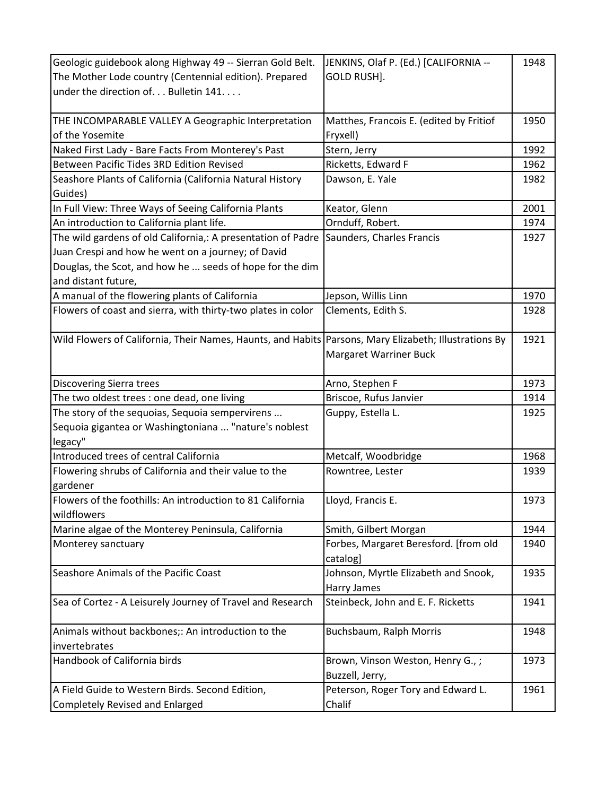| Geologic guidebook along Highway 49 -- Sierran Gold Belt.                                             | JENKINS, Olaf P. (Ed.) [CALIFORNIA --   | 1948 |
|-------------------------------------------------------------------------------------------------------|-----------------------------------------|------|
| The Mother Lode country (Centennial edition). Prepared                                                | GOLD RUSH].                             |      |
| under the direction of Bulletin 141                                                                   |                                         |      |
|                                                                                                       |                                         |      |
| THE INCOMPARABLE VALLEY A Geographic Interpretation                                                   | Matthes, Francois E. (edited by Fritiof | 1950 |
| of the Yosemite                                                                                       | Fryxell)                                |      |
| Naked First Lady - Bare Facts From Monterey's Past                                                    | Stern, Jerry                            | 1992 |
| Between Pacific Tides 3RD Edition Revised                                                             | Ricketts, Edward F                      | 1962 |
| Seashore Plants of California (California Natural History                                             | Dawson, E. Yale                         | 1982 |
| Guides)                                                                                               |                                         |      |
| In Full View: Three Ways of Seeing California Plants                                                  | Keator, Glenn                           | 2001 |
| An introduction to California plant life.                                                             | Ornduff, Robert.                        | 1974 |
| The wild gardens of old California,: A presentation of Padre Saunders, Charles Francis                |                                         | 1927 |
| Juan Crespi and how he went on a journey; of David                                                    |                                         |      |
| Douglas, the Scot, and how he  seeds of hope for the dim                                              |                                         |      |
| and distant future,                                                                                   |                                         |      |
| A manual of the flowering plants of California                                                        | Jepson, Willis Linn                     | 1970 |
| Flowers of coast and sierra, with thirty-two plates in color                                          | Clements, Edith S.                      | 1928 |
|                                                                                                       |                                         |      |
| Wild Flowers of California, Their Names, Haunts, and Habits Parsons, Mary Elizabeth; Illustrations By |                                         | 1921 |
|                                                                                                       | Margaret Warriner Buck                  |      |
|                                                                                                       |                                         |      |
| <b>Discovering Sierra trees</b>                                                                       | Arno, Stephen F                         | 1973 |
| The two oldest trees : one dead, one living                                                           | Briscoe, Rufus Janvier                  | 1914 |
| The story of the sequoias, Sequoia sempervirens                                                       | Guppy, Estella L.                       | 1925 |
| Sequoia gigantea or Washingtoniana  "nature's noblest                                                 |                                         |      |
| legacy"                                                                                               |                                         |      |
| Introduced trees of central California                                                                | Metcalf, Woodbridge                     | 1968 |
| Flowering shrubs of California and their value to the                                                 | Rowntree, Lester                        | 1939 |
| gardener                                                                                              |                                         |      |
| Flowers of the foothills: An introduction to 81 California                                            | Lloyd, Francis E.                       | 1973 |
| wildflowers                                                                                           |                                         |      |
| Marine algae of the Monterey Peninsula, California                                                    | Smith, Gilbert Morgan                   | 1944 |
| Monterey sanctuary                                                                                    | Forbes, Margaret Beresford. [from old   | 1940 |
|                                                                                                       | catalog]                                |      |
| Seashore Animals of the Pacific Coast                                                                 | Johnson, Myrtle Elizabeth and Snook,    | 1935 |
|                                                                                                       | <b>Harry James</b>                      |      |
| Sea of Cortez - A Leisurely Journey of Travel and Research                                            | Steinbeck, John and E. F. Ricketts      | 1941 |
|                                                                                                       |                                         |      |
| Animals without backbones;: An introduction to the                                                    | Buchsbaum, Ralph Morris                 | 1948 |
| invertebrates                                                                                         |                                         |      |
| Handbook of California birds                                                                          | Brown, Vinson Weston, Henry G.,;        | 1973 |
|                                                                                                       | Buzzell, Jerry,                         |      |
| A Field Guide to Western Birds. Second Edition,                                                       | Peterson, Roger Tory and Edward L.      | 1961 |
| <b>Completely Revised and Enlarged</b>                                                                | Chalif                                  |      |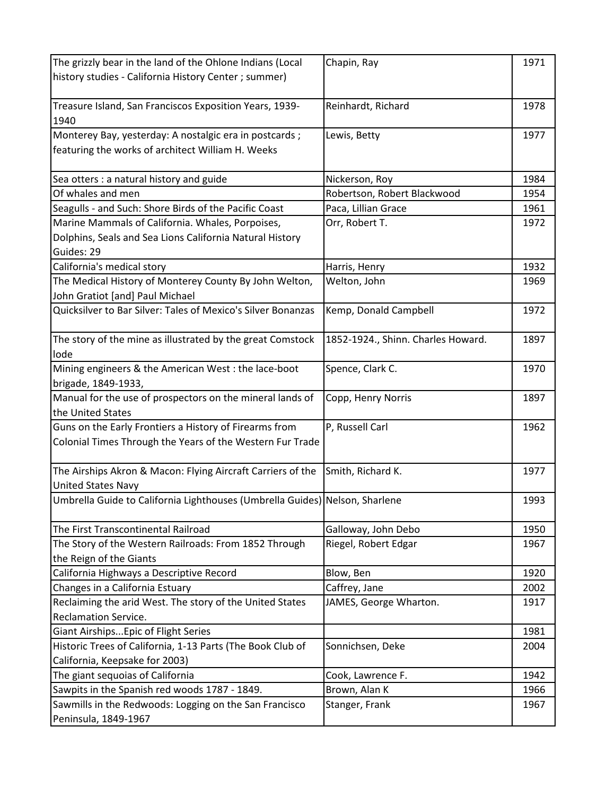| Chapin, Ray                                                 | 1971                                                                                                                                                                                                                                                                                                                                                                                                                                                            |
|-------------------------------------------------------------|-----------------------------------------------------------------------------------------------------------------------------------------------------------------------------------------------------------------------------------------------------------------------------------------------------------------------------------------------------------------------------------------------------------------------------------------------------------------|
|                                                             |                                                                                                                                                                                                                                                                                                                                                                                                                                                                 |
|                                                             |                                                                                                                                                                                                                                                                                                                                                                                                                                                                 |
|                                                             | 1978                                                                                                                                                                                                                                                                                                                                                                                                                                                            |
|                                                             |                                                                                                                                                                                                                                                                                                                                                                                                                                                                 |
|                                                             | 1977                                                                                                                                                                                                                                                                                                                                                                                                                                                            |
|                                                             |                                                                                                                                                                                                                                                                                                                                                                                                                                                                 |
|                                                             |                                                                                                                                                                                                                                                                                                                                                                                                                                                                 |
| Nickerson, Roy                                              | 1984                                                                                                                                                                                                                                                                                                                                                                                                                                                            |
| Robertson, Robert Blackwood                                 | 1954                                                                                                                                                                                                                                                                                                                                                                                                                                                            |
| Paca, Lillian Grace                                         | 1961                                                                                                                                                                                                                                                                                                                                                                                                                                                            |
|                                                             | 1972                                                                                                                                                                                                                                                                                                                                                                                                                                                            |
|                                                             |                                                                                                                                                                                                                                                                                                                                                                                                                                                                 |
|                                                             |                                                                                                                                                                                                                                                                                                                                                                                                                                                                 |
|                                                             | 1932                                                                                                                                                                                                                                                                                                                                                                                                                                                            |
|                                                             | 1969                                                                                                                                                                                                                                                                                                                                                                                                                                                            |
|                                                             |                                                                                                                                                                                                                                                                                                                                                                                                                                                                 |
|                                                             | 1972                                                                                                                                                                                                                                                                                                                                                                                                                                                            |
|                                                             |                                                                                                                                                                                                                                                                                                                                                                                                                                                                 |
|                                                             | 1897                                                                                                                                                                                                                                                                                                                                                                                                                                                            |
|                                                             |                                                                                                                                                                                                                                                                                                                                                                                                                                                                 |
|                                                             | 1970                                                                                                                                                                                                                                                                                                                                                                                                                                                            |
|                                                             |                                                                                                                                                                                                                                                                                                                                                                                                                                                                 |
|                                                             | 1897                                                                                                                                                                                                                                                                                                                                                                                                                                                            |
|                                                             |                                                                                                                                                                                                                                                                                                                                                                                                                                                                 |
|                                                             | 1962                                                                                                                                                                                                                                                                                                                                                                                                                                                            |
|                                                             |                                                                                                                                                                                                                                                                                                                                                                                                                                                                 |
|                                                             |                                                                                                                                                                                                                                                                                                                                                                                                                                                                 |
|                                                             | 1977                                                                                                                                                                                                                                                                                                                                                                                                                                                            |
|                                                             |                                                                                                                                                                                                                                                                                                                                                                                                                                                                 |
|                                                             | 1993                                                                                                                                                                                                                                                                                                                                                                                                                                                            |
|                                                             |                                                                                                                                                                                                                                                                                                                                                                                                                                                                 |
|                                                             | 1950                                                                                                                                                                                                                                                                                                                                                                                                                                                            |
|                                                             | 1967                                                                                                                                                                                                                                                                                                                                                                                                                                                            |
|                                                             |                                                                                                                                                                                                                                                                                                                                                                                                                                                                 |
|                                                             | 1920                                                                                                                                                                                                                                                                                                                                                                                                                                                            |
|                                                             | 2002                                                                                                                                                                                                                                                                                                                                                                                                                                                            |
| JAMES, George Wharton.                                      | 1917                                                                                                                                                                                                                                                                                                                                                                                                                                                            |
|                                                             |                                                                                                                                                                                                                                                                                                                                                                                                                                                                 |
|                                                             | 1981                                                                                                                                                                                                                                                                                                                                                                                                                                                            |
| Sonnichsen, Deke                                            | 2004                                                                                                                                                                                                                                                                                                                                                                                                                                                            |
|                                                             |                                                                                                                                                                                                                                                                                                                                                                                                                                                                 |
| Cook, Lawrence F.                                           | 1942                                                                                                                                                                                                                                                                                                                                                                                                                                                            |
| Brown, Alan K                                               | 1966                                                                                                                                                                                                                                                                                                                                                                                                                                                            |
| Stanger, Frank                                              | 1967                                                                                                                                                                                                                                                                                                                                                                                                                                                            |
|                                                             |                                                                                                                                                                                                                                                                                                                                                                                                                                                                 |
| The Airships Akron & Macon: Flying Aircraft Carriers of the | Reinhardt, Richard<br>Lewis, Betty<br>Orr, Robert T.<br>Harris, Henry<br>Welton, John<br>Kemp, Donald Campbell<br>1852-1924., Shinn. Charles Howard.<br>Spence, Clark C.<br>Copp, Henry Norris<br>P, Russell Carl<br>Colonial Times Through the Years of the Western Fur Trade<br>Smith, Richard K.<br>Umbrella Guide to California Lighthouses (Umbrella Guides) Nelson, Sharlene<br>Galloway, John Debo<br>Riegel, Robert Edgar<br>Blow, Ben<br>Caffrey, Jane |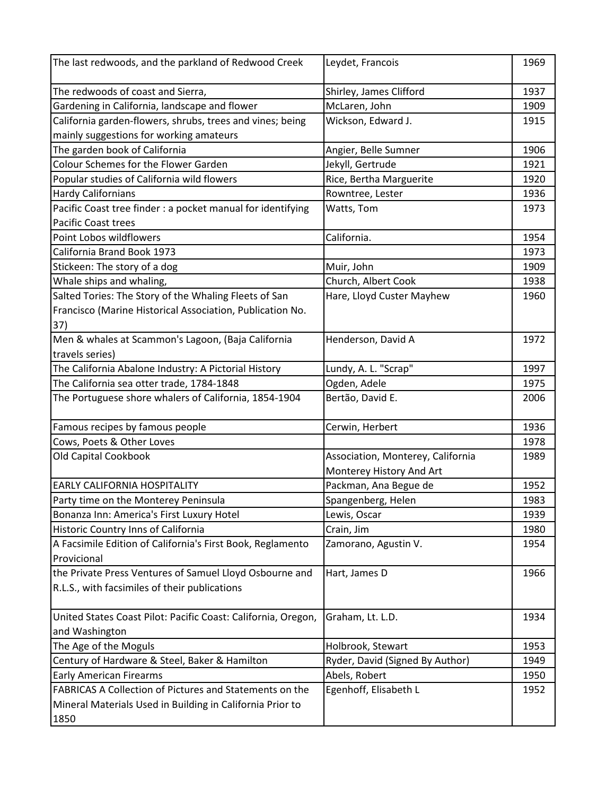| The last redwoods, and the parkland of Redwood Creek           | Leydet, Francois                  | 1969 |
|----------------------------------------------------------------|-----------------------------------|------|
| The redwoods of coast and Sierra,                              | Shirley, James Clifford           | 1937 |
| Gardening in California, landscape and flower                  | McLaren, John                     | 1909 |
| California garden-flowers, shrubs, trees and vines; being      | Wickson, Edward J.                | 1915 |
| mainly suggestions for working amateurs                        |                                   |      |
| The garden book of California                                  | Angier, Belle Sumner              | 1906 |
| <b>Colour Schemes for the Flower Garden</b>                    | Jekyll, Gertrude                  | 1921 |
| Popular studies of California wild flowers                     | Rice, Bertha Marguerite           | 1920 |
| <b>Hardy Californians</b>                                      | Rowntree, Lester                  | 1936 |
| Pacific Coast tree finder : a pocket manual for identifying    | Watts, Tom                        | 1973 |
| <b>Pacific Coast trees</b>                                     |                                   |      |
| Point Lobos wildflowers                                        | California.                       | 1954 |
| California Brand Book 1973                                     |                                   | 1973 |
| Stickeen: The story of a dog                                   | Muir, John                        | 1909 |
| Whale ships and whaling,                                       | Church, Albert Cook               | 1938 |
| Salted Tories: The Story of the Whaling Fleets of San          | Hare, Lloyd Custer Mayhew         | 1960 |
| Francisco (Marine Historical Association, Publication No.      |                                   |      |
| 37)                                                            |                                   |      |
| Men & whales at Scammon's Lagoon, (Baja California             | Henderson, David A                | 1972 |
| travels series)                                                |                                   |      |
| The California Abalone Industry: A Pictorial History           | Lundy, A. L. "Scrap"              | 1997 |
| The California sea otter trade, 1784-1848                      | Ogden, Adele                      | 1975 |
| The Portuguese shore whalers of California, 1854-1904          | Bertão, David E.                  | 2006 |
| Famous recipes by famous people                                | Cerwin, Herbert                   | 1936 |
| Cows, Poets & Other Loves                                      |                                   | 1978 |
| Old Capital Cookbook                                           | Association, Monterey, California | 1989 |
|                                                                | Monterey History And Art          |      |
| <b>EARLY CALIFORNIA HOSPITALITY</b>                            | Packman, Ana Begue de             | 1952 |
| Party time on the Monterey Peninsula                           | Spangenberg, Helen                | 1983 |
| Bonanza Inn: America's First Luxury Hotel                      | Lewis, Oscar                      | 1939 |
| Historic Country Inns of California                            | Crain, Jim                        | 1980 |
| A Facsimile Edition of California's First Book, Reglamento     | Zamorano, Agustin V.              | 1954 |
| Provicional                                                    |                                   |      |
| the Private Press Ventures of Samuel Lloyd Osbourne and        | Hart, James D                     | 1966 |
| R.L.S., with facsimiles of their publications                  |                                   |      |
| United States Coast Pilot: Pacific Coast: California, Oregon,  | Graham, Lt. L.D.                  | 1934 |
| and Washington                                                 |                                   |      |
| The Age of the Moguls                                          | Holbrook, Stewart                 | 1953 |
| Century of Hardware & Steel, Baker & Hamilton                  | Ryder, David (Signed By Author)   | 1949 |
| <b>Early American Firearms</b>                                 | Abels, Robert                     | 1950 |
| <b>FABRICAS A Collection of Pictures and Statements on the</b> | Egenhoff, Elisabeth L             | 1952 |
| Mineral Materials Used in Building in California Prior to      |                                   |      |
| 1850                                                           |                                   |      |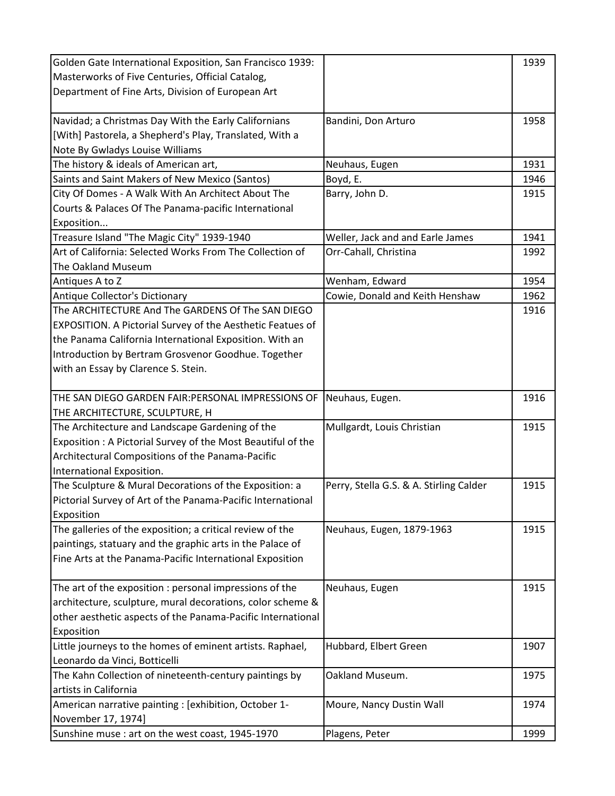| Golden Gate International Exposition, San Francisco 1939:   |                                         | 1939 |
|-------------------------------------------------------------|-----------------------------------------|------|
| Masterworks of Five Centuries, Official Catalog,            |                                         |      |
| Department of Fine Arts, Division of European Art           |                                         |      |
|                                                             |                                         |      |
| Navidad; a Christmas Day With the Early Californians        | Bandini, Don Arturo                     | 1958 |
| [With] Pastorela, a Shepherd's Play, Translated, With a     |                                         |      |
| Note By Gwladys Louise Williams                             |                                         |      |
| The history & ideals of American art,                       | Neuhaus, Eugen                          | 1931 |
| Saints and Saint Makers of New Mexico (Santos)              | Boyd, E.                                | 1946 |
| City Of Domes - A Walk With An Architect About The          | Barry, John D.                          | 1915 |
| Courts & Palaces Of The Panama-pacific International        |                                         |      |
| Exposition                                                  |                                         |      |
| Treasure Island "The Magic City" 1939-1940                  | Weller, Jack and and Earle James        | 1941 |
| Art of California: Selected Works From The Collection of    | Orr-Cahall, Christina                   | 1992 |
| The Oakland Museum                                          |                                         |      |
| Antiques A to Z                                             | Wenham, Edward                          | 1954 |
| Antique Collector's Dictionary                              | Cowie, Donald and Keith Henshaw         | 1962 |
| The ARCHITECTURE And The GARDENS Of The SAN DIEGO           |                                         | 1916 |
| EXPOSITION. A Pictorial Survey of the Aesthetic Featues of  |                                         |      |
| the Panama California International Exposition. With an     |                                         |      |
| Introduction by Bertram Grosvenor Goodhue. Together         |                                         |      |
| with an Essay by Clarence S. Stein.                         |                                         |      |
|                                                             |                                         |      |
| THE SAN DIEGO GARDEN FAIR: PERSONAL IMPRESSIONS OF          | Neuhaus, Eugen.                         | 1916 |
| THE ARCHITECTURE, SCULPTURE, H                              |                                         |      |
| The Architecture and Landscape Gardening of the             | Mullgardt, Louis Christian              | 1915 |
| Exposition: A Pictorial Survey of the Most Beautiful of the |                                         |      |
| Architectural Compositions of the Panama-Pacific            |                                         |      |
| International Exposition.                                   |                                         |      |
| The Sculpture & Mural Decorations of the Exposition: a      | Perry, Stella G.S. & A. Stirling Calder | 1915 |
| Pictorial Survey of Art of the Panama-Pacific International |                                         |      |
| Exposition                                                  |                                         |      |
| The galleries of the exposition; a critical review of the   | Neuhaus, Eugen, 1879-1963               | 1915 |
| paintings, statuary and the graphic arts in the Palace of   |                                         |      |
| Fine Arts at the Panama-Pacific International Exposition    |                                         |      |
|                                                             |                                         |      |
| The art of the exposition : personal impressions of the     | Neuhaus, Eugen                          | 1915 |
| architecture, sculpture, mural decorations, color scheme &  |                                         |      |
| other aesthetic aspects of the Panama-Pacific International |                                         |      |
| Exposition                                                  |                                         |      |
| Little journeys to the homes of eminent artists. Raphael,   | Hubbard, Elbert Green                   | 1907 |
| Leonardo da Vinci, Botticelli                               |                                         |      |
| The Kahn Collection of nineteenth-century paintings by      | Oakland Museum.                         | 1975 |
| artists in California                                       |                                         |      |
| American narrative painting : [exhibition, October 1-       | Moure, Nancy Dustin Wall                | 1974 |
| November 17, 1974]                                          |                                         |      |
| Sunshine muse : art on the west coast, 1945-1970            | Plagens, Peter                          | 1999 |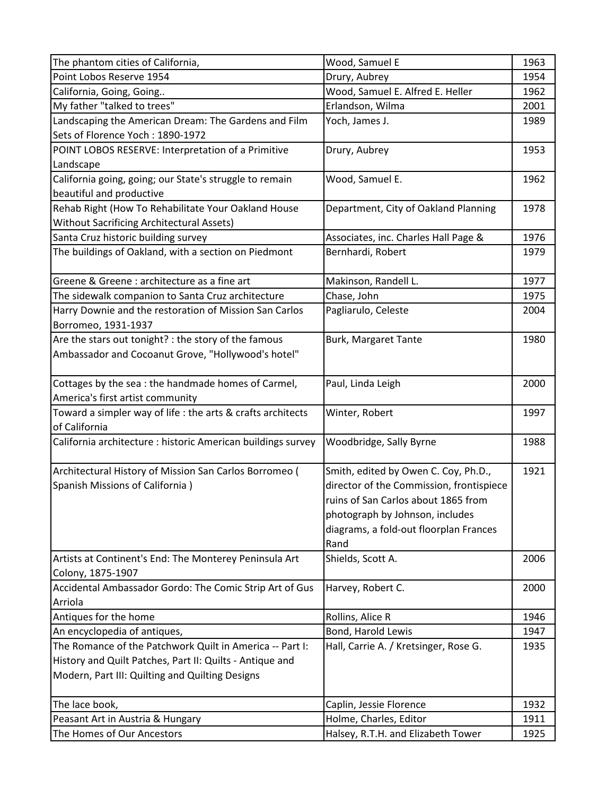| The phantom cities of California,                            | Wood, Samuel E                           | 1963 |
|--------------------------------------------------------------|------------------------------------------|------|
| Point Lobos Reserve 1954                                     | Drury, Aubrey                            | 1954 |
| California, Going, Going                                     | Wood, Samuel E. Alfred E. Heller         | 1962 |
| My father "talked to trees"                                  | Erlandson, Wilma                         | 2001 |
| Landscaping the American Dream: The Gardens and Film         | Yoch, James J.                           | 1989 |
| Sets of Florence Yoch: 1890-1972                             |                                          |      |
| POINT LOBOS RESERVE: Interpretation of a Primitive           | Drury, Aubrey                            | 1953 |
| Landscape                                                    |                                          |      |
| California going, going; our State's struggle to remain      | Wood, Samuel E.                          | 1962 |
| beautiful and productive                                     |                                          |      |
| Rehab Right (How To Rehabilitate Your Oakland House          | Department, City of Oakland Planning     | 1978 |
| <b>Without Sacrificing Architectural Assets)</b>             |                                          |      |
| Santa Cruz historic building survey                          | Associates, inc. Charles Hall Page &     | 1976 |
| The buildings of Oakland, with a section on Piedmont         | Bernhardi, Robert                        | 1979 |
|                                                              |                                          |      |
| Greene & Greene : architecture as a fine art                 | Makinson, Randell L.                     | 1977 |
| The sidewalk companion to Santa Cruz architecture            | Chase, John                              | 1975 |
| Harry Downie and the restoration of Mission San Carlos       | Pagliarulo, Celeste                      | 2004 |
| Borromeo, 1931-1937                                          |                                          |      |
| Are the stars out tonight? : the story of the famous         | Burk, Margaret Tante                     | 1980 |
| Ambassador and Cocoanut Grove, "Hollywood's hotel"           |                                          |      |
|                                                              |                                          |      |
| Cottages by the sea: the handmade homes of Carmel,           | Paul, Linda Leigh                        | 2000 |
| America's first artist community                             |                                          |      |
| Toward a simpler way of life : the arts & crafts architects  | Winter, Robert                           | 1997 |
| of California                                                |                                          |      |
| California architecture : historic American buildings survey | Woodbridge, Sally Byrne                  | 1988 |
|                                                              |                                          |      |
| Architectural History of Mission San Carlos Borromeo (       | Smith, edited by Owen C. Coy, Ph.D.,     | 1921 |
| Spanish Missions of California)                              | director of the Commission, frontispiece |      |
|                                                              | ruins of San Carlos about 1865 from      |      |
|                                                              | photograph by Johnson, includes          |      |
|                                                              | diagrams, a fold-out floorplan Frances   |      |
|                                                              | Rand                                     |      |
| Artists at Continent's End: The Monterey Peninsula Art       | Shields, Scott A.                        | 2006 |
| Colony, 1875-1907                                            |                                          |      |
| Accidental Ambassador Gordo: The Comic Strip Art of Gus      | Harvey, Robert C.                        | 2000 |
| Arriola                                                      |                                          |      |
| Antiques for the home                                        | Rollins, Alice R                         | 1946 |
| An encyclopedia of antiques,                                 | Bond, Harold Lewis                       | 1947 |
| The Romance of the Patchwork Quilt in America -- Part I:     | Hall, Carrie A. / Kretsinger, Rose G.    | 1935 |
| History and Quilt Patches, Part II: Quilts - Antique and     |                                          |      |
| Modern, Part III: Quilting and Quilting Designs              |                                          |      |
|                                                              |                                          |      |
| The lace book,                                               | Caplin, Jessie Florence                  | 1932 |
| Peasant Art in Austria & Hungary                             | Holme, Charles, Editor                   | 1911 |
| The Homes of Our Ancestors                                   | Halsey, R.T.H. and Elizabeth Tower       | 1925 |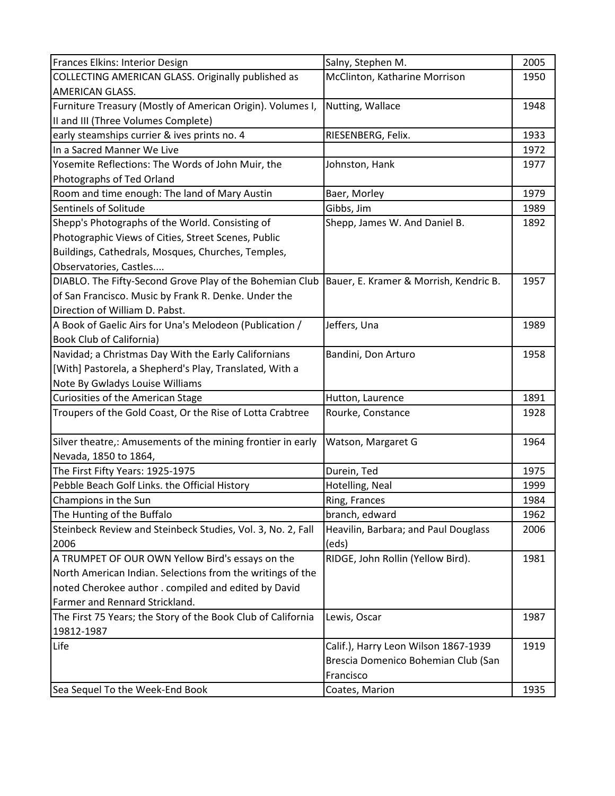| Frances Elkins: Interior Design                                                                   | Salny, Stephen M.                    | 2005 |
|---------------------------------------------------------------------------------------------------|--------------------------------------|------|
| COLLECTING AMERICAN GLASS. Originally published as                                                | McClinton, Katharine Morrison        | 1950 |
| <b>AMERICAN GLASS.</b>                                                                            |                                      |      |
| Furniture Treasury (Mostly of American Origin). Volumes I,                                        | Nutting, Wallace                     | 1948 |
| II and III (Three Volumes Complete)                                                               |                                      |      |
| early steamships currier & ives prints no. 4                                                      | RIESENBERG, Felix.                   | 1933 |
| In a Sacred Manner We Live                                                                        |                                      | 1972 |
| Yosemite Reflections: The Words of John Muir, the                                                 | Johnston, Hank                       | 1977 |
| Photographs of Ted Orland                                                                         |                                      |      |
| Room and time enough: The land of Mary Austin                                                     | Baer, Morley                         | 1979 |
| Sentinels of Solitude                                                                             | Gibbs, Jim                           | 1989 |
| Shepp's Photographs of the World. Consisting of                                                   | Shepp, James W. And Daniel B.        | 1892 |
| Photographic Views of Cities, Street Scenes, Public                                               |                                      |      |
| Buildings, Cathedrals, Mosques, Churches, Temples,                                                |                                      |      |
| Observatories, Castles                                                                            |                                      |      |
| DIABLO. The Fifty-Second Grove Play of the Bohemian Club   Bauer, E. Kramer & Morrish, Kendric B. |                                      | 1957 |
| of San Francisco. Music by Frank R. Denke. Under the                                              |                                      |      |
| Direction of William D. Pabst.                                                                    |                                      |      |
| A Book of Gaelic Airs for Una's Melodeon (Publication /                                           | Jeffers, Una                         | 1989 |
| <b>Book Club of California)</b>                                                                   |                                      |      |
| Navidad; a Christmas Day With the Early Californians                                              | Bandini, Don Arturo                  | 1958 |
| [With] Pastorela, a Shepherd's Play, Translated, With a                                           |                                      |      |
| Note By Gwladys Louise Williams                                                                   |                                      |      |
| Curiosities of the American Stage                                                                 | Hutton, Laurence                     | 1891 |
| Troupers of the Gold Coast, Or the Rise of Lotta Crabtree                                         | Rourke, Constance                    | 1928 |
|                                                                                                   |                                      |      |
| Silver theatre,: Amusements of the mining frontier in early                                       | Watson, Margaret G                   | 1964 |
| Nevada, 1850 to 1864,                                                                             |                                      |      |
| The First Fifty Years: 1925-1975                                                                  | Durein, Ted                          | 1975 |
| Pebble Beach Golf Links. the Official History                                                     | Hotelling, Neal                      | 1999 |
| Champions in the Sun                                                                              | Ring, Frances                        | 1984 |
| The Hunting of the Buffalo                                                                        | branch, edward                       | 1962 |
| Steinbeck Review and Steinbeck Studies, Vol. 3, No. 2, Fall                                       | Heavilin, Barbara; and Paul Douglass | 2006 |
| 2006                                                                                              | (eds)                                |      |
| A TRUMPET OF OUR OWN Yellow Bird's essays on the                                                  | RIDGE, John Rollin (Yellow Bird).    | 1981 |
| North American Indian. Selections from the writings of the                                        |                                      |      |
| noted Cherokee author . compiled and edited by David                                              |                                      |      |
| Farmer and Rennard Strickland.                                                                    |                                      |      |
| The First 75 Years; the Story of the Book Club of California                                      | Lewis, Oscar                         | 1987 |
| 19812-1987                                                                                        |                                      |      |
| Life                                                                                              | Calif.), Harry Leon Wilson 1867-1939 | 1919 |
|                                                                                                   | Brescia Domenico Bohemian Club (San  |      |
|                                                                                                   | Francisco                            |      |
| Sea Sequel To the Week-End Book                                                                   | Coates, Marion                       | 1935 |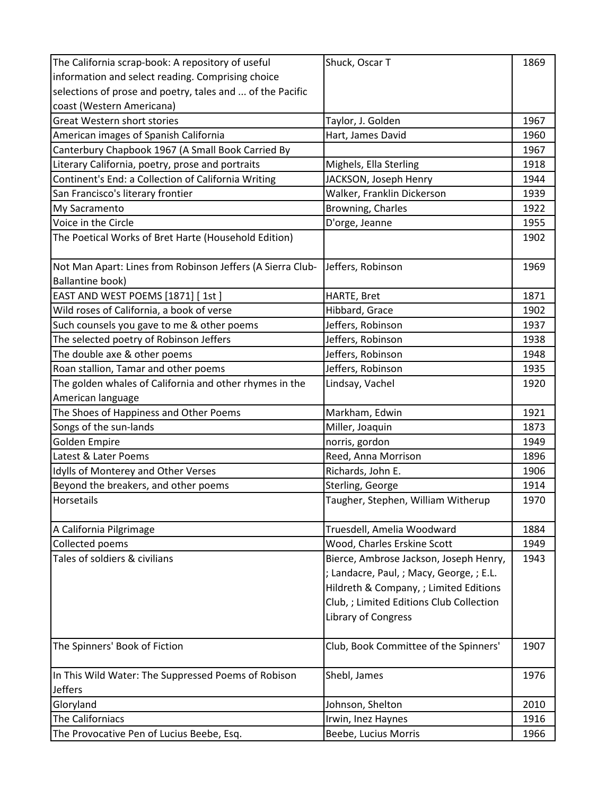| The California scrap-book: A repository of useful          | Shuck, Oscar T                           | 1869 |
|------------------------------------------------------------|------------------------------------------|------|
| information and select reading. Comprising choice          |                                          |      |
| selections of prose and poetry, tales and  of the Pacific  |                                          |      |
| coast (Western Americana)                                  |                                          |      |
| <b>Great Western short stories</b>                         | Taylor, J. Golden                        | 1967 |
| American images of Spanish California                      | Hart, James David                        | 1960 |
| Canterbury Chapbook 1967 (A Small Book Carried By          |                                          | 1967 |
| Literary California, poetry, prose and portraits           | Mighels, Ella Sterling                   | 1918 |
| Continent's End: a Collection of California Writing        | JACKSON, Joseph Henry                    | 1944 |
| San Francisco's literary frontier                          | Walker, Franklin Dickerson               | 1939 |
| My Sacramento                                              | Browning, Charles                        | 1922 |
| Voice in the Circle                                        | D'orge, Jeanne                           | 1955 |
| The Poetical Works of Bret Harte (Household Edition)       |                                          | 1902 |
| Not Man Apart: Lines from Robinson Jeffers (A Sierra Club- | Jeffers, Robinson                        | 1969 |
| <b>Ballantine book)</b>                                    |                                          |      |
| EAST AND WEST POEMS [1871] [1st]                           | HARTE, Bret                              | 1871 |
| Wild roses of California, a book of verse                  | Hibbard, Grace                           | 1902 |
| Such counsels you gave to me & other poems                 | Jeffers, Robinson                        | 1937 |
| The selected poetry of Robinson Jeffers                    | Jeffers, Robinson                        | 1938 |
| The double axe & other poems                               | Jeffers, Robinson                        | 1948 |
| Roan stallion, Tamar and other poems                       | Jeffers, Robinson                        | 1935 |
| The golden whales of California and other rhymes in the    | Lindsay, Vachel                          | 1920 |
| American language                                          |                                          |      |
| The Shoes of Happiness and Other Poems                     | Markham, Edwin                           | 1921 |
| Songs of the sun-lands                                     | Miller, Joaquin                          | 1873 |
| Golden Empire                                              | norris, gordon                           | 1949 |
| Latest & Later Poems                                       | Reed, Anna Morrison                      | 1896 |
| Idylls of Monterey and Other Verses                        | Richards, John E.                        | 1906 |
| Beyond the breakers, and other poems                       | Sterling, George                         | 1914 |
| Horsetails                                                 | Taugher, Stephen, William Witherup       | 1970 |
| A California Pilgrimage                                    | Truesdell, Amelia Woodward               | 1884 |
| Collected poems                                            | Wood, Charles Erskine Scott              | 1949 |
| Tales of soldiers & civilians                              | Bierce, Ambrose Jackson, Joseph Henry,   | 1943 |
|                                                            | ; Landacre, Paul, ; Macy, George, ; E.L. |      |
|                                                            | Hildreth & Company, ; Limited Editions   |      |
|                                                            | Club, ; Limited Editions Club Collection |      |
|                                                            | Library of Congress                      |      |
|                                                            |                                          |      |
| The Spinners' Book of Fiction                              | Club, Book Committee of the Spinners'    | 1907 |
| In This Wild Water: The Suppressed Poems of Robison        | Shebl, James                             | 1976 |
| Jeffers                                                    |                                          |      |
| Gloryland                                                  | Johnson, Shelton                         | 2010 |
| The Californiacs                                           | Irwin, Inez Haynes                       | 1916 |
| The Provocative Pen of Lucius Beebe, Esq.                  | Beebe, Lucius Morris                     | 1966 |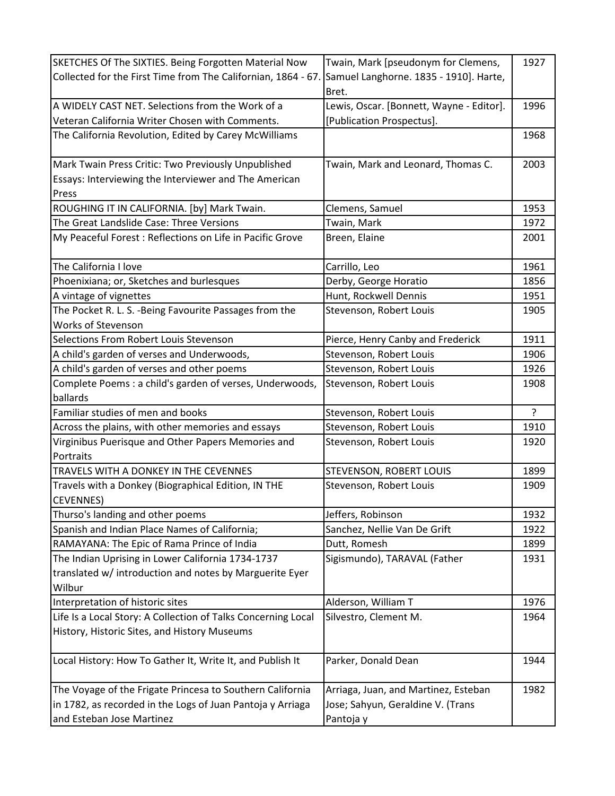| SKETCHES Of The SIXTIES. Being Forgotten Material Now         | Twain, Mark [pseudonym for Clemens,      | 1927 |
|---------------------------------------------------------------|------------------------------------------|------|
| Collected for the First Time from The Californian, 1864 - 67. | Samuel Langhorne. 1835 - 1910]. Harte,   |      |
|                                                               | Bret.                                    |      |
| A WIDELY CAST NET. Selections from the Work of a              | Lewis, Oscar. [Bonnett, Wayne - Editor]. | 1996 |
| Veteran California Writer Chosen with Comments.               | [Publication Prospectus].                |      |
| The California Revolution, Edited by Carey McWilliams         |                                          | 1968 |
|                                                               |                                          |      |
| Mark Twain Press Critic: Two Previously Unpublished           | Twain, Mark and Leonard, Thomas C.       | 2003 |
| Essays: Interviewing the Interviewer and The American         |                                          |      |
| Press                                                         |                                          |      |
| ROUGHING IT IN CALIFORNIA. [by] Mark Twain.                   | Clemens, Samuel                          | 1953 |
| The Great Landslide Case: Three Versions                      | Twain, Mark                              | 1972 |
| My Peaceful Forest: Reflections on Life in Pacific Grove      | Breen, Elaine                            | 2001 |
|                                                               |                                          |      |
| The California I love                                         | Carrillo, Leo                            | 1961 |
| Phoenixiana; or, Sketches and burlesques                      | Derby, George Horatio                    | 1856 |
| A vintage of vignettes                                        | Hunt, Rockwell Dennis                    | 1951 |
| The Pocket R. L. S. -Being Favourite Passages from the        | Stevenson, Robert Louis                  | 1905 |
| Works of Stevenson                                            |                                          |      |
| Selections From Robert Louis Stevenson                        | Pierce, Henry Canby and Frederick        | 1911 |
| A child's garden of verses and Underwoods,                    | Stevenson, Robert Louis                  | 1906 |
| A child's garden of verses and other poems                    | Stevenson, Robert Louis                  | 1926 |
| Complete Poems : a child's garden of verses, Underwoods,      | Stevenson, Robert Louis                  | 1908 |
| ballards                                                      |                                          |      |
| Familiar studies of men and books                             | Stevenson, Robert Louis                  | ?    |
| Across the plains, with other memories and essays             | Stevenson, Robert Louis                  | 1910 |
| Virginibus Puerisque and Other Papers Memories and            | Stevenson, Robert Louis                  | 1920 |
| Portraits                                                     |                                          |      |
| TRAVELS WITH A DONKEY IN THE CEVENNES                         | STEVENSON, ROBERT LOUIS                  | 1899 |
| Travels with a Donkey (Biographical Edition, IN THE           | Stevenson, Robert Louis                  | 1909 |
| <b>CEVENNES</b> )                                             |                                          |      |
| Thurso's landing and other poems                              | Jeffers, Robinson                        | 1932 |
| Spanish and Indian Place Names of California;                 | Sanchez, Nellie Van De Grift             | 1922 |
| RAMAYANA: The Epic of Rama Prince of India                    | Dutt, Romesh                             | 1899 |
| The Indian Uprising in Lower California 1734-1737             | Sigismundo), TARAVAL (Father             | 1931 |
| translated w/ introduction and notes by Marguerite Eyer       |                                          |      |
| Wilbur                                                        |                                          |      |
| Interpretation of historic sites                              | Alderson, William T                      | 1976 |
| Life Is a Local Story: A Collection of Talks Concerning Local | Silvestro, Clement M.                    | 1964 |
| History, Historic Sites, and History Museums                  |                                          |      |
| Local History: How To Gather It, Write It, and Publish It     | Parker, Donald Dean                      | 1944 |
| The Voyage of the Frigate Princesa to Southern California     | Arriaga, Juan, and Martinez, Esteban     | 1982 |
| in 1782, as recorded in the Logs of Juan Pantoja y Arriaga    | Jose; Sahyun, Geraldine V. (Trans        |      |
| and Esteban Jose Martinez                                     | Pantoja y                                |      |
|                                                               |                                          |      |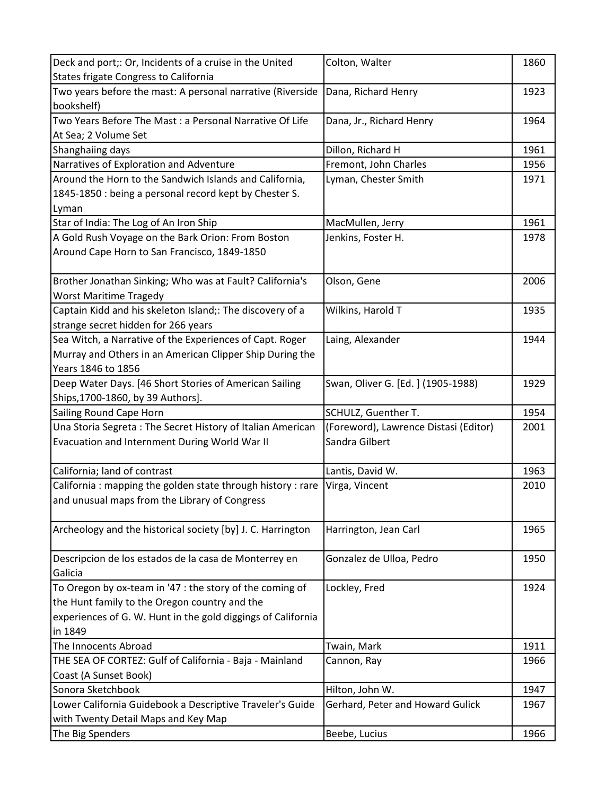| Deck and port;: Or, Incidents of a cruise in the United      | Colton, Walter                        | 1860 |
|--------------------------------------------------------------|---------------------------------------|------|
| States frigate Congress to California                        |                                       |      |
| Two years before the mast: A personal narrative (Riverside   | Dana, Richard Henry                   | 1923 |
| bookshelf)                                                   |                                       |      |
| Two Years Before The Mast : a Personal Narrative Of Life     | Dana, Jr., Richard Henry              | 1964 |
| At Sea; 2 Volume Set                                         |                                       |      |
| Shanghaiing days                                             | Dillon, Richard H                     | 1961 |
| Narratives of Exploration and Adventure                      | Fremont, John Charles                 | 1956 |
| Around the Horn to the Sandwich Islands and California,      | Lyman, Chester Smith                  | 1971 |
| 1845-1850 : being a personal record kept by Chester S.       |                                       |      |
| Lyman                                                        |                                       |      |
| Star of India: The Log of An Iron Ship                       | MacMullen, Jerry                      | 1961 |
| A Gold Rush Voyage on the Bark Orion: From Boston            | Jenkins, Foster H.                    | 1978 |
| Around Cape Horn to San Francisco, 1849-1850                 |                                       |      |
|                                                              |                                       |      |
| Brother Jonathan Sinking; Who was at Fault? California's     | Olson, Gene                           | 2006 |
| <b>Worst Maritime Tragedy</b>                                |                                       |      |
| Captain Kidd and his skeleton Island;: The discovery of a    | Wilkins, Harold T                     | 1935 |
| strange secret hidden for 266 years                          |                                       |      |
| Sea Witch, a Narrative of the Experiences of Capt. Roger     | Laing, Alexander                      | 1944 |
| Murray and Others in an American Clipper Ship During the     |                                       |      |
| Years 1846 to 1856                                           |                                       |      |
| Deep Water Days. [46 Short Stories of American Sailing       | Swan, Oliver G. [Ed.] (1905-1988)     | 1929 |
| Ships, 1700-1860, by 39 Authors].                            |                                       |      |
| Sailing Round Cape Horn                                      | SCHULZ, Guenther T.                   | 1954 |
| Una Storia Segreta: The Secret History of Italian American   | (Foreword), Lawrence Distasi (Editor) | 2001 |
| Evacuation and Internment During World War II                | Sandra Gilbert                        |      |
|                                                              |                                       |      |
| California; land of contrast                                 | Lantis, David W.                      | 1963 |
| California: mapping the golden state through history: rare   | Virga, Vincent                        | 2010 |
| and unusual maps from the Library of Congress                |                                       |      |
|                                                              |                                       |      |
| Archeology and the historical society [by] J. C. Harrington  | Harrington, Jean Carl                 | 1965 |
|                                                              |                                       |      |
| Descripcion de los estados de la casa de Monterrey en        | Gonzalez de Ulloa, Pedro              | 1950 |
| Galicia                                                      |                                       |      |
| To Oregon by ox-team in '47 : the story of the coming of     | Lockley, Fred                         | 1924 |
| the Hunt family to the Oregon country and the                |                                       |      |
| experiences of G. W. Hunt in the gold diggings of California |                                       |      |
| in 1849                                                      |                                       |      |
| The Innocents Abroad                                         | Twain, Mark                           | 1911 |
| THE SEA OF CORTEZ: Gulf of California - Baja - Mainland      | Cannon, Ray                           | 1966 |
| Coast (A Sunset Book)                                        |                                       |      |
| Sonora Sketchbook                                            | Hilton, John W.                       | 1947 |
| Lower California Guidebook a Descriptive Traveler's Guide    | Gerhard, Peter and Howard Gulick      | 1967 |
| with Twenty Detail Maps and Key Map                          |                                       |      |
| The Big Spenders                                             | Beebe, Lucius                         | 1966 |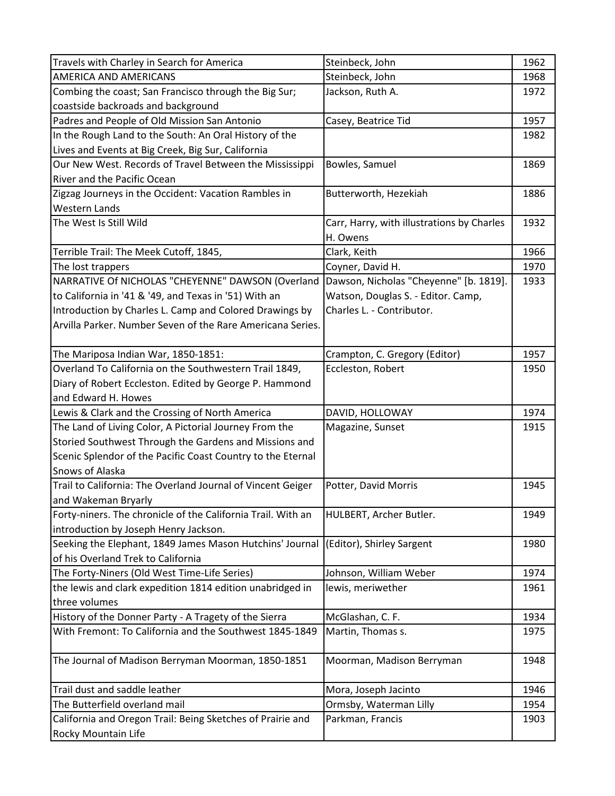| Travels with Charley in Search for America                   | Steinbeck, John                            | 1962 |
|--------------------------------------------------------------|--------------------------------------------|------|
| <b>AMERICA AND AMERICANS</b>                                 | Steinbeck, John                            | 1968 |
| Combing the coast; San Francisco through the Big Sur;        | Jackson, Ruth A.                           | 1972 |
| coastside backroads and background                           |                                            |      |
| Padres and People of Old Mission San Antonio                 | Casey, Beatrice Tid                        | 1957 |
| In the Rough Land to the South: An Oral History of the       |                                            | 1982 |
| Lives and Events at Big Creek, Big Sur, California           |                                            |      |
| Our New West. Records of Travel Between the Mississippi      | Bowles, Samuel                             | 1869 |
| River and the Pacific Ocean                                  |                                            |      |
| Zigzag Journeys in the Occident: Vacation Rambles in         | Butterworth, Hezekiah                      | 1886 |
| <b>Western Lands</b>                                         |                                            |      |
| The West Is Still Wild                                       | Carr, Harry, with illustrations by Charles | 1932 |
|                                                              | H. Owens                                   |      |
| Terrible Trail: The Meek Cutoff, 1845,                       | Clark, Keith                               | 1966 |
| The lost trappers                                            | Coyner, David H.                           | 1970 |
| NARRATIVE Of NICHOLAS "CHEYENNE" DAWSON (Overland            | Dawson, Nicholas "Cheyenne" [b. 1819].     | 1933 |
| to California in '41 & '49, and Texas in '51) With an        | Watson, Douglas S. - Editor. Camp,         |      |
| Introduction by Charles L. Camp and Colored Drawings by      | Charles L. - Contributor.                  |      |
| Arvilla Parker. Number Seven of the Rare Americana Series.   |                                            |      |
|                                                              |                                            |      |
| The Mariposa Indian War, 1850-1851:                          | Crampton, C. Gregory (Editor)              | 1957 |
| Overland To California on the Southwestern Trail 1849,       | Eccleston, Robert                          | 1950 |
| Diary of Robert Eccleston. Edited by George P. Hammond       |                                            |      |
| and Edward H. Howes                                          |                                            |      |
| Lewis & Clark and the Crossing of North America              | DAVID, HOLLOWAY                            | 1974 |
| The Land of Living Color, A Pictorial Journey From the       | Magazine, Sunset                           | 1915 |
| Storied Southwest Through the Gardens and Missions and       |                                            |      |
| Scenic Splendor of the Pacific Coast Country to the Eternal  |                                            |      |
| Snows of Alaska                                              |                                            |      |
| Trail to California: The Overland Journal of Vincent Geiger  | Potter, David Morris                       | 1945 |
| and Wakeman Bryarly                                          |                                            |      |
| Forty-niners. The chronicle of the California Trail. With an | HULBERT, Archer Butler.                    | 1949 |
| introduction by Joseph Henry Jackson.                        |                                            |      |
| Seeking the Elephant, 1849 James Mason Hutchins' Journal     | (Editor), Shirley Sargent                  | 1980 |
| of his Overland Trek to California                           |                                            |      |
| The Forty-Niners (Old West Time-Life Series)                 | Johnson, William Weber                     | 1974 |
| the lewis and clark expedition 1814 edition unabridged in    | lewis, meriwether                          | 1961 |
| three volumes                                                |                                            |      |
| History of the Donner Party - A Tragety of the Sierra        | McGlashan, C. F.                           | 1934 |
| With Fremont: To California and the Southwest 1845-1849      | Martin, Thomas s.                          | 1975 |
|                                                              |                                            |      |
| The Journal of Madison Berryman Moorman, 1850-1851           | Moorman, Madison Berryman                  | 1948 |
|                                                              |                                            |      |
| Trail dust and saddle leather                                | Mora, Joseph Jacinto                       | 1946 |
| The Butterfield overland mail                                | Ormsby, Waterman Lilly                     | 1954 |
| California and Oregon Trail: Being Sketches of Prairie and   | Parkman, Francis                           | 1903 |
| Rocky Mountain Life                                          |                                            |      |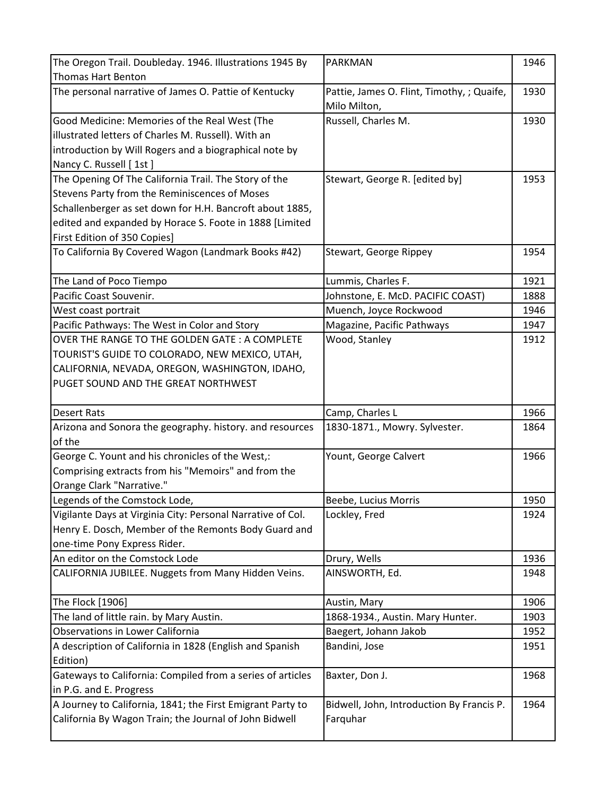| The Oregon Trail. Doubleday. 1946. Illustrations 1945 By    | PARKMAN                                    | 1946 |
|-------------------------------------------------------------|--------------------------------------------|------|
| <b>Thomas Hart Benton</b>                                   |                                            |      |
| The personal narrative of James O. Pattie of Kentucky       | Pattie, James O. Flint, Timothy, ; Quaife, | 1930 |
|                                                             | Milo Milton,                               |      |
| Good Medicine: Memories of the Real West (The               | Russell, Charles M.                        | 1930 |
| illustrated letters of Charles M. Russell). With an         |                                            |      |
| introduction by Will Rogers and a biographical note by      |                                            |      |
| Nancy C. Russell [1st]                                      |                                            |      |
| The Opening Of The California Trail. The Story of the       | Stewart, George R. [edited by]             | 1953 |
| Stevens Party from the Reminiscences of Moses               |                                            |      |
| Schallenberger as set down for H.H. Bancroft about 1885,    |                                            |      |
| edited and expanded by Horace S. Foote in 1888 [Limited     |                                            |      |
| First Edition of 350 Copies]                                |                                            |      |
| To California By Covered Wagon (Landmark Books #42)         | Stewart, George Rippey                     | 1954 |
|                                                             |                                            |      |
| The Land of Poco Tiempo                                     | Lummis, Charles F.                         | 1921 |
| Pacific Coast Souvenir.                                     | Johnstone, E. McD. PACIFIC COAST)          | 1888 |
| West coast portrait                                         | Muench, Joyce Rockwood                     | 1946 |
| Pacific Pathways: The West in Color and Story               | Magazine, Pacific Pathways                 | 1947 |
| OVER THE RANGE TO THE GOLDEN GATE: A COMPLETE               | Wood, Stanley                              | 1912 |
| TOURIST'S GUIDE TO COLORADO, NEW MEXICO, UTAH,              |                                            |      |
| CALIFORNIA, NEVADA, OREGON, WASHINGTON, IDAHO,              |                                            |      |
| PUGET SOUND AND THE GREAT NORTHWEST                         |                                            |      |
|                                                             |                                            |      |
|                                                             |                                            |      |
| <b>Desert Rats</b>                                          | Camp, Charles L                            | 1966 |
| Arizona and Sonora the geography. history. and resources    | 1830-1871., Mowry. Sylvester.              | 1864 |
| of the                                                      |                                            |      |
| George C. Yount and his chronicles of the West,:            | Yount, George Calvert                      | 1966 |
| Comprising extracts from his "Memoirs" and from the         |                                            |      |
| Orange Clark "Narrative."                                   |                                            |      |
| Legends of the Comstock Lode,                               | Beebe, Lucius Morris                       | 1950 |
| Vigilante Days at Virginia City: Personal Narrative of Col. | Lockley, Fred                              | 1924 |
| Henry E. Dosch, Member of the Remonts Body Guard and        |                                            |      |
| one-time Pony Express Rider.                                |                                            |      |
| An editor on the Comstock Lode                              | Drury, Wells                               | 1936 |
| CALIFORNIA JUBILEE. Nuggets from Many Hidden Veins.         | AINSWORTH, Ed.                             | 1948 |
|                                                             |                                            |      |
| The Flock [1906]                                            | Austin, Mary                               | 1906 |
| The land of little rain. by Mary Austin.                    | 1868-1934., Austin. Mary Hunter.           | 1903 |
| Observations in Lower California                            | Baegert, Johann Jakob                      | 1952 |
| A description of California in 1828 (English and Spanish    | Bandini, Jose                              | 1951 |
| Edition)                                                    |                                            |      |
| Gateways to California: Compiled from a series of articles  | Baxter, Don J.                             | 1968 |
| in P.G. and E. Progress                                     |                                            |      |
| A Journey to California, 1841; the First Emigrant Party to  | Bidwell, John, Introduction By Francis P.  | 1964 |
| California By Wagon Train; the Journal of John Bidwell      | Farquhar                                   |      |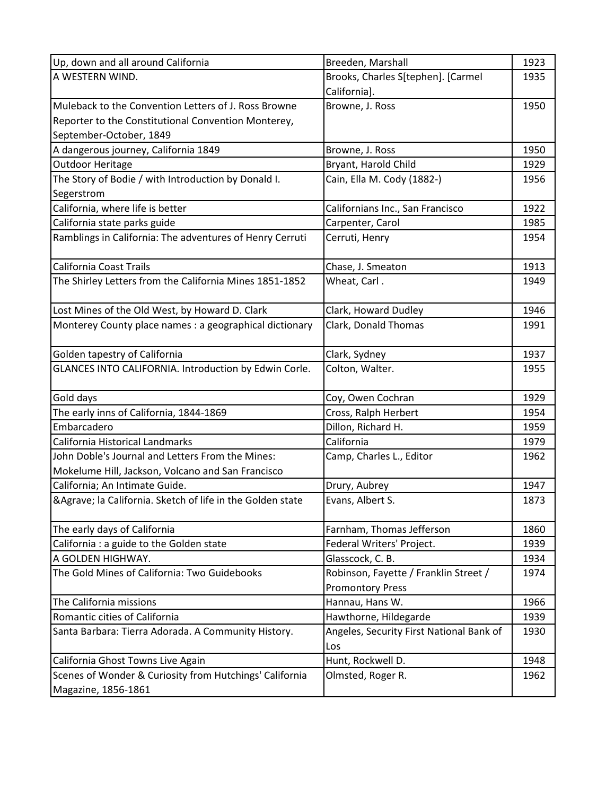| Up, down and all around California                          | Breeden, Marshall                        | 1923 |
|-------------------------------------------------------------|------------------------------------------|------|
| A WESTERN WIND.                                             | Brooks, Charles S[tephen]. [Carmel       | 1935 |
|                                                             | California].                             |      |
| Muleback to the Convention Letters of J. Ross Browne        | Browne, J. Ross                          | 1950 |
| Reporter to the Constitutional Convention Monterey,         |                                          |      |
| September-October, 1849                                     |                                          |      |
| A dangerous journey, California 1849                        | Browne, J. Ross                          | 1950 |
| Outdoor Heritage                                            | Bryant, Harold Child                     | 1929 |
| The Story of Bodie / with Introduction by Donald I.         | Cain, Ella M. Cody (1882-)               | 1956 |
| Segerstrom                                                  |                                          |      |
| California, where life is better                            | Californians Inc., San Francisco         | 1922 |
| California state parks guide                                | Carpenter, Carol                         | 1985 |
| Ramblings in California: The adventures of Henry Cerruti    | Cerruti, Henry                           | 1954 |
| <b>California Coast Trails</b>                              | Chase, J. Smeaton                        | 1913 |
| The Shirley Letters from the California Mines 1851-1852     | Wheat, Carl.                             | 1949 |
|                                                             |                                          |      |
| Lost Mines of the Old West, by Howard D. Clark              | Clark, Howard Dudley                     | 1946 |
| Monterey County place names : a geographical dictionary     | Clark, Donald Thomas                     | 1991 |
|                                                             |                                          |      |
| Golden tapestry of California                               | Clark, Sydney                            | 1937 |
| GLANCES INTO CALIFORNIA. Introduction by Edwin Corle.       | Colton, Walter.                          | 1955 |
|                                                             |                                          |      |
| Gold days                                                   | Coy, Owen Cochran                        | 1929 |
| The early inns of California, 1844-1869                     | Cross, Ralph Herbert                     | 1954 |
| Embarcadero                                                 | Dillon, Richard H.                       | 1959 |
| California Historical Landmarks                             | California                               | 1979 |
| John Doble's Journal and Letters From the Mines:            | Camp, Charles L., Editor                 | 1962 |
| Mokelume Hill, Jackson, Volcano and San Francisco           |                                          |      |
| California; An Intimate Guide.                              | Drury, Aubrey                            | 1947 |
| & Agrave; la California. Sketch of life in the Golden state | Evans, Albert S.                         | 1873 |
|                                                             |                                          |      |
| The early days of California                                | Farnham, Thomas Jefferson                | 1860 |
| California : a guide to the Golden state                    | Federal Writers' Project.                | 1939 |
| A GOLDEN HIGHWAY.                                           | Glasscock, C. B.                         | 1934 |
| The Gold Mines of California: Two Guidebooks                | Robinson, Fayette / Franklin Street /    | 1974 |
|                                                             | <b>Promontory Press</b>                  |      |
| The California missions                                     | Hannau, Hans W.                          | 1966 |
| Romantic cities of California                               | Hawthorne, Hildegarde                    | 1939 |
| Santa Barbara: Tierra Adorada. A Community History.         | Angeles, Security First National Bank of | 1930 |
|                                                             | Los                                      |      |
| California Ghost Towns Live Again                           | Hunt, Rockwell D.                        | 1948 |
| Scenes of Wonder & Curiosity from Hutchings' California     | Olmsted, Roger R.                        | 1962 |
| Magazine, 1856-1861                                         |                                          |      |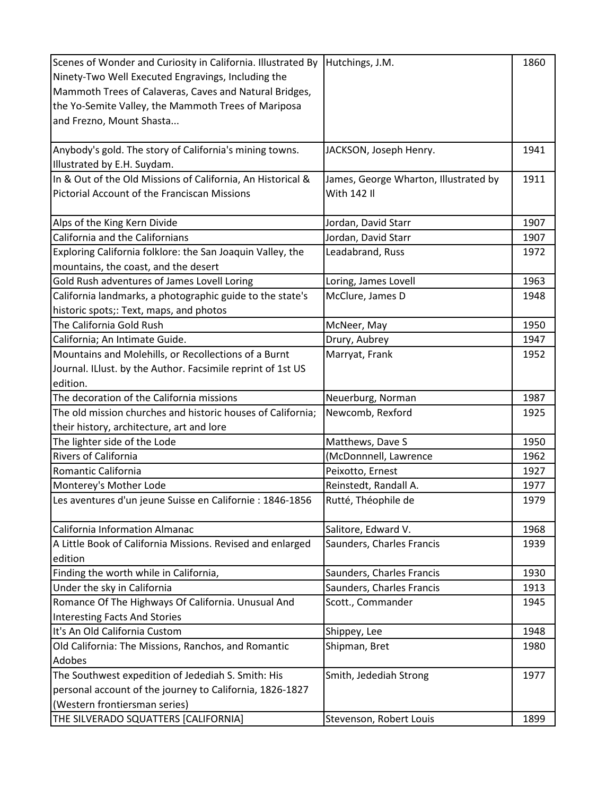| Scenes of Wonder and Curiosity in California. Illustrated By | Hutchings, J.M.                       | 1860 |
|--------------------------------------------------------------|---------------------------------------|------|
| Ninety-Two Well Executed Engravings, Including the           |                                       |      |
| Mammoth Trees of Calaveras, Caves and Natural Bridges,       |                                       |      |
| the Yo-Semite Valley, the Mammoth Trees of Mariposa          |                                       |      |
| and Frezno, Mount Shasta                                     |                                       |      |
|                                                              |                                       |      |
| Anybody's gold. The story of California's mining towns.      | JACKSON, Joseph Henry.                | 1941 |
| Illustrated by E.H. Suydam.                                  |                                       |      |
| In & Out of the Old Missions of California, An Historical &  | James, George Wharton, Illustrated by | 1911 |
| Pictorial Account of the Franciscan Missions                 | With 142 Il                           |      |
|                                                              |                                       |      |
| Alps of the King Kern Divide                                 | Jordan, David Starr                   | 1907 |
| California and the Californians                              | Jordan, David Starr                   | 1907 |
| Exploring California folklore: the San Joaquin Valley, the   | Leadabrand, Russ                      | 1972 |
| mountains, the coast, and the desert                         |                                       |      |
| Gold Rush adventures of James Lovell Loring                  | Loring, James Lovell                  | 1963 |
| California landmarks, a photographic guide to the state's    | McClure, James D                      | 1948 |
| historic spots;: Text, maps, and photos                      |                                       |      |
| The California Gold Rush                                     | McNeer, May                           | 1950 |
| California; An Intimate Guide.                               | Drury, Aubrey                         | 1947 |
| Mountains and Molehills, or Recollections of a Burnt         | Marryat, Frank                        | 1952 |
| Journal. ILlust. by the Author. Facsimile reprint of 1st US  |                                       |      |
| edition.                                                     |                                       |      |
| The decoration of the California missions                    | Neuerburg, Norman                     | 1987 |
| The old mission churches and historic houses of California;  | Newcomb, Rexford                      | 1925 |
| their history, architecture, art and lore                    |                                       |      |
| The lighter side of the Lode                                 | Matthews, Dave S                      | 1950 |
| Rivers of California                                         | (McDonnnell, Lawrence                 | 1962 |
| Romantic California                                          | Peixotto, Ernest                      | 1927 |
| Monterey's Mother Lode                                       | Reinstedt, Randall A.                 | 1977 |
| Les aventures d'un jeune Suisse en Californie : 1846-1856    | Rutté, Théophile de                   | 1979 |
|                                                              |                                       |      |
| California Information Almanac                               | Salitore, Edward V.                   | 1968 |
| A Little Book of California Missions. Revised and enlarged   | Saunders, Charles Francis             | 1939 |
| edition                                                      |                                       |      |
| Finding the worth while in California,                       | Saunders, Charles Francis             | 1930 |
| Under the sky in California                                  | Saunders, Charles Francis             | 1913 |
| Romance Of The Highways Of California. Unusual And           | Scott., Commander                     | 1945 |
| <b>Interesting Facts And Stories</b>                         |                                       |      |
| It's An Old California Custom                                | Shippey, Lee                          | 1948 |
| Old California: The Missions, Ranchos, and Romantic          | Shipman, Bret                         | 1980 |
| Adobes                                                       |                                       |      |
| The Southwest expedition of Jedediah S. Smith: His           | Smith, Jedediah Strong                | 1977 |
|                                                              |                                       |      |
| personal account of the journey to California, 1826-1827     |                                       |      |
| (Western frontiersman series)                                |                                       |      |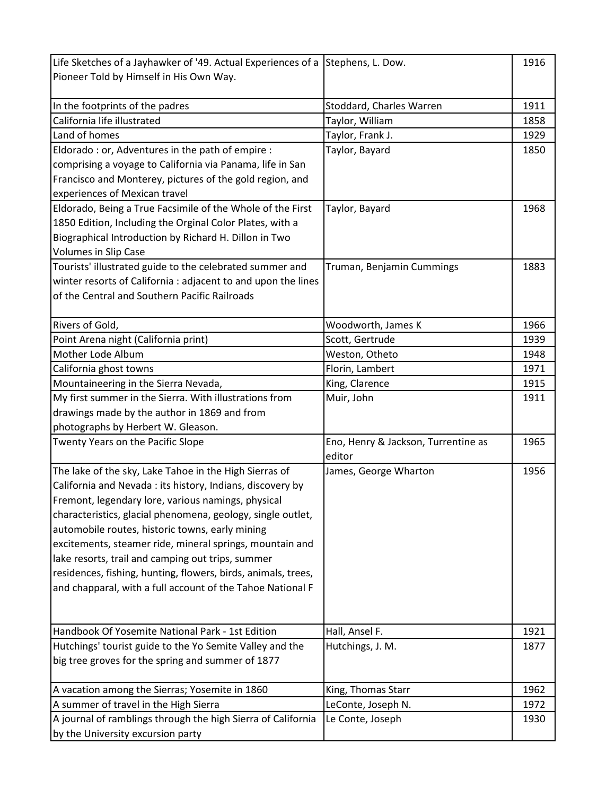| Life Sketches of a Jayhawker of '49. Actual Experiences of a Stephens, L. Dow. |                                     | 1916 |
|--------------------------------------------------------------------------------|-------------------------------------|------|
| Pioneer Told by Himself in His Own Way.                                        |                                     |      |
|                                                                                |                                     |      |
| In the footprints of the padres                                                | Stoddard, Charles Warren            | 1911 |
| California life illustrated                                                    | Taylor, William                     | 1858 |
| Land of homes                                                                  | Taylor, Frank J.                    | 1929 |
| Eldorado : or, Adventures in the path of empire :                              | Taylor, Bayard                      | 1850 |
| comprising a voyage to California via Panama, life in San                      |                                     |      |
| Francisco and Monterey, pictures of the gold region, and                       |                                     |      |
| experiences of Mexican travel                                                  |                                     |      |
| Eldorado, Being a True Facsimile of the Whole of the First                     | Taylor, Bayard                      | 1968 |
| 1850 Edition, Including the Orginal Color Plates, with a                       |                                     |      |
| Biographical Introduction by Richard H. Dillon in Two                          |                                     |      |
| <b>Volumes in Slip Case</b>                                                    |                                     |      |
| Tourists' illustrated guide to the celebrated summer and                       | Truman, Benjamin Cummings           | 1883 |
| winter resorts of California : adjacent to and upon the lines                  |                                     |      |
| of the Central and Southern Pacific Railroads                                  |                                     |      |
|                                                                                |                                     |      |
| Rivers of Gold,                                                                | Woodworth, James K                  | 1966 |
| Point Arena night (California print)                                           | Scott, Gertrude                     | 1939 |
| Mother Lode Album                                                              | Weston, Otheto                      | 1948 |
| California ghost towns                                                         | Florin, Lambert                     | 1971 |
| Mountaineering in the Sierra Nevada,                                           | King, Clarence                      | 1915 |
| My first summer in the Sierra. With illustrations from                         | Muir, John                          | 1911 |
| drawings made by the author in 1869 and from                                   |                                     |      |
| photographs by Herbert W. Gleason.                                             |                                     |      |
| Twenty Years on the Pacific Slope                                              | Eno, Henry & Jackson, Turrentine as | 1965 |
|                                                                                | editor                              |      |
| The lake of the sky, Lake Tahoe in the High Sierras of                         | James, George Wharton               | 1956 |
| California and Nevada: its history, Indians, discovery by                      |                                     |      |
| Fremont, legendary lore, various namings, physical                             |                                     |      |
| characteristics, glacial phenomena, geology, single outlet,                    |                                     |      |
| automobile routes, historic towns, early mining                                |                                     |      |
| excitements, steamer ride, mineral springs, mountain and                       |                                     |      |
| lake resorts, trail and camping out trips, summer                              |                                     |      |
| residences, fishing, hunting, flowers, birds, animals, trees,                  |                                     |      |
| and chapparal, with a full account of the Tahoe National F                     |                                     |      |
|                                                                                |                                     |      |
|                                                                                |                                     |      |
| Handbook Of Yosemite National Park - 1st Edition                               | Hall, Ansel F.                      | 1921 |
| Hutchings' tourist guide to the Yo Semite Valley and the                       | Hutchings, J. M.                    | 1877 |
| big tree groves for the spring and summer of 1877                              |                                     |      |
|                                                                                |                                     |      |
| A vacation among the Sierras; Yosemite in 1860                                 | King, Thomas Starr                  | 1962 |
| A summer of travel in the High Sierra                                          | LeConte, Joseph N.                  | 1972 |
| A journal of ramblings through the high Sierra of California                   | Le Conte, Joseph                    | 1930 |
| by the University excursion party                                              |                                     |      |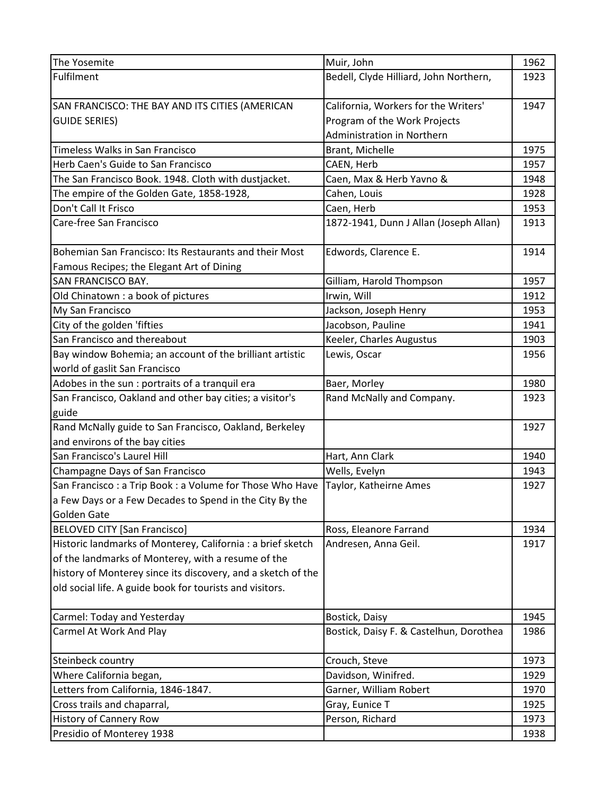| The Yosemite                                                 | Muir, John                              | 1962 |
|--------------------------------------------------------------|-----------------------------------------|------|
| Fulfilment                                                   | Bedell, Clyde Hilliard, John Northern,  | 1923 |
|                                                              |                                         |      |
| SAN FRANCISCO: THE BAY AND ITS CITIES (AMERICAN              | California, Workers for the Writers'    | 1947 |
| <b>GUIDE SERIES)</b>                                         | Program of the Work Projects            |      |
|                                                              | Administration in Northern              |      |
| Timeless Walks in San Francisco                              | Brant, Michelle                         | 1975 |
| Herb Caen's Guide to San Francisco                           | CAEN, Herb                              | 1957 |
| The San Francisco Book. 1948. Cloth with dustjacket.         | Caen, Max & Herb Yavno &                | 1948 |
| The empire of the Golden Gate, 1858-1928,                    | Cahen, Louis                            | 1928 |
| Don't Call It Frisco                                         | Caen, Herb                              | 1953 |
| Care-free San Francisco                                      | 1872-1941, Dunn J Allan (Joseph Allan)  | 1913 |
|                                                              |                                         |      |
| Bohemian San Francisco: Its Restaurants and their Most       | Edwords, Clarence E.                    | 1914 |
| Famous Recipes; the Elegant Art of Dining                    |                                         |      |
| <b>SAN FRANCISCO BAY.</b>                                    | Gilliam, Harold Thompson                | 1957 |
| Old Chinatown : a book of pictures                           | Irwin, Will                             | 1912 |
| My San Francisco                                             | Jackson, Joseph Henry                   | 1953 |
| City of the golden 'fifties                                  | Jacobson, Pauline                       | 1941 |
| San Francisco and thereabout                                 | Keeler, Charles Augustus                | 1903 |
| Bay window Bohemia; an account of the brilliant artistic     | Lewis, Oscar                            | 1956 |
| world of gaslit San Francisco                                |                                         |      |
| Adobes in the sun : portraits of a tranquil era              | Baer, Morley                            | 1980 |
| San Francisco, Oakland and other bay cities; a visitor's     | Rand McNally and Company.               | 1923 |
| guide                                                        |                                         |      |
| Rand McNally guide to San Francisco, Oakland, Berkeley       |                                         | 1927 |
| and environs of the bay cities                               |                                         |      |
| San Francisco's Laurel Hill                                  | Hart, Ann Clark                         | 1940 |
| Champagne Days of San Francisco                              | Wells, Evelyn                           | 1943 |
| San Francisco: a Trip Book: a Volume for Those Who Have      | Taylor, Katheirne Ames                  | 1927 |
| a Few Days or a Few Decades to Spend in the City By the      |                                         |      |
| Golden Gate                                                  |                                         |      |
| <b>BELOVED CITY [San Francisco]</b>                          | Ross, Eleanore Farrand                  | 1934 |
| Historic landmarks of Monterey, California : a brief sketch  | Andresen, Anna Geil.                    | 1917 |
| of the landmarks of Monterey, with a resume of the           |                                         |      |
| history of Monterey since its discovery, and a sketch of the |                                         |      |
| old social life. A guide book for tourists and visitors.     |                                         |      |
| Carmel: Today and Yesterday                                  | Bostick, Daisy                          | 1945 |
| Carmel At Work And Play                                      | Bostick, Daisy F. & Castelhun, Dorothea | 1986 |
| Steinbeck country                                            | Crouch, Steve                           | 1973 |
| Where California began,                                      | Davidson, Winifred.                     | 1929 |
| Letters from California, 1846-1847.                          | Garner, William Robert                  | 1970 |
| Cross trails and chaparral,                                  | Gray, Eunice T                          | 1925 |
| <b>History of Cannery Row</b>                                | Person, Richard                         | 1973 |
| Presidio of Monterey 1938                                    |                                         | 1938 |
|                                                              |                                         |      |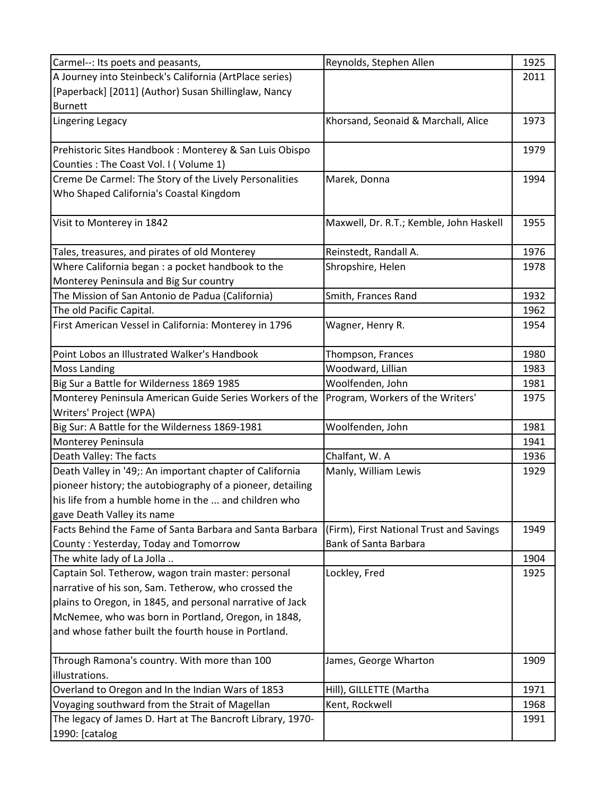| Carmel--: Its poets and peasants,                          | Reynolds, Stephen Allen                  | 1925 |
|------------------------------------------------------------|------------------------------------------|------|
| A Journey into Steinbeck's California (ArtPlace series)    |                                          | 2011 |
| [Paperback] [2011] (Author) Susan Shillinglaw, Nancy       |                                          |      |
| <b>Burnett</b>                                             |                                          |      |
| <b>Lingering Legacy</b>                                    | Khorsand, Seonaid & Marchall, Alice      | 1973 |
| Prehistoric Sites Handbook: Monterey & San Luis Obispo     |                                          | 1979 |
| Counties: The Coast Vol. I (Volume 1)                      |                                          |      |
| Creme De Carmel: The Story of the Lively Personalities     | Marek, Donna                             | 1994 |
| Who Shaped California's Coastal Kingdom                    |                                          |      |
| Visit to Monterey in 1842                                  | Maxwell, Dr. R.T.; Kemble, John Haskell  | 1955 |
| Tales, treasures, and pirates of old Monterey              | Reinstedt, Randall A.                    | 1976 |
| Where California began : a pocket handbook to the          | Shropshire, Helen                        | 1978 |
| Monterey Peninsula and Big Sur country                     |                                          |      |
| The Mission of San Antonio de Padua (California)           | Smith, Frances Rand                      | 1932 |
| The old Pacific Capital.                                   |                                          | 1962 |
| First American Vessel in California: Monterey in 1796      | Wagner, Henry R.                         | 1954 |
| Point Lobos an Illustrated Walker's Handbook               | Thompson, Frances                        | 1980 |
| <b>Moss Landing</b>                                        | Woodward, Lillian                        | 1983 |
| Big Sur a Battle for Wilderness 1869 1985                  | Woolfenden, John                         | 1981 |
| Monterey Peninsula American Guide Series Workers of the    | Program, Workers of the Writers'         | 1975 |
| Writers' Project (WPA)                                     |                                          |      |
| Big Sur: A Battle for the Wilderness 1869-1981             | Woolfenden, John                         | 1981 |
| Monterey Peninsula                                         |                                          | 1941 |
| Death Valley: The facts                                    | Chalfant, W. A                           | 1936 |
| Death Valley in '49;: An important chapter of California   | Manly, William Lewis                     | 1929 |
| pioneer history; the autobiography of a pioneer, detailing |                                          |      |
| his life from a humble home in the  and children who       |                                          |      |
| gave Death Valley its name                                 |                                          |      |
| Facts Behind the Fame of Santa Barbara and Santa Barbara   | (Firm), First National Trust and Savings | 1949 |
| County: Yesterday, Today and Tomorrow                      | <b>Bank of Santa Barbara</b>             |      |
| The white lady of La Jolla                                 |                                          | 1904 |
| Captain Sol. Tetherow, wagon train master: personal        | Lockley, Fred                            | 1925 |
| narrative of his son, Sam. Tetherow, who crossed the       |                                          |      |
| plains to Oregon, in 1845, and personal narrative of Jack  |                                          |      |
| McNemee, who was born in Portland, Oregon, in 1848,        |                                          |      |
| and whose father built the fourth house in Portland.       |                                          |      |
| Through Ramona's country. With more than 100               | James, George Wharton                    | 1909 |
| illustrations.                                             |                                          |      |
| Overland to Oregon and In the Indian Wars of 1853          | Hill), GILLETTE (Martha                  | 1971 |
| Voyaging southward from the Strait of Magellan             | Kent, Rockwell                           | 1968 |
| The legacy of James D. Hart at The Bancroft Library, 1970- |                                          | 1991 |
| 1990: [catalog                                             |                                          |      |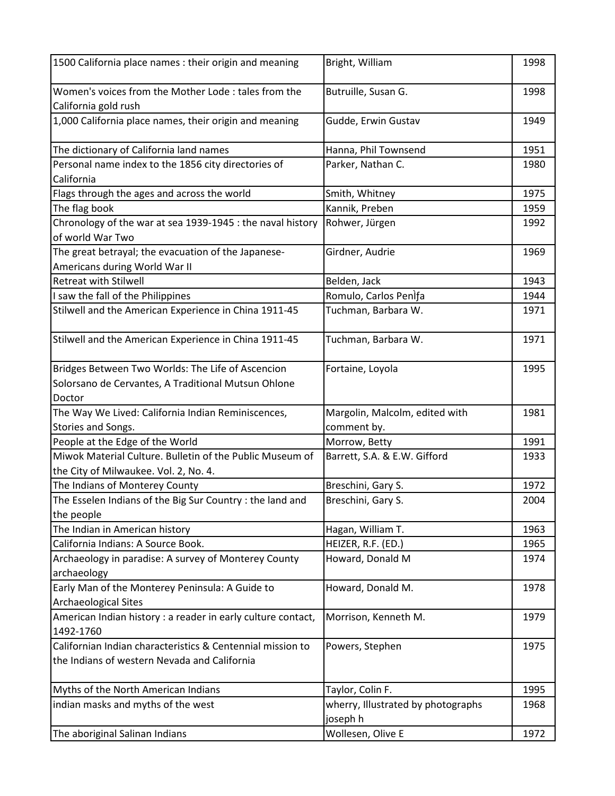| Women's voices from the Mother Lode: tales from the<br>Butruille, Susan G.<br>1998<br>California gold rush<br>1,000 California place names, their origin and meaning<br>Gudde, Erwin Gustav<br>1949<br>The dictionary of California land names<br>Hanna, Phil Townsend<br>1951<br>Parker, Nathan C.<br>Personal name index to the 1856 city directories of<br>1980<br>California<br>Flags through the ages and across the world<br>1975<br>Smith, Whitney<br>Kannik, Preben<br>The flag book<br>1959<br>Chronology of the war at sea 1939-1945 : the naval history<br>Rohwer, Jürgen<br>1992<br>of world War Two<br>The great betrayal; the evacuation of the Japanese-<br>Girdner, Audrie<br>1969<br>Americans during World War II<br><b>Retreat with Stilwell</b><br>Belden, Jack<br>1943<br>Romulo, Carlos Penifa<br>I saw the fall of the Philippines<br>1944<br>Stilwell and the American Experience in China 1911-45<br>Tuchman, Barbara W.<br>1971<br>Stilwell and the American Experience in China 1911-45<br>Tuchman, Barbara W.<br>1971<br>Bridges Between Two Worlds: The Life of Ascencion<br>1995<br>Fortaine, Loyola<br>Solorsano de Cervantes, A Traditional Mutsun Ohlone<br>Doctor<br>The Way We Lived: California Indian Reminiscences,<br>Margolin, Malcolm, edited with<br>1981<br>Stories and Songs.<br>comment by.<br>Morrow, Betty<br>People at the Edge of the World<br>1991<br>Miwok Material Culture. Bulletin of the Public Museum of<br>Barrett, S.A. & E.W. Gifford<br>1933<br>the City of Milwaukee. Vol. 2, No. 4.<br>The Indians of Monterey County<br>1972<br>Breschini, Gary S.<br>The Esselen Indians of the Big Sur Country : the land and<br>Breschini, Gary S.<br>2004<br>the people<br>The Indian in American history<br>Hagan, William T.<br>1963<br>California Indians: A Source Book.<br>HEIZER, R.F. (ED.)<br>1965<br>Archaeology in paradise: A survey of Monterey County<br>Howard, Donald M<br>1974<br>archaeology<br>Early Man of the Monterey Peninsula: A Guide to<br>Howard, Donald M.<br>1978<br>Archaeological Sites<br>American Indian history : a reader in early culture contact,<br>Morrison, Kenneth M.<br>1979<br>1492-1760<br>Californian Indian characteristics & Centennial mission to<br>Powers, Stephen<br>1975<br>the Indians of western Nevada and California<br>Myths of the North American Indians<br>1995<br>Taylor, Colin F.<br>indian masks and myths of the west<br>wherry, Illustrated by photographs<br>1968<br>joseph h<br>Wollesen, Olive E<br>1972<br>The aboriginal Salinan Indians | 1500 California place names : their origin and meaning | Bright, William | 1998 |
|------------------------------------------------------------------------------------------------------------------------------------------------------------------------------------------------------------------------------------------------------------------------------------------------------------------------------------------------------------------------------------------------------------------------------------------------------------------------------------------------------------------------------------------------------------------------------------------------------------------------------------------------------------------------------------------------------------------------------------------------------------------------------------------------------------------------------------------------------------------------------------------------------------------------------------------------------------------------------------------------------------------------------------------------------------------------------------------------------------------------------------------------------------------------------------------------------------------------------------------------------------------------------------------------------------------------------------------------------------------------------------------------------------------------------------------------------------------------------------------------------------------------------------------------------------------------------------------------------------------------------------------------------------------------------------------------------------------------------------------------------------------------------------------------------------------------------------------------------------------------------------------------------------------------------------------------------------------------------------------------------------------------------------------------------------------------------------------------------------------------------------------------------------------------------------------------------------------------------------------------------------------------------------------------------------------------------------------------------------------------------------------------------------------------------------------------------------------------------------------------------------------------------------------------------------------|--------------------------------------------------------|-----------------|------|
|                                                                                                                                                                                                                                                                                                                                                                                                                                                                                                                                                                                                                                                                                                                                                                                                                                                                                                                                                                                                                                                                                                                                                                                                                                                                                                                                                                                                                                                                                                                                                                                                                                                                                                                                                                                                                                                                                                                                                                                                                                                                                                                                                                                                                                                                                                                                                                                                                                                                                                                                                                  |                                                        |                 |      |
|                                                                                                                                                                                                                                                                                                                                                                                                                                                                                                                                                                                                                                                                                                                                                                                                                                                                                                                                                                                                                                                                                                                                                                                                                                                                                                                                                                                                                                                                                                                                                                                                                                                                                                                                                                                                                                                                                                                                                                                                                                                                                                                                                                                                                                                                                                                                                                                                                                                                                                                                                                  |                                                        |                 |      |
|                                                                                                                                                                                                                                                                                                                                                                                                                                                                                                                                                                                                                                                                                                                                                                                                                                                                                                                                                                                                                                                                                                                                                                                                                                                                                                                                                                                                                                                                                                                                                                                                                                                                                                                                                                                                                                                                                                                                                                                                                                                                                                                                                                                                                                                                                                                                                                                                                                                                                                                                                                  |                                                        |                 |      |
|                                                                                                                                                                                                                                                                                                                                                                                                                                                                                                                                                                                                                                                                                                                                                                                                                                                                                                                                                                                                                                                                                                                                                                                                                                                                                                                                                                                                                                                                                                                                                                                                                                                                                                                                                                                                                                                                                                                                                                                                                                                                                                                                                                                                                                                                                                                                                                                                                                                                                                                                                                  |                                                        |                 |      |
|                                                                                                                                                                                                                                                                                                                                                                                                                                                                                                                                                                                                                                                                                                                                                                                                                                                                                                                                                                                                                                                                                                                                                                                                                                                                                                                                                                                                                                                                                                                                                                                                                                                                                                                                                                                                                                                                                                                                                                                                                                                                                                                                                                                                                                                                                                                                                                                                                                                                                                                                                                  |                                                        |                 |      |
|                                                                                                                                                                                                                                                                                                                                                                                                                                                                                                                                                                                                                                                                                                                                                                                                                                                                                                                                                                                                                                                                                                                                                                                                                                                                                                                                                                                                                                                                                                                                                                                                                                                                                                                                                                                                                                                                                                                                                                                                                                                                                                                                                                                                                                                                                                                                                                                                                                                                                                                                                                  |                                                        |                 |      |
|                                                                                                                                                                                                                                                                                                                                                                                                                                                                                                                                                                                                                                                                                                                                                                                                                                                                                                                                                                                                                                                                                                                                                                                                                                                                                                                                                                                                                                                                                                                                                                                                                                                                                                                                                                                                                                                                                                                                                                                                                                                                                                                                                                                                                                                                                                                                                                                                                                                                                                                                                                  |                                                        |                 |      |
|                                                                                                                                                                                                                                                                                                                                                                                                                                                                                                                                                                                                                                                                                                                                                                                                                                                                                                                                                                                                                                                                                                                                                                                                                                                                                                                                                                                                                                                                                                                                                                                                                                                                                                                                                                                                                                                                                                                                                                                                                                                                                                                                                                                                                                                                                                                                                                                                                                                                                                                                                                  |                                                        |                 |      |
|                                                                                                                                                                                                                                                                                                                                                                                                                                                                                                                                                                                                                                                                                                                                                                                                                                                                                                                                                                                                                                                                                                                                                                                                                                                                                                                                                                                                                                                                                                                                                                                                                                                                                                                                                                                                                                                                                                                                                                                                                                                                                                                                                                                                                                                                                                                                                                                                                                                                                                                                                                  |                                                        |                 |      |
|                                                                                                                                                                                                                                                                                                                                                                                                                                                                                                                                                                                                                                                                                                                                                                                                                                                                                                                                                                                                                                                                                                                                                                                                                                                                                                                                                                                                                                                                                                                                                                                                                                                                                                                                                                                                                                                                                                                                                                                                                                                                                                                                                                                                                                                                                                                                                                                                                                                                                                                                                                  |                                                        |                 |      |
|                                                                                                                                                                                                                                                                                                                                                                                                                                                                                                                                                                                                                                                                                                                                                                                                                                                                                                                                                                                                                                                                                                                                                                                                                                                                                                                                                                                                                                                                                                                                                                                                                                                                                                                                                                                                                                                                                                                                                                                                                                                                                                                                                                                                                                                                                                                                                                                                                                                                                                                                                                  |                                                        |                 |      |
|                                                                                                                                                                                                                                                                                                                                                                                                                                                                                                                                                                                                                                                                                                                                                                                                                                                                                                                                                                                                                                                                                                                                                                                                                                                                                                                                                                                                                                                                                                                                                                                                                                                                                                                                                                                                                                                                                                                                                                                                                                                                                                                                                                                                                                                                                                                                                                                                                                                                                                                                                                  |                                                        |                 |      |
|                                                                                                                                                                                                                                                                                                                                                                                                                                                                                                                                                                                                                                                                                                                                                                                                                                                                                                                                                                                                                                                                                                                                                                                                                                                                                                                                                                                                                                                                                                                                                                                                                                                                                                                                                                                                                                                                                                                                                                                                                                                                                                                                                                                                                                                                                                                                                                                                                                                                                                                                                                  |                                                        |                 |      |
|                                                                                                                                                                                                                                                                                                                                                                                                                                                                                                                                                                                                                                                                                                                                                                                                                                                                                                                                                                                                                                                                                                                                                                                                                                                                                                                                                                                                                                                                                                                                                                                                                                                                                                                                                                                                                                                                                                                                                                                                                                                                                                                                                                                                                                                                                                                                                                                                                                                                                                                                                                  |                                                        |                 |      |
|                                                                                                                                                                                                                                                                                                                                                                                                                                                                                                                                                                                                                                                                                                                                                                                                                                                                                                                                                                                                                                                                                                                                                                                                                                                                                                                                                                                                                                                                                                                                                                                                                                                                                                                                                                                                                                                                                                                                                                                                                                                                                                                                                                                                                                                                                                                                                                                                                                                                                                                                                                  |                                                        |                 |      |
|                                                                                                                                                                                                                                                                                                                                                                                                                                                                                                                                                                                                                                                                                                                                                                                                                                                                                                                                                                                                                                                                                                                                                                                                                                                                                                                                                                                                                                                                                                                                                                                                                                                                                                                                                                                                                                                                                                                                                                                                                                                                                                                                                                                                                                                                                                                                                                                                                                                                                                                                                                  |                                                        |                 |      |
|                                                                                                                                                                                                                                                                                                                                                                                                                                                                                                                                                                                                                                                                                                                                                                                                                                                                                                                                                                                                                                                                                                                                                                                                                                                                                                                                                                                                                                                                                                                                                                                                                                                                                                                                                                                                                                                                                                                                                                                                                                                                                                                                                                                                                                                                                                                                                                                                                                                                                                                                                                  |                                                        |                 |      |
|                                                                                                                                                                                                                                                                                                                                                                                                                                                                                                                                                                                                                                                                                                                                                                                                                                                                                                                                                                                                                                                                                                                                                                                                                                                                                                                                                                                                                                                                                                                                                                                                                                                                                                                                                                                                                                                                                                                                                                                                                                                                                                                                                                                                                                                                                                                                                                                                                                                                                                                                                                  |                                                        |                 |      |
|                                                                                                                                                                                                                                                                                                                                                                                                                                                                                                                                                                                                                                                                                                                                                                                                                                                                                                                                                                                                                                                                                                                                                                                                                                                                                                                                                                                                                                                                                                                                                                                                                                                                                                                                                                                                                                                                                                                                                                                                                                                                                                                                                                                                                                                                                                                                                                                                                                                                                                                                                                  |                                                        |                 |      |
|                                                                                                                                                                                                                                                                                                                                                                                                                                                                                                                                                                                                                                                                                                                                                                                                                                                                                                                                                                                                                                                                                                                                                                                                                                                                                                                                                                                                                                                                                                                                                                                                                                                                                                                                                                                                                                                                                                                                                                                                                                                                                                                                                                                                                                                                                                                                                                                                                                                                                                                                                                  |                                                        |                 |      |
|                                                                                                                                                                                                                                                                                                                                                                                                                                                                                                                                                                                                                                                                                                                                                                                                                                                                                                                                                                                                                                                                                                                                                                                                                                                                                                                                                                                                                                                                                                                                                                                                                                                                                                                                                                                                                                                                                                                                                                                                                                                                                                                                                                                                                                                                                                                                                                                                                                                                                                                                                                  |                                                        |                 |      |
|                                                                                                                                                                                                                                                                                                                                                                                                                                                                                                                                                                                                                                                                                                                                                                                                                                                                                                                                                                                                                                                                                                                                                                                                                                                                                                                                                                                                                                                                                                                                                                                                                                                                                                                                                                                                                                                                                                                                                                                                                                                                                                                                                                                                                                                                                                                                                                                                                                                                                                                                                                  |                                                        |                 |      |
|                                                                                                                                                                                                                                                                                                                                                                                                                                                                                                                                                                                                                                                                                                                                                                                                                                                                                                                                                                                                                                                                                                                                                                                                                                                                                                                                                                                                                                                                                                                                                                                                                                                                                                                                                                                                                                                                                                                                                                                                                                                                                                                                                                                                                                                                                                                                                                                                                                                                                                                                                                  |                                                        |                 |      |
|                                                                                                                                                                                                                                                                                                                                                                                                                                                                                                                                                                                                                                                                                                                                                                                                                                                                                                                                                                                                                                                                                                                                                                                                                                                                                                                                                                                                                                                                                                                                                                                                                                                                                                                                                                                                                                                                                                                                                                                                                                                                                                                                                                                                                                                                                                                                                                                                                                                                                                                                                                  |                                                        |                 |      |
|                                                                                                                                                                                                                                                                                                                                                                                                                                                                                                                                                                                                                                                                                                                                                                                                                                                                                                                                                                                                                                                                                                                                                                                                                                                                                                                                                                                                                                                                                                                                                                                                                                                                                                                                                                                                                                                                                                                                                                                                                                                                                                                                                                                                                                                                                                                                                                                                                                                                                                                                                                  |                                                        |                 |      |
|                                                                                                                                                                                                                                                                                                                                                                                                                                                                                                                                                                                                                                                                                                                                                                                                                                                                                                                                                                                                                                                                                                                                                                                                                                                                                                                                                                                                                                                                                                                                                                                                                                                                                                                                                                                                                                                                                                                                                                                                                                                                                                                                                                                                                                                                                                                                                                                                                                                                                                                                                                  |                                                        |                 |      |
|                                                                                                                                                                                                                                                                                                                                                                                                                                                                                                                                                                                                                                                                                                                                                                                                                                                                                                                                                                                                                                                                                                                                                                                                                                                                                                                                                                                                                                                                                                                                                                                                                                                                                                                                                                                                                                                                                                                                                                                                                                                                                                                                                                                                                                                                                                                                                                                                                                                                                                                                                                  |                                                        |                 |      |
|                                                                                                                                                                                                                                                                                                                                                                                                                                                                                                                                                                                                                                                                                                                                                                                                                                                                                                                                                                                                                                                                                                                                                                                                                                                                                                                                                                                                                                                                                                                                                                                                                                                                                                                                                                                                                                                                                                                                                                                                                                                                                                                                                                                                                                                                                                                                                                                                                                                                                                                                                                  |                                                        |                 |      |
|                                                                                                                                                                                                                                                                                                                                                                                                                                                                                                                                                                                                                                                                                                                                                                                                                                                                                                                                                                                                                                                                                                                                                                                                                                                                                                                                                                                                                                                                                                                                                                                                                                                                                                                                                                                                                                                                                                                                                                                                                                                                                                                                                                                                                                                                                                                                                                                                                                                                                                                                                                  |                                                        |                 |      |
|                                                                                                                                                                                                                                                                                                                                                                                                                                                                                                                                                                                                                                                                                                                                                                                                                                                                                                                                                                                                                                                                                                                                                                                                                                                                                                                                                                                                                                                                                                                                                                                                                                                                                                                                                                                                                                                                                                                                                                                                                                                                                                                                                                                                                                                                                                                                                                                                                                                                                                                                                                  |                                                        |                 |      |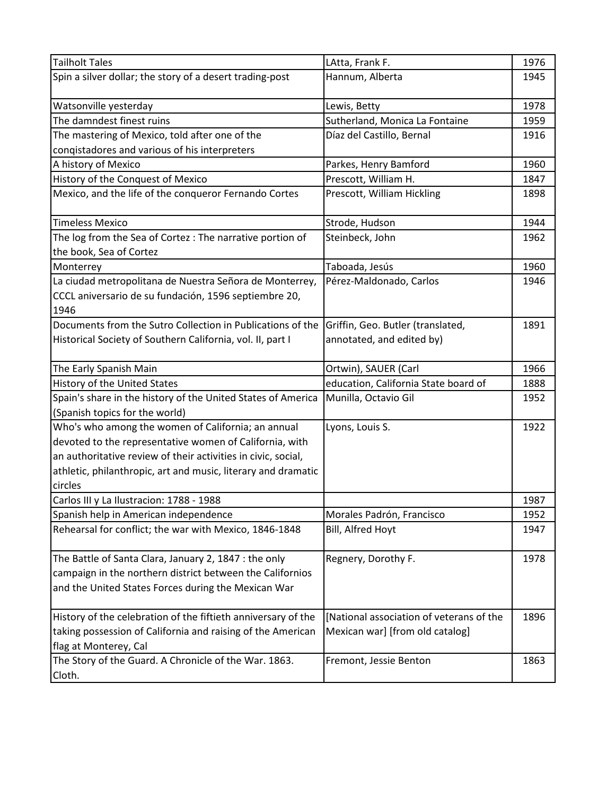| <b>Tailholt Tales</b>                                         | LAtta, Frank F.                          | 1976 |
|---------------------------------------------------------------|------------------------------------------|------|
| Spin a silver dollar; the story of a desert trading-post      | Hannum, Alberta                          | 1945 |
|                                                               |                                          |      |
| Watsonville yesterday                                         | Lewis, Betty                             | 1978 |
| The damndest finest ruins                                     | Sutherland, Monica La Fontaine           | 1959 |
| The mastering of Mexico, told after one of the                | Díaz del Castillo, Bernal                | 1916 |
| conqistadores and various of his interpreters                 |                                          |      |
| A history of Mexico                                           | Parkes, Henry Bamford                    | 1960 |
| History of the Conquest of Mexico                             | Prescott, William H.                     | 1847 |
| Mexico, and the life of the conqueror Fernando Cortes         | Prescott, William Hickling               | 1898 |
|                                                               |                                          |      |
| <b>Timeless Mexico</b>                                        | Strode, Hudson                           | 1944 |
| The log from the Sea of Cortez : The narrative portion of     | Steinbeck, John                          | 1962 |
| the book, Sea of Cortez                                       |                                          |      |
| Monterrey                                                     | Taboada, Jesús                           | 1960 |
| La ciudad metropolitana de Nuestra Señora de Monterrey,       | Pérez-Maldonado, Carlos                  | 1946 |
| CCCL aniversario de su fundación, 1596 septiembre 20,         |                                          |      |
| 1946                                                          |                                          |      |
| Documents from the Sutro Collection in Publications of the    | Griffin, Geo. Butler (translated,        | 1891 |
| Historical Society of Southern California, vol. II, part I    | annotated, and edited by)                |      |
|                                                               |                                          |      |
| The Early Spanish Main                                        | Ortwin), SAUER (Carl                     | 1966 |
| History of the United States                                  | education, California State board of     | 1888 |
| Spain's share in the history of the United States of America  | Munilla, Octavio Gil                     | 1952 |
| (Spanish topics for the world)                                |                                          |      |
| Who's who among the women of California; an annual            | Lyons, Louis S.                          | 1922 |
| devoted to the representative women of California, with       |                                          |      |
| an authoritative review of their activities in civic, social, |                                          |      |
| athletic, philanthropic, art and music, literary and dramatic |                                          |      |
| circles                                                       |                                          |      |
| Carlos III y La Ilustracion: 1788 - 1988                      |                                          | 1987 |
| Spanish help in American independence                         | Morales Padrón, Francisco                | 1952 |
| Rehearsal for conflict; the war with Mexico, 1846-1848        | Bill, Alfred Hoyt                        | 1947 |
|                                                               |                                          |      |
| The Battle of Santa Clara, January 2, 1847 : the only         | Regnery, Dorothy F.                      | 1978 |
| campaign in the northern district between the Californios     |                                          |      |
| and the United States Forces during the Mexican War           |                                          |      |
|                                                               |                                          |      |
| History of the celebration of the fiftieth anniversary of the | [National association of veterans of the | 1896 |
| taking possession of California and raising of the American   | Mexican war] [from old catalog]          |      |
| flag at Monterey, Cal                                         |                                          |      |
| The Story of the Guard. A Chronicle of the War. 1863.         | Fremont, Jessie Benton                   | 1863 |
| Cloth.                                                        |                                          |      |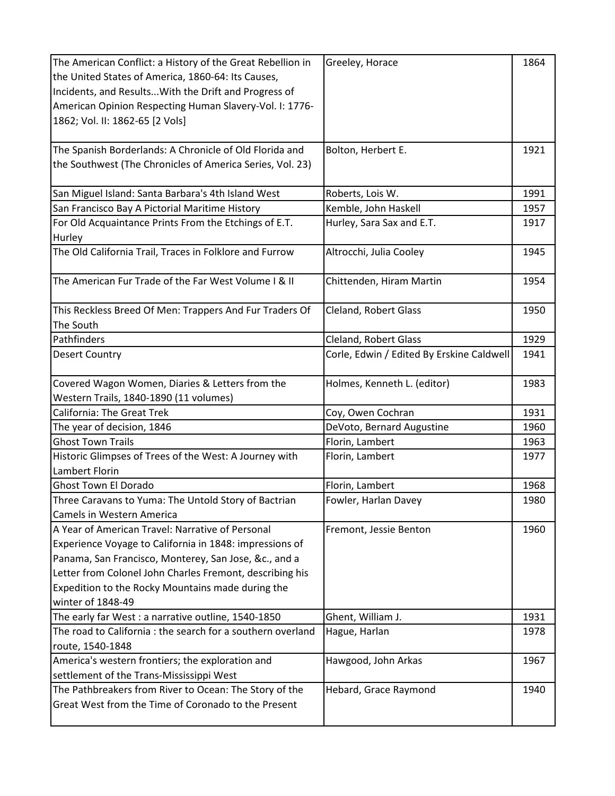| The American Conflict: a History of the Great Rebellion in | Greeley, Horace                           | 1864 |
|------------------------------------------------------------|-------------------------------------------|------|
| the United States of America, 1860-64: Its Causes,         |                                           |      |
| Incidents, and Results With the Drift and Progress of      |                                           |      |
| American Opinion Respecting Human Slavery-Vol. I: 1776-    |                                           |      |
| 1862; Vol. II: 1862-65 [2 Vols]                            |                                           |      |
|                                                            |                                           |      |
| The Spanish Borderlands: A Chronicle of Old Florida and    | Bolton, Herbert E.                        | 1921 |
| the Southwest (The Chronicles of America Series, Vol. 23)  |                                           |      |
|                                                            |                                           |      |
| San Miguel Island: Santa Barbara's 4th Island West         | Roberts, Lois W.                          | 1991 |
| San Francisco Bay A Pictorial Maritime History             | Kemble, John Haskell                      | 1957 |
| For Old Acquaintance Prints From the Etchings of E.T.      | Hurley, Sara Sax and E.T.                 | 1917 |
| Hurley                                                     |                                           |      |
| The Old California Trail, Traces in Folklore and Furrow    | Altrocchi, Julia Cooley                   | 1945 |
|                                                            |                                           |      |
| The American Fur Trade of the Far West Volume I & II       | Chittenden, Hiram Martin                  | 1954 |
|                                                            |                                           |      |
| This Reckless Breed Of Men: Trappers And Fur Traders Of    | Cleland, Robert Glass                     | 1950 |
| The South                                                  |                                           |      |
| Pathfinders                                                | <b>Cleland, Robert Glass</b>              | 1929 |
| <b>Desert Country</b>                                      | Corle, Edwin / Edited By Erskine Caldwell | 1941 |
|                                                            |                                           |      |
| Covered Wagon Women, Diaries & Letters from the            | Holmes, Kenneth L. (editor)               | 1983 |
| Western Trails, 1840-1890 (11 volumes)                     |                                           |      |
| <b>California: The Great Trek</b>                          | Coy, Owen Cochran                         | 1931 |
| The year of decision, 1846                                 | DeVoto, Bernard Augustine                 | 1960 |
| <b>Ghost Town Trails</b>                                   | Florin, Lambert                           | 1963 |
| Historic Glimpses of Trees of the West: A Journey with     | Florin, Lambert                           | 1977 |
| Lambert Florin                                             |                                           |      |
| <b>Ghost Town El Dorado</b>                                | Florin, Lambert                           | 1968 |
| Three Caravans to Yuma: The Untold Story of Bactrian       | Fowler, Harlan Davey                      | 1980 |
| Camels in Western America                                  |                                           |      |
| A Year of American Travel: Narrative of Personal           | Fremont, Jessie Benton                    | 1960 |
| Experience Voyage to California in 1848: impressions of    |                                           |      |
| Panama, San Francisco, Monterey, San Jose, &c., and a      |                                           |      |
| Letter from Colonel John Charles Fremont, describing his   |                                           |      |
| Expedition to the Rocky Mountains made during the          |                                           |      |
| winter of 1848-49                                          |                                           |      |
| The early far West : a narrative outline, 1540-1850        | Ghent, William J.                         | 1931 |
| The road to California: the search for a southern overland | Hague, Harlan                             | 1978 |
| route, 1540-1848                                           |                                           |      |
| America's western frontiers; the exploration and           | Hawgood, John Arkas                       | 1967 |
| settlement of the Trans-Mississippi West                   |                                           |      |
| The Pathbreakers from River to Ocean: The Story of the     | Hebard, Grace Raymond                     | 1940 |
| Great West from the Time of Coronado to the Present        |                                           |      |
|                                                            |                                           |      |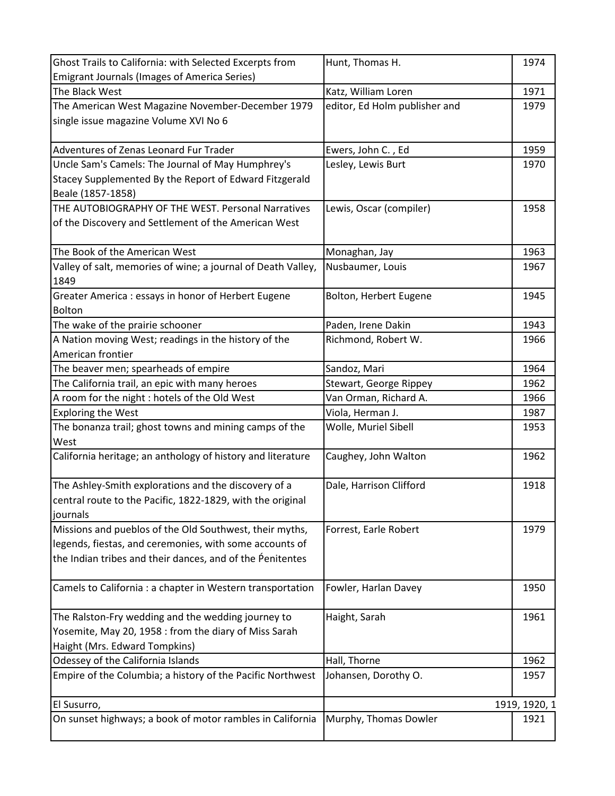| Ghost Trails to California: with Selected Excerpts from      | Hunt, Thomas H.               | 1974          |
|--------------------------------------------------------------|-------------------------------|---------------|
| <b>Emigrant Journals (Images of America Series)</b>          |                               |               |
| The Black West                                               | Katz, William Loren           | 1971          |
| The American West Magazine November-December 1979            | editor, Ed Holm publisher and | 1979          |
| single issue magazine Volume XVI No 6                        |                               |               |
| Adventures of Zenas Leonard Fur Trader                       | Ewers, John C., Ed            | 1959          |
| Uncle Sam's Camels: The Journal of May Humphrey's            | Lesley, Lewis Burt            | 1970          |
| Stacey Supplemented By the Report of Edward Fitzgerald       |                               |               |
| Beale (1857-1858)                                            |                               |               |
| THE AUTOBIOGRAPHY OF THE WEST. Personal Narratives           | Lewis, Oscar (compiler)       | 1958          |
| of the Discovery and Settlement of the American West         |                               |               |
| The Book of the American West                                | Monaghan, Jay                 | 1963          |
| Valley of salt, memories of wine; a journal of Death Valley, | Nusbaumer, Louis              | 1967          |
| 1849                                                         |                               |               |
| Greater America: essays in honor of Herbert Eugene           | Bolton, Herbert Eugene        | 1945          |
| <b>Bolton</b>                                                |                               |               |
| The wake of the prairie schooner                             | Paden, Irene Dakin            | 1943          |
| A Nation moving West; readings in the history of the         | Richmond, Robert W.           | 1966          |
| American frontier                                            |                               |               |
| The beaver men; spearheads of empire                         | Sandoz, Mari                  | 1964          |
| The California trail, an epic with many heroes               | Stewart, George Rippey        | 1962          |
| A room for the night : hotels of the Old West                | Van Orman, Richard A.         | 1966          |
| <b>Exploring the West</b>                                    | Viola, Herman J.              | 1987          |
| The bonanza trail; ghost towns and mining camps of the       | Wolle, Muriel Sibell          | 1953          |
| West                                                         |                               |               |
| California heritage; an anthology of history and literature  | Caughey, John Walton          | 1962          |
| The Ashley-Smith explorations and the discovery of a         | Dale, Harrison Clifford       | 1918          |
| central route to the Pacific, 1822-1829, with the original   |                               |               |
| journals                                                     |                               |               |
| Missions and pueblos of the Old Southwest, their myths,      | Forrest, Earle Robert         | 1979          |
| legends, fiestas, and ceremonies, with some accounts of      |                               |               |
| the Indian tribes and their dances, and of the Penitentes    |                               |               |
|                                                              |                               |               |
| Camels to California : a chapter in Western transportation   | Fowler, Harlan Davey          | 1950          |
| The Ralston-Fry wedding and the wedding journey to           | Haight, Sarah                 | 1961          |
| Yosemite, May 20, 1958 : from the diary of Miss Sarah        |                               |               |
| Haight (Mrs. Edward Tompkins)                                |                               |               |
| Odessey of the California Islands                            | Hall, Thorne                  | 1962          |
| Empire of the Columbia; a history of the Pacific Northwest   | Johansen, Dorothy O.          | 1957          |
|                                                              |                               |               |
| El Susurro,                                                  |                               | 1919, 1920, 1 |
| On sunset highways; a book of motor rambles in California    | Murphy, Thomas Dowler         | 1921          |
|                                                              |                               |               |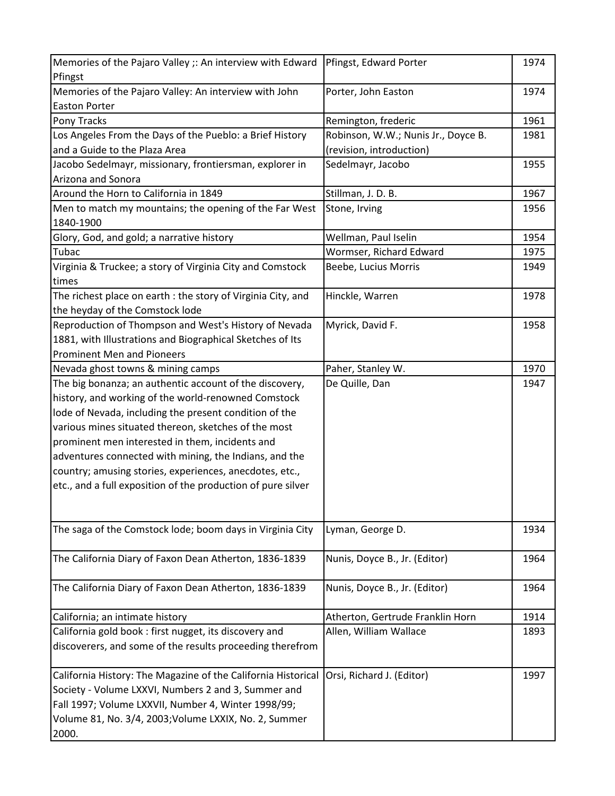| Memories of the Pajaro Valley: An interview with John<br>Porter, John Easton<br>1974<br><b>Easton Porter</b><br>Pony Tracks<br>Remington, frederic<br>1961<br>Los Angeles From the Days of the Pueblo: a Brief History<br>Robinson, W.W.; Nunis Jr., Doyce B.<br>1981<br>and a Guide to the Plaza Area<br>(revision, introduction)<br>Jacobo Sedelmayr, missionary, frontiersman, explorer in<br>Sedelmayr, Jacobo<br>1955<br>Arizona and Sonora<br>Around the Horn to California in 1849<br>Stillman, J. D. B.<br>1967<br>Men to match my mountains; the opening of the Far West<br>Stone, Irving<br>1956<br>1840-1900<br>Glory, God, and gold; a narrative history<br>Wellman, Paul Iselin<br>1954<br>Tubac<br>Wormser, Richard Edward<br>1975<br>Virginia & Truckee; a story of Virginia City and Comstock<br>Beebe, Lucius Morris<br>1949<br>times<br>The richest place on earth : the story of Virginia City, and<br>1978<br>Hinckle, Warren<br>the heyday of the Comstock lode<br>Reproduction of Thompson and West's History of Nevada<br>Myrick, David F.<br>1958<br>1881, with Illustrations and Biographical Sketches of Its<br><b>Prominent Men and Pioneers</b><br>Nevada ghost towns & mining camps<br>Paher, Stanley W.<br>1970<br>The big bonanza; an authentic account of the discovery,<br>De Quille, Dan<br>1947<br>history, and working of the world-renowned Comstock<br>lode of Nevada, including the present condition of the<br>various mines situated thereon, sketches of the most<br>prominent men interested in them, incidents and<br>adventures connected with mining, the Indians, and the<br>country; amusing stories, experiences, anecdotes, etc.,<br>etc., and a full exposition of the production of pure silver<br>The saga of the Comstock lode; boom days in Virginia City<br>Lyman, George D.<br>1934<br>The California Diary of Faxon Dean Atherton, 1836-1839<br>Nunis, Doyce B., Jr. (Editor)<br>1964<br>The California Diary of Faxon Dean Atherton, 1836-1839<br>Nunis, Doyce B., Jr. (Editor)<br>1964<br>California; an intimate history<br>Atherton, Gertrude Franklin Horn<br>1914<br>California gold book: first nugget, its discovery and<br>Allen, William Wallace<br>1893<br>discoverers, and some of the results proceeding therefrom<br>California History: The Magazine of the California Historical<br>Orsi, Richard J. (Editor)<br>1997<br>Society - Volume LXXVI, Numbers 2 and 3, Summer and<br>Fall 1997; Volume LXXVII, Number 4, Winter 1998/99;<br>Volume 81, No. 3/4, 2003; Volume LXXIX, No. 2, Summer | Memories of the Pajaro Valley ;: An interview with Edward | Pfingst, Edward Porter | 1974 |
|------------------------------------------------------------------------------------------------------------------------------------------------------------------------------------------------------------------------------------------------------------------------------------------------------------------------------------------------------------------------------------------------------------------------------------------------------------------------------------------------------------------------------------------------------------------------------------------------------------------------------------------------------------------------------------------------------------------------------------------------------------------------------------------------------------------------------------------------------------------------------------------------------------------------------------------------------------------------------------------------------------------------------------------------------------------------------------------------------------------------------------------------------------------------------------------------------------------------------------------------------------------------------------------------------------------------------------------------------------------------------------------------------------------------------------------------------------------------------------------------------------------------------------------------------------------------------------------------------------------------------------------------------------------------------------------------------------------------------------------------------------------------------------------------------------------------------------------------------------------------------------------------------------------------------------------------------------------------------------------------------------------------------------------------------------------------------------------------------------------------------------------------------------------------------------------------------------------------------------------------------------------------------------------------------------------------------------------------------------------------------------------------------------------------------------------------------------------------------------------------------------------------------------------------------------------------|-----------------------------------------------------------|------------------------|------|
|                                                                                                                                                                                                                                                                                                                                                                                                                                                                                                                                                                                                                                                                                                                                                                                                                                                                                                                                                                                                                                                                                                                                                                                                                                                                                                                                                                                                                                                                                                                                                                                                                                                                                                                                                                                                                                                                                                                                                                                                                                                                                                                                                                                                                                                                                                                                                                                                                                                                                                                                                                        | Pfingst                                                   |                        |      |
|                                                                                                                                                                                                                                                                                                                                                                                                                                                                                                                                                                                                                                                                                                                                                                                                                                                                                                                                                                                                                                                                                                                                                                                                                                                                                                                                                                                                                                                                                                                                                                                                                                                                                                                                                                                                                                                                                                                                                                                                                                                                                                                                                                                                                                                                                                                                                                                                                                                                                                                                                                        |                                                           |                        |      |
|                                                                                                                                                                                                                                                                                                                                                                                                                                                                                                                                                                                                                                                                                                                                                                                                                                                                                                                                                                                                                                                                                                                                                                                                                                                                                                                                                                                                                                                                                                                                                                                                                                                                                                                                                                                                                                                                                                                                                                                                                                                                                                                                                                                                                                                                                                                                                                                                                                                                                                                                                                        |                                                           |                        |      |
|                                                                                                                                                                                                                                                                                                                                                                                                                                                                                                                                                                                                                                                                                                                                                                                                                                                                                                                                                                                                                                                                                                                                                                                                                                                                                                                                                                                                                                                                                                                                                                                                                                                                                                                                                                                                                                                                                                                                                                                                                                                                                                                                                                                                                                                                                                                                                                                                                                                                                                                                                                        |                                                           |                        |      |
|                                                                                                                                                                                                                                                                                                                                                                                                                                                                                                                                                                                                                                                                                                                                                                                                                                                                                                                                                                                                                                                                                                                                                                                                                                                                                                                                                                                                                                                                                                                                                                                                                                                                                                                                                                                                                                                                                                                                                                                                                                                                                                                                                                                                                                                                                                                                                                                                                                                                                                                                                                        |                                                           |                        |      |
|                                                                                                                                                                                                                                                                                                                                                                                                                                                                                                                                                                                                                                                                                                                                                                                                                                                                                                                                                                                                                                                                                                                                                                                                                                                                                                                                                                                                                                                                                                                                                                                                                                                                                                                                                                                                                                                                                                                                                                                                                                                                                                                                                                                                                                                                                                                                                                                                                                                                                                                                                                        |                                                           |                        |      |
|                                                                                                                                                                                                                                                                                                                                                                                                                                                                                                                                                                                                                                                                                                                                                                                                                                                                                                                                                                                                                                                                                                                                                                                                                                                                                                                                                                                                                                                                                                                                                                                                                                                                                                                                                                                                                                                                                                                                                                                                                                                                                                                                                                                                                                                                                                                                                                                                                                                                                                                                                                        |                                                           |                        |      |
|                                                                                                                                                                                                                                                                                                                                                                                                                                                                                                                                                                                                                                                                                                                                                                                                                                                                                                                                                                                                                                                                                                                                                                                                                                                                                                                                                                                                                                                                                                                                                                                                                                                                                                                                                                                                                                                                                                                                                                                                                                                                                                                                                                                                                                                                                                                                                                                                                                                                                                                                                                        |                                                           |                        |      |
|                                                                                                                                                                                                                                                                                                                                                                                                                                                                                                                                                                                                                                                                                                                                                                                                                                                                                                                                                                                                                                                                                                                                                                                                                                                                                                                                                                                                                                                                                                                                                                                                                                                                                                                                                                                                                                                                                                                                                                                                                                                                                                                                                                                                                                                                                                                                                                                                                                                                                                                                                                        |                                                           |                        |      |
|                                                                                                                                                                                                                                                                                                                                                                                                                                                                                                                                                                                                                                                                                                                                                                                                                                                                                                                                                                                                                                                                                                                                                                                                                                                                                                                                                                                                                                                                                                                                                                                                                                                                                                                                                                                                                                                                                                                                                                                                                                                                                                                                                                                                                                                                                                                                                                                                                                                                                                                                                                        |                                                           |                        |      |
|                                                                                                                                                                                                                                                                                                                                                                                                                                                                                                                                                                                                                                                                                                                                                                                                                                                                                                                                                                                                                                                                                                                                                                                                                                                                                                                                                                                                                                                                                                                                                                                                                                                                                                                                                                                                                                                                                                                                                                                                                                                                                                                                                                                                                                                                                                                                                                                                                                                                                                                                                                        |                                                           |                        |      |
|                                                                                                                                                                                                                                                                                                                                                                                                                                                                                                                                                                                                                                                                                                                                                                                                                                                                                                                                                                                                                                                                                                                                                                                                                                                                                                                                                                                                                                                                                                                                                                                                                                                                                                                                                                                                                                                                                                                                                                                                                                                                                                                                                                                                                                                                                                                                                                                                                                                                                                                                                                        |                                                           |                        |      |
|                                                                                                                                                                                                                                                                                                                                                                                                                                                                                                                                                                                                                                                                                                                                                                                                                                                                                                                                                                                                                                                                                                                                                                                                                                                                                                                                                                                                                                                                                                                                                                                                                                                                                                                                                                                                                                                                                                                                                                                                                                                                                                                                                                                                                                                                                                                                                                                                                                                                                                                                                                        |                                                           |                        |      |
|                                                                                                                                                                                                                                                                                                                                                                                                                                                                                                                                                                                                                                                                                                                                                                                                                                                                                                                                                                                                                                                                                                                                                                                                                                                                                                                                                                                                                                                                                                                                                                                                                                                                                                                                                                                                                                                                                                                                                                                                                                                                                                                                                                                                                                                                                                                                                                                                                                                                                                                                                                        |                                                           |                        |      |
|                                                                                                                                                                                                                                                                                                                                                                                                                                                                                                                                                                                                                                                                                                                                                                                                                                                                                                                                                                                                                                                                                                                                                                                                                                                                                                                                                                                                                                                                                                                                                                                                                                                                                                                                                                                                                                                                                                                                                                                                                                                                                                                                                                                                                                                                                                                                                                                                                                                                                                                                                                        |                                                           |                        |      |
|                                                                                                                                                                                                                                                                                                                                                                                                                                                                                                                                                                                                                                                                                                                                                                                                                                                                                                                                                                                                                                                                                                                                                                                                                                                                                                                                                                                                                                                                                                                                                                                                                                                                                                                                                                                                                                                                                                                                                                                                                                                                                                                                                                                                                                                                                                                                                                                                                                                                                                                                                                        |                                                           |                        |      |
|                                                                                                                                                                                                                                                                                                                                                                                                                                                                                                                                                                                                                                                                                                                                                                                                                                                                                                                                                                                                                                                                                                                                                                                                                                                                                                                                                                                                                                                                                                                                                                                                                                                                                                                                                                                                                                                                                                                                                                                                                                                                                                                                                                                                                                                                                                                                                                                                                                                                                                                                                                        |                                                           |                        |      |
|                                                                                                                                                                                                                                                                                                                                                                                                                                                                                                                                                                                                                                                                                                                                                                                                                                                                                                                                                                                                                                                                                                                                                                                                                                                                                                                                                                                                                                                                                                                                                                                                                                                                                                                                                                                                                                                                                                                                                                                                                                                                                                                                                                                                                                                                                                                                                                                                                                                                                                                                                                        |                                                           |                        |      |
|                                                                                                                                                                                                                                                                                                                                                                                                                                                                                                                                                                                                                                                                                                                                                                                                                                                                                                                                                                                                                                                                                                                                                                                                                                                                                                                                                                                                                                                                                                                                                                                                                                                                                                                                                                                                                                                                                                                                                                                                                                                                                                                                                                                                                                                                                                                                                                                                                                                                                                                                                                        |                                                           |                        |      |
|                                                                                                                                                                                                                                                                                                                                                                                                                                                                                                                                                                                                                                                                                                                                                                                                                                                                                                                                                                                                                                                                                                                                                                                                                                                                                                                                                                                                                                                                                                                                                                                                                                                                                                                                                                                                                                                                                                                                                                                                                                                                                                                                                                                                                                                                                                                                                                                                                                                                                                                                                                        |                                                           |                        |      |
|                                                                                                                                                                                                                                                                                                                                                                                                                                                                                                                                                                                                                                                                                                                                                                                                                                                                                                                                                                                                                                                                                                                                                                                                                                                                                                                                                                                                                                                                                                                                                                                                                                                                                                                                                                                                                                                                                                                                                                                                                                                                                                                                                                                                                                                                                                                                                                                                                                                                                                                                                                        |                                                           |                        |      |
|                                                                                                                                                                                                                                                                                                                                                                                                                                                                                                                                                                                                                                                                                                                                                                                                                                                                                                                                                                                                                                                                                                                                                                                                                                                                                                                                                                                                                                                                                                                                                                                                                                                                                                                                                                                                                                                                                                                                                                                                                                                                                                                                                                                                                                                                                                                                                                                                                                                                                                                                                                        |                                                           |                        |      |
|                                                                                                                                                                                                                                                                                                                                                                                                                                                                                                                                                                                                                                                                                                                                                                                                                                                                                                                                                                                                                                                                                                                                                                                                                                                                                                                                                                                                                                                                                                                                                                                                                                                                                                                                                                                                                                                                                                                                                                                                                                                                                                                                                                                                                                                                                                                                                                                                                                                                                                                                                                        |                                                           |                        |      |
|                                                                                                                                                                                                                                                                                                                                                                                                                                                                                                                                                                                                                                                                                                                                                                                                                                                                                                                                                                                                                                                                                                                                                                                                                                                                                                                                                                                                                                                                                                                                                                                                                                                                                                                                                                                                                                                                                                                                                                                                                                                                                                                                                                                                                                                                                                                                                                                                                                                                                                                                                                        |                                                           |                        |      |
|                                                                                                                                                                                                                                                                                                                                                                                                                                                                                                                                                                                                                                                                                                                                                                                                                                                                                                                                                                                                                                                                                                                                                                                                                                                                                                                                                                                                                                                                                                                                                                                                                                                                                                                                                                                                                                                                                                                                                                                                                                                                                                                                                                                                                                                                                                                                                                                                                                                                                                                                                                        |                                                           |                        |      |
|                                                                                                                                                                                                                                                                                                                                                                                                                                                                                                                                                                                                                                                                                                                                                                                                                                                                                                                                                                                                                                                                                                                                                                                                                                                                                                                                                                                                                                                                                                                                                                                                                                                                                                                                                                                                                                                                                                                                                                                                                                                                                                                                                                                                                                                                                                                                                                                                                                                                                                                                                                        |                                                           |                        |      |
|                                                                                                                                                                                                                                                                                                                                                                                                                                                                                                                                                                                                                                                                                                                                                                                                                                                                                                                                                                                                                                                                                                                                                                                                                                                                                                                                                                                                                                                                                                                                                                                                                                                                                                                                                                                                                                                                                                                                                                                                                                                                                                                                                                                                                                                                                                                                                                                                                                                                                                                                                                        |                                                           |                        |      |
|                                                                                                                                                                                                                                                                                                                                                                                                                                                                                                                                                                                                                                                                                                                                                                                                                                                                                                                                                                                                                                                                                                                                                                                                                                                                                                                                                                                                                                                                                                                                                                                                                                                                                                                                                                                                                                                                                                                                                                                                                                                                                                                                                                                                                                                                                                                                                                                                                                                                                                                                                                        |                                                           |                        |      |
|                                                                                                                                                                                                                                                                                                                                                                                                                                                                                                                                                                                                                                                                                                                                                                                                                                                                                                                                                                                                                                                                                                                                                                                                                                                                                                                                                                                                                                                                                                                                                                                                                                                                                                                                                                                                                                                                                                                                                                                                                                                                                                                                                                                                                                                                                                                                                                                                                                                                                                                                                                        |                                                           |                        |      |
|                                                                                                                                                                                                                                                                                                                                                                                                                                                                                                                                                                                                                                                                                                                                                                                                                                                                                                                                                                                                                                                                                                                                                                                                                                                                                                                                                                                                                                                                                                                                                                                                                                                                                                                                                                                                                                                                                                                                                                                                                                                                                                                                                                                                                                                                                                                                                                                                                                                                                                                                                                        |                                                           |                        |      |
|                                                                                                                                                                                                                                                                                                                                                                                                                                                                                                                                                                                                                                                                                                                                                                                                                                                                                                                                                                                                                                                                                                                                                                                                                                                                                                                                                                                                                                                                                                                                                                                                                                                                                                                                                                                                                                                                                                                                                                                                                                                                                                                                                                                                                                                                                                                                                                                                                                                                                                                                                                        |                                                           |                        |      |
|                                                                                                                                                                                                                                                                                                                                                                                                                                                                                                                                                                                                                                                                                                                                                                                                                                                                                                                                                                                                                                                                                                                                                                                                                                                                                                                                                                                                                                                                                                                                                                                                                                                                                                                                                                                                                                                                                                                                                                                                                                                                                                                                                                                                                                                                                                                                                                                                                                                                                                                                                                        |                                                           |                        |      |
|                                                                                                                                                                                                                                                                                                                                                                                                                                                                                                                                                                                                                                                                                                                                                                                                                                                                                                                                                                                                                                                                                                                                                                                                                                                                                                                                                                                                                                                                                                                                                                                                                                                                                                                                                                                                                                                                                                                                                                                                                                                                                                                                                                                                                                                                                                                                                                                                                                                                                                                                                                        |                                                           |                        |      |
|                                                                                                                                                                                                                                                                                                                                                                                                                                                                                                                                                                                                                                                                                                                                                                                                                                                                                                                                                                                                                                                                                                                                                                                                                                                                                                                                                                                                                                                                                                                                                                                                                                                                                                                                                                                                                                                                                                                                                                                                                                                                                                                                                                                                                                                                                                                                                                                                                                                                                                                                                                        |                                                           |                        |      |
|                                                                                                                                                                                                                                                                                                                                                                                                                                                                                                                                                                                                                                                                                                                                                                                                                                                                                                                                                                                                                                                                                                                                                                                                                                                                                                                                                                                                                                                                                                                                                                                                                                                                                                                                                                                                                                                                                                                                                                                                                                                                                                                                                                                                                                                                                                                                                                                                                                                                                                                                                                        |                                                           |                        |      |
|                                                                                                                                                                                                                                                                                                                                                                                                                                                                                                                                                                                                                                                                                                                                                                                                                                                                                                                                                                                                                                                                                                                                                                                                                                                                                                                                                                                                                                                                                                                                                                                                                                                                                                                                                                                                                                                                                                                                                                                                                                                                                                                                                                                                                                                                                                                                                                                                                                                                                                                                                                        |                                                           |                        |      |
|                                                                                                                                                                                                                                                                                                                                                                                                                                                                                                                                                                                                                                                                                                                                                                                                                                                                                                                                                                                                                                                                                                                                                                                                                                                                                                                                                                                                                                                                                                                                                                                                                                                                                                                                                                                                                                                                                                                                                                                                                                                                                                                                                                                                                                                                                                                                                                                                                                                                                                                                                                        |                                                           |                        |      |
|                                                                                                                                                                                                                                                                                                                                                                                                                                                                                                                                                                                                                                                                                                                                                                                                                                                                                                                                                                                                                                                                                                                                                                                                                                                                                                                                                                                                                                                                                                                                                                                                                                                                                                                                                                                                                                                                                                                                                                                                                                                                                                                                                                                                                                                                                                                                                                                                                                                                                                                                                                        |                                                           |                        |      |
|                                                                                                                                                                                                                                                                                                                                                                                                                                                                                                                                                                                                                                                                                                                                                                                                                                                                                                                                                                                                                                                                                                                                                                                                                                                                                                                                                                                                                                                                                                                                                                                                                                                                                                                                                                                                                                                                                                                                                                                                                                                                                                                                                                                                                                                                                                                                                                                                                                                                                                                                                                        |                                                           |                        |      |
|                                                                                                                                                                                                                                                                                                                                                                                                                                                                                                                                                                                                                                                                                                                                                                                                                                                                                                                                                                                                                                                                                                                                                                                                                                                                                                                                                                                                                                                                                                                                                                                                                                                                                                                                                                                                                                                                                                                                                                                                                                                                                                                                                                                                                                                                                                                                                                                                                                                                                                                                                                        |                                                           |                        |      |
|                                                                                                                                                                                                                                                                                                                                                                                                                                                                                                                                                                                                                                                                                                                                                                                                                                                                                                                                                                                                                                                                                                                                                                                                                                                                                                                                                                                                                                                                                                                                                                                                                                                                                                                                                                                                                                                                                                                                                                                                                                                                                                                                                                                                                                                                                                                                                                                                                                                                                                                                                                        |                                                           |                        |      |
|                                                                                                                                                                                                                                                                                                                                                                                                                                                                                                                                                                                                                                                                                                                                                                                                                                                                                                                                                                                                                                                                                                                                                                                                                                                                                                                                                                                                                                                                                                                                                                                                                                                                                                                                                                                                                                                                                                                                                                                                                                                                                                                                                                                                                                                                                                                                                                                                                                                                                                                                                                        |                                                           |                        |      |
|                                                                                                                                                                                                                                                                                                                                                                                                                                                                                                                                                                                                                                                                                                                                                                                                                                                                                                                                                                                                                                                                                                                                                                                                                                                                                                                                                                                                                                                                                                                                                                                                                                                                                                                                                                                                                                                                                                                                                                                                                                                                                                                                                                                                                                                                                                                                                                                                                                                                                                                                                                        |                                                           |                        |      |
|                                                                                                                                                                                                                                                                                                                                                                                                                                                                                                                                                                                                                                                                                                                                                                                                                                                                                                                                                                                                                                                                                                                                                                                                                                                                                                                                                                                                                                                                                                                                                                                                                                                                                                                                                                                                                                                                                                                                                                                                                                                                                                                                                                                                                                                                                                                                                                                                                                                                                                                                                                        |                                                           |                        |      |
|                                                                                                                                                                                                                                                                                                                                                                                                                                                                                                                                                                                                                                                                                                                                                                                                                                                                                                                                                                                                                                                                                                                                                                                                                                                                                                                                                                                                                                                                                                                                                                                                                                                                                                                                                                                                                                                                                                                                                                                                                                                                                                                                                                                                                                                                                                                                                                                                                                                                                                                                                                        |                                                           |                        |      |
|                                                                                                                                                                                                                                                                                                                                                                                                                                                                                                                                                                                                                                                                                                                                                                                                                                                                                                                                                                                                                                                                                                                                                                                                                                                                                                                                                                                                                                                                                                                                                                                                                                                                                                                                                                                                                                                                                                                                                                                                                                                                                                                                                                                                                                                                                                                                                                                                                                                                                                                                                                        | 2000.                                                     |                        |      |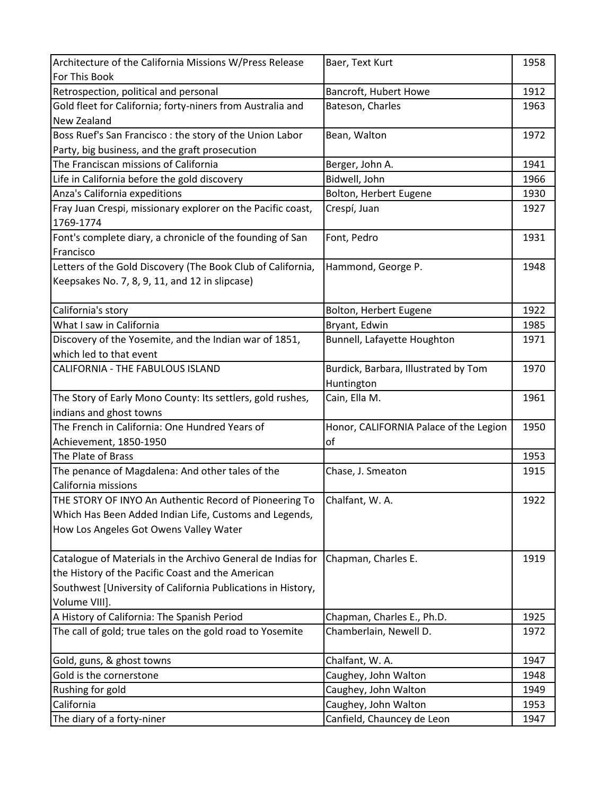| Architecture of the California Missions W/Press Release      | Baer, Text Kurt                        | 1958 |
|--------------------------------------------------------------|----------------------------------------|------|
| For This Book                                                |                                        |      |
| Retrospection, political and personal                        | Bancroft, Hubert Howe                  | 1912 |
| Gold fleet for California; forty-niners from Australia and   | Bateson, Charles                       | 1963 |
| <b>New Zealand</b>                                           |                                        |      |
| Boss Ruef's San Francisco: the story of the Union Labor      | Bean, Walton                           | 1972 |
| Party, big business, and the graft prosecution               |                                        |      |
| The Franciscan missions of California                        | Berger, John A.                        | 1941 |
| Life in California before the gold discovery                 | Bidwell, John                          | 1966 |
| Anza's California expeditions                                | Bolton, Herbert Eugene                 | 1930 |
| Fray Juan Crespi, missionary explorer on the Pacific coast,  | Crespí, Juan                           | 1927 |
| 1769-1774                                                    |                                        |      |
| Font's complete diary, a chronicle of the founding of San    | Font, Pedro                            | 1931 |
| Francisco                                                    |                                        |      |
| Letters of the Gold Discovery (The Book Club of California,  | Hammond, George P.                     | 1948 |
| Keepsakes No. 7, 8, 9, 11, and 12 in slipcase)               |                                        |      |
|                                                              |                                        |      |
| California's story                                           | Bolton, Herbert Eugene                 | 1922 |
| What I saw in California                                     | Bryant, Edwin                          | 1985 |
| Discovery of the Yosemite, and the Indian war of 1851,       | Bunnell, Lafayette Houghton            | 1971 |
| which led to that event                                      |                                        |      |
| CALIFORNIA - THE FABULOUS ISLAND                             | Burdick, Barbara, Illustrated by Tom   | 1970 |
|                                                              | Huntington                             |      |
| The Story of Early Mono County: Its settlers, gold rushes,   | Cain, Ella M.                          | 1961 |
| indians and ghost towns                                      |                                        |      |
| The French in California: One Hundred Years of               | Honor, CALIFORNIA Palace of the Legion | 1950 |
| Achievement, 1850-1950                                       | of                                     |      |
| The Plate of Brass                                           |                                        | 1953 |
| The penance of Magdalena: And other tales of the             | Chase, J. Smeaton                      | 1915 |
| California missions                                          |                                        |      |
| THE STORY OF INYO An Authentic Record of Pioneering To       | Chalfant, W.A.                         | 1922 |
| Which Has Been Added Indian Life, Customs and Legends,       |                                        |      |
| How Los Angeles Got Owens Valley Water                       |                                        |      |
|                                                              |                                        |      |
| Catalogue of Materials in the Archivo General de Indias for  | Chapman, Charles E.                    | 1919 |
| the History of the Pacific Coast and the American            |                                        |      |
| Southwest [University of California Publications in History, |                                        |      |
| Volume VIII].                                                |                                        |      |
| A History of California: The Spanish Period                  | Chapman, Charles E., Ph.D.             | 1925 |
| The call of gold; true tales on the gold road to Yosemite    | Chamberlain, Newell D.                 | 1972 |
|                                                              |                                        |      |
| Gold, guns, & ghost towns                                    | Chalfant, W. A.                        | 1947 |
| Gold is the cornerstone                                      | Caughey, John Walton                   | 1948 |
| Rushing for gold                                             | Caughey, John Walton                   | 1949 |
| California                                                   | Caughey, John Walton                   | 1953 |
| The diary of a forty-niner                                   | Canfield, Chauncey de Leon             | 1947 |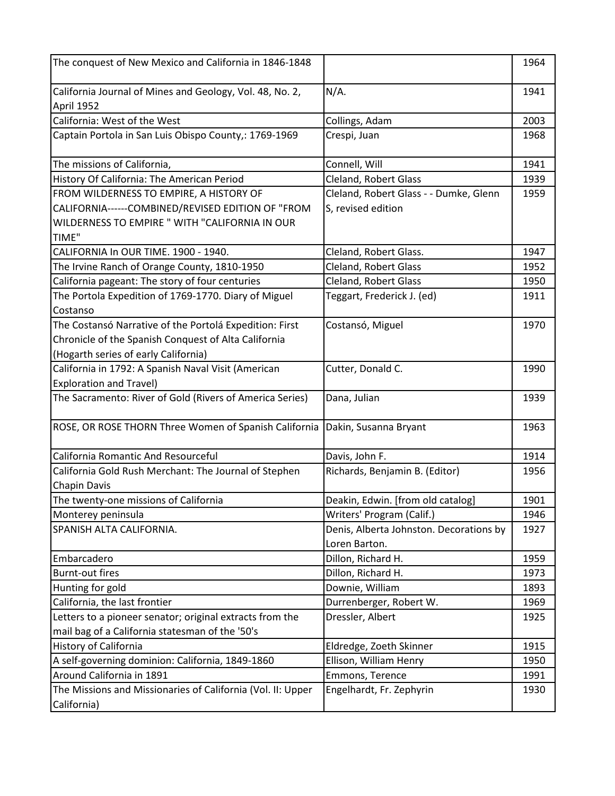| The conquest of New Mexico and California in 1846-1848                                                       |                                                          | 1964 |
|--------------------------------------------------------------------------------------------------------------|----------------------------------------------------------|------|
| California Journal of Mines and Geology, Vol. 48, No. 2,<br>April 1952                                       | $N/A$ .                                                  | 1941 |
| California: West of the West                                                                                 | Collings, Adam                                           | 2003 |
| Captain Portola in San Luis Obispo County,: 1769-1969                                                        | Crespi, Juan                                             | 1968 |
| The missions of California,                                                                                  | Connell, Will                                            | 1941 |
| History Of California: The American Period                                                                   | Cleland, Robert Glass                                    | 1939 |
| FROM WILDERNESS TO EMPIRE, A HISTORY OF                                                                      | Cleland, Robert Glass - - Dumke, Glenn                   | 1959 |
| CALIFORNIA------COMBINED/REVISED EDITION OF "FROM<br>WILDERNESS TO EMPIRE " WITH "CALIFORNIA IN OUR<br>TIME" | S, revised edition                                       |      |
| CALIFORNIA In OUR TIME. 1900 - 1940.                                                                         | Cleland, Robert Glass.                                   | 1947 |
| The Irvine Ranch of Orange County, 1810-1950                                                                 | Cleland, Robert Glass                                    | 1952 |
| California pageant: The story of four centuries                                                              | <b>Cleland, Robert Glass</b>                             | 1950 |
| The Portola Expedition of 1769-1770. Diary of Miguel<br>Costanso                                             | Teggart, Frederick J. (ed)                               | 1911 |
| The Costansó Narrative of the Portolá Expedition: First                                                      | Costansó, Miguel                                         | 1970 |
| Chronicle of the Spanish Conquest of Alta California                                                         |                                                          |      |
| (Hogarth series of early California)                                                                         |                                                          |      |
| California in 1792: A Spanish Naval Visit (American                                                          | Cutter, Donald C.                                        | 1990 |
| <b>Exploration and Travel)</b>                                                                               |                                                          |      |
| The Sacramento: River of Gold (Rivers of America Series)                                                     | Dana, Julian                                             | 1939 |
| ROSE, OR ROSE THORN Three Women of Spanish California                                                        | Dakin, Susanna Bryant                                    | 1963 |
| California Romantic And Resourceful                                                                          | Davis, John F.                                           | 1914 |
| California Gold Rush Merchant: The Journal of Stephen                                                        | Richards, Benjamin B. (Editor)                           | 1956 |
| <b>Chapin Davis</b>                                                                                          |                                                          |      |
| The twenty-one missions of California                                                                        | Deakin, Edwin. [from old catalog]                        | 1901 |
| Monterey peninsula                                                                                           | Writers' Program (Calif.)                                | 1946 |
| SPANISH ALTA CALIFORNIA.                                                                                     | Denis, Alberta Johnston. Decorations by<br>Loren Barton. | 1927 |
| Embarcadero                                                                                                  | Dillon, Richard H.                                       | 1959 |
| <b>Burnt-out fires</b>                                                                                       | Dillon, Richard H.                                       | 1973 |
| Hunting for gold                                                                                             | Downie, William                                          | 1893 |
| California, the last frontier                                                                                | Durrenberger, Robert W.                                  | 1969 |
| Letters to a pioneer senator; original extracts from the                                                     | Dressler, Albert                                         | 1925 |
| mail bag of a California statesman of the '50's                                                              |                                                          |      |
| History of California                                                                                        | Eldredge, Zoeth Skinner                                  | 1915 |
| A self-governing dominion: California, 1849-1860                                                             | Ellison, William Henry                                   | 1950 |
| Around California in 1891                                                                                    | Emmons, Terence                                          | 1991 |
| The Missions and Missionaries of California (Vol. II: Upper<br>California)                                   | Engelhardt, Fr. Zephyrin                                 | 1930 |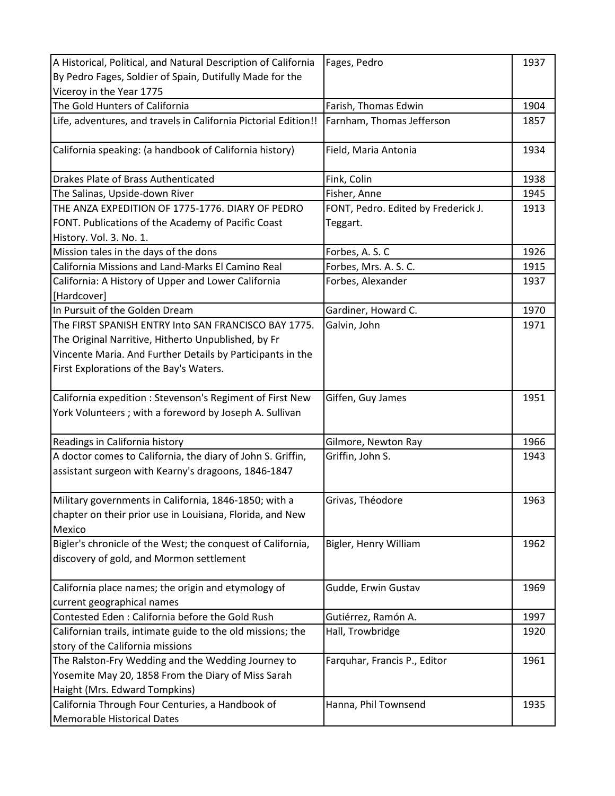| A Historical, Political, and Natural Description of California                                                                                                                                                                                                                                                                                                                                                                           | Fages, Pedro                                                                                                           | 1937                                 |
|------------------------------------------------------------------------------------------------------------------------------------------------------------------------------------------------------------------------------------------------------------------------------------------------------------------------------------------------------------------------------------------------------------------------------------------|------------------------------------------------------------------------------------------------------------------------|--------------------------------------|
| By Pedro Fages, Soldier of Spain, Dutifully Made for the                                                                                                                                                                                                                                                                                                                                                                                 |                                                                                                                        |                                      |
| Viceroy in the Year 1775                                                                                                                                                                                                                                                                                                                                                                                                                 |                                                                                                                        |                                      |
| The Gold Hunters of California                                                                                                                                                                                                                                                                                                                                                                                                           | Farish, Thomas Edwin                                                                                                   | 1904                                 |
| Life, adventures, and travels in California Pictorial Edition!!                                                                                                                                                                                                                                                                                                                                                                          | Farnham, Thomas Jefferson                                                                                              | 1857                                 |
|                                                                                                                                                                                                                                                                                                                                                                                                                                          |                                                                                                                        |                                      |
| California speaking: (a handbook of California history)                                                                                                                                                                                                                                                                                                                                                                                  | Field, Maria Antonia                                                                                                   | 1934                                 |
|                                                                                                                                                                                                                                                                                                                                                                                                                                          |                                                                                                                        |                                      |
| Drakes Plate of Brass Authenticated                                                                                                                                                                                                                                                                                                                                                                                                      | Fink, Colin                                                                                                            | 1938                                 |
| The Salinas, Upside-down River                                                                                                                                                                                                                                                                                                                                                                                                           | Fisher, Anne                                                                                                           | 1945                                 |
| THE ANZA EXPEDITION OF 1775-1776. DIARY OF PEDRO                                                                                                                                                                                                                                                                                                                                                                                         | FONT, Pedro. Edited by Frederick J.                                                                                    | 1913                                 |
| FONT. Publications of the Academy of Pacific Coast                                                                                                                                                                                                                                                                                                                                                                                       | Teggart.                                                                                                               |                                      |
| History. Vol. 3. No. 1.                                                                                                                                                                                                                                                                                                                                                                                                                  |                                                                                                                        |                                      |
| Mission tales in the days of the dons                                                                                                                                                                                                                                                                                                                                                                                                    | Forbes, A. S. C                                                                                                        | 1926                                 |
| California Missions and Land-Marks El Camino Real                                                                                                                                                                                                                                                                                                                                                                                        | Forbes, Mrs. A. S. C.                                                                                                  | 1915                                 |
| California: A History of Upper and Lower California                                                                                                                                                                                                                                                                                                                                                                                      | Forbes, Alexander                                                                                                      | 1937                                 |
| [Hardcover]                                                                                                                                                                                                                                                                                                                                                                                                                              |                                                                                                                        |                                      |
| In Pursuit of the Golden Dream                                                                                                                                                                                                                                                                                                                                                                                                           | Gardiner, Howard C.                                                                                                    | 1970                                 |
| The FIRST SPANISH ENTRY Into SAN FRANCISCO BAY 1775.                                                                                                                                                                                                                                                                                                                                                                                     | Galvin, John                                                                                                           | 1971                                 |
| The Original Narritive, Hitherto Unpublished, by Fr                                                                                                                                                                                                                                                                                                                                                                                      |                                                                                                                        |                                      |
| Vincente Maria. And Further Details by Participants in the                                                                                                                                                                                                                                                                                                                                                                               |                                                                                                                        |                                      |
| First Explorations of the Bay's Waters.                                                                                                                                                                                                                                                                                                                                                                                                  |                                                                                                                        |                                      |
|                                                                                                                                                                                                                                                                                                                                                                                                                                          |                                                                                                                        |                                      |
| California expedition : Stevenson's Regiment of First New                                                                                                                                                                                                                                                                                                                                                                                | Giffen, Guy James                                                                                                      | 1951                                 |
| York Volunteers; with a foreword by Joseph A. Sullivan                                                                                                                                                                                                                                                                                                                                                                                   |                                                                                                                        |                                      |
|                                                                                                                                                                                                                                                                                                                                                                                                                                          |                                                                                                                        |                                      |
| Readings in California history                                                                                                                                                                                                                                                                                                                                                                                                           | Gilmore, Newton Ray                                                                                                    | 1966                                 |
| A doctor comes to California, the diary of John S. Griffin,                                                                                                                                                                                                                                                                                                                                                                              | Griffin, John S.                                                                                                       | 1943                                 |
| assistant surgeon with Kearny's dragoons, 1846-1847                                                                                                                                                                                                                                                                                                                                                                                      |                                                                                                                        |                                      |
|                                                                                                                                                                                                                                                                                                                                                                                                                                          |                                                                                                                        |                                      |
| Military governments in California, 1846-1850; with a                                                                                                                                                                                                                                                                                                                                                                                    | Grivas, Théodore                                                                                                       | 1963                                 |
| chapter on their prior use in Louisiana, Florida, and New                                                                                                                                                                                                                                                                                                                                                                                |                                                                                                                        |                                      |
| Mexico                                                                                                                                                                                                                                                                                                                                                                                                                                   |                                                                                                                        |                                      |
| Bigler's chronicle of the West; the conquest of California,                                                                                                                                                                                                                                                                                                                                                                              | Bigler, Henry William                                                                                                  | 1962                                 |
| discovery of gold, and Mormon settlement                                                                                                                                                                                                                                                                                                                                                                                                 |                                                                                                                        |                                      |
|                                                                                                                                                                                                                                                                                                                                                                                                                                          |                                                                                                                        |                                      |
|                                                                                                                                                                                                                                                                                                                                                                                                                                          |                                                                                                                        |                                      |
|                                                                                                                                                                                                                                                                                                                                                                                                                                          |                                                                                                                        |                                      |
|                                                                                                                                                                                                                                                                                                                                                                                                                                          |                                                                                                                        |                                      |
|                                                                                                                                                                                                                                                                                                                                                                                                                                          |                                                                                                                        |                                      |
|                                                                                                                                                                                                                                                                                                                                                                                                                                          |                                                                                                                        |                                      |
|                                                                                                                                                                                                                                                                                                                                                                                                                                          |                                                                                                                        |                                      |
|                                                                                                                                                                                                                                                                                                                                                                                                                                          |                                                                                                                        |                                      |
|                                                                                                                                                                                                                                                                                                                                                                                                                                          |                                                                                                                        |                                      |
| Memorable Historical Dates                                                                                                                                                                                                                                                                                                                                                                                                               |                                                                                                                        |                                      |
| California place names; the origin and etymology of<br>current geographical names<br>Contested Eden: California before the Gold Rush<br>Californian trails, intimate guide to the old missions; the<br>story of the California missions<br>The Ralston-Fry Wedding and the Wedding Journey to<br>Yosemite May 20, 1858 From the Diary of Miss Sarah<br>Haight (Mrs. Edward Tompkins)<br>California Through Four Centuries, a Handbook of | Gudde, Erwin Gustav<br>Gutiérrez, Ramón A.<br>Hall, Trowbridge<br>Farquhar, Francis P., Editor<br>Hanna, Phil Townsend | 1969<br>1997<br>1920<br>1961<br>1935 |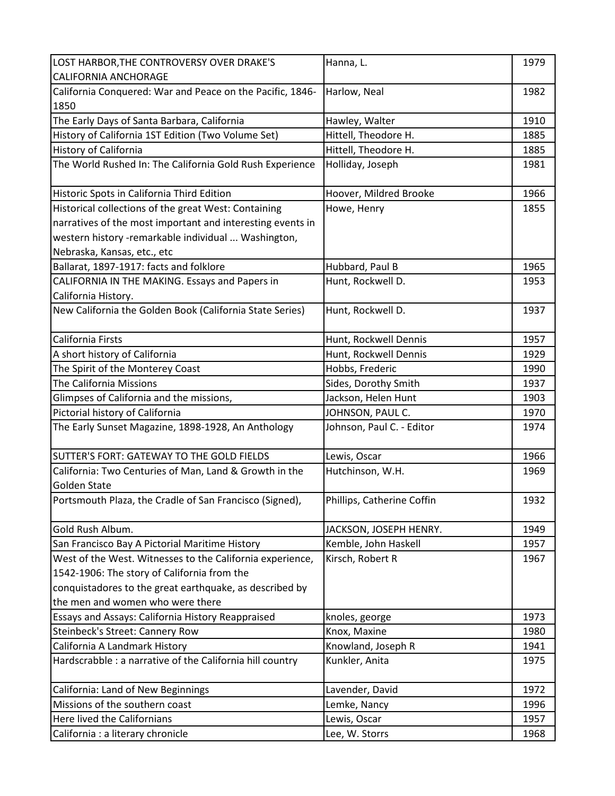| LOST HARBOR, THE CONTROVERSY OVER DRAKE'S                  | Hanna, L.                  | 1979 |
|------------------------------------------------------------|----------------------------|------|
| <b>CALIFORNIA ANCHORAGE</b>                                |                            |      |
| California Conquered: War and Peace on the Pacific, 1846-  | Harlow, Neal               | 1982 |
| 1850                                                       |                            |      |
| The Early Days of Santa Barbara, California                | Hawley, Walter             | 1910 |
| History of California 1ST Edition (Two Volume Set)         | Hittell, Theodore H.       | 1885 |
| <b>History of California</b>                               | Hittell, Theodore H.       | 1885 |
| The World Rushed In: The California Gold Rush Experience   | Holliday, Joseph           | 1981 |
|                                                            |                            |      |
| Historic Spots in California Third Edition                 | Hoover, Mildred Brooke     | 1966 |
| Historical collections of the great West: Containing       | Howe, Henry                | 1855 |
| narratives of the most important and interesting events in |                            |      |
| western history -remarkable individual  Washington,        |                            |      |
| Nebraska, Kansas, etc., etc                                |                            |      |
| Ballarat, 1897-1917: facts and folklore                    | Hubbard, Paul B            | 1965 |
| CALIFORNIA IN THE MAKING. Essays and Papers in             | Hunt, Rockwell D.          | 1953 |
| California History.                                        |                            |      |
| New California the Golden Book (California State Series)   | Hunt, Rockwell D.          | 1937 |
|                                                            |                            |      |
| California Firsts                                          | Hunt, Rockwell Dennis      | 1957 |
| A short history of California                              | Hunt, Rockwell Dennis      | 1929 |
| The Spirit of the Monterey Coast                           | Hobbs, Frederic            | 1990 |
| The California Missions                                    | Sides, Dorothy Smith       | 1937 |
| Glimpses of California and the missions,                   | Jackson, Helen Hunt        | 1903 |
| Pictorial history of California                            | JOHNSON, PAUL C.           | 1970 |
| The Early Sunset Magazine, 1898-1928, An Anthology         | Johnson, Paul C. - Editor  | 1974 |
| SUTTER'S FORT: GATEWAY TO THE GOLD FIELDS                  | Lewis, Oscar               | 1966 |
| California: Two Centuries of Man, Land & Growth in the     | Hutchinson, W.H.           | 1969 |
| Golden State                                               |                            |      |
| Portsmouth Plaza, the Cradle of San Francisco (Signed),    | Phillips, Catherine Coffin | 1932 |
|                                                            |                            |      |
| Gold Rush Album.                                           | JACKSON, JOSEPH HENRY.     | 1949 |
| San Francisco Bay A Pictorial Maritime History             | Kemble, John Haskell       | 1957 |
| West of the West. Witnesses to the California experience,  | Kirsch, Robert R           | 1967 |
| 1542-1906: The story of California from the                |                            |      |
| conquistadores to the great earthquake, as described by    |                            |      |
| the men and women who were there                           |                            |      |
| Essays and Assays: California History Reappraised          | knoles, george             | 1973 |
| Steinbeck's Street: Cannery Row                            | Knox, Maxine               | 1980 |
| California A Landmark History                              | Knowland, Joseph R         | 1941 |
| Hardscrabble : a narrative of the California hill country  | Kunkler, Anita             | 1975 |
| California: Land of New Beginnings                         | Lavender, David            | 1972 |
| Missions of the southern coast                             | Lemke, Nancy               | 1996 |
| Here lived the Californians                                | Lewis, Oscar               | 1957 |
| California : a literary chronicle                          | Lee, W. Storrs             | 1968 |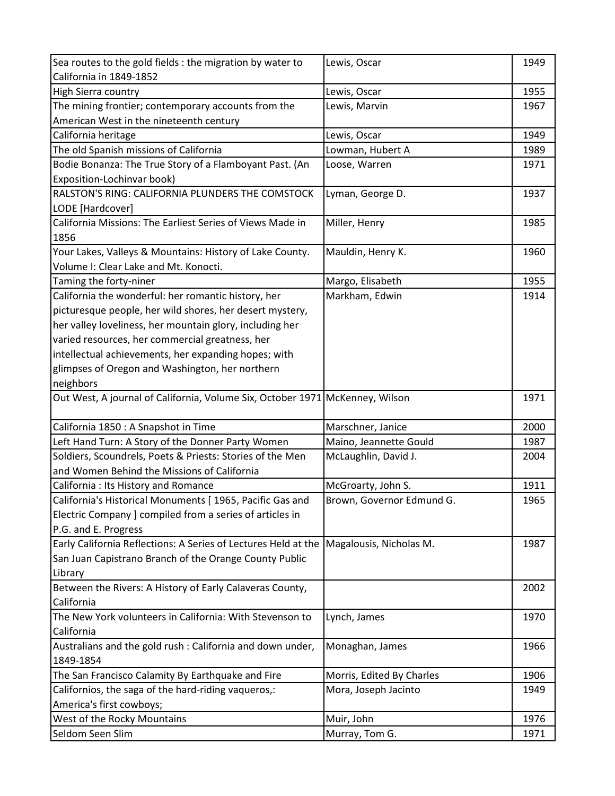| Sea routes to the gold fields : the migration by water to                    | Lewis, Oscar              | 1949 |
|------------------------------------------------------------------------------|---------------------------|------|
| California in 1849-1852                                                      |                           |      |
| High Sierra country                                                          | Lewis, Oscar              | 1955 |
| The mining frontier; contemporary accounts from the                          | Lewis, Marvin             | 1967 |
| American West in the nineteenth century                                      |                           |      |
| California heritage                                                          | Lewis, Oscar              | 1949 |
| The old Spanish missions of California                                       | Lowman, Hubert A          | 1989 |
| Bodie Bonanza: The True Story of a Flamboyant Past. (An                      | Loose, Warren             | 1971 |
| Exposition-Lochinvar book)                                                   |                           |      |
| RALSTON'S RING: CALIFORNIA PLUNDERS THE COMSTOCK                             | Lyman, George D.          | 1937 |
| LODE [Hardcover]                                                             |                           |      |
| California Missions: The Earliest Series of Views Made in                    | Miller, Henry             | 1985 |
| 1856                                                                         |                           |      |
| Your Lakes, Valleys & Mountains: History of Lake County.                     | Mauldin, Henry K.         | 1960 |
| Volume I: Clear Lake and Mt. Konocti.                                        |                           |      |
| Taming the forty-niner                                                       | Margo, Elisabeth          | 1955 |
| California the wonderful: her romantic history, her                          | Markham, Edwin            | 1914 |
| picturesque people, her wild shores, her desert mystery,                     |                           |      |
| her valley loveliness, her mountain glory, including her                     |                           |      |
| varied resources, her commercial greatness, her                              |                           |      |
| intellectual achievements, her expanding hopes; with                         |                           |      |
| glimpses of Oregon and Washington, her northern                              |                           |      |
| neighbors                                                                    |                           |      |
| Out West, A journal of California, Volume Six, October 1971 McKenney, Wilson |                           | 1971 |
| California 1850 : A Snapshot in Time                                         | Marschner, Janice         | 2000 |
| Left Hand Turn: A Story of the Donner Party Women                            | Maino, Jeannette Gould    | 1987 |
| Soldiers, Scoundrels, Poets & Priests: Stories of the Men                    | McLaughlin, David J.      | 2004 |
| and Women Behind the Missions of California                                  |                           |      |
| California : Its History and Romance                                         | McGroarty, John S.        | 1911 |
| California's Historical Monuments [ 1965, Pacific Gas and                    | Brown, Governor Edmund G. | 1965 |
| Electric Company ] compiled from a series of articles in                     |                           |      |
| P.G. and E. Progress                                                         |                           |      |
| Early California Reflections: A Series of Lectures Held at the               | Magalousis, Nicholas M.   | 1987 |
| San Juan Capistrano Branch of the Orange County Public                       |                           |      |
| Library                                                                      |                           |      |
| Between the Rivers: A History of Early Calaveras County,                     |                           | 2002 |
| California                                                                   |                           |      |
| The New York volunteers in California: With Stevenson to                     | Lynch, James              | 1970 |
| California                                                                   |                           |      |
| Australians and the gold rush : California and down under,                   | Monaghan, James           | 1966 |
| 1849-1854                                                                    |                           |      |
| The San Francisco Calamity By Earthquake and Fire                            | Morris, Edited By Charles | 1906 |
| Californios, the saga of the hard-riding vaqueros,:                          | Mora, Joseph Jacinto      | 1949 |
| America's first cowboys;                                                     |                           |      |
| West of the Rocky Mountains                                                  | Muir, John                | 1976 |
| Seldom Seen Slim                                                             | Murray, Tom G.            | 1971 |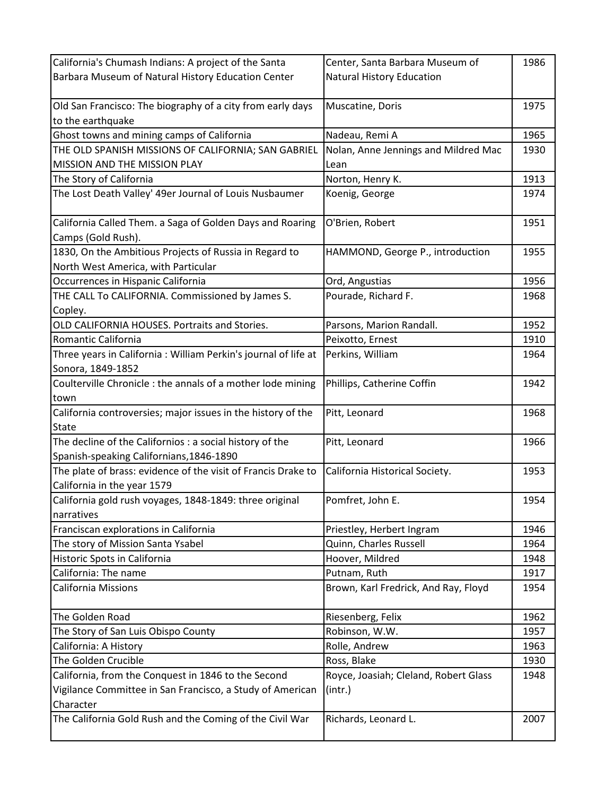| California's Chumash Indians: A project of the Santa            | Center, Santa Barbara Museum of       | 1986 |
|-----------------------------------------------------------------|---------------------------------------|------|
| Barbara Museum of Natural History Education Center              | <b>Natural History Education</b>      |      |
|                                                                 |                                       |      |
| Old San Francisco: The biography of a city from early days      | Muscatine, Doris                      | 1975 |
| to the earthquake                                               |                                       |      |
| Ghost towns and mining camps of California                      | Nadeau, Remi A                        | 1965 |
| THE OLD SPANISH MISSIONS OF CALIFORNIA; SAN GABRIEL             | Nolan, Anne Jennings and Mildred Mac  | 1930 |
| MISSION AND THE MISSION PLAY                                    | Lean                                  |      |
| The Story of California                                         | Norton, Henry K.                      | 1913 |
| The Lost Death Valley' 49er Journal of Louis Nusbaumer          | Koenig, George                        | 1974 |
|                                                                 |                                       |      |
| California Called Them. a Saga of Golden Days and Roaring       | O'Brien, Robert                       | 1951 |
| Camps (Gold Rush).                                              |                                       |      |
| 1830, On the Ambitious Projects of Russia in Regard to          | HAMMOND, George P., introduction      | 1955 |
| North West America, with Particular                             |                                       |      |
| Occurrences in Hispanic California                              | Ord, Angustias                        | 1956 |
| THE CALL To CALIFORNIA. Commissioned by James S.                | Pourade, Richard F.                   | 1968 |
| Copley.                                                         |                                       |      |
| OLD CALIFORNIA HOUSES. Portraits and Stories.                   | Parsons, Marion Randall.              | 1952 |
| Romantic California                                             | Peixotto, Ernest                      | 1910 |
| Three years in California : William Perkin's journal of life at | Perkins, William                      | 1964 |
| Sonora, 1849-1852                                               |                                       |      |
| Coulterville Chronicle : the annals of a mother lode mining     | Phillips, Catherine Coffin            | 1942 |
| town                                                            |                                       |      |
| California controversies; major issues in the history of the    | Pitt, Leonard                         | 1968 |
| <b>State</b>                                                    |                                       |      |
| The decline of the Californios : a social history of the        | Pitt, Leonard                         | 1966 |
| Spanish-speaking Californians, 1846-1890                        |                                       |      |
| The plate of brass: evidence of the visit of Francis Drake to   | California Historical Society.        | 1953 |
| California in the year 1579                                     |                                       |      |
| California gold rush voyages, 1848-1849: three original         | Pomfret, John E.                      | 1954 |
| narratives                                                      |                                       |      |
| Franciscan explorations in California                           | Priestley, Herbert Ingram             | 1946 |
| The story of Mission Santa Ysabel                               | Quinn, Charles Russell                | 1964 |
| Historic Spots in California                                    | Hoover, Mildred                       | 1948 |
| California: The name                                            | Putnam, Ruth                          | 1917 |
| <b>California Missions</b>                                      | Brown, Karl Fredrick, And Ray, Floyd  | 1954 |
|                                                                 |                                       |      |
| The Golden Road                                                 | Riesenberg, Felix                     | 1962 |
| The Story of San Luis Obispo County                             | Robinson, W.W.                        | 1957 |
| California: A History                                           | Rolle, Andrew                         | 1963 |
| The Golden Crucible                                             | Ross, Blake                           | 1930 |
| California, from the Conquest in 1846 to the Second             | Royce, Joasiah; Cleland, Robert Glass | 1948 |
| Vigilance Committee in San Francisco, a Study of American       | (int.)                                |      |
| Character                                                       |                                       |      |
| The California Gold Rush and the Coming of the Civil War        | Richards, Leonard L.                  | 2007 |
|                                                                 |                                       |      |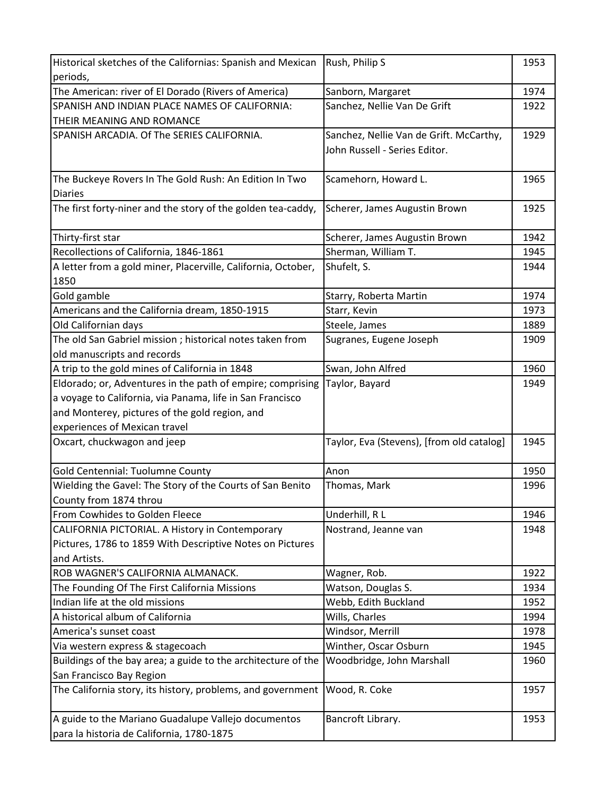| Historical sketches of the Californias: Spanish and Mexican   | Rush, Philip S                            | 1953 |
|---------------------------------------------------------------|-------------------------------------------|------|
| periods,                                                      |                                           |      |
| The American: river of El Dorado (Rivers of America)          | Sanborn, Margaret                         | 1974 |
| SPANISH AND INDIAN PLACE NAMES OF CALIFORNIA:                 | Sanchez, Nellie Van De Grift              | 1922 |
| THEIR MEANING AND ROMANCE                                     |                                           |      |
| SPANISH ARCADIA. Of The SERIES CALIFORNIA.                    | Sanchez, Nellie Van de Grift. McCarthy,   | 1929 |
|                                                               | John Russell - Series Editor.             |      |
|                                                               |                                           |      |
| The Buckeye Rovers In The Gold Rush: An Edition In Two        | Scamehorn, Howard L.                      | 1965 |
| <b>Diaries</b>                                                |                                           |      |
| The first forty-niner and the story of the golden tea-caddy,  | Scherer, James Augustin Brown             | 1925 |
|                                                               |                                           |      |
| Thirty-first star                                             | Scherer, James Augustin Brown             | 1942 |
| Recollections of California, 1846-1861                        | Sherman, William T.                       | 1945 |
| A letter from a gold miner, Placerville, California, October, | Shufelt, S.                               | 1944 |
| 1850                                                          |                                           |      |
| Gold gamble                                                   | Starry, Roberta Martin                    | 1974 |
| Americans and the California dream, 1850-1915                 | Starr, Kevin                              | 1973 |
| Old Californian days                                          | Steele, James                             | 1889 |
| The old San Gabriel mission; historical notes taken from      | Sugranes, Eugene Joseph                   | 1909 |
| old manuscripts and records                                   |                                           |      |
| A trip to the gold mines of California in 1848                | Swan, John Alfred                         | 1960 |
| Eldorado; or, Adventures in the path of empire; comprising    | Taylor, Bayard                            | 1949 |
| a voyage to California, via Panama, life in San Francisco     |                                           |      |
| and Monterey, pictures of the gold region, and                |                                           |      |
| experiences of Mexican travel                                 |                                           |      |
| Oxcart, chuckwagon and jeep                                   | Taylor, Eva (Stevens), [from old catalog] | 1945 |
|                                                               |                                           |      |
| Gold Centennial: Tuolumne County                              | Anon                                      | 1950 |
| Wielding the Gavel: The Story of the Courts of San Benito     | Thomas, Mark                              | 1996 |
| County from 1874 throu                                        |                                           |      |
| From Cowhides to Golden Fleece                                | Underhill, R L                            | 1946 |
| CALIFORNIA PICTORIAL. A History in Contemporary               | Nostrand, Jeanne van                      | 1948 |
| Pictures, 1786 to 1859 With Descriptive Notes on Pictures     |                                           |      |
| and Artists.                                                  |                                           |      |
| ROB WAGNER'S CALIFORNIA ALMANACK.                             | Wagner, Rob.                              | 1922 |
| The Founding Of The First California Missions                 | Watson, Douglas S.                        | 1934 |
| Indian life at the old missions                               | Webb, Edith Buckland                      | 1952 |
| A historical album of California                              | Wills, Charles                            | 1994 |
| America's sunset coast                                        | Windsor, Merrill                          | 1978 |
| Via western express & stagecoach                              | Winther, Oscar Osburn                     | 1945 |
| Buildings of the bay area; a guide to the architecture of the | Woodbridge, John Marshall                 | 1960 |
| San Francisco Bay Region                                      |                                           |      |
| The California story, its history, problems, and government   | Wood, R. Coke                             | 1957 |
|                                                               |                                           |      |
| A guide to the Mariano Guadalupe Vallejo documentos           | Bancroft Library.                         | 1953 |
| para la historia de California, 1780-1875                     |                                           |      |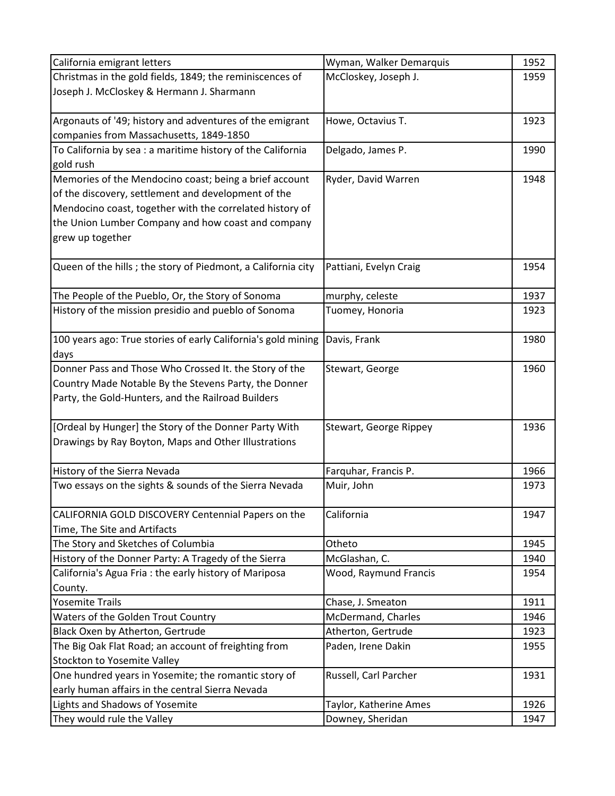| California emigrant letters                                                            | Wyman, Walker Demarquis            | 1952         |
|----------------------------------------------------------------------------------------|------------------------------------|--------------|
| Christmas in the gold fields, 1849; the reminiscences of                               | McCloskey, Joseph J.               | 1959         |
| Joseph J. McCloskey & Hermann J. Sharmann                                              |                                    |              |
|                                                                                        |                                    |              |
| Argonauts of '49; history and adventures of the emigrant                               | Howe, Octavius T.                  | 1923         |
| companies from Massachusetts, 1849-1850                                                |                                    |              |
| To California by sea : a maritime history of the California                            | Delgado, James P.                  | 1990         |
| gold rush                                                                              |                                    |              |
| Memories of the Mendocino coast; being a brief account                                 | Ryder, David Warren                | 1948         |
| of the discovery, settlement and development of the                                    |                                    |              |
| Mendocino coast, together with the correlated history of                               |                                    |              |
| the Union Lumber Company and how coast and company                                     |                                    |              |
| grew up together                                                                       |                                    |              |
|                                                                                        |                                    |              |
| Queen of the hills; the story of Piedmont, a California city                           | Pattiani, Evelyn Craig             | 1954         |
|                                                                                        |                                    |              |
| The People of the Pueblo, Or, the Story of Sonoma                                      | murphy, celeste                    | 1937         |
| History of the mission presidio and pueblo of Sonoma                                   | Tuomey, Honoria                    | 1923         |
|                                                                                        |                                    |              |
| 100 years ago: True stories of early California's gold mining                          | Davis, Frank                       | 1980         |
| days                                                                                   |                                    |              |
| Donner Pass and Those Who Crossed It. the Story of the                                 | Stewart, George                    | 1960         |
| Country Made Notable By the Stevens Party, the Donner                                  |                                    |              |
| Party, the Gold-Hunters, and the Railroad Builders                                     |                                    |              |
|                                                                                        |                                    |              |
| [Ordeal by Hunger] the Story of the Donner Party With                                  | Stewart, George Rippey             | 1936         |
| Drawings by Ray Boyton, Maps and Other Illustrations                                   |                                    |              |
|                                                                                        |                                    |              |
| History of the Sierra Nevada<br>Two essays on the sights & sounds of the Sierra Nevada | Farquhar, Francis P.<br>Muir, John | 1966<br>1973 |
|                                                                                        |                                    |              |
| CALIFORNIA GOLD DISCOVERY Centennial Papers on the                                     | California                         | 1947         |
| Time, The Site and Artifacts                                                           |                                    |              |
| The Story and Sketches of Columbia                                                     | Otheto                             | 1945         |
| History of the Donner Party: A Tragedy of the Sierra                                   | McGlashan, C.                      | 1940         |
| California's Agua Fria: the early history of Mariposa                                  | Wood, Raymund Francis              | 1954         |
| County.                                                                                |                                    |              |
| <b>Yosemite Trails</b>                                                                 | Chase, J. Smeaton                  | 1911         |
| Waters of the Golden Trout Country                                                     | McDermand, Charles                 | 1946         |
| Black Oxen by Atherton, Gertrude                                                       | Atherton, Gertrude                 | 1923         |
| The Big Oak Flat Road; an account of freighting from                                   | Paden, Irene Dakin                 | 1955         |
| Stockton to Yosemite Valley                                                            |                                    |              |
| One hundred years in Yosemite; the romantic story of                                   | Russell, Carl Parcher              | 1931         |
| early human affairs in the central Sierra Nevada                                       |                                    |              |
| Lights and Shadows of Yosemite                                                         | Taylor, Katherine Ames             | 1926         |
| They would rule the Valley                                                             | Downey, Sheridan                   | 1947         |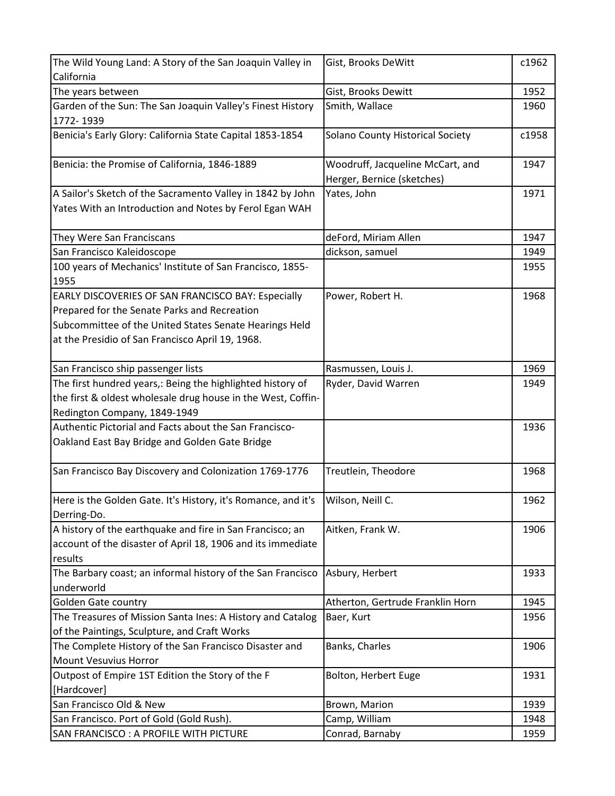| California<br>The years between<br>Gist, Brooks Dewitt<br>1952<br>Garden of the Sun: The San Joaquin Valley's Finest History<br>Smith, Wallace<br>1960<br>1772-1939<br>Benicia's Early Glory: California State Capital 1853-1854<br>Solano County Historical Society<br>c1958<br>Woodruff, Jacqueline McCart, and<br>Benicia: the Promise of California, 1846-1889<br>1947<br>Herger, Bernice (sketches)<br>A Sailor's Sketch of the Sacramento Valley in 1842 by John<br>Yates, John<br>1971<br>Yates With an Introduction and Notes by Ferol Egan WAH<br>They Were San Franciscans<br>deFord, Miriam Allen<br>1947<br>San Francisco Kaleidoscope<br>dickson, samuel<br>1949<br>100 years of Mechanics' Institute of San Francisco, 1855-<br>1955<br>1955<br>EARLY DISCOVERIES OF SAN FRANCISCO BAY: Especially<br>Power, Robert H.<br>1968<br>Prepared for the Senate Parks and Recreation<br>Subcommittee of the United States Senate Hearings Held<br>at the Presidio of San Francisco April 19, 1968.<br>San Francisco ship passenger lists<br>1969<br>Rasmussen, Louis J.<br>The first hundred years,: Being the highlighted history of<br>Ryder, David Warren<br>1949<br>the first & oldest wholesale drug house in the West, Coffin-<br>Redington Company, 1849-1949<br>Authentic Pictorial and Facts about the San Francisco-<br>1936<br>Oakland East Bay Bridge and Golden Gate Bridge<br>San Francisco Bay Discovery and Colonization 1769-1776<br>Treutlein, Theodore<br>1968<br>Here is the Golden Gate. It's History, it's Romance, and it's<br>Wilson, Neill C.<br>1962<br>Derring-Do.<br>A history of the earthquake and fire in San Francisco; an<br>Aitken, Frank W.<br>1906<br>account of the disaster of April 18, 1906 and its immediate<br>results<br>The Barbary coast; an informal history of the San Francisco<br>Asbury, Herbert<br>1933<br>underworld<br><b>Golden Gate country</b><br>Atherton, Gertrude Franklin Horn<br>1945<br>The Treasures of Mission Santa Ines: A History and Catalog<br>Baer, Kurt<br>1956<br>of the Paintings, Sculpture, and Craft Works<br>The Complete History of the San Francisco Disaster and<br>Banks, Charles<br>1906 |
|------------------------------------------------------------------------------------------------------------------------------------------------------------------------------------------------------------------------------------------------------------------------------------------------------------------------------------------------------------------------------------------------------------------------------------------------------------------------------------------------------------------------------------------------------------------------------------------------------------------------------------------------------------------------------------------------------------------------------------------------------------------------------------------------------------------------------------------------------------------------------------------------------------------------------------------------------------------------------------------------------------------------------------------------------------------------------------------------------------------------------------------------------------------------------------------------------------------------------------------------------------------------------------------------------------------------------------------------------------------------------------------------------------------------------------------------------------------------------------------------------------------------------------------------------------------------------------------------------------------------------------------------------------------------------------------------------------------------------------------------------------------------------------------------------------------------------------------------------------------------------------------------------------------------------------------------------------------------------------------------------------------------------------------------------------------------------------------------------------------------------------------------------------------------------------|
|                                                                                                                                                                                                                                                                                                                                                                                                                                                                                                                                                                                                                                                                                                                                                                                                                                                                                                                                                                                                                                                                                                                                                                                                                                                                                                                                                                                                                                                                                                                                                                                                                                                                                                                                                                                                                                                                                                                                                                                                                                                                                                                                                                                    |
|                                                                                                                                                                                                                                                                                                                                                                                                                                                                                                                                                                                                                                                                                                                                                                                                                                                                                                                                                                                                                                                                                                                                                                                                                                                                                                                                                                                                                                                                                                                                                                                                                                                                                                                                                                                                                                                                                                                                                                                                                                                                                                                                                                                    |
|                                                                                                                                                                                                                                                                                                                                                                                                                                                                                                                                                                                                                                                                                                                                                                                                                                                                                                                                                                                                                                                                                                                                                                                                                                                                                                                                                                                                                                                                                                                                                                                                                                                                                                                                                                                                                                                                                                                                                                                                                                                                                                                                                                                    |
|                                                                                                                                                                                                                                                                                                                                                                                                                                                                                                                                                                                                                                                                                                                                                                                                                                                                                                                                                                                                                                                                                                                                                                                                                                                                                                                                                                                                                                                                                                                                                                                                                                                                                                                                                                                                                                                                                                                                                                                                                                                                                                                                                                                    |
|                                                                                                                                                                                                                                                                                                                                                                                                                                                                                                                                                                                                                                                                                                                                                                                                                                                                                                                                                                                                                                                                                                                                                                                                                                                                                                                                                                                                                                                                                                                                                                                                                                                                                                                                                                                                                                                                                                                                                                                                                                                                                                                                                                                    |
|                                                                                                                                                                                                                                                                                                                                                                                                                                                                                                                                                                                                                                                                                                                                                                                                                                                                                                                                                                                                                                                                                                                                                                                                                                                                                                                                                                                                                                                                                                                                                                                                                                                                                                                                                                                                                                                                                                                                                                                                                                                                                                                                                                                    |
|                                                                                                                                                                                                                                                                                                                                                                                                                                                                                                                                                                                                                                                                                                                                                                                                                                                                                                                                                                                                                                                                                                                                                                                                                                                                                                                                                                                                                                                                                                                                                                                                                                                                                                                                                                                                                                                                                                                                                                                                                                                                                                                                                                                    |
|                                                                                                                                                                                                                                                                                                                                                                                                                                                                                                                                                                                                                                                                                                                                                                                                                                                                                                                                                                                                                                                                                                                                                                                                                                                                                                                                                                                                                                                                                                                                                                                                                                                                                                                                                                                                                                                                                                                                                                                                                                                                                                                                                                                    |
|                                                                                                                                                                                                                                                                                                                                                                                                                                                                                                                                                                                                                                                                                                                                                                                                                                                                                                                                                                                                                                                                                                                                                                                                                                                                                                                                                                                                                                                                                                                                                                                                                                                                                                                                                                                                                                                                                                                                                                                                                                                                                                                                                                                    |
|                                                                                                                                                                                                                                                                                                                                                                                                                                                                                                                                                                                                                                                                                                                                                                                                                                                                                                                                                                                                                                                                                                                                                                                                                                                                                                                                                                                                                                                                                                                                                                                                                                                                                                                                                                                                                                                                                                                                                                                                                                                                                                                                                                                    |
|                                                                                                                                                                                                                                                                                                                                                                                                                                                                                                                                                                                                                                                                                                                                                                                                                                                                                                                                                                                                                                                                                                                                                                                                                                                                                                                                                                                                                                                                                                                                                                                                                                                                                                                                                                                                                                                                                                                                                                                                                                                                                                                                                                                    |
|                                                                                                                                                                                                                                                                                                                                                                                                                                                                                                                                                                                                                                                                                                                                                                                                                                                                                                                                                                                                                                                                                                                                                                                                                                                                                                                                                                                                                                                                                                                                                                                                                                                                                                                                                                                                                                                                                                                                                                                                                                                                                                                                                                                    |
|                                                                                                                                                                                                                                                                                                                                                                                                                                                                                                                                                                                                                                                                                                                                                                                                                                                                                                                                                                                                                                                                                                                                                                                                                                                                                                                                                                                                                                                                                                                                                                                                                                                                                                                                                                                                                                                                                                                                                                                                                                                                                                                                                                                    |
|                                                                                                                                                                                                                                                                                                                                                                                                                                                                                                                                                                                                                                                                                                                                                                                                                                                                                                                                                                                                                                                                                                                                                                                                                                                                                                                                                                                                                                                                                                                                                                                                                                                                                                                                                                                                                                                                                                                                                                                                                                                                                                                                                                                    |
|                                                                                                                                                                                                                                                                                                                                                                                                                                                                                                                                                                                                                                                                                                                                                                                                                                                                                                                                                                                                                                                                                                                                                                                                                                                                                                                                                                                                                                                                                                                                                                                                                                                                                                                                                                                                                                                                                                                                                                                                                                                                                                                                                                                    |
|                                                                                                                                                                                                                                                                                                                                                                                                                                                                                                                                                                                                                                                                                                                                                                                                                                                                                                                                                                                                                                                                                                                                                                                                                                                                                                                                                                                                                                                                                                                                                                                                                                                                                                                                                                                                                                                                                                                                                                                                                                                                                                                                                                                    |
|                                                                                                                                                                                                                                                                                                                                                                                                                                                                                                                                                                                                                                                                                                                                                                                                                                                                                                                                                                                                                                                                                                                                                                                                                                                                                                                                                                                                                                                                                                                                                                                                                                                                                                                                                                                                                                                                                                                                                                                                                                                                                                                                                                                    |
|                                                                                                                                                                                                                                                                                                                                                                                                                                                                                                                                                                                                                                                                                                                                                                                                                                                                                                                                                                                                                                                                                                                                                                                                                                                                                                                                                                                                                                                                                                                                                                                                                                                                                                                                                                                                                                                                                                                                                                                                                                                                                                                                                                                    |
|                                                                                                                                                                                                                                                                                                                                                                                                                                                                                                                                                                                                                                                                                                                                                                                                                                                                                                                                                                                                                                                                                                                                                                                                                                                                                                                                                                                                                                                                                                                                                                                                                                                                                                                                                                                                                                                                                                                                                                                                                                                                                                                                                                                    |
|                                                                                                                                                                                                                                                                                                                                                                                                                                                                                                                                                                                                                                                                                                                                                                                                                                                                                                                                                                                                                                                                                                                                                                                                                                                                                                                                                                                                                                                                                                                                                                                                                                                                                                                                                                                                                                                                                                                                                                                                                                                                                                                                                                                    |
|                                                                                                                                                                                                                                                                                                                                                                                                                                                                                                                                                                                                                                                                                                                                                                                                                                                                                                                                                                                                                                                                                                                                                                                                                                                                                                                                                                                                                                                                                                                                                                                                                                                                                                                                                                                                                                                                                                                                                                                                                                                                                                                                                                                    |
|                                                                                                                                                                                                                                                                                                                                                                                                                                                                                                                                                                                                                                                                                                                                                                                                                                                                                                                                                                                                                                                                                                                                                                                                                                                                                                                                                                                                                                                                                                                                                                                                                                                                                                                                                                                                                                                                                                                                                                                                                                                                                                                                                                                    |
|                                                                                                                                                                                                                                                                                                                                                                                                                                                                                                                                                                                                                                                                                                                                                                                                                                                                                                                                                                                                                                                                                                                                                                                                                                                                                                                                                                                                                                                                                                                                                                                                                                                                                                                                                                                                                                                                                                                                                                                                                                                                                                                                                                                    |
|                                                                                                                                                                                                                                                                                                                                                                                                                                                                                                                                                                                                                                                                                                                                                                                                                                                                                                                                                                                                                                                                                                                                                                                                                                                                                                                                                                                                                                                                                                                                                                                                                                                                                                                                                                                                                                                                                                                                                                                                                                                                                                                                                                                    |
|                                                                                                                                                                                                                                                                                                                                                                                                                                                                                                                                                                                                                                                                                                                                                                                                                                                                                                                                                                                                                                                                                                                                                                                                                                                                                                                                                                                                                                                                                                                                                                                                                                                                                                                                                                                                                                                                                                                                                                                                                                                                                                                                                                                    |
|                                                                                                                                                                                                                                                                                                                                                                                                                                                                                                                                                                                                                                                                                                                                                                                                                                                                                                                                                                                                                                                                                                                                                                                                                                                                                                                                                                                                                                                                                                                                                                                                                                                                                                                                                                                                                                                                                                                                                                                                                                                                                                                                                                                    |
|                                                                                                                                                                                                                                                                                                                                                                                                                                                                                                                                                                                                                                                                                                                                                                                                                                                                                                                                                                                                                                                                                                                                                                                                                                                                                                                                                                                                                                                                                                                                                                                                                                                                                                                                                                                                                                                                                                                                                                                                                                                                                                                                                                                    |
|                                                                                                                                                                                                                                                                                                                                                                                                                                                                                                                                                                                                                                                                                                                                                                                                                                                                                                                                                                                                                                                                                                                                                                                                                                                                                                                                                                                                                                                                                                                                                                                                                                                                                                                                                                                                                                                                                                                                                                                                                                                                                                                                                                                    |
|                                                                                                                                                                                                                                                                                                                                                                                                                                                                                                                                                                                                                                                                                                                                                                                                                                                                                                                                                                                                                                                                                                                                                                                                                                                                                                                                                                                                                                                                                                                                                                                                                                                                                                                                                                                                                                                                                                                                                                                                                                                                                                                                                                                    |
|                                                                                                                                                                                                                                                                                                                                                                                                                                                                                                                                                                                                                                                                                                                                                                                                                                                                                                                                                                                                                                                                                                                                                                                                                                                                                                                                                                                                                                                                                                                                                                                                                                                                                                                                                                                                                                                                                                                                                                                                                                                                                                                                                                                    |
|                                                                                                                                                                                                                                                                                                                                                                                                                                                                                                                                                                                                                                                                                                                                                                                                                                                                                                                                                                                                                                                                                                                                                                                                                                                                                                                                                                                                                                                                                                                                                                                                                                                                                                                                                                                                                                                                                                                                                                                                                                                                                                                                                                                    |
|                                                                                                                                                                                                                                                                                                                                                                                                                                                                                                                                                                                                                                                                                                                                                                                                                                                                                                                                                                                                                                                                                                                                                                                                                                                                                                                                                                                                                                                                                                                                                                                                                                                                                                                                                                                                                                                                                                                                                                                                                                                                                                                                                                                    |
|                                                                                                                                                                                                                                                                                                                                                                                                                                                                                                                                                                                                                                                                                                                                                                                                                                                                                                                                                                                                                                                                                                                                                                                                                                                                                                                                                                                                                                                                                                                                                                                                                                                                                                                                                                                                                                                                                                                                                                                                                                                                                                                                                                                    |
|                                                                                                                                                                                                                                                                                                                                                                                                                                                                                                                                                                                                                                                                                                                                                                                                                                                                                                                                                                                                                                                                                                                                                                                                                                                                                                                                                                                                                                                                                                                                                                                                                                                                                                                                                                                                                                                                                                                                                                                                                                                                                                                                                                                    |
|                                                                                                                                                                                                                                                                                                                                                                                                                                                                                                                                                                                                                                                                                                                                                                                                                                                                                                                                                                                                                                                                                                                                                                                                                                                                                                                                                                                                                                                                                                                                                                                                                                                                                                                                                                                                                                                                                                                                                                                                                                                                                                                                                                                    |
|                                                                                                                                                                                                                                                                                                                                                                                                                                                                                                                                                                                                                                                                                                                                                                                                                                                                                                                                                                                                                                                                                                                                                                                                                                                                                                                                                                                                                                                                                                                                                                                                                                                                                                                                                                                                                                                                                                                                                                                                                                                                                                                                                                                    |
|                                                                                                                                                                                                                                                                                                                                                                                                                                                                                                                                                                                                                                                                                                                                                                                                                                                                                                                                                                                                                                                                                                                                                                                                                                                                                                                                                                                                                                                                                                                                                                                                                                                                                                                                                                                                                                                                                                                                                                                                                                                                                                                                                                                    |
|                                                                                                                                                                                                                                                                                                                                                                                                                                                                                                                                                                                                                                                                                                                                                                                                                                                                                                                                                                                                                                                                                                                                                                                                                                                                                                                                                                                                                                                                                                                                                                                                                                                                                                                                                                                                                                                                                                                                                                                                                                                                                                                                                                                    |
|                                                                                                                                                                                                                                                                                                                                                                                                                                                                                                                                                                                                                                                                                                                                                                                                                                                                                                                                                                                                                                                                                                                                                                                                                                                                                                                                                                                                                                                                                                                                                                                                                                                                                                                                                                                                                                                                                                                                                                                                                                                                                                                                                                                    |
| <b>Mount Vesuvius Horror</b>                                                                                                                                                                                                                                                                                                                                                                                                                                                                                                                                                                                                                                                                                                                                                                                                                                                                                                                                                                                                                                                                                                                                                                                                                                                                                                                                                                                                                                                                                                                                                                                                                                                                                                                                                                                                                                                                                                                                                                                                                                                                                                                                                       |
| Outpost of Empire 1ST Edition the Story of the F<br>Bolton, Herbert Euge<br>1931                                                                                                                                                                                                                                                                                                                                                                                                                                                                                                                                                                                                                                                                                                                                                                                                                                                                                                                                                                                                                                                                                                                                                                                                                                                                                                                                                                                                                                                                                                                                                                                                                                                                                                                                                                                                                                                                                                                                                                                                                                                                                                   |
| [Hardcover]                                                                                                                                                                                                                                                                                                                                                                                                                                                                                                                                                                                                                                                                                                                                                                                                                                                                                                                                                                                                                                                                                                                                                                                                                                                                                                                                                                                                                                                                                                                                                                                                                                                                                                                                                                                                                                                                                                                                                                                                                                                                                                                                                                        |
| San Francisco Old & New<br>Brown, Marion<br>1939                                                                                                                                                                                                                                                                                                                                                                                                                                                                                                                                                                                                                                                                                                                                                                                                                                                                                                                                                                                                                                                                                                                                                                                                                                                                                                                                                                                                                                                                                                                                                                                                                                                                                                                                                                                                                                                                                                                                                                                                                                                                                                                                   |
| San Francisco. Port of Gold (Gold Rush).<br>Camp, William<br>1948                                                                                                                                                                                                                                                                                                                                                                                                                                                                                                                                                                                                                                                                                                                                                                                                                                                                                                                                                                                                                                                                                                                                                                                                                                                                                                                                                                                                                                                                                                                                                                                                                                                                                                                                                                                                                                                                                                                                                                                                                                                                                                                  |
| SAN FRANCISCO : A PROFILE WITH PICTURE<br>Conrad, Barnaby<br>1959                                                                                                                                                                                                                                                                                                                                                                                                                                                                                                                                                                                                                                                                                                                                                                                                                                                                                                                                                                                                                                                                                                                                                                                                                                                                                                                                                                                                                                                                                                                                                                                                                                                                                                                                                                                                                                                                                                                                                                                                                                                                                                                  |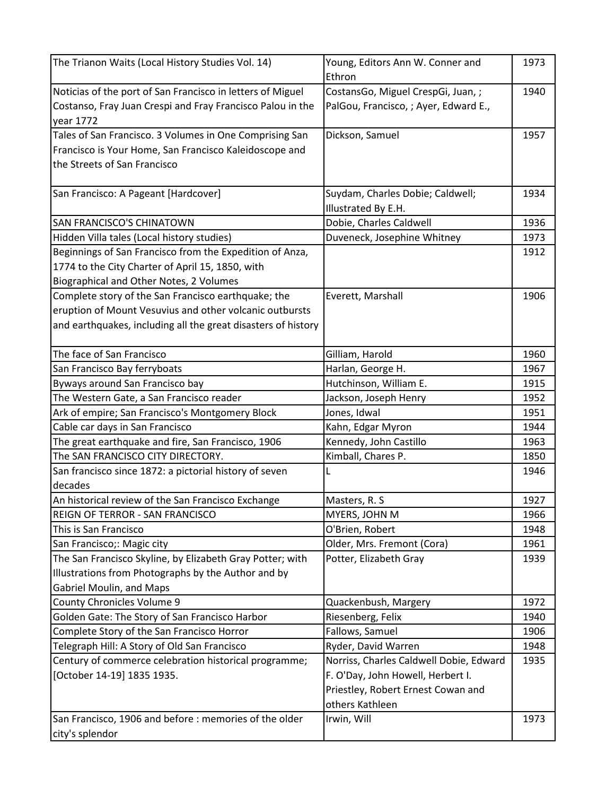| The Trianon Waits (Local History Studies Vol. 14)             | Young, Editors Ann W. Conner and<br>Ethron | 1973 |
|---------------------------------------------------------------|--------------------------------------------|------|
| Noticias of the port of San Francisco in letters of Miguel    | CostansGo, Miguel CrespGi, Juan, ;         | 1940 |
| Costanso, Fray Juan Crespi and Fray Francisco Palou in the    | PalGou, Francisco, ; Ayer, Edward E.,      |      |
| year 1772                                                     |                                            |      |
| Tales of San Francisco. 3 Volumes in One Comprising San       | Dickson, Samuel                            | 1957 |
| Francisco is Your Home, San Francisco Kaleidoscope and        |                                            |      |
| the Streets of San Francisco                                  |                                            |      |
|                                                               |                                            |      |
| San Francisco: A Pageant [Hardcover]                          | Suydam, Charles Dobie; Caldwell;           | 1934 |
|                                                               | Illustrated By E.H.                        |      |
| SAN FRANCISCO'S CHINATOWN                                     | Dobie, Charles Caldwell                    | 1936 |
| Hidden Villa tales (Local history studies)                    | Duveneck, Josephine Whitney                | 1973 |
| Beginnings of San Francisco from the Expedition of Anza,      |                                            | 1912 |
| 1774 to the City Charter of April 15, 1850, with              |                                            |      |
| Biographical and Other Notes, 2 Volumes                       |                                            |      |
| Complete story of the San Francisco earthquake; the           | Everett, Marshall                          | 1906 |
| eruption of Mount Vesuvius and other volcanic outbursts       |                                            |      |
| and earthquakes, including all the great disasters of history |                                            |      |
|                                                               |                                            |      |
| The face of San Francisco                                     | Gilliam, Harold                            | 1960 |
| San Francisco Bay ferryboats                                  | Harlan, George H.                          | 1967 |
| Byways around San Francisco bay                               | Hutchinson, William E.                     | 1915 |
| The Western Gate, a San Francisco reader                      | Jackson, Joseph Henry                      | 1952 |
| Ark of empire; San Francisco's Montgomery Block               | Jones, Idwal                               | 1951 |
| Cable car days in San Francisco                               | Kahn, Edgar Myron                          | 1944 |
| The great earthquake and fire, San Francisco, 1906            | Kennedy, John Castillo                     | 1963 |
| The SAN FRANCISCO CITY DIRECTORY.                             | Kimball, Chares P.                         | 1850 |
| San francisco since 1872: a pictorial history of seven        | L                                          | 1946 |
| decades                                                       |                                            |      |
| An historical review of the San Francisco Exchange            | Masters, R. S.                             | 1927 |
| REIGN OF TERROR - SAN FRANCISCO                               | MYERS, JOHN M                              | 1966 |
| This is San Francisco                                         | O'Brien, Robert                            | 1948 |
| San Francisco;: Magic city                                    | Older, Mrs. Fremont (Cora)                 | 1961 |
| The San Francisco Skyline, by Elizabeth Gray Potter; with     | Potter, Elizabeth Gray                     | 1939 |
| Illustrations from Photographs by the Author and by           |                                            |      |
| <b>Gabriel Moulin, and Maps</b>                               |                                            |      |
| County Chronicles Volume 9                                    | Quackenbush, Margery                       | 1972 |
| Golden Gate: The Story of San Francisco Harbor                | Riesenberg, Felix                          | 1940 |
| Complete Story of the San Francisco Horror                    | Fallows, Samuel                            | 1906 |
| Telegraph Hill: A Story of Old San Francisco                  | Ryder, David Warren                        | 1948 |
| Century of commerce celebration historical programme;         | Norriss, Charles Caldwell Dobie, Edward    | 1935 |
| [October 14-19] 1835 1935.                                    | F. O'Day, John Howell, Herbert I.          |      |
|                                                               | Priestley, Robert Ernest Cowan and         |      |
|                                                               | others Kathleen                            |      |
| San Francisco, 1906 and before : memories of the older        | Irwin, Will                                | 1973 |
| city's splendor                                               |                                            |      |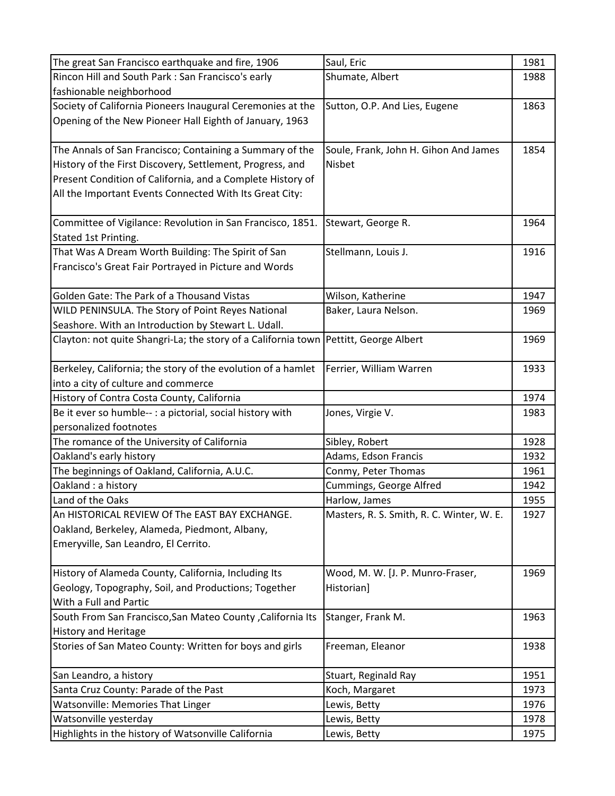| The great San Francisco earthquake and fire, 1906             | Saul, Eric                                | 1981 |
|---------------------------------------------------------------|-------------------------------------------|------|
| Rincon Hill and South Park : San Francisco's early            | Shumate, Albert                           | 1988 |
| fashionable neighborhood                                      |                                           |      |
| Society of California Pioneers Inaugural Ceremonies at the    | Sutton, O.P. And Lies, Eugene             | 1863 |
| Opening of the New Pioneer Hall Eighth of January, 1963       |                                           |      |
|                                                               |                                           |      |
| The Annals of San Francisco; Containing a Summary of the      | Soule, Frank, John H. Gihon And James     | 1854 |
| History of the First Discovery, Settlement, Progress, and     | Nisbet                                    |      |
| Present Condition of California, and a Complete History of    |                                           |      |
| All the Important Events Connected With Its Great City:       |                                           |      |
| Committee of Vigilance: Revolution in San Francisco, 1851.    | Stewart, George R.                        | 1964 |
| Stated 1st Printing.                                          |                                           |      |
| That Was A Dream Worth Building: The Spirit of San            | Stellmann, Louis J.                       | 1916 |
| Francisco's Great Fair Portrayed in Picture and Words         |                                           |      |
|                                                               |                                           |      |
| Golden Gate: The Park of a Thousand Vistas                    | Wilson, Katherine                         | 1947 |
| WILD PENINSULA. The Story of Point Reyes National             | Baker, Laura Nelson.                      | 1969 |
| Seashore. With an Introduction by Stewart L. Udall.           |                                           |      |
| Clayton: not quite Shangri-La; the story of a California town | Pettitt, George Albert                    | 1969 |
|                                                               |                                           |      |
| Berkeley, California; the story of the evolution of a hamlet  | Ferrier, William Warren                   | 1933 |
| into a city of culture and commerce                           |                                           |      |
| History of Contra Costa County, California                    |                                           | 1974 |
| Be it ever so humble-- : a pictorial, social history with     | Jones, Virgie V.                          | 1983 |
| personalized footnotes                                        |                                           |      |
| The romance of the University of California                   | Sibley, Robert                            | 1928 |
| Oakland's early history                                       | Adams, Edson Francis                      | 1932 |
| The beginnings of Oakland, California, A.U.C.                 | Conmy, Peter Thomas                       | 1961 |
| Oakland : a history                                           | Cummings, George Alfred                   | 1942 |
| Land of the Oaks                                              | Harlow, James                             | 1955 |
| An HISTORICAL REVIEW Of The EAST BAY EXCHANGE.                | Masters, R. S. Smith, R. C. Winter, W. E. | 1927 |
| Oakland, Berkeley, Alameda, Piedmont, Albany,                 |                                           |      |
| Emeryville, San Leandro, El Cerrito.                          |                                           |      |
|                                                               |                                           |      |
| History of Alameda County, California, Including Its          | Wood, M. W. [J. P. Munro-Fraser,          | 1969 |
| Geology, Topography, Soil, and Productions; Together          | Historian]                                |      |
| With a Full and Partic                                        |                                           |      |
| South From San Francisco, San Mateo County, California Its    | Stanger, Frank M.                         | 1963 |
| <b>History and Heritage</b>                                   |                                           |      |
| Stories of San Mateo County: Written for boys and girls       | Freeman, Eleanor                          | 1938 |
| San Leandro, a history                                        | Stuart, Reginald Ray                      | 1951 |
| Santa Cruz County: Parade of the Past                         | Koch, Margaret                            | 1973 |
| <b>Watsonville: Memories That Linger</b>                      | Lewis, Betty                              | 1976 |
| Watsonville yesterday                                         | Lewis, Betty                              | 1978 |
| Highlights in the history of Watsonville California           | Lewis, Betty                              | 1975 |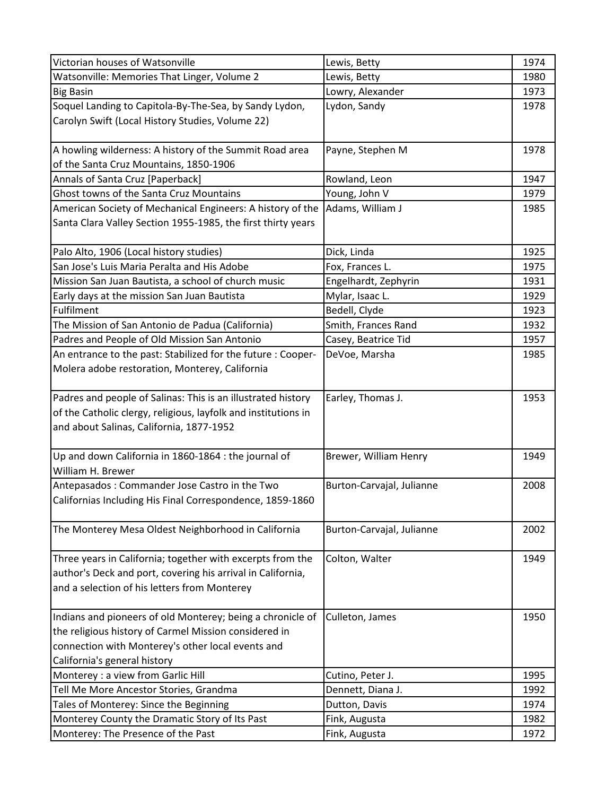| Victorian houses of Watsonville                                | Lewis, Betty              | 1974 |
|----------------------------------------------------------------|---------------------------|------|
| Watsonville: Memories That Linger, Volume 2                    | Lewis, Betty              | 1980 |
| <b>Big Basin</b>                                               | Lowry, Alexander          | 1973 |
| Soquel Landing to Capitola-By-The-Sea, by Sandy Lydon,         | Lydon, Sandy              | 1978 |
| Carolyn Swift (Local History Studies, Volume 22)               |                           |      |
|                                                                |                           |      |
| A howling wilderness: A history of the Summit Road area        | Payne, Stephen M          | 1978 |
| of the Santa Cruz Mountains, 1850-1906                         |                           |      |
| Annals of Santa Cruz [Paperback]                               | Rowland, Leon             | 1947 |
| Ghost towns of the Santa Cruz Mountains                        | Young, John V             | 1979 |
| American Society of Mechanical Engineers: A history of the     | Adams, William J          | 1985 |
| Santa Clara Valley Section 1955-1985, the first thirty years   |                           |      |
|                                                                |                           |      |
| Palo Alto, 1906 (Local history studies)                        | Dick, Linda               | 1925 |
| San Jose's Luis Maria Peralta and His Adobe                    | Fox, Frances L.           | 1975 |
| Mission San Juan Bautista, a school of church music            | Engelhardt, Zephyrin      | 1931 |
| Early days at the mission San Juan Bautista                    | Mylar, Isaac L.           | 1929 |
| Fulfilment                                                     | Bedell, Clyde             | 1923 |
| The Mission of San Antonio de Padua (California)               | Smith, Frances Rand       | 1932 |
| Padres and People of Old Mission San Antonio                   | Casey, Beatrice Tid       | 1957 |
| An entrance to the past: Stabilized for the future : Cooper-   | DeVoe, Marsha             | 1985 |
| Molera adobe restoration, Monterey, California                 |                           |      |
|                                                                |                           |      |
| Padres and people of Salinas: This is an illustrated history   | Earley, Thomas J.         | 1953 |
| of the Catholic clergy, religious, layfolk and institutions in |                           |      |
| and about Salinas, California, 1877-1952                       |                           |      |
|                                                                |                           |      |
| Up and down California in 1860-1864 : the journal of           | Brewer, William Henry     | 1949 |
| William H. Brewer                                              |                           |      |
| Antepasados: Commander Jose Castro in the Two                  | Burton-Carvajal, Julianne | 2008 |
| Californias Including His Final Correspondence, 1859-1860      |                           |      |
|                                                                |                           |      |
| The Monterey Mesa Oldest Neighborhood in California            | Burton-Carvajal, Julianne | 2002 |
|                                                                |                           |      |
| Three years in California; together with excerpts from the     | Colton, Walter            | 1949 |
| author's Deck and port, covering his arrival in California,    |                           |      |
| and a selection of his letters from Monterey                   |                           |      |
|                                                                |                           |      |
| Indians and pioneers of old Monterey; being a chronicle of     | Culleton, James           | 1950 |
| the religious history of Carmel Mission considered in          |                           |      |
| connection with Monterey's other local events and              |                           |      |
| California's general history                                   |                           |      |
| Monterey : a view from Garlic Hill                             | Cutino, Peter J.          | 1995 |
| Tell Me More Ancestor Stories, Grandma                         | Dennett, Diana J.         | 1992 |
| Tales of Monterey: Since the Beginning                         | Dutton, Davis             | 1974 |
| Monterey County the Dramatic Story of Its Past                 | Fink, Augusta             | 1982 |
| Monterey: The Presence of the Past                             | Fink, Augusta             | 1972 |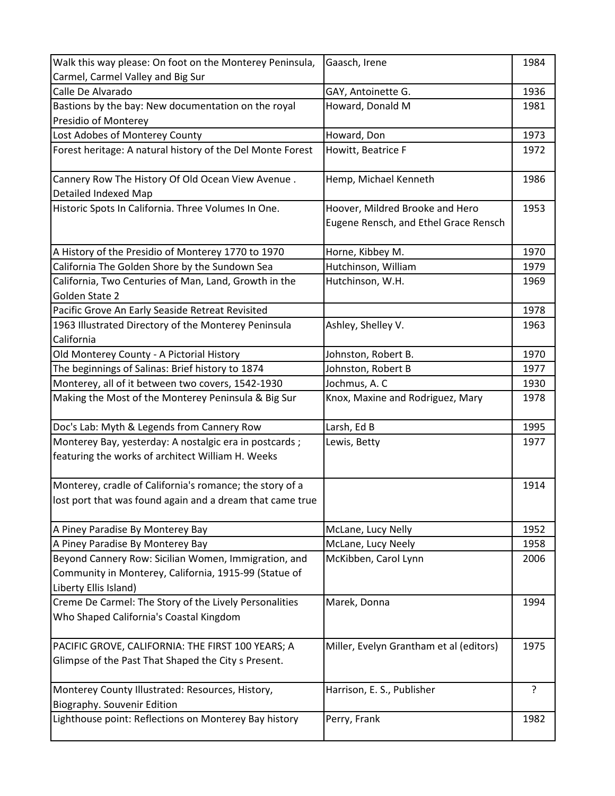| Walk this way please: On foot on the Monterey Peninsula,   | Gaasch, Irene                           | 1984 |
|------------------------------------------------------------|-----------------------------------------|------|
| Carmel, Carmel Valley and Big Sur                          |                                         |      |
| Calle De Alvarado                                          | GAY, Antoinette G.                      | 1936 |
| Bastions by the bay: New documentation on the royal        | Howard, Donald M                        | 1981 |
| Presidio of Monterey                                       |                                         |      |
| Lost Adobes of Monterey County                             | Howard, Don                             | 1973 |
| Forest heritage: A natural history of the Del Monte Forest | Howitt, Beatrice F                      | 1972 |
|                                                            |                                         |      |
| Cannery Row The History Of Old Ocean View Avenue.          | Hemp, Michael Kenneth                   | 1986 |
| <b>Detailed Indexed Map</b>                                |                                         |      |
| Historic Spots In California. Three Volumes In One.        | Hoover, Mildred Brooke and Hero         | 1953 |
|                                                            | Eugene Rensch, and Ethel Grace Rensch   |      |
|                                                            |                                         |      |
| A History of the Presidio of Monterey 1770 to 1970         | Horne, Kibbey M.                        | 1970 |
| California The Golden Shore by the Sundown Sea             | Hutchinson, William                     | 1979 |
| California, Two Centuries of Man, Land, Growth in the      | Hutchinson, W.H.                        | 1969 |
| Golden State 2                                             |                                         |      |
| Pacific Grove An Early Seaside Retreat Revisited           |                                         | 1978 |
| 1963 Illustrated Directory of the Monterey Peninsula       | Ashley, Shelley V.                      | 1963 |
| California                                                 |                                         |      |
| Old Monterey County - A Pictorial History                  | Johnston, Robert B.                     | 1970 |
| The beginnings of Salinas: Brief history to 1874           | Johnston, Robert B                      | 1977 |
| Monterey, all of it between two covers, 1542-1930          | Jochmus, A. C                           | 1930 |
| Making the Most of the Monterey Peninsula & Big Sur        | Knox, Maxine and Rodriguez, Mary        | 1978 |
|                                                            |                                         |      |
| Doc's Lab: Myth & Legends from Cannery Row                 | Larsh, Ed B                             | 1995 |
| Monterey Bay, yesterday: A nostalgic era in postcards;     | Lewis, Betty                            | 1977 |
| featuring the works of architect William H. Weeks          |                                         |      |
|                                                            |                                         |      |
| Monterey, cradle of California's romance; the story of a   |                                         | 1914 |
| lost port that was found again and a dream that came true  |                                         |      |
|                                                            |                                         |      |
| A Piney Paradise By Monterey Bay                           | McLane, Lucy Nelly                      | 1952 |
| A Piney Paradise By Monterey Bay                           | McLane, Lucy Neely                      | 1958 |
| Beyond Cannery Row: Sicilian Women, Immigration, and       | McKibben, Carol Lynn                    | 2006 |
| Community in Monterey, California, 1915-99 (Statue of      |                                         |      |
| Liberty Ellis Island)                                      |                                         |      |
| Creme De Carmel: The Story of the Lively Personalities     | Marek, Donna                            | 1994 |
| Who Shaped California's Coastal Kingdom                    |                                         |      |
|                                                            |                                         |      |
| PACIFIC GROVE, CALIFORNIA: THE FIRST 100 YEARS; A          | Miller, Evelyn Grantham et al (editors) | 1975 |
| Glimpse of the Past That Shaped the City s Present.        |                                         |      |
|                                                            |                                         |      |
| Monterey County Illustrated: Resources, History,           | Harrison, E. S., Publisher              | ?    |
| Biography. Souvenir Edition                                |                                         |      |
| Lighthouse point: Reflections on Monterey Bay history      | Perry, Frank                            | 1982 |
|                                                            |                                         |      |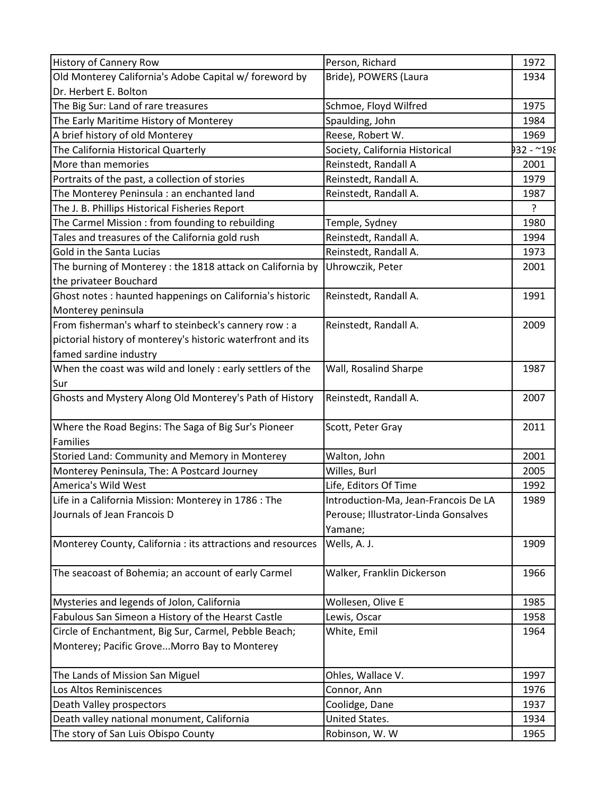| <b>History of Cannery Row</b>                               | Person, Richard                      | 1972       |
|-------------------------------------------------------------|--------------------------------------|------------|
| Old Monterey California's Adobe Capital w/ foreword by      | Bride), POWERS (Laura                | 1934       |
| Dr. Herbert E. Bolton                                       |                                      |            |
| The Big Sur: Land of rare treasures                         | Schmoe, Floyd Wilfred                | 1975       |
| The Early Maritime History of Monterey                      | Spaulding, John                      | 1984       |
| A brief history of old Monterey                             | Reese, Robert W.                     | 1969       |
| The California Historical Quarterly                         | Society, California Historical       | 932 - ~198 |
| More than memories                                          | Reinstedt, Randall A                 | 2001       |
| Portraits of the past, a collection of stories              | Reinstedt, Randall A.                | 1979       |
| The Monterey Peninsula : an enchanted land                  | Reinstedt, Randall A.                | 1987       |
| The J. B. Phillips Historical Fisheries Report              |                                      | ?          |
| The Carmel Mission : from founding to rebuilding            | Temple, Sydney                       | 1980       |
| Tales and treasures of the California gold rush             | Reinstedt, Randall A.                | 1994       |
| Gold in the Santa Lucias                                    | Reinstedt, Randall A.                | 1973       |
| The burning of Monterey : the 1818 attack on California by  | Uhrowczik, Peter                     | 2001       |
| the privateer Bouchard                                      |                                      |            |
| Ghost notes : haunted happenings on California's historic   | Reinstedt, Randall A.                | 1991       |
| Monterey peninsula                                          |                                      |            |
| From fisherman's wharf to steinbeck's cannery row : a       | Reinstedt, Randall A.                | 2009       |
| pictorial history of monterey's historic waterfront and its |                                      |            |
| famed sardine industry                                      |                                      |            |
| When the coast was wild and lonely : early settlers of the  | Wall, Rosalind Sharpe                | 1987       |
| Sur                                                         |                                      |            |
| Ghosts and Mystery Along Old Monterey's Path of History     | Reinstedt, Randall A.                | 2007       |
|                                                             |                                      |            |
| Where the Road Begins: The Saga of Big Sur's Pioneer        | Scott, Peter Gray                    | 2011       |
| <b>Families</b>                                             |                                      |            |
| Storied Land: Community and Memory in Monterey              | Walton, John                         | 2001       |
| Monterey Peninsula, The: A Postcard Journey                 | Willes, Burl                         | 2005       |
| America's Wild West                                         | Life, Editors Of Time                | 1992       |
| Life in a California Mission: Monterey in 1786 : The        | Introduction-Ma, Jean-Francois De LA | 1989       |
| Journals of Jean Francois D                                 | Perouse; Illustrator-Linda Gonsalves |            |
|                                                             | Yamane;                              |            |
| Monterey County, California : its attractions and resources | Wells, A. J.                         | 1909       |
|                                                             |                                      |            |
| The seacoast of Bohemia; an account of early Carmel         | Walker, Franklin Dickerson           | 1966       |
|                                                             |                                      |            |
| Mysteries and legends of Jolon, California                  | Wollesen, Olive E                    | 1985       |
| Fabulous San Simeon a History of the Hearst Castle          | Lewis, Oscar                         | 1958       |
| Circle of Enchantment, Big Sur, Carmel, Pebble Beach;       | White, Emil                          | 1964       |
| Monterey; Pacific Grove Morro Bay to Monterey               |                                      |            |
|                                                             |                                      |            |
| The Lands of Mission San Miguel                             | Ohles, Wallace V.                    | 1997       |
| Los Altos Reminiscences                                     | Connor, Ann                          | 1976       |
| Death Valley prospectors                                    | Coolidge, Dane                       | 1937       |
| Death valley national monument, California                  | United States.                       | 1934       |
| The story of San Luis Obispo County                         | Robinson, W. W                       | 1965       |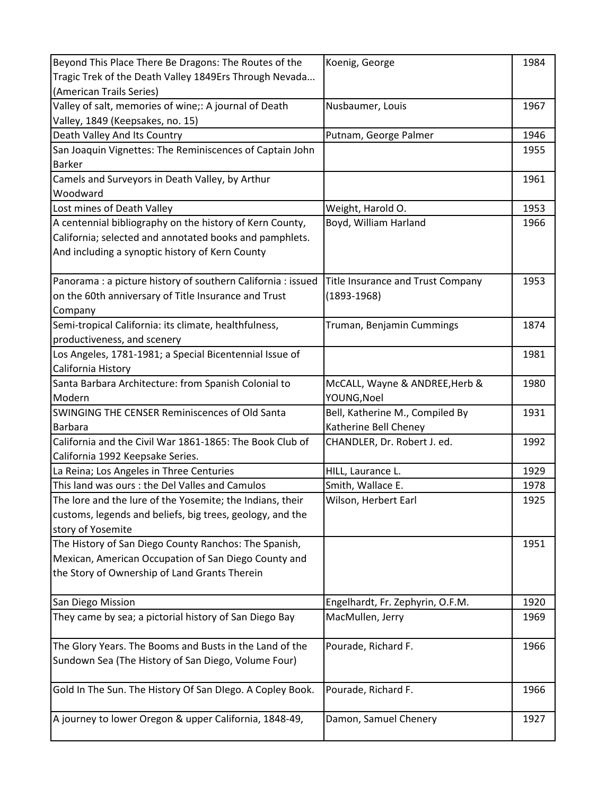| Beyond This Place There Be Dragons: The Routes of the        | Koenig, George                    | 1984 |
|--------------------------------------------------------------|-----------------------------------|------|
| Tragic Trek of the Death Valley 1849Ers Through Nevada       |                                   |      |
| (American Trails Series)                                     |                                   |      |
| Valley of salt, memories of wine;: A journal of Death        | Nusbaumer, Louis                  | 1967 |
| Valley, 1849 (Keepsakes, no. 15)                             |                                   |      |
| Death Valley And Its Country                                 | Putnam, George Palmer             | 1946 |
| San Joaquin Vignettes: The Reminiscences of Captain John     |                                   | 1955 |
| <b>Barker</b>                                                |                                   |      |
| Camels and Surveyors in Death Valley, by Arthur              |                                   | 1961 |
| Woodward                                                     |                                   |      |
| Lost mines of Death Valley                                   | Weight, Harold O.                 | 1953 |
| A centennial bibliography on the history of Kern County,     | Boyd, William Harland             | 1966 |
| California; selected and annotated books and pamphlets.      |                                   |      |
| And including a synoptic history of Kern County              |                                   |      |
|                                                              |                                   |      |
| Panorama : a picture history of southern California : issued | Title Insurance and Trust Company | 1953 |
| on the 60th anniversary of Title Insurance and Trust         | $(1893 - 1968)$                   |      |
| Company                                                      |                                   |      |
| Semi-tropical California: its climate, healthfulness,        | Truman, Benjamin Cummings         | 1874 |
| productiveness, and scenery                                  |                                   |      |
| Los Angeles, 1781-1981; a Special Bicentennial Issue of      |                                   | 1981 |
| California History                                           |                                   |      |
| Santa Barbara Architecture: from Spanish Colonial to         | McCALL, Wayne & ANDREE, Herb &    | 1980 |
| Modern                                                       | YOUNG, Noel                       |      |
| <b>SWINGING THE CENSER Reminiscences of Old Santa</b>        | Bell, Katherine M., Compiled By   | 1931 |
| Barbara                                                      | Katherine Bell Cheney             |      |
| California and the Civil War 1861-1865: The Book Club of     | CHANDLER, Dr. Robert J. ed.       | 1992 |
| California 1992 Keepsake Series.                             |                                   |      |
| La Reina; Los Angeles in Three Centuries                     | HILL, Laurance L.                 | 1929 |
| This land was ours : the Del Valles and Camulos              | Smith, Wallace E.                 | 1978 |
| The lore and the lure of the Yosemite; the Indians, their    | Wilson, Herbert Earl              | 1925 |
| customs, legends and beliefs, big trees, geology, and the    |                                   |      |
| story of Yosemite                                            |                                   |      |
| The History of San Diego County Ranchos: The Spanish,        |                                   | 1951 |
| Mexican, American Occupation of San Diego County and         |                                   |      |
| the Story of Ownership of Land Grants Therein                |                                   |      |
|                                                              |                                   |      |
| San Diego Mission                                            | Engelhardt, Fr. Zephyrin, O.F.M.  | 1920 |
| They came by sea; a pictorial history of San Diego Bay       | MacMullen, Jerry                  | 1969 |
|                                                              |                                   |      |
| The Glory Years. The Booms and Busts in the Land of the      | Pourade, Richard F.               | 1966 |
| Sundown Sea (The History of San Diego, Volume Four)          |                                   |      |
|                                                              |                                   |      |
| Gold In The Sun. The History Of San Dlego. A Copley Book.    | Pourade, Richard F.               | 1966 |
|                                                              |                                   |      |
| A journey to lower Oregon & upper California, 1848-49,       | Damon, Samuel Chenery             | 1927 |
|                                                              |                                   |      |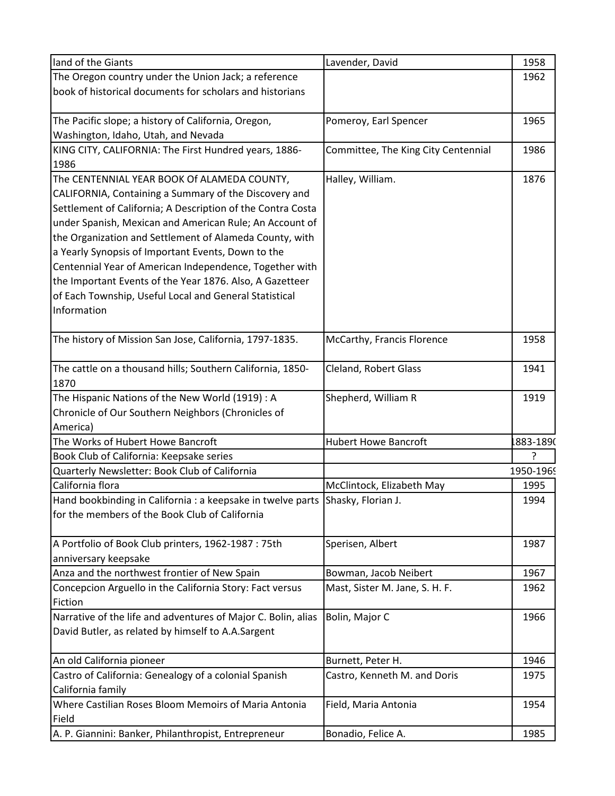| land of the Giants                                                             | Lavender, David                     | 1958      |
|--------------------------------------------------------------------------------|-------------------------------------|-----------|
| The Oregon country under the Union Jack; a reference                           |                                     | 1962      |
| book of historical documents for scholars and historians                       |                                     |           |
|                                                                                |                                     |           |
| The Pacific slope; a history of California, Oregon,                            | Pomeroy, Earl Spencer               | 1965      |
| Washington, Idaho, Utah, and Nevada                                            |                                     |           |
| KING CITY, CALIFORNIA: The First Hundred years, 1886-                          | Committee, The King City Centennial | 1986      |
| 1986                                                                           |                                     |           |
| The CENTENNIAL YEAR BOOK Of ALAMEDA COUNTY,                                    | Halley, William.                    | 1876      |
| CALIFORNIA, Containing a Summary of the Discovery and                          |                                     |           |
| Settlement of California; A Description of the Contra Costa                    |                                     |           |
| under Spanish, Mexican and American Rule; An Account of                        |                                     |           |
| the Organization and Settlement of Alameda County, with                        |                                     |           |
| a Yearly Synopsis of Important Events, Down to the                             |                                     |           |
| Centennial Year of American Independence, Together with                        |                                     |           |
| the Important Events of the Year 1876. Also, A Gazetteer                       |                                     |           |
| of Each Township, Useful Local and General Statistical                         |                                     |           |
| Information                                                                    |                                     |           |
|                                                                                |                                     |           |
| The history of Mission San Jose, California, 1797-1835.                        | McCarthy, Francis Florence          | 1958      |
|                                                                                |                                     |           |
| The cattle on a thousand hills; Southern California, 1850-                     | Cleland, Robert Glass               | 1941      |
| 1870                                                                           |                                     |           |
| The Hispanic Nations of the New World (1919) : A                               | Shepherd, William R                 | 1919      |
| Chronicle of Our Southern Neighbors (Chronicles of                             |                                     |           |
| America)                                                                       |                                     |           |
| The Works of Hubert Howe Bancroft                                              | <b>Hubert Howe Bancroft</b>         | 1883-1890 |
| Book Club of California: Keepsake series                                       |                                     | ?         |
| Quarterly Newsletter: Book Club of California                                  |                                     | 1950-1969 |
| California flora                                                               | McClintock, Elizabeth May           | 1995      |
| Hand bookbinding in California : a keepsake in twelve parts Shasky, Florian J. |                                     | 1994      |
| for the members of the Book Club of California                                 |                                     |           |
|                                                                                |                                     |           |
| A Portfolio of Book Club printers, 1962-1987 : 75th                            | Sperisen, Albert                    | 1987      |
| anniversary keepsake                                                           |                                     |           |
| Anza and the northwest frontier of New Spain                                   | Bowman, Jacob Neibert               | 1967      |
| Concepcion Arguello in the California Story: Fact versus                       | Mast, Sister M. Jane, S. H. F.      | 1962      |
| Fiction                                                                        |                                     |           |
| Narrative of the life and adventures of Major C. Bolin, alias                  | Bolin, Major C                      | 1966      |
| David Butler, as related by himself to A.A.Sargent                             |                                     |           |
|                                                                                |                                     |           |
| An old California pioneer                                                      | Burnett, Peter H.                   | 1946      |
| Castro of California: Genealogy of a colonial Spanish                          | Castro, Kenneth M. and Doris        | 1975      |
| California family                                                              |                                     |           |
| Where Castilian Roses Bloom Memoirs of Maria Antonia                           | Field, Maria Antonia                | 1954      |
| Field                                                                          |                                     |           |
| A. P. Giannini: Banker, Philanthropist, Entrepreneur                           | Bonadio, Felice A.                  | 1985      |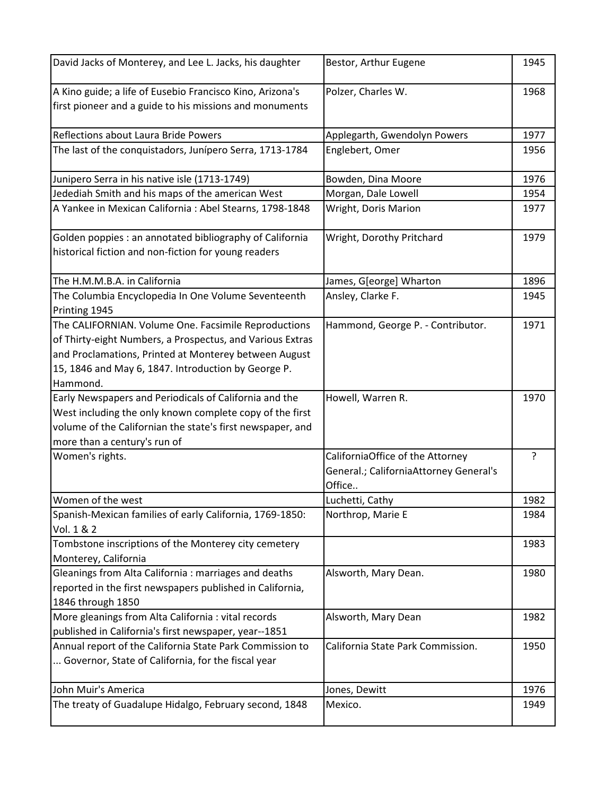| David Jacks of Monterey, and Lee L. Jacks, his daughter                                                                                                                                                                                       | Bestor, Arthur Eugene                                                      | 1945 |
|-----------------------------------------------------------------------------------------------------------------------------------------------------------------------------------------------------------------------------------------------|----------------------------------------------------------------------------|------|
| A Kino guide; a life of Eusebio Francisco Kino, Arizona's<br>first pioneer and a guide to his missions and monuments                                                                                                                          | Polzer, Charles W.                                                         | 1968 |
| Reflections about Laura Bride Powers                                                                                                                                                                                                          | Applegarth, Gwendolyn Powers                                               | 1977 |
| The last of the conquistadors, Junípero Serra, 1713-1784                                                                                                                                                                                      | Englebert, Omer                                                            | 1956 |
| Junipero Serra in his native isle (1713-1749)                                                                                                                                                                                                 | Bowden, Dina Moore                                                         | 1976 |
| Jedediah Smith and his maps of the american West                                                                                                                                                                                              | Morgan, Dale Lowell                                                        | 1954 |
| A Yankee in Mexican California : Abel Stearns, 1798-1848                                                                                                                                                                                      | Wright, Doris Marion                                                       | 1977 |
| Golden poppies : an annotated bibliography of California<br>historical fiction and non-fiction for young readers                                                                                                                              | Wright, Dorothy Pritchard                                                  | 1979 |
| The H.M.M.B.A. in California                                                                                                                                                                                                                  | James, G[eorge] Wharton                                                    | 1896 |
| The Columbia Encyclopedia In One Volume Seventeenth<br>Printing 1945                                                                                                                                                                          | Ansley, Clarke F.                                                          | 1945 |
| The CALIFORNIAN. Volume One. Facsimile Reproductions<br>of Thirty-eight Numbers, a Prospectus, and Various Extras<br>and Proclamations, Printed at Monterey between August<br>15, 1846 and May 6, 1847. Introduction by George P.<br>Hammond. | Hammond, George P. - Contributor.                                          | 1971 |
| Early Newspapers and Periodicals of California and the<br>West including the only known complete copy of the first<br>volume of the Californian the state's first newspaper, and<br>more than a century's run of                              | Howell, Warren R.                                                          | 1970 |
| Women's rights.                                                                                                                                                                                                                               | CaliforniaOffice of the Attorney<br>General.; CaliforniaAttorney General's | ?    |
|                                                                                                                                                                                                                                               | Office                                                                     |      |
| Women of the west                                                                                                                                                                                                                             | Luchetti, Cathy                                                            | 1982 |
| Spanish-Mexican families of early California, 1769-1850:<br>Vol. 1 & 2                                                                                                                                                                        | Northrop, Marie E                                                          | 1984 |
| Tombstone inscriptions of the Monterey city cemetery<br>Monterey, California                                                                                                                                                                  |                                                                            | 1983 |
| Gleanings from Alta California : marriages and deaths<br>reported in the first newspapers published in California,<br>1846 through 1850                                                                                                       | Alsworth, Mary Dean.                                                       | 1980 |
| More gleanings from Alta California : vital records<br>published in California's first newspaper, year--1851                                                                                                                                  | Alsworth, Mary Dean                                                        | 1982 |
| Annual report of the California State Park Commission to<br>Governor, State of California, for the fiscal year                                                                                                                                | California State Park Commission.                                          | 1950 |
| John Muir's America                                                                                                                                                                                                                           | Jones, Dewitt                                                              | 1976 |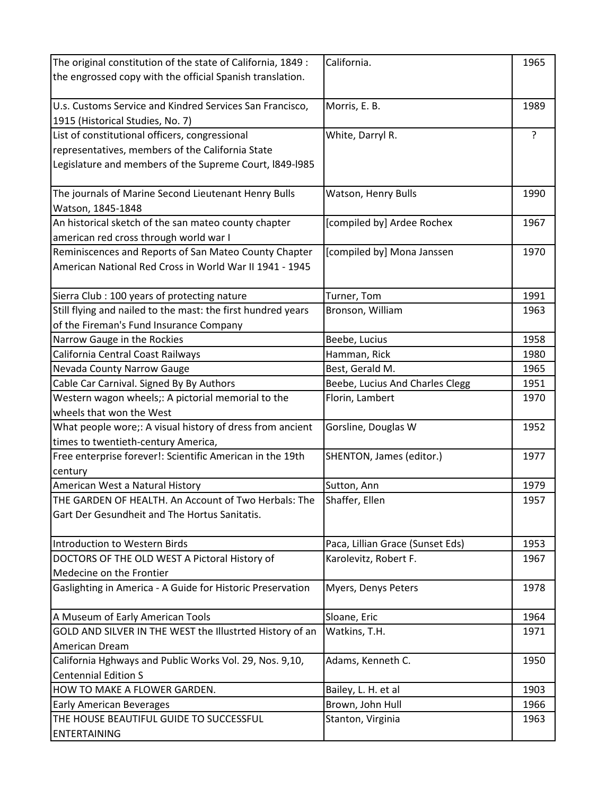| The original constitution of the state of California, 1849 : | California.                      | 1965 |
|--------------------------------------------------------------|----------------------------------|------|
| the engrossed copy with the official Spanish translation.    |                                  |      |
|                                                              |                                  |      |
| U.s. Customs Service and Kindred Services San Francisco,     | Morris, E. B.                    | 1989 |
| 1915 (Historical Studies, No. 7)                             |                                  |      |
| List of constitutional officers, congressional               | White, Darryl R.                 | ?    |
| representatives, members of the California State             |                                  |      |
| Legislature and members of the Supreme Court, I849-I985      |                                  |      |
|                                                              |                                  |      |
| The journals of Marine Second Lieutenant Henry Bulls         | Watson, Henry Bulls              | 1990 |
| Watson, 1845-1848                                            |                                  |      |
| An historical sketch of the san mateo county chapter         | [compiled by] Ardee Rochex       | 1967 |
| american red cross through world war I                       |                                  |      |
| Reminiscences and Reports of San Mateo County Chapter        | [compiled by] Mona Janssen       | 1970 |
| American National Red Cross in World War II 1941 - 1945      |                                  |      |
|                                                              |                                  |      |
| Sierra Club : 100 years of protecting nature                 | Turner, Tom                      | 1991 |
| Still flying and nailed to the mast: the first hundred years | Bronson, William                 | 1963 |
| of the Fireman's Fund Insurance Company                      |                                  |      |
| Narrow Gauge in the Rockies                                  | Beebe, Lucius                    | 1958 |
| California Central Coast Railways                            | Hamman, Rick                     | 1980 |
| Nevada County Narrow Gauge                                   | Best, Gerald M.                  | 1965 |
| Cable Car Carnival. Signed By By Authors                     | Beebe, Lucius And Charles Clegg  | 1951 |
| Western wagon wheels;: A pictorial memorial to the           | Florin, Lambert                  | 1970 |
| wheels that won the West                                     |                                  |      |
| What people wore;: A visual history of dress from ancient    | Gorsline, Douglas W              | 1952 |
| times to twentieth-century America,                          |                                  |      |
| Free enterprise forever!: Scientific American in the 19th    | SHENTON, James (editor.)         | 1977 |
| century                                                      |                                  |      |
| American West a Natural History                              | Sutton, Ann                      | 1979 |
| THE GARDEN OF HEALTH. An Account of Two Herbals: The         | Shaffer, Ellen                   | 1957 |
| Gart Der Gesundheit and The Hortus Sanitatis.                |                                  |      |
|                                                              |                                  |      |
| Introduction to Western Birds                                | Paca, Lillian Grace (Sunset Eds) | 1953 |
| DOCTORS OF THE OLD WEST A Pictoral History of                | Karolevitz, Robert F.            | 1967 |
| Medecine on the Frontier                                     |                                  |      |
| Gaslighting in America - A Guide for Historic Preservation   | Myers, Denys Peters              | 1978 |
| A Museum of Early American Tools                             | Sloane, Eric                     | 1964 |
| GOLD AND SILVER IN THE WEST the Illustrted History of an     | Watkins, T.H.                    | 1971 |
| American Dream                                               |                                  |      |
| California Hghways and Public Works Vol. 29, Nos. 9,10,      | Adams, Kenneth C.                | 1950 |
| <b>Centennial Edition S</b>                                  |                                  |      |
| HOW TO MAKE A FLOWER GARDEN.                                 | Bailey, L. H. et al              | 1903 |
| <b>Early American Beverages</b>                              | Brown, John Hull                 | 1966 |
| THE HOUSE BEAUTIFUL GUIDE TO SUCCESSFUL                      | Stanton, Virginia                | 1963 |
| <b>ENTERTAINING</b>                                          |                                  |      |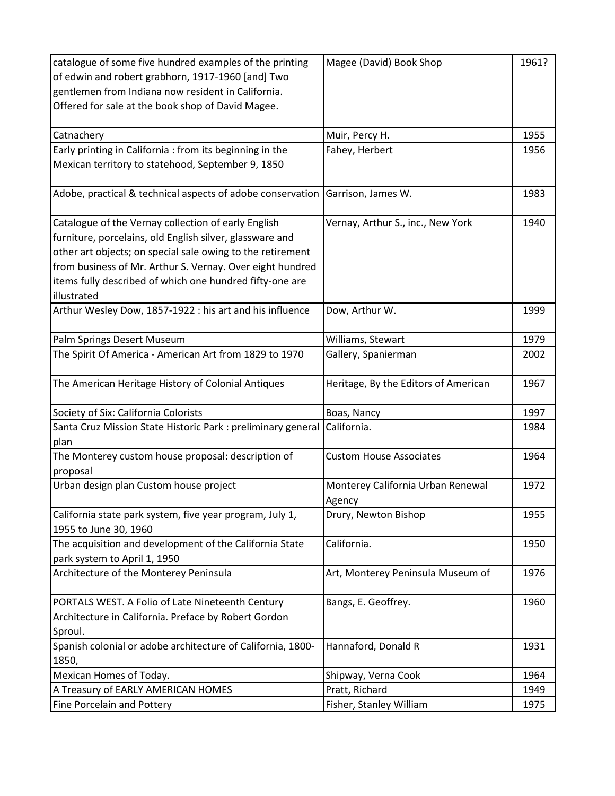| catalogue of some five hundred examples of the printing      | Magee (David) Book Shop              | 1961? |
|--------------------------------------------------------------|--------------------------------------|-------|
| of edwin and robert grabhorn, 1917-1960 [and] Two            |                                      |       |
| gentlemen from Indiana now resident in California.           |                                      |       |
| Offered for sale at the book shop of David Magee.            |                                      |       |
|                                                              |                                      |       |
| Catnachery                                                   | Muir, Percy H.                       | 1955  |
| Early printing in California : from its beginning in the     | Fahey, Herbert                       | 1956  |
| Mexican territory to statehood, September 9, 1850            |                                      |       |
|                                                              |                                      |       |
| Adobe, practical & technical aspects of adobe conservation   | Garrison, James W.                   | 1983  |
| Catalogue of the Vernay collection of early English          | Vernay, Arthur S., inc., New York    | 1940  |
| furniture, porcelains, old English silver, glassware and     |                                      |       |
| other art objects; on special sale owing to the retirement   |                                      |       |
| from business of Mr. Arthur S. Vernay. Over eight hundred    |                                      |       |
| items fully described of which one hundred fifty-one are     |                                      |       |
| illustrated                                                  |                                      |       |
| Arthur Wesley Dow, 1857-1922 : his art and his influence     | Dow, Arthur W.                       | 1999  |
| Palm Springs Desert Museum                                   | Williams, Stewart                    | 1979  |
| The Spirit Of America - American Art from 1829 to 1970       | Gallery, Spanierman                  | 2002  |
|                                                              |                                      |       |
| The American Heritage History of Colonial Antiques           | Heritage, By the Editors of American | 1967  |
| Society of Six: California Colorists                         | Boas, Nancy                          | 1997  |
| Santa Cruz Mission State Historic Park : preliminary general | California.                          | 1984  |
| plan                                                         |                                      |       |
| The Monterey custom house proposal: description of           | <b>Custom House Associates</b>       | 1964  |
| proposal                                                     |                                      |       |
| Urban design plan Custom house project                       | Monterey California Urban Renewal    | 1972  |
|                                                              | Agency                               |       |
| California state park system, five year program, July 1,     | Drury, Newton Bishop                 | 1955  |
| 1955 to June 30, 1960                                        |                                      |       |
| The acquisition and development of the California State      | California.                          | 1950  |
| park system to April 1, 1950                                 |                                      |       |
| Architecture of the Monterey Peninsula                       | Art, Monterey Peninsula Museum of    | 1976  |
| PORTALS WEST. A Folio of Late Nineteenth Century             | Bangs, E. Geoffrey.                  | 1960  |
| Architecture in California. Preface by Robert Gordon         |                                      |       |
| Sproul.                                                      |                                      |       |
| Spanish colonial or adobe architecture of California, 1800-  | Hannaford, Donald R                  | 1931  |
| 1850,                                                        |                                      |       |
| Mexican Homes of Today.                                      | Shipway, Verna Cook                  | 1964  |
| A Treasury of EARLY AMERICAN HOMES                           | Pratt, Richard                       | 1949  |
| Fine Porcelain and Pottery                                   | Fisher, Stanley William              | 1975  |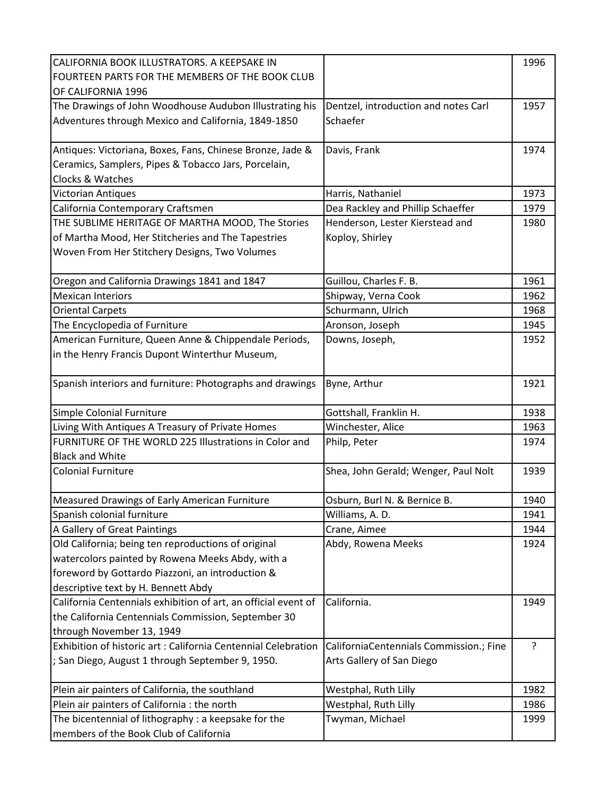| CALIFORNIA BOOK ILLUSTRATORS. A KEEPSAKE IN<br>FOURTEEN PARTS FOR THE MEMBERS OF THE BOOK CLUB<br>OF CALIFORNIA 1996 |                                         | 1996 |
|----------------------------------------------------------------------------------------------------------------------|-----------------------------------------|------|
| The Drawings of John Woodhouse Audubon Illustrating his                                                              | Dentzel, introduction and notes Carl    | 1957 |
| Adventures through Mexico and California, 1849-1850                                                                  | Schaefer                                |      |
| Antiques: Victoriana, Boxes, Fans, Chinese Bronze, Jade &                                                            | Davis, Frank                            | 1974 |
| Ceramics, Samplers, Pipes & Tobacco Jars, Porcelain,                                                                 |                                         |      |
| Clocks & Watches                                                                                                     |                                         |      |
| <b>Victorian Antiques</b>                                                                                            | Harris, Nathaniel                       | 1973 |
| California Contemporary Craftsmen                                                                                    | Dea Rackley and Phillip Schaeffer       | 1979 |
| THE SUBLIME HERITAGE OF MARTHA MOOD, The Stories                                                                     | Henderson, Lester Kierstead and         | 1980 |
| of Martha Mood, Her Stitcheries and The Tapestries                                                                   | Koploy, Shirley                         |      |
| Woven From Her Stitchery Designs, Two Volumes                                                                        |                                         |      |
| Oregon and California Drawings 1841 and 1847                                                                         | Guillou, Charles F. B.                  | 1961 |
| <b>Mexican Interiors</b>                                                                                             | Shipway, Verna Cook                     | 1962 |
| <b>Oriental Carpets</b>                                                                                              | Schurmann, Ulrich                       | 1968 |
| The Encyclopedia of Furniture                                                                                        | Aronson, Joseph                         | 1945 |
| American Furniture, Queen Anne & Chippendale Periods,                                                                | Downs, Joseph,                          | 1952 |
| in the Henry Francis Dupont Winterthur Museum,                                                                       |                                         |      |
| Spanish interiors and furniture: Photographs and drawings                                                            | Byne, Arthur                            | 1921 |
| Simple Colonial Furniture                                                                                            | Gottshall, Franklin H.                  | 1938 |
| Living With Antiques A Treasury of Private Homes                                                                     | Winchester, Alice                       | 1963 |
| FURNITURE OF THE WORLD 225 Illustrations in Color and                                                                | Philp, Peter                            | 1974 |
| <b>Black and White</b>                                                                                               |                                         |      |
| <b>Colonial Furniture</b>                                                                                            | Shea, John Gerald; Wenger, Paul Nolt    | 1939 |
| Measured Drawings of Early American Furniture                                                                        | Osburn, Burl N. & Bernice B.            | 1940 |
| Spanish colonial furniture                                                                                           | Williams, A. D.                         | 1941 |
| A Gallery of Great Paintings                                                                                         | Crane, Aimee                            | 1944 |
| Old California; being ten reproductions of original                                                                  | Abdy, Rowena Meeks                      | 1924 |
| watercolors painted by Rowena Meeks Abdy, with a                                                                     |                                         |      |
| foreword by Gottardo Piazzoni, an introduction &                                                                     |                                         |      |
| descriptive text by H. Bennett Abdy                                                                                  |                                         |      |
| California Centennials exhibition of art, an official event of                                                       | California.                             | 1949 |
| the California Centennials Commission, September 30                                                                  |                                         |      |
| through November 13, 1949                                                                                            |                                         |      |
| Exhibition of historic art: California Centennial Celebration                                                        | CaliforniaCentennials Commission.; Fine | ?    |
| ; San Diego, August 1 through September 9, 1950.                                                                     | Arts Gallery of San Diego               |      |
| Plein air painters of California, the southland                                                                      | Westphal, Ruth Lilly                    | 1982 |
| Plein air painters of California : the north                                                                         | Westphal, Ruth Lilly                    | 1986 |
| The bicentennial of lithography : a keepsake for the                                                                 | Twyman, Michael                         | 1999 |
| members of the Book Club of California                                                                               |                                         |      |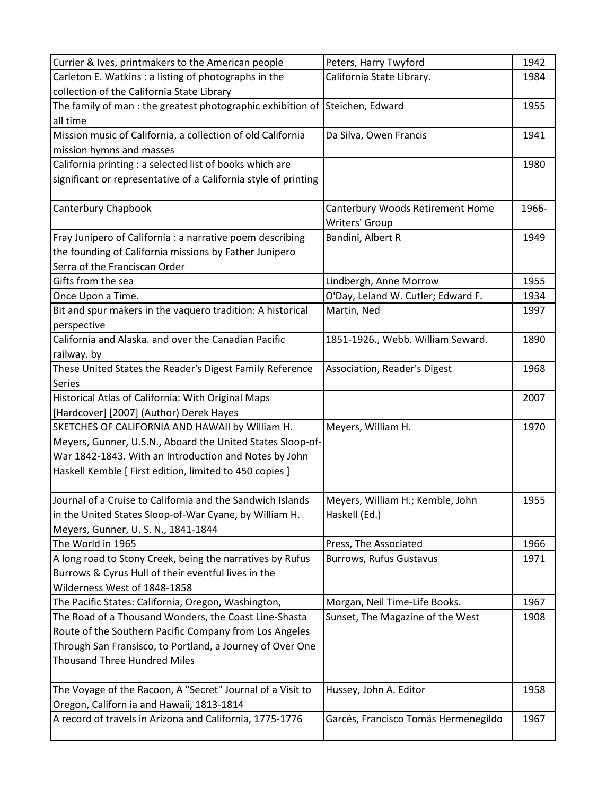| Currier & Ives, printmakers to the American people                          | Peters, Harry Twyford                | 1942  |
|-----------------------------------------------------------------------------|--------------------------------------|-------|
| Carleton E. Watkins : a listing of photographs in the                       | California State Library.            | 1984  |
| collection of the California State Library                                  |                                      |       |
| The family of man: the greatest photographic exhibition of Steichen, Edward |                                      | 1955  |
| all time                                                                    |                                      |       |
| Mission music of California, a collection of old California                 | Da Silva, Owen Francis               | 1941  |
| mission hymns and masses                                                    |                                      |       |
| California printing : a selected list of books which are                    |                                      | 1980  |
| significant or representative of a California style of printing             |                                      |       |
|                                                                             |                                      |       |
| Canterbury Chapbook                                                         | Canterbury Woods Retirement Home     | 1966- |
|                                                                             | Writers' Group                       |       |
| Fray Junipero of California : a narrative poem describing                   | Bandini, Albert R                    | 1949  |
| the founding of California missions by Father Junipero                      |                                      |       |
| Serra of the Franciscan Order                                               |                                      |       |
| Gifts from the sea                                                          | Lindbergh, Anne Morrow               | 1955  |
| Once Upon a Time.                                                           | O'Day, Leland W. Cutler; Edward F.   | 1934  |
| Bit and spur makers in the vaquero tradition: A historical                  | Martin, Ned                          | 1997  |
| perspective                                                                 |                                      |       |
| California and Alaska. and over the Canadian Pacific                        | 1851-1926., Webb. William Seward.    | 1890  |
| railway. by                                                                 |                                      |       |
| These United States the Reader's Digest Family Reference                    | Association, Reader's Digest         | 1968  |
| <b>Series</b>                                                               |                                      |       |
| Historical Atlas of California: With Original Maps                          |                                      | 2007  |
| [Hardcover] [2007] (Author) Derek Hayes                                     |                                      |       |
| SKETCHES OF CALIFORNIA AND HAWAII by William H.                             | Meyers, William H.                   | 1970  |
| Meyers, Gunner, U.S.N., Aboard the United States Sloop-of-                  |                                      |       |
| War 1842-1843. With an Introduction and Notes by John                       |                                      |       |
| Haskell Kemble [ First edition, limited to 450 copies ]                     |                                      |       |
| Journal of a Cruise to California and the Sandwich Islands                  | Meyers, William H.; Kemble, John     | 1955  |
| in the United States Sloop-of-War Cyane, by William H.                      | Haskell (Ed.)                        |       |
| Meyers, Gunner, U.S. N., 1841-1844                                          |                                      |       |
| The World in 1965                                                           | Press, The Associated                | 1966  |
| A long road to Stony Creek, being the narratives by Rufus                   | <b>Burrows, Rufus Gustavus</b>       | 1971  |
| Burrows & Cyrus Hull of their eventful lives in the                         |                                      |       |
| Wilderness West of 1848-1858                                                |                                      |       |
| The Pacific States: California, Oregon, Washington,                         | Morgan, Neil Time-Life Books.        | 1967  |
| The Road of a Thousand Wonders, the Coast Line-Shasta                       | Sunset, The Magazine of the West     | 1908  |
| Route of the Southern Pacific Company from Los Angeles                      |                                      |       |
| Through San Fransisco, to Portland, a Journey of Over One                   |                                      |       |
| <b>Thousand Three Hundred Miles</b>                                         |                                      |       |
|                                                                             |                                      |       |
| The Voyage of the Racoon, A "Secret" Journal of a Visit to                  | Hussey, John A. Editor               | 1958  |
| Oregon, Californ ia and Hawaii, 1813-1814                                   |                                      |       |
| A record of travels in Arizona and California, 1775-1776                    | Garcés, Francisco Tomás Hermenegildo | 1967  |
|                                                                             |                                      |       |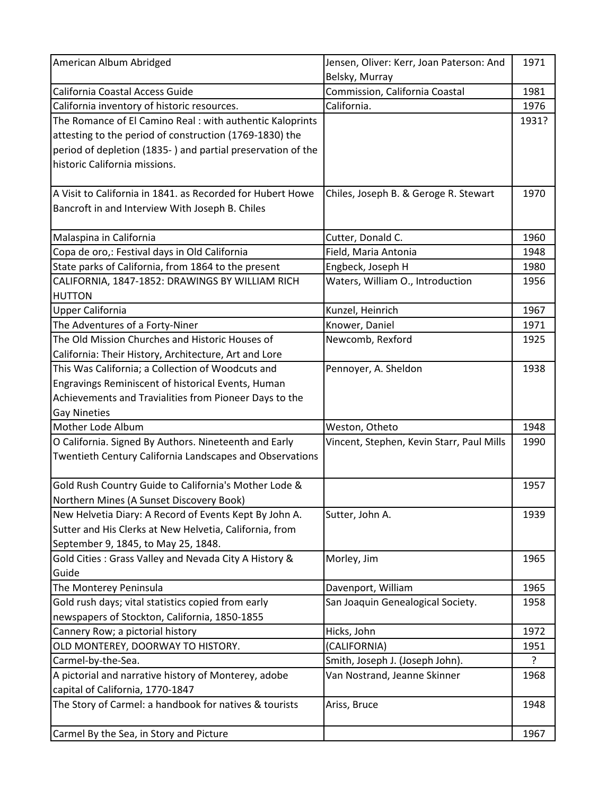| American Album Abridged                                     | Jensen, Oliver: Kerr, Joan Paterson: And  | 1971  |
|-------------------------------------------------------------|-------------------------------------------|-------|
|                                                             | Belsky, Murray                            |       |
| California Coastal Access Guide                             | Commission, California Coastal            | 1981  |
| California inventory of historic resources.                 | California.                               | 1976  |
| The Romance of El Camino Real : with authentic Kaloprints   |                                           | 1931? |
| attesting to the period of construction (1769-1830) the     |                                           |       |
| period of depletion (1835-) and partial preservation of the |                                           |       |
| historic California missions.                               |                                           |       |
|                                                             |                                           |       |
| A Visit to California in 1841. as Recorded for Hubert Howe  | Chiles, Joseph B. & Geroge R. Stewart     | 1970  |
| Bancroft in and Interview With Joseph B. Chiles             |                                           |       |
|                                                             |                                           |       |
| Malaspina in California                                     | Cutter, Donald C.                         | 1960  |
| Copa de oro,: Festival days in Old California               | Field, Maria Antonia                      | 1948  |
| State parks of California, from 1864 to the present         | Engbeck, Joseph H                         | 1980  |
| CALIFORNIA, 1847-1852: DRAWINGS BY WILLIAM RICH             | Waters, William O., Introduction          | 1956  |
| <b>HUTTON</b>                                               |                                           |       |
| <b>Upper California</b>                                     | Kunzel, Heinrich                          | 1967  |
| The Adventures of a Forty-Niner                             | Knower, Daniel                            | 1971  |
| The Old Mission Churches and Historic Houses of             | Newcomb, Rexford                          | 1925  |
| California: Their History, Architecture, Art and Lore       |                                           |       |
| This Was California; a Collection of Woodcuts and           | Pennoyer, A. Sheldon                      | 1938  |
| Engravings Reminiscent of historical Events, Human          |                                           |       |
| Achievements and Travialities from Pioneer Days to the      |                                           |       |
| <b>Gay Nineties</b>                                         |                                           |       |
| Mother Lode Album                                           | Weston, Otheto                            | 1948  |
| O California. Signed By Authors. Nineteenth and Early       | Vincent, Stephen, Kevin Starr, Paul Mills | 1990  |
| Twentieth Century California Landscapes and Observations    |                                           |       |
|                                                             |                                           |       |
| Gold Rush Country Guide to California's Mother Lode &       |                                           | 1957  |
| Northern Mines (A Sunset Discovery Book)                    |                                           |       |
| New Helvetia Diary: A Record of Events Kept By John A.      | Sutter, John A.                           | 1939  |
| Sutter and His Clerks at New Helvetia, California, from     |                                           |       |
| September 9, 1845, to May 25, 1848.                         |                                           |       |
| Gold Cities: Grass Valley and Nevada City A History &       | Morley, Jim                               | 1965  |
| Guide                                                       |                                           |       |
| The Monterey Peninsula                                      | Davenport, William                        | 1965  |
| Gold rush days; vital statistics copied from early          | San Joaquin Genealogical Society.         | 1958  |
| newspapers of Stockton, California, 1850-1855               |                                           |       |
| Cannery Row; a pictorial history                            | Hicks, John                               | 1972  |
| OLD MONTEREY, DOORWAY TO HISTORY.                           | (CALIFORNIA)                              | 1951  |
| Carmel-by-the-Sea.                                          | Smith, Joseph J. (Joseph John).           | ?     |
| A pictorial and narrative history of Monterey, adobe        | Van Nostrand, Jeanne Skinner              | 1968  |
| capital of California, 1770-1847                            |                                           |       |
| The Story of Carmel: a handbook for natives & tourists      | Ariss, Bruce                              | 1948  |
| Carmel By the Sea, in Story and Picture                     |                                           | 1967  |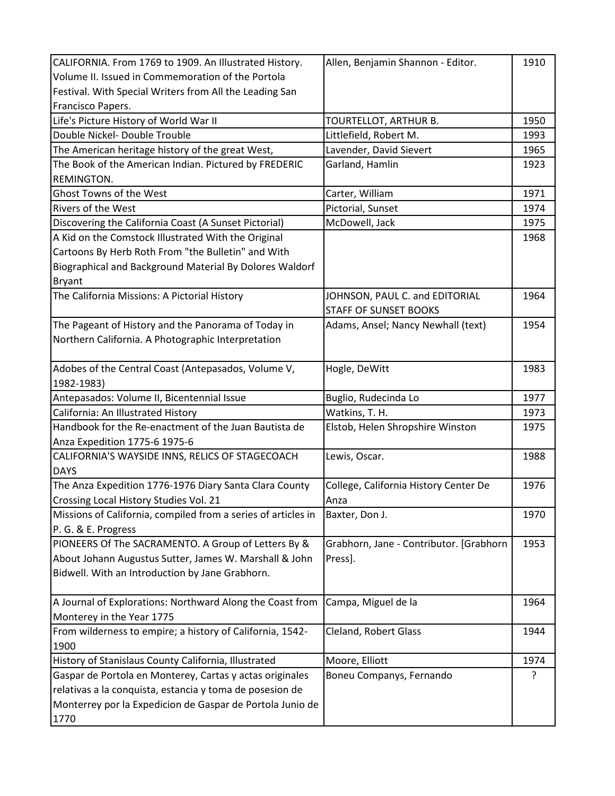| CALIFORNIA. From 1769 to 1909. An Illustrated History.        | Allen, Benjamin Shannon - Editor.       | 1910 |
|---------------------------------------------------------------|-----------------------------------------|------|
| Volume II. Issued in Commemoration of the Portola             |                                         |      |
| Festival. With Special Writers from All the Leading San       |                                         |      |
| Francisco Papers.                                             |                                         |      |
| Life's Picture History of World War II                        | TOURTELLOT, ARTHUR B.                   | 1950 |
| Double Nickel- Double Trouble                                 | Littlefield, Robert M.                  | 1993 |
| The American heritage history of the great West,              | Lavender, David Sievert                 | 1965 |
| The Book of the American Indian. Pictured by FREDERIC         | Garland, Hamlin                         | 1923 |
| REMINGTON.                                                    |                                         |      |
| Ghost Towns of the West                                       | Carter, William                         | 1971 |
| <b>Rivers of the West</b>                                     | Pictorial, Sunset                       | 1974 |
| Discovering the California Coast (A Sunset Pictorial)         | McDowell, Jack                          | 1975 |
| A Kid on the Comstock Illustrated With the Original           |                                         | 1968 |
| Cartoons By Herb Roth From "the Bulletin" and With            |                                         |      |
| Biographical and Background Material By Dolores Waldorf       |                                         |      |
| <b>Bryant</b>                                                 |                                         |      |
| The California Missions: A Pictorial History                  | JOHNSON, PAUL C. and EDITORIAL          | 1964 |
|                                                               | <b>STAFF OF SUNSET BOOKS</b>            |      |
| The Pageant of History and the Panorama of Today in           | Adams, Ansel; Nancy Newhall (text)      | 1954 |
| Northern California. A Photographic Interpretation            |                                         |      |
|                                                               |                                         |      |
| Adobes of the Central Coast (Antepasados, Volume V,           | Hogle, DeWitt                           | 1983 |
| 1982-1983)                                                    |                                         |      |
| Antepasados: Volume II, Bicentennial Issue                    | Buglio, Rudecinda Lo                    | 1977 |
| California: An Illustrated History                            | Watkins, T. H.                          | 1973 |
| Handbook for the Re-enactment of the Juan Bautista de         | Elstob, Helen Shropshire Winston        | 1975 |
| Anza Expedition 1775-6 1975-6                                 |                                         |      |
| CALIFORNIA'S WAYSIDE INNS, RELICS OF STAGECOACH               | Lewis, Oscar.                           | 1988 |
| <b>DAYS</b>                                                   |                                         |      |
| The Anza Expedition 1776-1976 Diary Santa Clara County        | College, California History Center De   | 1976 |
| Crossing Local History Studies Vol. 21                        | Anza                                    |      |
| Missions of California, compiled from a series of articles in | Baxter, Don J.                          | 1970 |
| P. G. & E. Progress                                           |                                         |      |
| PIONEERS Of The SACRAMENTO. A Group of Letters By &           | Grabhorn, Jane - Contributor. [Grabhorn | 1953 |
| About Johann Augustus Sutter, James W. Marshall & John        | Press].                                 |      |
| Bidwell. With an Introduction by Jane Grabhorn.               |                                         |      |
|                                                               |                                         |      |
| A Journal of Explorations: Northward Along the Coast from     | Campa, Miguel de la                     | 1964 |
| Monterey in the Year 1775                                     |                                         |      |
| From wilderness to empire; a history of California, 1542-     | Cleland, Robert Glass                   | 1944 |
| 1900                                                          |                                         |      |
| History of Stanislaus County California, Illustrated          | Moore, Elliott                          | 1974 |
| Gaspar de Portola en Monterey, Cartas y actas originales      | Boneu Companys, Fernando                | ?    |
| relativas a la conquista, estancia y toma de posesion de      |                                         |      |
|                                                               |                                         |      |
| Monterrey por la Expedicion de Gaspar de Portola Junio de     |                                         |      |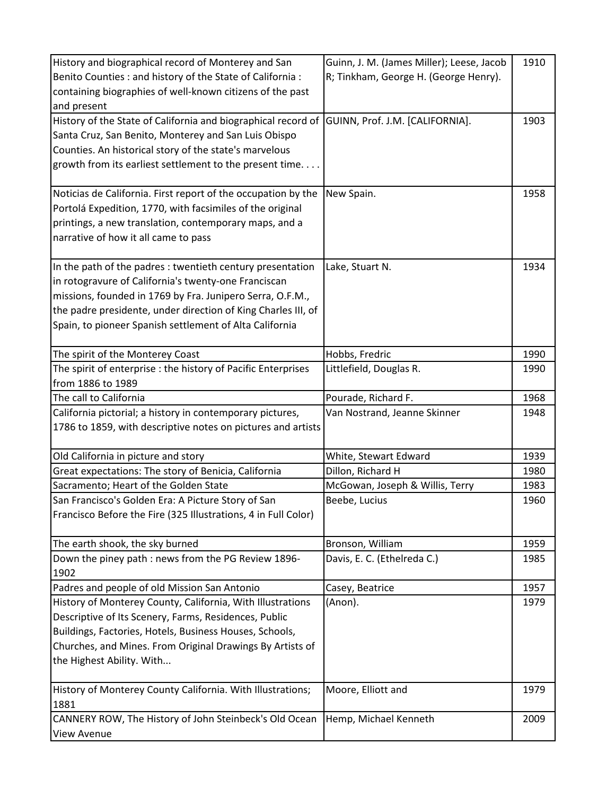| History and biographical record of Monterey and San            | Guinn, J. M. (James Miller); Leese, Jacob | 1910 |
|----------------------------------------------------------------|-------------------------------------------|------|
| Benito Counties : and history of the State of California :     | R; Tinkham, George H. (George Henry).     |      |
| containing biographies of well-known citizens of the past      |                                           |      |
| and present                                                    |                                           |      |
| History of the State of California and biographical record of  | GUINN, Prof. J.M. [CALIFORNIA].           | 1903 |
| Santa Cruz, San Benito, Monterey and San Luis Obispo           |                                           |      |
| Counties. An historical story of the state's marvelous         |                                           |      |
| growth from its earliest settlement to the present time        |                                           |      |
|                                                                |                                           |      |
| Noticias de California. First report of the occupation by the  | New Spain.                                | 1958 |
| Portolá Expedition, 1770, with facsimiles of the original      |                                           |      |
| printings, a new translation, contemporary maps, and a         |                                           |      |
| narrative of how it all came to pass                           |                                           |      |
|                                                                |                                           |      |
| In the path of the padres: twentieth century presentation      | Lake, Stuart N.                           | 1934 |
| in rotogravure of California's twenty-one Franciscan           |                                           |      |
| missions, founded in 1769 by Fra. Junipero Serra, O.F.M.,      |                                           |      |
| the padre presidente, under direction of King Charles III, of  |                                           |      |
| Spain, to pioneer Spanish settlement of Alta California        |                                           |      |
|                                                                |                                           |      |
| The spirit of the Monterey Coast                               | Hobbs, Fredric                            | 1990 |
| The spirit of enterprise : the history of Pacific Enterprises  | Littlefield, Douglas R.                   | 1990 |
| from 1886 to 1989                                              |                                           |      |
| The call to California                                         | Pourade, Richard F.                       | 1968 |
| California pictorial; a history in contemporary pictures,      | Van Nostrand, Jeanne Skinner              | 1948 |
| 1786 to 1859, with descriptive notes on pictures and artists   |                                           |      |
|                                                                |                                           |      |
| Old California in picture and story                            | White, Stewart Edward                     | 1939 |
| Great expectations: The story of Benicia, California           | Dillon, Richard H                         | 1980 |
| Sacramento; Heart of the Golden State                          | McGowan, Joseph & Willis, Terry           | 1983 |
| San Francisco's Golden Era: A Picture Story of San             | Beebe, Lucius                             | 1960 |
| Francisco Before the Fire (325 Illustrations, 4 in Full Color) |                                           |      |
|                                                                |                                           |      |
| The earth shook, the sky burned                                | Bronson, William                          | 1959 |
| Down the piney path : news from the PG Review 1896-            | Davis, E. C. (Ethelreda C.)               | 1985 |
| 1902                                                           |                                           |      |
| Padres and people of old Mission San Antonio                   | Casey, Beatrice                           | 1957 |
| History of Monterey County, California, With Illustrations     | (Anon).                                   | 1979 |
| Descriptive of Its Scenery, Farms, Residences, Public          |                                           |      |
| Buildings, Factories, Hotels, Business Houses, Schools,        |                                           |      |
| Churches, and Mines. From Original Drawings By Artists of      |                                           |      |
| the Highest Ability. With                                      |                                           |      |
|                                                                |                                           |      |
| History of Monterey County California. With Illustrations;     | Moore, Elliott and                        | 1979 |
| 1881                                                           |                                           |      |
| CANNERY ROW, The History of John Steinbeck's Old Ocean         | Hemp, Michael Kenneth                     | 2009 |
| View Avenue                                                    |                                           |      |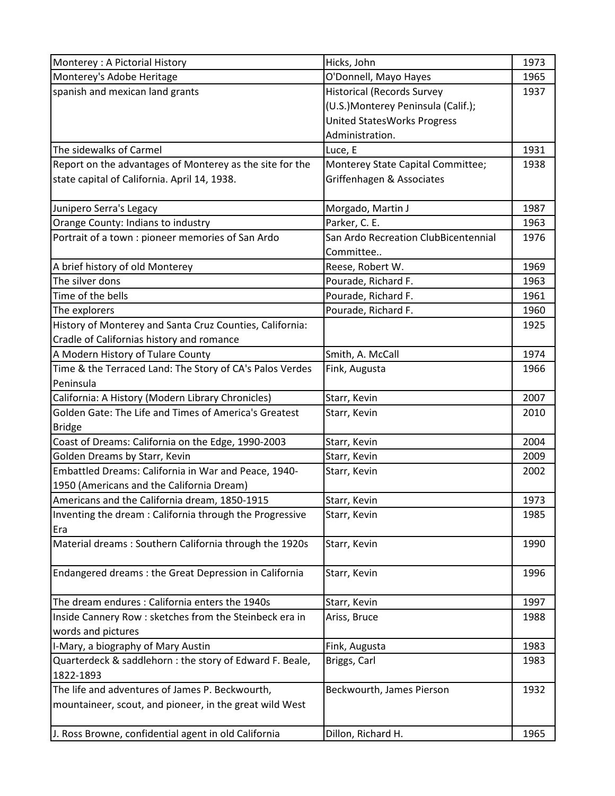| Monterey : A Pictorial History                           | Hicks, John                          | 1973 |
|----------------------------------------------------------|--------------------------------------|------|
| Monterey's Adobe Heritage                                | O'Donnell, Mayo Hayes                | 1965 |
| spanish and mexican land grants                          | <b>Historical (Records Survey</b>    | 1937 |
|                                                          | (U.S.) Monterey Peninsula (Calif.);  |      |
|                                                          | <b>United StatesWorks Progress</b>   |      |
|                                                          | Administration.                      |      |
| The sidewalks of Carmel                                  | Luce, E                              | 1931 |
| Report on the advantages of Monterey as the site for the | Monterey State Capital Committee;    | 1938 |
| state capital of California. April 14, 1938.             | Griffenhagen & Associates            |      |
| Junipero Serra's Legacy                                  | Morgado, Martin J                    | 1987 |
| Orange County: Indians to industry                       | Parker, C. E.                        | 1963 |
| Portrait of a town : pioneer memories of San Ardo        | San Ardo Recreation ClubBicentennial | 1976 |
|                                                          | Committee                            |      |
| A brief history of old Monterey                          | Reese, Robert W.                     | 1969 |
| The silver dons                                          | Pourade, Richard F.                  | 1963 |
| Time of the bells                                        | Pourade, Richard F.                  | 1961 |
| The explorers                                            | Pourade, Richard F.                  | 1960 |
| History of Monterey and Santa Cruz Counties, California: |                                      | 1925 |
| Cradle of Californias history and romance                |                                      |      |
| A Modern History of Tulare County                        | Smith, A. McCall                     | 1974 |
| Time & the Terraced Land: The Story of CA's Palos Verdes | Fink, Augusta                        | 1966 |
| Peninsula                                                |                                      |      |
| California: A History (Modern Library Chronicles)        | Starr, Kevin                         | 2007 |
| Golden Gate: The Life and Times of America's Greatest    | Starr, Kevin                         | 2010 |
| <b>Bridge</b>                                            |                                      |      |
| Coast of Dreams: California on the Edge, 1990-2003       | Starr, Kevin                         | 2004 |
| Golden Dreams by Starr, Kevin                            | Starr, Kevin                         | 2009 |
| Embattled Dreams: California in War and Peace, 1940-     | Starr, Kevin                         | 2002 |
| 1950 (Americans and the California Dream)                |                                      |      |
| Americans and the California dream, 1850-1915            | Starr, Kevin                         | 1973 |
| Inventing the dream: California through the Progressive  | Starr, Kevin                         | 1985 |
| Era                                                      |                                      |      |
| Material dreams: Southern California through the 1920s   | Starr, Kevin                         | 1990 |
| Endangered dreams : the Great Depression in California   | Starr, Kevin                         | 1996 |
| The dream endures : California enters the 1940s          | Starr, Kevin                         | 1997 |
| Inside Cannery Row : sketches from the Steinbeck era in  | Ariss, Bruce                         | 1988 |
| words and pictures                                       |                                      |      |
| I-Mary, a biography of Mary Austin                       | Fink, Augusta                        | 1983 |
| Quarterdeck & saddlehorn : the story of Edward F. Beale, | Briggs, Carl                         | 1983 |
| 1822-1893                                                |                                      |      |
| The life and adventures of James P. Beckwourth,          | Beckwourth, James Pierson            | 1932 |
| mountaineer, scout, and pioneer, in the great wild West  |                                      |      |
| J. Ross Browne, confidential agent in old California     | Dillon, Richard H.                   | 1965 |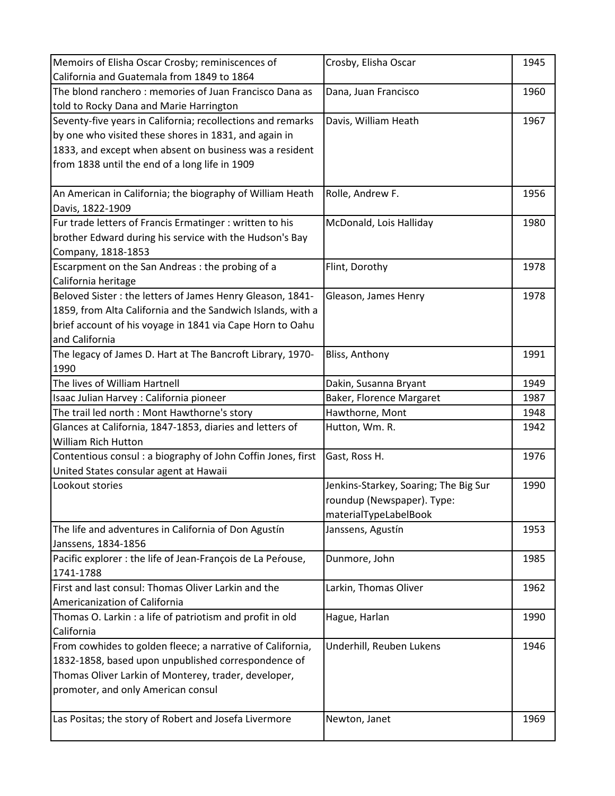| Memoirs of Elisha Oscar Crosby; reminiscences of             | Crosby, Elisha Oscar                  | 1945 |
|--------------------------------------------------------------|---------------------------------------|------|
| California and Guatemala from 1849 to 1864                   |                                       |      |
| The blond ranchero: memories of Juan Francisco Dana as       | Dana, Juan Francisco                  | 1960 |
| told to Rocky Dana and Marie Harrington                      |                                       |      |
| Seventy-five years in California; recollections and remarks  | Davis, William Heath                  | 1967 |
| by one who visited these shores in 1831, and again in        |                                       |      |
| 1833, and except when absent on business was a resident      |                                       |      |
| from 1838 until the end of a long life in 1909               |                                       |      |
|                                                              |                                       |      |
| An American in California; the biography of William Heath    | Rolle, Andrew F.                      | 1956 |
| Davis, 1822-1909                                             |                                       |      |
| Fur trade letters of Francis Ermatinger : written to his     | McDonald, Lois Halliday               | 1980 |
| brother Edward during his service with the Hudson's Bay      |                                       |      |
| Company, 1818-1853                                           |                                       |      |
| Escarpment on the San Andreas : the probing of a             | Flint, Dorothy                        | 1978 |
| California heritage                                          |                                       |      |
| Beloved Sister : the letters of James Henry Gleason, 1841-   | Gleason, James Henry                  | 1978 |
| 1859, from Alta California and the Sandwich Islands, with a  |                                       |      |
| brief account of his voyage in 1841 via Cape Horn to Oahu    |                                       |      |
| and California                                               |                                       |      |
| The legacy of James D. Hart at The Bancroft Library, 1970-   | Bliss, Anthony                        | 1991 |
| 1990                                                         |                                       |      |
| The lives of William Hartnell                                | Dakin, Susanna Bryant                 | 1949 |
| Isaac Julian Harvey : California pioneer                     | Baker, Florence Margaret              | 1987 |
| The trail led north : Mont Hawthorne's story                 | Hawthorne, Mont                       | 1948 |
| Glances at California, 1847-1853, diaries and letters of     | Hutton, Wm. R.                        | 1942 |
| <b>William Rich Hutton</b>                                   |                                       |      |
| Contentious consul : a biography of John Coffin Jones, first | Gast, Ross H.                         | 1976 |
| United States consular agent at Hawaii                       |                                       |      |
| Lookout stories                                              | Jenkins-Starkey, Soaring; The Big Sur | 1990 |
|                                                              | roundup (Newspaper). Type:            |      |
|                                                              | materialTypeLabelBook                 |      |
| The life and adventures in California of Don Agustín         | Janssens, Agustín                     | 1953 |
| Janssens, 1834-1856                                          |                                       |      |
| Pacific explorer : the life of Jean-François de La Perouse,  | Dunmore, John                         | 1985 |
| 1741-1788                                                    |                                       |      |
| First and last consul: Thomas Oliver Larkin and the          | Larkin, Thomas Oliver                 | 1962 |
| Americanization of California                                |                                       |      |
| Thomas O. Larkin: a life of patriotism and profit in old     | Hague, Harlan                         | 1990 |
| California                                                   |                                       |      |
| From cowhides to golden fleece; a narrative of California,   | Underhill, Reuben Lukens              | 1946 |
| 1832-1858, based upon unpublished correspondence of          |                                       |      |
| Thomas Oliver Larkin of Monterey, trader, developer,         |                                       |      |
| promoter, and only American consul                           |                                       |      |
|                                                              |                                       |      |
| Las Positas; the story of Robert and Josefa Livermore        | Newton, Janet                         | 1969 |
|                                                              |                                       |      |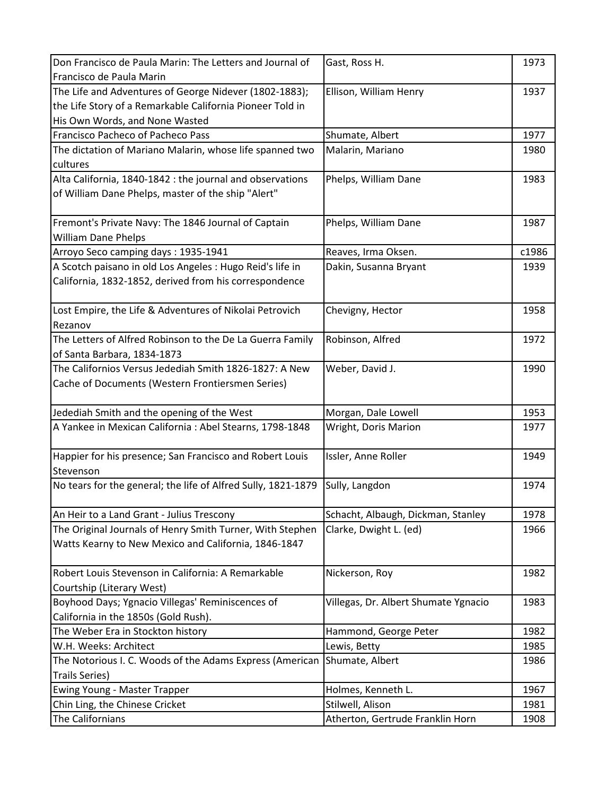| Don Francisco de Paula Marin: The Letters and Journal of      | Gast, Ross H.                        | 1973  |
|---------------------------------------------------------------|--------------------------------------|-------|
| Francisco de Paula Marin                                      |                                      |       |
| The Life and Adventures of George Nidever (1802-1883);        | Ellison, William Henry               | 1937  |
| the Life Story of a Remarkable California Pioneer Told in     |                                      |       |
| His Own Words, and None Wasted                                |                                      |       |
| Francisco Pacheco of Pacheco Pass                             | Shumate, Albert                      | 1977  |
| The dictation of Mariano Malarin, whose life spanned two      | Malarin, Mariano                     | 1980  |
| cultures                                                      |                                      |       |
| Alta California, 1840-1842 : the journal and observations     | Phelps, William Dane                 | 1983  |
| of William Dane Phelps, master of the ship "Alert"            |                                      |       |
|                                                               |                                      |       |
| Fremont's Private Navy: The 1846 Journal of Captain           | Phelps, William Dane                 | 1987  |
| <b>William Dane Phelps</b>                                    |                                      |       |
| Arroyo Seco camping days: 1935-1941                           | Reaves, Irma Oksen.                  | c1986 |
| A Scotch paisano in old Los Angeles : Hugo Reid's life in     | Dakin, Susanna Bryant                | 1939  |
| California, 1832-1852, derived from his correspondence        |                                      |       |
|                                                               |                                      |       |
| Lost Empire, the Life & Adventures of Nikolai Petrovich       | Chevigny, Hector                     | 1958  |
| Rezanov                                                       |                                      |       |
| The Letters of Alfred Robinson to the De La Guerra Family     | Robinson, Alfred                     | 1972  |
| of Santa Barbara, 1834-1873                                   |                                      |       |
| The Californios Versus Jedediah Smith 1826-1827: A New        | Weber, David J.                      | 1990  |
| Cache of Documents (Western Frontiersmen Series)              |                                      |       |
|                                                               |                                      |       |
| Jedediah Smith and the opening of the West                    | Morgan, Dale Lowell                  | 1953  |
| A Yankee in Mexican California : Abel Stearns, 1798-1848      | Wright, Doris Marion                 | 1977  |
|                                                               |                                      |       |
| Happier for his presence; San Francisco and Robert Louis      | Issler, Anne Roller                  | 1949  |
| Stevenson                                                     |                                      |       |
| No tears for the general; the life of Alfred Sully, 1821-1879 | Sully, Langdon                       | 1974  |
|                                                               |                                      |       |
| An Heir to a Land Grant - Julius Trescony                     | Schacht, Albaugh, Dickman, Stanley   | 1978  |
| The Original Journals of Henry Smith Turner, With Stephen     | Clarke, Dwight L. (ed)               | 1966  |
| Watts Kearny to New Mexico and California, 1846-1847          |                                      |       |
|                                                               |                                      |       |
| Robert Louis Stevenson in California: A Remarkable            | Nickerson, Roy                       | 1982  |
| Courtship (Literary West)                                     |                                      |       |
| Boyhood Days; Ygnacio Villegas' Reminiscences of              | Villegas, Dr. Albert Shumate Ygnacio | 1983  |
| California in the 1850s (Gold Rush).                          |                                      |       |
| The Weber Era in Stockton history                             | Hammond, George Peter                | 1982  |
| W.H. Weeks: Architect                                         | Lewis, Betty                         | 1985  |
| The Notorious I. C. Woods of the Adams Express (American      | Shumate, Albert                      | 1986  |
| <b>Trails Series)</b>                                         |                                      |       |
| Ewing Young - Master Trapper                                  | Holmes, Kenneth L.                   | 1967  |
| Chin Ling, the Chinese Cricket                                | Stilwell, Alison                     | 1981  |
| The Californians                                              | Atherton, Gertrude Franklin Horn     | 1908  |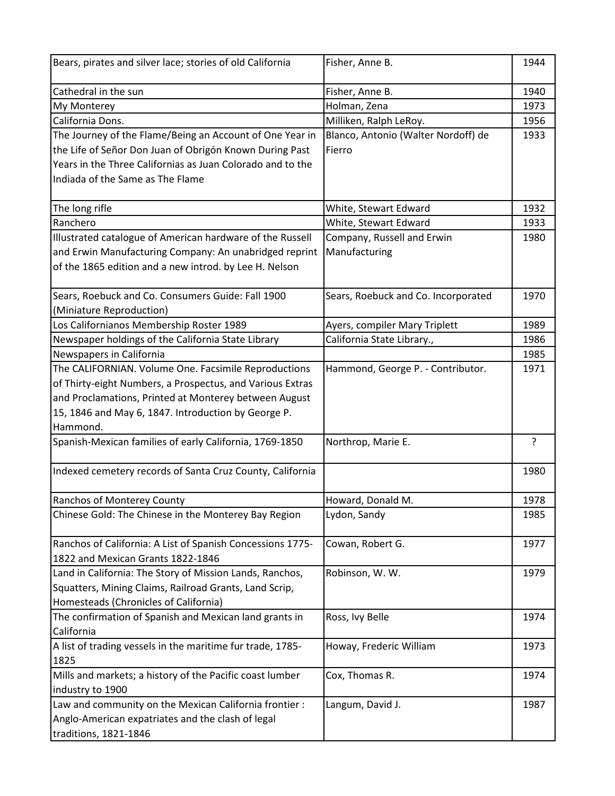| Bears, pirates and silver lace; stories of old California                                       | Fisher, Anne B.                     | 1944 |
|-------------------------------------------------------------------------------------------------|-------------------------------------|------|
| Cathedral in the sun                                                                            | Fisher, Anne B.                     | 1940 |
| My Monterey                                                                                     | Holman, Zena                        | 1973 |
| California Dons.                                                                                | Milliken, Ralph LeRoy.              | 1956 |
| The Journey of the Flame/Being an Account of One Year in                                        | Blanco, Antonio (Walter Nordoff) de | 1933 |
| the Life of Señor Don Juan of Obrigón Known During Past                                         | Fierro                              |      |
| Years in the Three Californias as Juan Colorado and to the                                      |                                     |      |
| Indiada of the Same as The Flame                                                                |                                     |      |
| The long rifle                                                                                  | White, Stewart Edward               | 1932 |
| Ranchero                                                                                        | White, Stewart Edward               | 1933 |
| Illustrated catalogue of American hardware of the Russell                                       | Company, Russell and Erwin          | 1980 |
| and Erwin Manufacturing Company: An unabridged reprint                                          | Manufacturing                       |      |
| of the 1865 edition and a new introd. by Lee H. Nelson                                          |                                     |      |
| Sears, Roebuck and Co. Consumers Guide: Fall 1900                                               | Sears, Roebuck and Co. Incorporated | 1970 |
| (Miniature Reproduction)                                                                        |                                     |      |
| Los Californianos Membership Roster 1989                                                        | Ayers, compiler Mary Triplett       | 1989 |
| Newspaper holdings of the California State Library                                              | California State Library.,          | 1986 |
| Newspapers in California                                                                        |                                     | 1985 |
| The CALIFORNIAN. Volume One. Facsimile Reproductions                                            | Hammond, George P. - Contributor.   | 1971 |
| of Thirty-eight Numbers, a Prospectus, and Various Extras                                       |                                     |      |
| and Proclamations, Printed at Monterey between August                                           |                                     |      |
| 15, 1846 and May 6, 1847. Introduction by George P.                                             |                                     |      |
| Hammond.                                                                                        |                                     |      |
| Spanish-Mexican families of early California, 1769-1850                                         | Northrop, Marie E.                  | ?    |
| Indexed cemetery records of Santa Cruz County, California                                       |                                     | 1980 |
| Ranchos of Monterey County                                                                      | Howard, Donald M.                   | 1978 |
| Chinese Gold: The Chinese in the Monterey Bay Region                                            | Lydon, Sandy                        | 1985 |
| Ranchos of California: A List of Spanish Concessions 1775-<br>1822 and Mexican Grants 1822-1846 | Cowan, Robert G.                    | 1977 |
| Land in California: The Story of Mission Lands, Ranchos,                                        | Robinson, W. W.                     | 1979 |
| Squatters, Mining Claims, Railroad Grants, Land Scrip,                                          |                                     |      |
| Homesteads (Chronicles of California)                                                           |                                     |      |
| The confirmation of Spanish and Mexican land grants in                                          | Ross, Ivy Belle                     | 1974 |
| California                                                                                      |                                     |      |
| A list of trading vessels in the maritime fur trade, 1785-                                      | Howay, Frederic William             | 1973 |
| 1825                                                                                            |                                     |      |
| Mills and markets; a history of the Pacific coast lumber                                        | Cox, Thomas R.                      | 1974 |
| industry to 1900                                                                                |                                     |      |
| Law and community on the Mexican California frontier :                                          | Langum, David J.                    | 1987 |
| Anglo-American expatriates and the clash of legal                                               |                                     |      |
| traditions, 1821-1846                                                                           |                                     |      |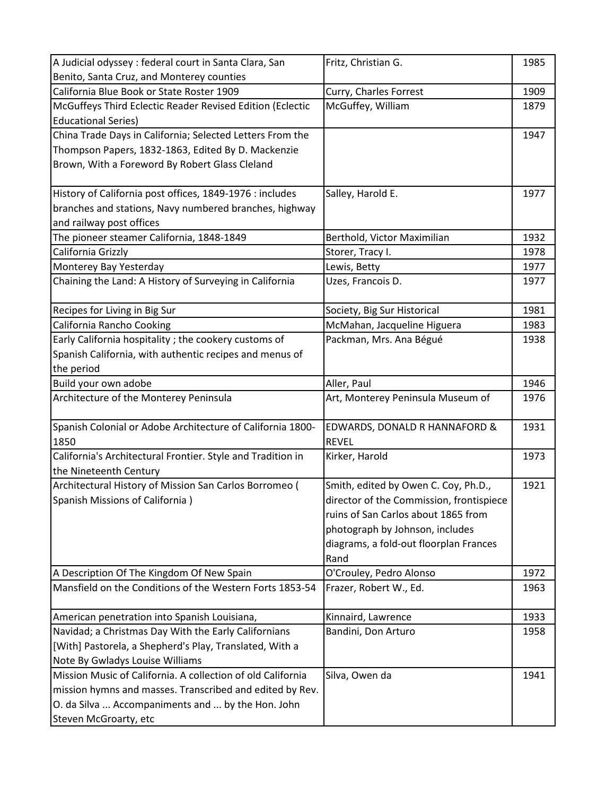| A Judicial odyssey : federal court in Santa Clara, San                     | Fritz, Christian G.                      | 1985 |
|----------------------------------------------------------------------------|------------------------------------------|------|
| Benito, Santa Cruz, and Monterey counties                                  |                                          |      |
| California Blue Book or State Roster 1909                                  | Curry, Charles Forrest                   | 1909 |
| McGuffeys Third Eclectic Reader Revised Edition (Eclectic                  | McGuffey, William                        | 1879 |
| <b>Educational Series)</b>                                                 |                                          |      |
| China Trade Days in California; Selected Letters From the                  |                                          | 1947 |
| Thompson Papers, 1832-1863, Edited By D. Mackenzie                         |                                          |      |
| Brown, With a Foreword By Robert Glass Cleland                             |                                          |      |
|                                                                            |                                          |      |
| History of California post offices, 1849-1976 : includes                   | Salley, Harold E.                        | 1977 |
| branches and stations, Navy numbered branches, highway                     |                                          |      |
| and railway post offices                                                   |                                          |      |
| The pioneer steamer California, 1848-1849                                  | Berthold, Victor Maximilian              | 1932 |
| California Grizzly                                                         | Storer, Tracy I.                         | 1978 |
| Monterey Bay Yesterday                                                     | Lewis, Betty                             | 1977 |
| Chaining the Land: A History of Surveying in California                    | Uzes, Francois D.                        | 1977 |
|                                                                            |                                          |      |
| Recipes for Living in Big Sur                                              | Society, Big Sur Historical              | 1981 |
| California Rancho Cooking                                                  | McMahan, Jacqueline Higuera              | 1983 |
| Early California hospitality ; the cookery customs of                      | Packman, Mrs. Ana Bégué                  | 1938 |
| Spanish California, with authentic recipes and menus of                    |                                          |      |
| the period                                                                 |                                          |      |
| Build your own adobe                                                       | Aller, Paul                              | 1946 |
| Architecture of the Monterey Peninsula                                     | Art, Monterey Peninsula Museum of        | 1976 |
|                                                                            |                                          |      |
| Spanish Colonial or Adobe Architecture of California 1800-                 | EDWARDS, DONALD R HANNAFORD &            | 1931 |
| 1850                                                                       | <b>REVEL</b>                             |      |
| California's Architectural Frontier. Style and Tradition in                | Kirker, Harold                           | 1973 |
| the Nineteenth Century                                                     |                                          |      |
| Architectural History of Mission San Carlos Borromeo (                     | Smith, edited by Owen C. Coy, Ph.D.,     | 1921 |
| Spanish Missions of California)                                            | director of the Commission, frontispiece |      |
|                                                                            | ruins of San Carlos about 1865 from      |      |
|                                                                            | photograph by Johnson, includes          |      |
|                                                                            | diagrams, a fold-out floorplan Frances   |      |
|                                                                            | Rand                                     |      |
| A Description Of The Kingdom Of New Spain                                  | O'Crouley, Pedro Alonso                  | 1972 |
| Mansfield on the Conditions of the Western Forts 1853-54                   | Frazer, Robert W., Ed.                   | 1963 |
| American penetration into Spanish Louisiana,                               | Kinnaird, Lawrence                       | 1933 |
| Navidad; a Christmas Day With the Early Californians                       | Bandini, Don Arturo                      | 1958 |
| [With] Pastorela, a Shepherd's Play, Translated, With a                    |                                          |      |
| Note By Gwladys Louise Williams                                            |                                          |      |
| Mission Music of California. A collection of old California                | Silva, Owen da                           | 1941 |
| mission hymns and masses. Transcribed and edited by Rev.                   |                                          |      |
|                                                                            |                                          |      |
|                                                                            |                                          |      |
| O. da Silva  Accompaniments and  by the Hon. John<br>Steven McGroarty, etc |                                          |      |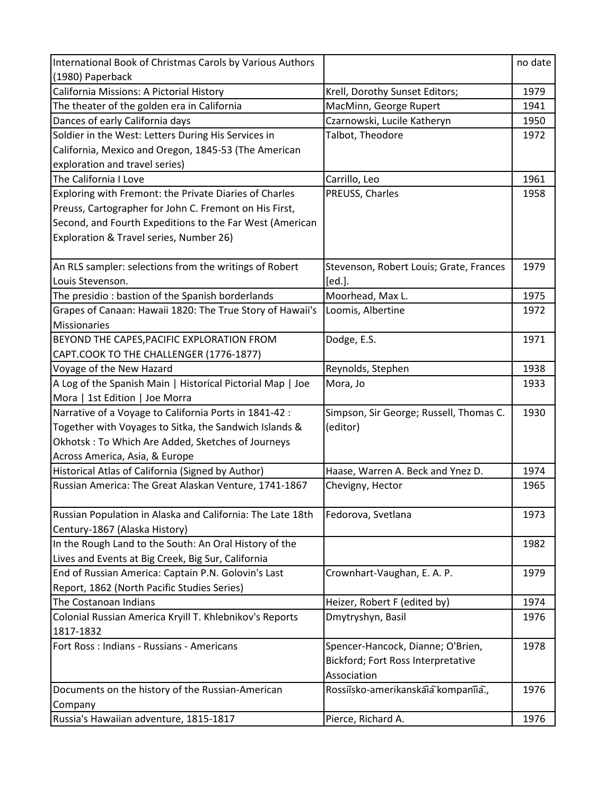| International Book of Christmas Carols by Various Authors  |                                         | no date |
|------------------------------------------------------------|-----------------------------------------|---------|
| (1980) Paperback                                           |                                         |         |
| California Missions: A Pictorial History                   | Krell, Dorothy Sunset Editors;          | 1979    |
| The theater of the golden era in California                | MacMinn, George Rupert                  | 1941    |
| Dances of early California days                            | Czarnowski, Lucile Katheryn             | 1950    |
| Soldier in the West: Letters During His Services in        | Talbot, Theodore                        | 1972    |
| California, Mexico and Oregon, 1845-53 (The American       |                                         |         |
| exploration and travel series)                             |                                         |         |
| The California I Love                                      | Carrillo, Leo                           | 1961    |
| Exploring with Fremont: the Private Diaries of Charles     | PREUSS, Charles                         | 1958    |
| Preuss, Cartographer for John C. Fremont on His First,     |                                         |         |
| Second, and Fourth Expeditions to the Far West (American   |                                         |         |
| Exploration & Travel series, Number 26)                    |                                         |         |
|                                                            |                                         |         |
| An RLS sampler: selections from the writings of Robert     | Stevenson, Robert Louis; Grate, Frances | 1979    |
| Louis Stevenson.                                           | [ed.].                                  |         |
| The presidio: bastion of the Spanish borderlands           | Moorhead, Max L.                        | 1975    |
| Grapes of Canaan: Hawaii 1820: The True Story of Hawaii's  | Loomis, Albertine                       | 1972    |
| <b>Missionaries</b>                                        |                                         |         |
| BEYOND THE CAPES, PACIFIC EXPLORATION FROM                 | Dodge, E.S.                             | 1971    |
| CAPT.COOK TO THE CHALLENGER (1776-1877)                    |                                         |         |
| Voyage of the New Hazard                                   | Reynolds, Stephen                       | 1938    |
| A Log of the Spanish Main   Historical Pictorial Map   Joe | Mora, Jo                                | 1933    |
| Mora   1st Edition   Joe Morra                             |                                         |         |
| Narrative of a Voyage to California Ports in 1841-42 :     | Simpson, Sir George; Russell, Thomas C. | 1930    |
| Together with Voyages to Sitka, the Sandwich Islands &     | (editor)                                |         |
| Okhotsk: To Which Are Added, Sketches of Journeys          |                                         |         |
| Across America, Asia, & Europe                             |                                         |         |
| Historical Atlas of California (Signed by Author)          | Haase, Warren A. Beck and Ynez D.       | 1974    |
| Russian America: The Great Alaskan Venture, 1741-1867      | Chevigny, Hector                        | 1965    |
|                                                            |                                         |         |
| Russian Population in Alaska and California: The Late 18th | Fedorova, Svetlana                      | 1973    |
| Century-1867 (Alaska History)                              |                                         |         |
| In the Rough Land to the South: An Oral History of the     |                                         | 1982    |
| Lives and Events at Big Creek, Big Sur, California         |                                         |         |
| End of Russian America: Captain P.N. Golovin's Last        | Crownhart-Vaughan, E. A. P.             | 1979    |
| Report, 1862 (North Pacific Studies Series)                |                                         |         |
| The Costanoan Indians                                      | Heizer, Robert F (edited by)            | 1974    |
| Colonial Russian America Kryill T. Khlebnikov's Reports    | Dmytryshyn, Basil                       | 1976    |
| 1817-1832                                                  |                                         |         |
| Fort Ross : Indians - Russians - Americans                 | Spencer-Hancock, Dianne; O'Brien,       | 1978    |
|                                                            | Bickford; Fort Ross Interpretative      |         |
|                                                            | Association                             |         |
| Documents on the history of the Russian-American           | Rossiisko-amerikanskaia kompaniia.,     | 1976    |
| Company                                                    |                                         |         |
| Russia's Hawaiian adventure, 1815-1817                     | Pierce, Richard A.                      | 1976    |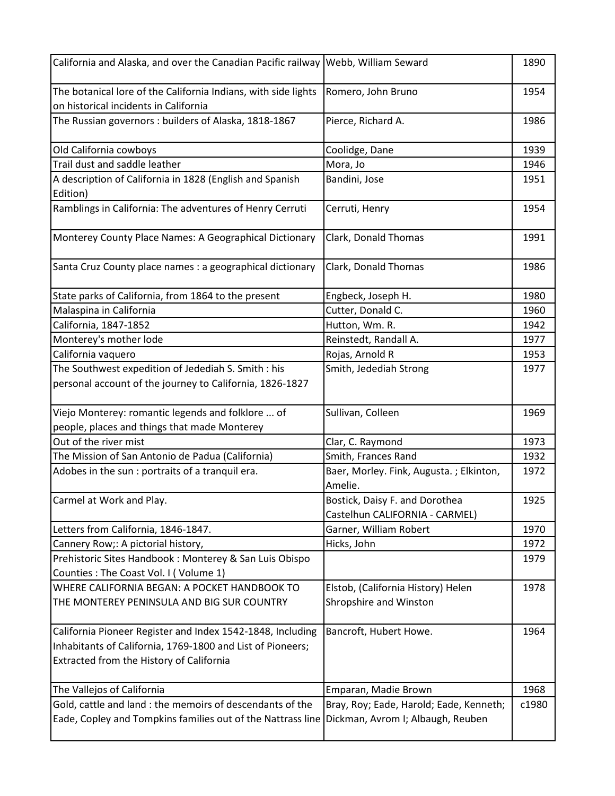| California and Alaska, and over the Canadian Pacific railway Webb, William Seward                                                                                    |                                                              | 1890  |
|----------------------------------------------------------------------------------------------------------------------------------------------------------------------|--------------------------------------------------------------|-------|
| The botanical lore of the California Indians, with side lights<br>on historical incidents in California                                                              | Romero, John Bruno                                           | 1954  |
| The Russian governors: builders of Alaska, 1818-1867                                                                                                                 | Pierce, Richard A.                                           | 1986  |
| Old California cowboys                                                                                                                                               | Coolidge, Dane                                               | 1939  |
| Trail dust and saddle leather                                                                                                                                        | Mora, Jo                                                     | 1946  |
| A description of California in 1828 (English and Spanish<br>Edition)                                                                                                 | Bandini, Jose                                                | 1951  |
| Ramblings in California: The adventures of Henry Cerruti                                                                                                             | Cerruti, Henry                                               | 1954  |
| Monterey County Place Names: A Geographical Dictionary                                                                                                               | Clark, Donald Thomas                                         | 1991  |
| Santa Cruz County place names : a geographical dictionary                                                                                                            | Clark, Donald Thomas                                         | 1986  |
| State parks of California, from 1864 to the present                                                                                                                  | Engbeck, Joseph H.                                           | 1980  |
| Malaspina in California                                                                                                                                              | Cutter, Donald C.                                            | 1960  |
| California, 1847-1852                                                                                                                                                | Hutton, Wm. R.                                               | 1942  |
| Monterey's mother lode                                                                                                                                               | Reinstedt, Randall A.                                        | 1977  |
| California vaquero                                                                                                                                                   | Rojas, Arnold R                                              | 1953  |
| The Southwest expedition of Jedediah S. Smith : his<br>personal account of the journey to California, 1826-1827                                                      | Smith, Jedediah Strong                                       | 1977  |
| Viejo Monterey: romantic legends and folklore  of                                                                                                                    | Sullivan, Colleen                                            | 1969  |
| people, places and things that made Monterey                                                                                                                         |                                                              |       |
| Out of the river mist                                                                                                                                                | Clar, C. Raymond                                             | 1973  |
| The Mission of San Antonio de Padua (California)                                                                                                                     | Smith, Frances Rand                                          | 1932  |
| Adobes in the sun : portraits of a tranquil era.                                                                                                                     | Baer, Morley. Fink, Augusta.; Elkinton,<br>Amelie.           | 1972  |
| Carmel at Work and Play.                                                                                                                                             | Bostick, Daisy F. and Dorothea                               | 1925  |
|                                                                                                                                                                      | Castelhun CALIFORNIA - CARMEL)                               |       |
| Letters from California, 1846-1847.                                                                                                                                  | Garner, William Robert                                       | 1970  |
| Cannery Row;: A pictorial history,                                                                                                                                   | Hicks, John                                                  | 1972  |
| Prehistoric Sites Handbook: Monterey & San Luis Obispo                                                                                                               |                                                              | 1979  |
| Counties: The Coast Vol. I (Volume 1)                                                                                                                                |                                                              |       |
| WHERE CALIFORNIA BEGAN: A POCKET HANDBOOK TO<br>THE MONTEREY PENINSULA AND BIG SUR COUNTRY                                                                           | Elstob, (California History) Helen<br>Shropshire and Winston | 1978  |
| California Pioneer Register and Index 1542-1848, Including<br>Inhabitants of California, 1769-1800 and List of Pioneers;<br>Extracted from the History of California | Bancroft, Hubert Howe.                                       | 1964  |
| The Vallejos of California                                                                                                                                           | Emparan, Madie Brown                                         | 1968  |
| Gold, cattle and land : the memoirs of descendants of the                                                                                                            | Bray, Roy; Eade, Harold; Eade, Kenneth;                      | c1980 |
| Eade, Copley and Tompkins families out of the Nattrass line                                                                                                          | Dickman, Avrom I; Albaugh, Reuben                            |       |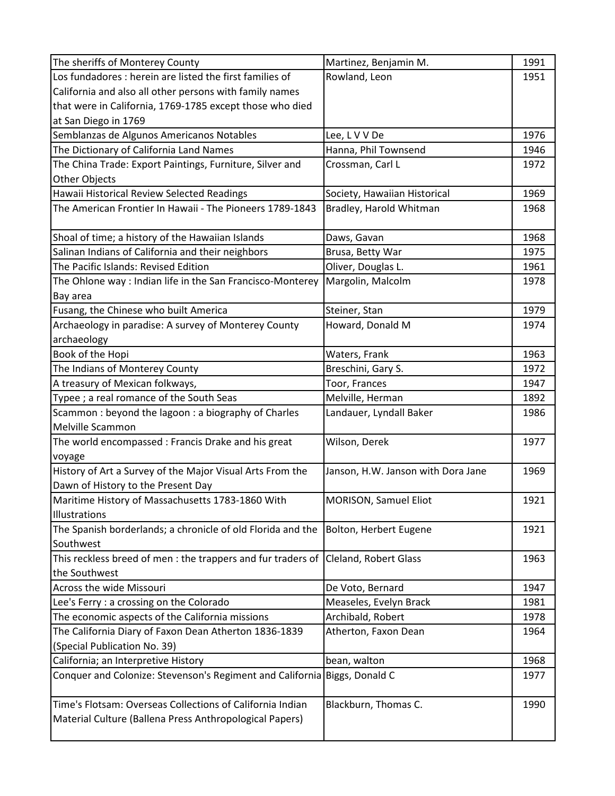| The sheriffs of Monterey County                                           | Martinez, Benjamin M.              | 1991 |
|---------------------------------------------------------------------------|------------------------------------|------|
| Los fundadores : herein are listed the first families of                  | Rowland, Leon                      | 1951 |
| California and also all other persons with family names                   |                                    |      |
| that were in California, 1769-1785 except those who died                  |                                    |      |
| at San Diego in 1769                                                      |                                    |      |
| Semblanzas de Algunos Americanos Notables                                 | Lee, L V V De                      | 1976 |
| The Dictionary of California Land Names                                   | Hanna, Phil Townsend               | 1946 |
| The China Trade: Export Paintings, Furniture, Silver and                  | Crossman, Carl L                   | 1972 |
| Other Objects                                                             |                                    |      |
| Hawaii Historical Review Selected Readings                                | Society, Hawaiian Historical       | 1969 |
| The American Frontier In Hawaii - The Pioneers 1789-1843                  | Bradley, Harold Whitman            | 1968 |
|                                                                           |                                    |      |
| Shoal of time; a history of the Hawaiian Islands                          | Daws, Gavan                        | 1968 |
| Salinan Indians of California and their neighbors                         | Brusa, Betty War                   | 1975 |
| The Pacific Islands: Revised Edition                                      | Oliver, Douglas L.                 | 1961 |
| The Ohlone way : Indian life in the San Francisco-Monterey                | Margolin, Malcolm                  | 1978 |
| Bay area                                                                  |                                    |      |
| Fusang, the Chinese who built America                                     | Steiner, Stan                      | 1979 |
| Archaeology in paradise: A survey of Monterey County                      | Howard, Donald M                   | 1974 |
| archaeology                                                               |                                    |      |
| Book of the Hopi                                                          | Waters, Frank                      | 1963 |
| The Indians of Monterey County                                            | Breschini, Gary S.                 | 1972 |
| A treasury of Mexican folkways,                                           | Toor, Frances                      | 1947 |
| Typee ; a real romance of the South Seas                                  | Melville, Herman                   | 1892 |
| Scammon: beyond the lagoon: a biography of Charles                        | Landauer, Lyndall Baker            | 1986 |
| <b>Melville Scammon</b>                                                   |                                    |      |
| The world encompassed : Francis Drake and his great                       | Wilson, Derek                      | 1977 |
| voyage                                                                    |                                    |      |
| History of Art a Survey of the Major Visual Arts From the                 | Janson, H.W. Janson with Dora Jane | 1969 |
| Dawn of History to the Present Day                                        |                                    |      |
| Maritime History of Massachusetts 1783-1860 With                          | MORISON, Samuel Eliot              | 1921 |
| Illustrations                                                             |                                    |      |
| The Spanish borderlands; a chronicle of old Florida and the               | Bolton, Herbert Eugene             | 1921 |
| Southwest                                                                 |                                    |      |
| This reckless breed of men : the trappers and fur traders of              | Cleland, Robert Glass              | 1963 |
| the Southwest                                                             |                                    |      |
| Across the wide Missouri                                                  | De Voto, Bernard                   | 1947 |
| Lee's Ferry : a crossing on the Colorado                                  | Measeles, Evelyn Brack             | 1981 |
| The economic aspects of the California missions                           | Archibald, Robert                  | 1978 |
| The California Diary of Faxon Dean Atherton 1836-1839                     | Atherton, Faxon Dean               | 1964 |
| (Special Publication No. 39)                                              |                                    |      |
| California; an Interpretive History                                       | bean, walton                       | 1968 |
| Conquer and Colonize: Stevenson's Regiment and California Biggs, Donald C |                                    | 1977 |
|                                                                           |                                    |      |
| Time's Flotsam: Overseas Collections of California Indian                 | Blackburn, Thomas C.               | 1990 |
| Material Culture (Ballena Press Anthropological Papers)                   |                                    |      |
|                                                                           |                                    |      |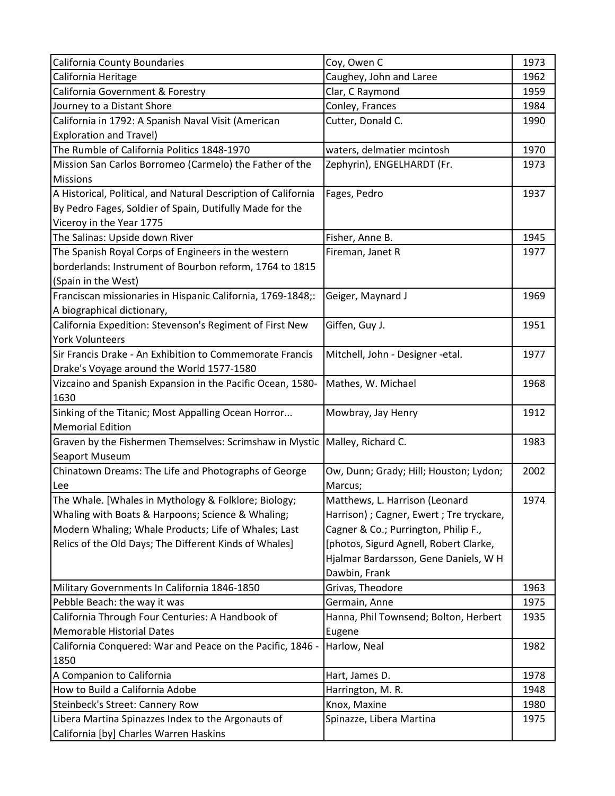| California County Boundaries                                   | Coy, Owen C                               | 1973 |
|----------------------------------------------------------------|-------------------------------------------|------|
| California Heritage                                            | Caughey, John and Laree                   | 1962 |
| California Government & Forestry                               | Clar, C Raymond                           | 1959 |
| Journey to a Distant Shore                                     | Conley, Frances                           | 1984 |
| California in 1792: A Spanish Naval Visit (American            | Cutter, Donald C.                         | 1990 |
| <b>Exploration and Travel)</b>                                 |                                           |      |
| The Rumble of California Politics 1848-1970                    | waters, delmatier mcintosh                | 1970 |
| Mission San Carlos Borromeo (Carmelo) the Father of the        | Zephyrin), ENGELHARDT (Fr.                | 1973 |
| <b>Missions</b>                                                |                                           |      |
| A Historical, Political, and Natural Description of California | Fages, Pedro                              | 1937 |
| By Pedro Fages, Soldier of Spain, Dutifully Made for the       |                                           |      |
| Viceroy in the Year 1775                                       |                                           |      |
| The Salinas: Upside down River                                 | Fisher, Anne B.                           | 1945 |
| The Spanish Royal Corps of Engineers in the western            | Fireman, Janet R                          | 1977 |
| borderlands: Instrument of Bourbon reform, 1764 to 1815        |                                           |      |
| (Spain in the West)                                            |                                           |      |
| Franciscan missionaries in Hispanic California, 1769-1848;:    | Geiger, Maynard J                         | 1969 |
| A biographical dictionary,                                     |                                           |      |
| California Expedition: Stevenson's Regiment of First New       | Giffen, Guy J.                            | 1951 |
| <b>York Volunteers</b>                                         |                                           |      |
| Sir Francis Drake - An Exhibition to Commemorate Francis       | Mitchell, John - Designer -etal.          | 1977 |
| Drake's Voyage around the World 1577-1580                      |                                           |      |
| Vizcaino and Spanish Expansion in the Pacific Ocean, 1580-     | Mathes, W. Michael                        | 1968 |
| 1630                                                           |                                           |      |
| Sinking of the Titanic; Most Appalling Ocean Horror            | Mowbray, Jay Henry                        | 1912 |
| <b>Memorial Edition</b>                                        |                                           |      |
| Graven by the Fishermen Themselves: Scrimshaw in Mystic        | Malley, Richard C.                        | 1983 |
| Seaport Museum                                                 |                                           |      |
| Chinatown Dreams: The Life and Photographs of George           | Ow, Dunn; Grady; Hill; Houston; Lydon;    | 2002 |
| Lee                                                            | Marcus;                                   |      |
| The Whale. [Whales in Mythology & Folklore; Biology;           | Matthews, L. Harrison (Leonard            | 1974 |
| Whaling with Boats & Harpoons; Science & Whaling;              | Harrison) ; Cagner, Ewert ; Tre tryckare, |      |
| Modern Whaling; Whale Products; Life of Whales; Last           | Cagner & Co.; Purrington, Philip F.,      |      |
| Relics of the Old Days; The Different Kinds of Whales]         | [photos, Sigurd Agnell, Robert Clarke,    |      |
|                                                                | Hjalmar Bardarsson, Gene Daniels, W H     |      |
|                                                                | Dawbin, Frank                             |      |
| Military Governments In California 1846-1850                   | Grivas, Theodore                          | 1963 |
| Pebble Beach: the way it was                                   | Germain, Anne                             | 1975 |
| California Through Four Centuries: A Handbook of               | Hanna, Phil Townsend; Bolton, Herbert     | 1935 |
| <b>Memorable Historial Dates</b>                               | Eugene                                    |      |
| California Conquered: War and Peace on the Pacific, 1846 -     | Harlow, Neal                              | 1982 |
| 1850                                                           |                                           |      |
| A Companion to California                                      | Hart, James D.                            | 1978 |
| How to Build a California Adobe                                | Harrington, M.R.                          | 1948 |
| Steinbeck's Street: Cannery Row                                | Knox, Maxine                              | 1980 |
| Libera Martina Spinazzes Index to the Argonauts of             | Spinazze, Libera Martina                  | 1975 |
| California [by] Charles Warren Haskins                         |                                           |      |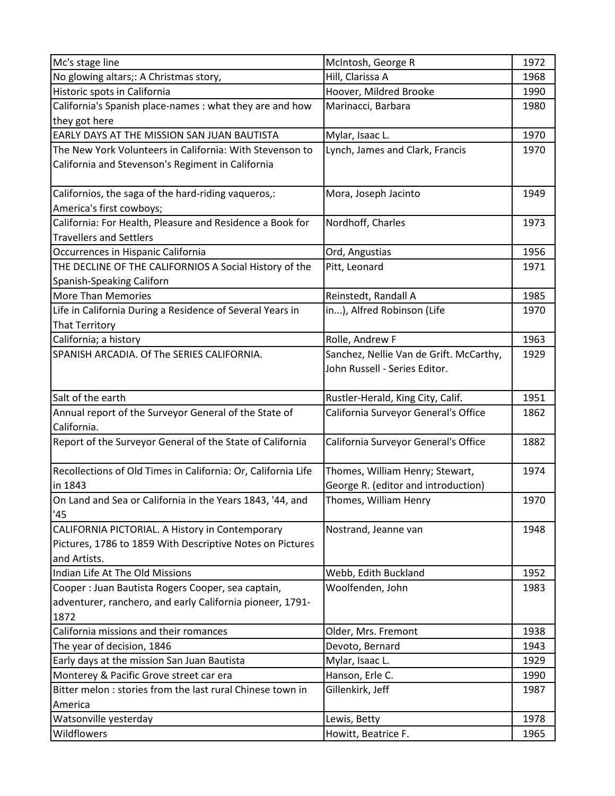| Mc's stage line                                                  | McIntosh, George R                                           | 1972 |
|------------------------------------------------------------------|--------------------------------------------------------------|------|
| No glowing altars;: A Christmas story,                           | Hill, Clarissa A                                             | 1968 |
| Historic spots in California                                     | Hoover, Mildred Brooke                                       | 1990 |
| California's Spanish place-names : what they are and how         | Marinacci, Barbara                                           | 1980 |
| they got here                                                    |                                                              |      |
| EARLY DAYS AT THE MISSION SAN JUAN BAUTISTA                      | Mylar, Isaac L.                                              | 1970 |
| The New York Volunteers in California: With Stevenson to         | Lynch, James and Clark, Francis                              | 1970 |
| California and Stevenson's Regiment in California                |                                                              |      |
|                                                                  |                                                              |      |
| Californios, the saga of the hard-riding vaqueros,:              | Mora, Joseph Jacinto                                         | 1949 |
| America's first cowboys;                                         |                                                              |      |
| California: For Health, Pleasure and Residence a Book for        | Nordhoff, Charles                                            | 1973 |
| <b>Travellers and Settlers</b>                                   |                                                              |      |
| Occurrences in Hispanic California                               | Ord, Angustias                                               | 1956 |
| THE DECLINE OF THE CALIFORNIOS A Social History of the           | Pitt, Leonard                                                | 1971 |
| Spanish-Speaking Californ                                        |                                                              |      |
| <b>More Than Memories</b>                                        | Reinstedt, Randall A                                         | 1985 |
| Life in California During a Residence of Several Years in        | in), Alfred Robinson (Life                                   | 1970 |
| <b>That Territory</b>                                            |                                                              |      |
| California; a history                                            | Rolle, Andrew F                                              | 1963 |
| SPANISH ARCADIA. Of The SERIES CALIFORNIA.                       | Sanchez, Nellie Van de Grift. McCarthy,                      | 1929 |
|                                                                  | John Russell - Series Editor.                                |      |
|                                                                  |                                                              |      |
| Salt of the earth                                                | Rustler-Herald, King City, Calif.                            | 1951 |
| Annual report of the Surveyor General of the State of            | California Surveyor General's Office                         | 1862 |
| California.                                                      |                                                              |      |
| Report of the Surveyor General of the State of California        | California Surveyor General's Office                         | 1882 |
|                                                                  |                                                              |      |
| Recollections of Old Times in California: Or, California Life    | Thomes, William Henry; Stewart,                              | 1974 |
| in 1843                                                          | George R. (editor and introduction)<br>Thomes, William Henry |      |
| On Land and Sea or California in the Years 1843, '44, and<br>'45 |                                                              | 1970 |
| CALIFORNIA PICTORIAL. A History in Contemporary                  | Nostrand, Jeanne van                                         | 1948 |
| Pictures, 1786 to 1859 With Descriptive Notes on Pictures        |                                                              |      |
| and Artists.                                                     |                                                              |      |
| Indian Life At The Old Missions                                  | Webb, Edith Buckland                                         | 1952 |
| Cooper : Juan Bautista Rogers Cooper, sea captain,               | Woolfenden, John                                             | 1983 |
| adventurer, ranchero, and early California pioneer, 1791-        |                                                              |      |
| 1872                                                             |                                                              |      |
| California missions and their romances                           | Older, Mrs. Fremont                                          | 1938 |
| The year of decision, 1846                                       | Devoto, Bernard                                              | 1943 |
| Early days at the mission San Juan Bautista                      | Mylar, Isaac L.                                              | 1929 |
| Monterey & Pacific Grove street car era                          | Hanson, Erle C.                                              | 1990 |
| Bitter melon: stories from the last rural Chinese town in        | Gillenkirk, Jeff                                             | 1987 |
| America                                                          |                                                              |      |
| Watsonville yesterday                                            | Lewis, Betty                                                 | 1978 |
| Wildflowers                                                      | Howitt, Beatrice F.                                          | 1965 |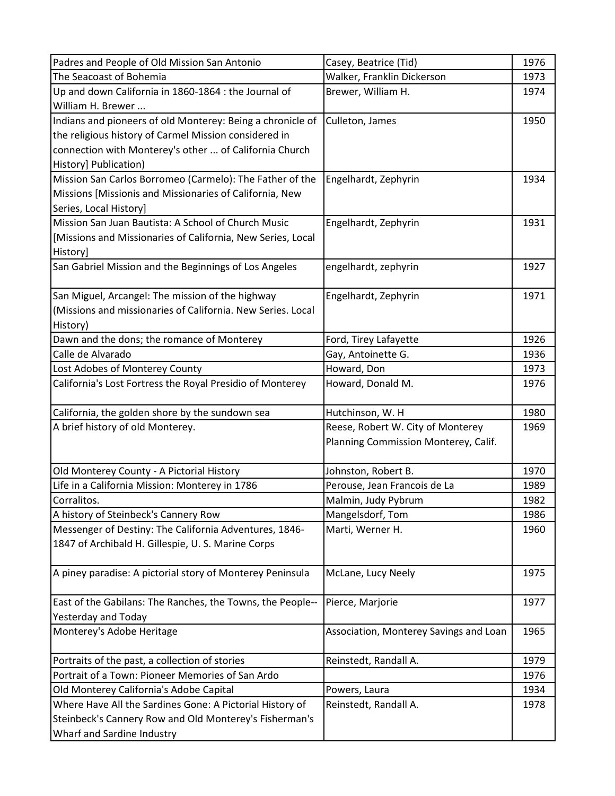| Padres and People of Old Mission San Antonio                | Casey, Beatrice (Tid)                  | 1976 |
|-------------------------------------------------------------|----------------------------------------|------|
| The Seacoast of Bohemia                                     | Walker, Franklin Dickerson             | 1973 |
| Up and down California in 1860-1864 : the Journal of        | Brewer, William H.                     | 1974 |
| William H. Brewer                                           |                                        |      |
| Indians and pioneers of old Monterey: Being a chronicle of  | Culleton, James                        | 1950 |
| the religious history of Carmel Mission considered in       |                                        |      |
| connection with Monterey's other  of California Church      |                                        |      |
| History] Publication)                                       |                                        |      |
| Mission San Carlos Borromeo (Carmelo): The Father of the    | Engelhardt, Zephyrin                   | 1934 |
| Missions [Missionis and Missionaries of California, New     |                                        |      |
| Series, Local History]                                      |                                        |      |
| Mission San Juan Bautista: A School of Church Music         | Engelhardt, Zephyrin                   | 1931 |
| [Missions and Missionaries of California, New Series, Local |                                        |      |
| History]                                                    |                                        |      |
| San Gabriel Mission and the Beginnings of Los Angeles       | engelhardt, zephyrin                   | 1927 |
|                                                             |                                        |      |
| San Miguel, Arcangel: The mission of the highway            | Engelhardt, Zephyrin                   | 1971 |
| (Missions and missionaries of California. New Series. Local |                                        |      |
| History)                                                    |                                        |      |
| Dawn and the dons; the romance of Monterey                  | Ford, Tirey Lafayette                  | 1926 |
| Calle de Alvarado                                           | Gay, Antoinette G.                     | 1936 |
| Lost Adobes of Monterey County                              | Howard, Don                            | 1973 |
| California's Lost Fortress the Royal Presidio of Monterey   | Howard, Donald M.                      | 1976 |
|                                                             |                                        |      |
| California, the golden shore by the sundown sea             | Hutchinson, W. H                       | 1980 |
| A brief history of old Monterey.                            | Reese, Robert W. City of Monterey      | 1969 |
|                                                             | Planning Commission Monterey, Calif.   |      |
|                                                             |                                        |      |
| Old Monterey County - A Pictorial History                   | Johnston, Robert B.                    | 1970 |
| Life in a California Mission: Monterey in 1786              | Perouse, Jean Francois de La           | 1989 |
| Corralitos.                                                 | Malmin, Judy Pybrum                    | 1982 |
| A history of Steinbeck's Cannery Row                        | Mangelsdorf, Tom                       | 1986 |
| Messenger of Destiny: The California Adventures, 1846-      | Marti, Werner H.                       | 1960 |
| 1847 of Archibald H. Gillespie, U. S. Marine Corps          |                                        |      |
|                                                             |                                        |      |
| A piney paradise: A pictorial story of Monterey Peninsula   | McLane, Lucy Neely                     | 1975 |
|                                                             |                                        |      |
| East of the Gabilans: The Ranches, the Towns, the People--  | Pierce, Marjorie                       | 1977 |
| <b>Yesterday and Today</b>                                  |                                        |      |
| Monterey's Adobe Heritage                                   | Association, Monterey Savings and Loan | 1965 |
|                                                             |                                        |      |
| Portraits of the past, a collection of stories              | Reinstedt, Randall A.                  | 1979 |
| Portrait of a Town: Pioneer Memories of San Ardo            |                                        | 1976 |
| Old Monterey California's Adobe Capital                     | Powers, Laura                          | 1934 |
| Where Have All the Sardines Gone: A Pictorial History of    | Reinstedt, Randall A.                  | 1978 |
| Steinbeck's Cannery Row and Old Monterey's Fisherman's      |                                        |      |
| Wharf and Sardine Industry                                  |                                        |      |